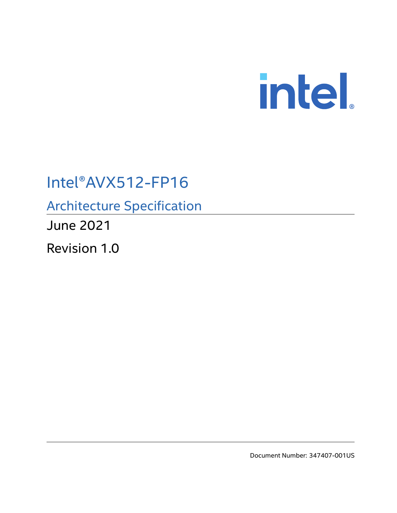

# Intel®AVX512-FP16

Architecture Specification

June 2021

Revision 1.0

Document Number: 347407-001US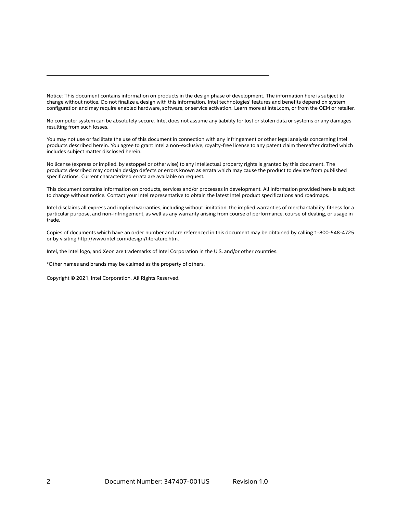Notice: This document contains information on products in the design phase of development. The information here is subject to change without notice. Do not finalize a design with this information. Intel technologies' features and benefits depend on system configuration and may require enabled hardware, software, or service activation. Learn more at intel.com, or from the OEM or retailer.

No computer system can be absolutely secure. Intel does not assume any liability for lost or stolen data or systems or any damages resulting from such losses.

You may not use or facilitate the use of this document in connection with any infringement or other legal analysis concerning Intel products described herein. You agree to grant Intel a non-exclusive, royalty-free license to any patent claim thereafter drafted which includes subject matter disclosed herein.

No license (express or implied, by estoppel or otherwise) to any intellectual property rights is granted by this document. The products described may contain design defects or errors known as errata which may cause the product to deviate from published specifications. Current characterized errata are available on request.

This document contains information on products, services and/or processes in development. All information provided here is subject to change without notice. Contact your Intel representative to obtain the latest Intel product specifications and roadmaps.

Intel disclaims all express and implied warranties, including without limitation, the implied warranties of merchantability, fitness for a particular purpose, and non-infringement, as well as any warranty arising from course of performance, course of dealing, or usage in trade.

Copies of documents which have an order number and are referenced in this document may be obtained by calling 1-800-548-4725 or by visiting <http://www.intel.com/design/literature.htm>.

Intel, the Intel logo, and Xeon are trademarks of Intel Corporation in the U.S. and/or other countries.

\*Other names and brands may be claimed as the property of others.

Copyright © 2021, Intel Corporation. All Rights Reserved.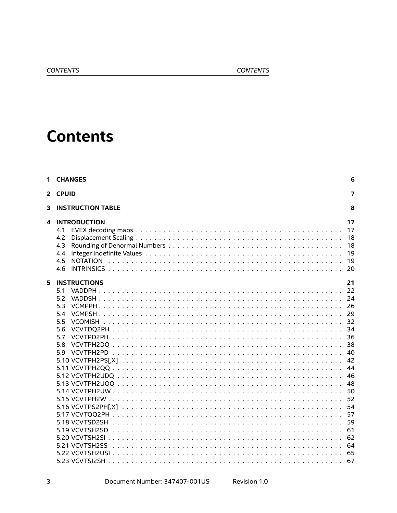#### CONTENTS

# **Contents**

| 2 CPUID<br><b>INSTRUCTION TABLE</b><br>3<br><b>INTRODUCTION</b><br>4<br>4.1<br>4.2<br>4.3<br>4.4<br>4.5<br>4.6<br>5<br><b>INSTRUCTIONS</b><br>5.1<br>5.2<br>5.3<br>5.4<br>5.5<br>5.6<br>5.7<br>VCVTPD2PH<br>5.8<br>59<br>5.18 VCVTSD2SH<br>5.21 VCVTSH2SS | 1 CHANGES | 6                                                                                      |
|-----------------------------------------------------------------------------------------------------------------------------------------------------------------------------------------------------------------------------------------------------------|-----------|----------------------------------------------------------------------------------------|
|                                                                                                                                                                                                                                                           |           | 7                                                                                      |
|                                                                                                                                                                                                                                                           |           | 8                                                                                      |
|                                                                                                                                                                                                                                                           |           | 17<br>17<br>18<br>18<br>19<br>19                                                       |
|                                                                                                                                                                                                                                                           |           | 21<br>40<br>42<br>44<br>46<br>48<br>50<br>52<br>54<br>57<br>59<br>61<br>62<br>64<br>65 |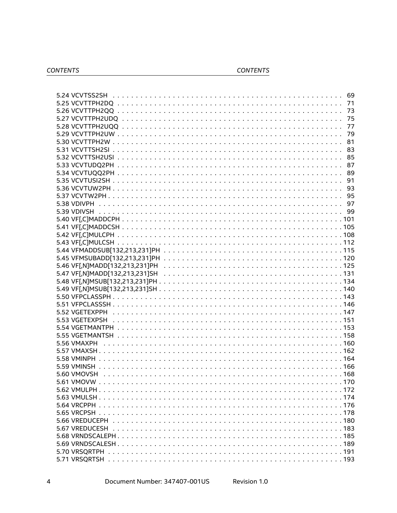#### CONTENTS

| 5.24 VCVTSS2SH |    |
|----------------|----|
|                |    |
|                | 73 |
|                | 75 |
|                | 77 |
|                | 79 |
|                | 81 |
|                |    |
|                |    |
|                |    |
|                |    |
|                |    |
|                | 91 |
|                | 93 |
|                |    |
|                |    |
|                |    |
|                |    |
|                |    |
|                |    |
|                |    |
|                |    |
|                |    |
|                |    |
|                |    |
|                |    |
|                |    |
|                |    |
|                |    |
|                |    |
|                |    |
| 5.53 VGETEXPSH |    |
|                |    |
|                |    |
| 5.56 VMAXPH    |    |
|                |    |
|                |    |
|                |    |
|                |    |
| 5.60 VMOVSH    |    |
|                |    |
|                |    |
|                |    |
|                |    |
|                |    |
|                |    |
|                |    |
|                |    |
|                |    |
|                |    |
|                |    |
|                |    |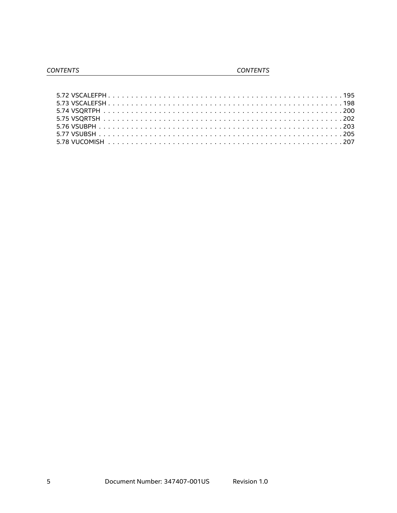#### CONTENTS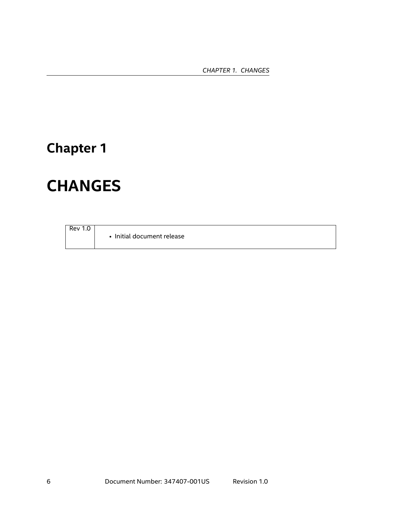*CHAPTER 1. CHANGES*

# <span id="page-5-0"></span>**Chapter 1**

# **CHANGES**

Rev 1.0

• Initial document release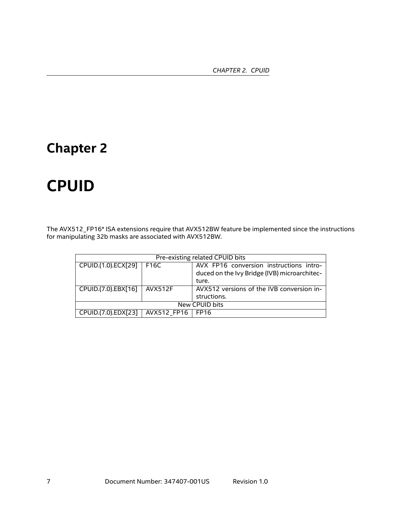# <span id="page-6-0"></span>**Chapter 2**

# **CPUID**

The AVX512\_FP16\* ISA extensions require that AVX512BW feature be implemented since the instructions for manipulating 32b masks are associated with AVX512BW.

| Pre-existing related CPUID bits       |             |                                                                                                  |  |  |  |
|---------------------------------------|-------------|--------------------------------------------------------------------------------------------------|--|--|--|
| CPUID.(1.0).ECX[29]                   | F16C        | AVX FP16 conversion instructions intro-<br>duced on the Ivy Bridge (IVB) microarchitec-<br>ture. |  |  |  |
| CPUID.(7.0).EBX[16]<br><b>AVX512F</b> |             | AVX512 versions of the IVB conversion in-<br>structions.                                         |  |  |  |
| New CPUID bits                        |             |                                                                                                  |  |  |  |
| CPUID.(7.0).EDX[23]                   | AVX512 FP16 | ∣FP16                                                                                            |  |  |  |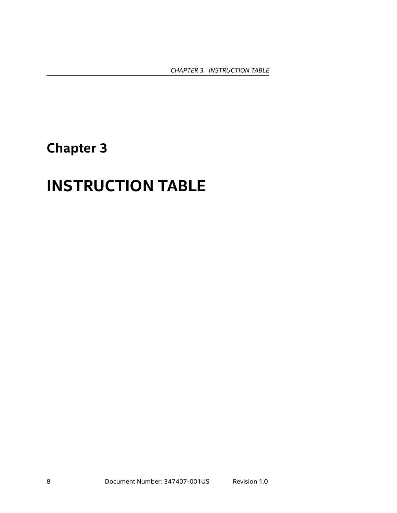# <span id="page-7-0"></span>**Chapter 3**

# **INSTRUCTION TABLE**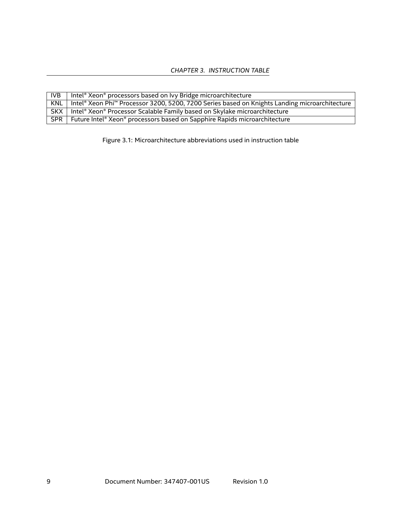| IVB.       | Intel® Xeon® processors based on Ivy Bridge microarchitecture                                 |
|------------|-----------------------------------------------------------------------------------------------|
| KNL        | Intel® Xeon Phi™ Processor 3200, 5200, 7200 Series based on Knights Landing microarchitecture |
| SKX I      | Intel® Xeon® Processor Scalable Family based on Skylake microarchitecture                     |
| <b>SPR</b> | Future Intel® Xeon® processors based on Sapphire Rapids microarchitecture                     |

Figure 3.1: Microarchitecture abbreviations used in instruction table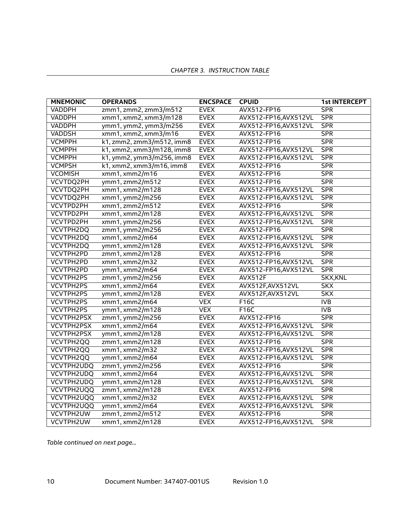| <b>MNEMONIC</b>   | <b>OPERANDS</b>           | <b>ENCSPACE</b> | <b>CPUID</b>          | <b>1st INTERCEPT</b> |
|-------------------|---------------------------|-----------------|-----------------------|----------------------|
| <b>VADDPH</b>     | zmm1, zmm2, zmm3/m512     | <b>EVEX</b>     | AVX512-FP16           | <b>SPR</b>           |
| <b>VADDPH</b>     | xmm1, xmm2, xmm3/m128     | <b>EVEX</b>     | AVX512-FP16, AVX512VL | <b>SPR</b>           |
| VADDPH            | ymm1, ymm2, ymm3/m256     | <b>EVEX</b>     | AVX512-FP16, AVX512VL | <b>SPR</b>           |
| <b>VADDSH</b>     | xmm1, xmm2, xmm3/m16      | <b>EVEX</b>     | AVX512-FP16           | SPR                  |
| <b>VCMPPH</b>     | k1, zmm2, zmm3/m512, imm8 | <b>EVEX</b>     | AVX512-FP16           | <b>SPR</b>           |
| <b>VCMPPH</b>     | k1, xmm2, xmm3/m128, imm8 | <b>EVEX</b>     | AVX512-FP16, AVX512VL | SPR                  |
| <b>VCMPPH</b>     | k1, ymm2, ymm3/m256, imm8 | <b>EVEX</b>     | AVX512-FP16, AVX512VL | SPR                  |
| <b>VCMPSH</b>     | k1, xmm2, xmm3/m16, imm8  | <b>EVEX</b>     | AVX512-FP16           | SPR                  |
| <b>VCOMISH</b>    | xmm1, xmm2/m16            | <b>EVEX</b>     | AVX512-FP16           | <b>SPR</b>           |
| VCVTDQ2PH         | ymm1, zmm2/m512           | <b>EVEX</b>     | AVX512-FP16           | <b>SPR</b>           |
| VCVTDQ2PH         | xmm1, xmm2/m128           | <b>EVEX</b>     | AVX512-FP16, AVX512VL | <b>SPR</b>           |
| VCVTDQ2PH         | xmm1, ymm2/m256           | <b>EVEX</b>     | AVX512-FP16, AVX512VL | <b>SPR</b>           |
| VCVTPD2PH         | xmm1, zmm2/m512           | <b>EVEX</b>     | AVX512-FP16           | <b>SPR</b>           |
| <b>VCVTPD2PH</b>  | xmm1, xmm2/m128           | <b>EVEX</b>     | AVX512-FP16, AVX512VL | <b>SPR</b>           |
| <b>VCVTPD2PH</b>  | xmm1, ymm2/m256           | <b>EVEX</b>     | AVX512-FP16, AVX512VL | <b>SPR</b>           |
| <b>VCVTPH2DQ</b>  | zmm1, ymm2/m256           | <b>EVEX</b>     | AVX512-FP16           | <b>SPR</b>           |
| VCVTPH2DQ         | xmm1, xmm2/m64            | <b>EVEX</b>     | AVX512-FP16, AVX512VL | <b>SPR</b>           |
| <b>VCVTPH2DQ</b>  | ymm1, xmm2/m128           | <b>EVEX</b>     | AVX512-FP16, AVX512VL | <b>SPR</b>           |
| VCVTPH2PD         | zmm1, xmm2/m128           | <b>EVEX</b>     | AVX512-FP16           | <b>SPR</b>           |
| VCVTPH2PD         | xmm1, xmm2/m32            | <b>EVEX</b>     | AVX512-FP16, AVX512VL | SPR                  |
| VCVTPH2PD         | ymm1, xmm2/m64            | <b>EVEX</b>     | AVX512-FP16, AVX512VL | SPR                  |
| <b>VCVTPH2PS</b>  | zmm1, ymm2/m256           | <b>EVEX</b>     | <b>AVX512F</b>        | <b>SKX, KNL</b>      |
| <b>VCVTPH2PS</b>  | xmm1, xmm2/m64            | <b>EVEX</b>     | AVX512F, AVX512VL     | <b>SKX</b>           |
| <b>VCVTPH2PS</b>  | ymm1, xmm2/m128           | <b>EVEX</b>     | AVX512F, AVX512VL     | SKX                  |
| <b>VCVTPH2PS</b>  | xmm1, xmm2/m64            | <b>VEX</b>      | F16C                  | IVB                  |
| <b>VCVTPH2PS</b>  | ymm1, xmm2/m128           | <b>VEX</b>      | F16C                  | IVB                  |
| <b>VCVTPH2PSX</b> | zmm1, ymm2/m256           | <b>EVEX</b>     | AVX512-FP16           | <b>SPR</b>           |
| <b>VCVTPH2PSX</b> | xmm1, xmm2/m64            | <b>EVEX</b>     | AVX512-FP16,AVX512VL  | <b>SPR</b>           |
| <b>VCVTPH2PSX</b> | ymm1, xmm2/m128           | <b>EVEX</b>     | AVX512-FP16, AVX512VL | <b>SPR</b>           |
| <b>VCVTPH2QQ</b>  | zmm1, xmm2/m128           | <b>EVEX</b>     | AVX512-FP16           | <b>SPR</b>           |
| <b>VCVTPH2QQ</b>  | xmm1, xmm2/m32            | <b>EVEX</b>     | AVX512-FP16, AVX512VL | <b>SPR</b>           |
| <b>VCVTPH2QQ</b>  | ymm1, xmm2/m64            | <b>EVEX</b>     | AVX512-FP16, AVX512VL | <b>SPR</b>           |
| <b>VCVTPH2UDQ</b> | zmm1, ymm2/m256           | <b>EVEX</b>     | AVX512-FP16           | <b>SPR</b>           |
| <b>VCVTPH2UDQ</b> | xmm1, xmm2/m64            | <b>EVEX</b>     | AVX512-FP16, AVX512VL | <b>SPR</b>           |
| VCVTPH2UDQ        | ymm1, xmm2/m128           | <b>EVEX</b>     | AVX512-FP16, AVX512VL | <b>SPR</b>           |
| VCVTPH2UQQ        | zmm1, xmm2/m128           | <b>EVEX</b>     | AVX512-FP16           | <b>SPR</b>           |
| VCVTPH2UQQ        | xmm1, xmm2/m32            | <b>EVEX</b>     | AVX512-FP16, AVX512VL | SPR                  |
| VCVTPH2UQQ        | ymm1, xmm2/m64            | <b>EVEX</b>     | AVX512-FP16, AVX512VL | SPR                  |
| <b>VCVTPH2UW</b>  | zmm1, zmm2/m512           | <b>EVEX</b>     | AVX512-FP16           | <b>SPR</b>           |
| VCVTPH2UW         | xmm1, xmm2/m128           | <b>EVEX</b>     | AVX512-FP16, AVX512VL | <b>SPR</b>           |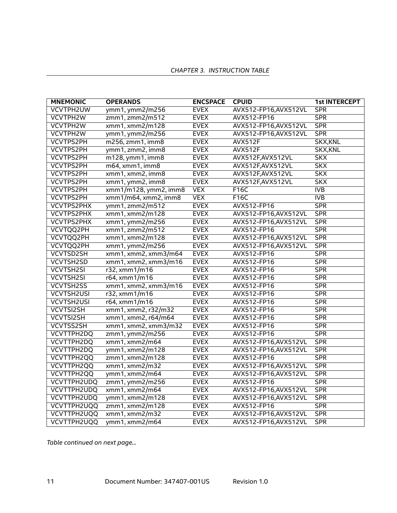| <b>MNEMONIC</b>   | <b>OPERANDS</b>       | <b>ENCSPACE</b> | <b>CPUID</b>          | <b>1st INTERCEPT</b> |
|-------------------|-----------------------|-----------------|-----------------------|----------------------|
| <b>VCVTPH2UW</b>  | ymm1, ymm2/m256       | <b>EVEX</b>     | AVX512-FP16, AVX512VL | <b>SPR</b>           |
| <b>VCVTPH2W</b>   | zmm1, zmm2/m512       | <b>EVEX</b>     | AVX512-FP16           | SPR                  |
| VCVTPH2W          | xmm1, xmm2/m128       | <b>EVEX</b>     | AVX512-FP16, AVX512VL | SPR                  |
| VCVTPH2W          | ymm1, ymm2/m256       | <b>EVEX</b>     | AVX512-FP16, AVX512VL | SPR                  |
| <b>VCVTPS2PH</b>  | m256, zmm1, imm8      | <b>EVEX</b>     | <b>AVX512F</b>        | <b>SKX, KNL</b>      |
| <b>VCVTPS2PH</b>  | ymm1, zmm2, imm8      | <b>EVEX</b>     | <b>AVX512F</b>        | <b>SKX, KNL</b>      |
| <b>VCVTPS2PH</b>  | m128, ymm1, imm8      | <b>EVEX</b>     | AVX512F, AVX512VL     | SKX                  |
| <b>VCVTPS2PH</b>  | m64, xmm1, imm8       | <b>EVEX</b>     | AVX512F, AVX512VL     | <b>SKX</b>           |
| <b>VCVTPS2PH</b>  | xmm1, xmm2, imm8      | <b>EVEX</b>     | AVX512F, AVX512VL     | <b>SKX</b>           |
| <b>VCVTPS2PH</b>  | xmm1, ymm2, imm8      | <b>EVEX</b>     | AVX512F, AVX512VL     | <b>SKX</b>           |
| <b>VCVTPS2PH</b>  | xmm1/m128, ymm2, imm8 | <b>VEX</b>      | F16C                  | IVB                  |
| <b>VCVTPS2PH</b>  | xmm1/m64, xmm2, imm8  | <b>VEX</b>      | F16C                  | IVB                  |
| <b>VCVTPS2PHX</b> | ymm1, zmm2/m512       | <b>EVEX</b>     | AVX512-FP16           | <b>SPR</b>           |
| <b>VCVTPS2PHX</b> | xmm1, xmm2/m128       | <b>EVEX</b>     | AVX512-FP16, AVX512VL | <b>SPR</b>           |
| <b>VCVTPS2PHX</b> | xmm1, ymm2/m256       | <b>EVEX</b>     | AVX512-FP16, AVX512VL | <b>SPR</b>           |
| <b>VCVTQQ2PH</b>  | xmm1, zmm2/m512       | <b>EVEX</b>     | AVX512-FP16           | <b>SPR</b>           |
| <b>VCVTQQ2PH</b>  | xmm1, xmm2/m128       | <b>EVEX</b>     | AVX512-FP16, AVX512VL | <b>SPR</b>           |
| <b>VCVTQQ2PH</b>  | xmm1, ymm2/m256       | <b>EVEX</b>     | AVX512-FP16, AVX512VL | <b>SPR</b>           |
| <b>VCVTSD2SH</b>  | xmm1, xmm2, xmm3/m64  | <b>EVEX</b>     | AVX512-FP16           | <b>SPR</b>           |
| <b>VCVTSH2SD</b>  | xmm1, xmm2, xmm3/m16  | <b>EVEX</b>     | AVX512-FP16           | SPR                  |
| <b>VCVTSH2SI</b>  | r32, xmm1/m16         | <b>EVEX</b>     | AVX512-FP16           | <b>SPR</b>           |
| <b>VCVTSH2SI</b>  | r64, xmm1/m16         | <b>EVEX</b>     | AVX512-FP16           | <b>SPR</b>           |
| <b>VCVTSH2SS</b>  | xmm1, xmm2, xmm3/m16  | <b>EVEX</b>     | AVX512-FP16           | SPR                  |
| <b>VCVTSH2USI</b> | r32, xmm1/m16         | <b>EVEX</b>     | AVX512-FP16           | <b>SPR</b>           |
| <b>VCVTSH2USI</b> | r64, xmm1/m16         | <b>EVEX</b>     | AVX512-FP16           | <b>SPR</b>           |
| <b>VCVTSI2SH</b>  | xmm1, xmm2, r32/m32   | <b>EVEX</b>     | AVX512-FP16           | <b>SPR</b>           |
| <b>VCVTSI2SH</b>  | xmm1, xmm2, r64/m64   | <b>EVEX</b>     | AVX512-FP16           | <b>SPR</b>           |
| <b>VCVTSS2SH</b>  | xmm1, xmm2, xmm3/m32  | <b>EVEX</b>     | AVX512-FP16           | <b>SPR</b>           |
| VCVTTPH2DQ        | zmm1, ymm2/m256       | <b>EVEX</b>     | AVX512-FP16           | <b>SPR</b>           |
| VCVTTPH2DQ        | xmm1, xmm2/m64        | <b>EVEX</b>     | AVX512-FP16, AVX512VL | <b>SPR</b>           |
| VCVTTPH2DQ        | ymm1, xmm2/m128       | <b>EVEX</b>     | AVX512-FP16, AVX512VL | <b>SPR</b>           |
| VCVTTPH2QQ        | zmm1, xmm2/m128       | <b>EVEX</b>     | AVX512-FP16           | <b>SPR</b>           |
| VCVTTPH2QQ        | xmm1, xmm2/m32        | <b>EVEX</b>     | AVX512-FP16, AVX512VL | <b>SPR</b>           |
| VCVTTPH2QQ        | ymm1, xmm2/m64        | <b>EVEX</b>     | AVX512-FP16, AVX512VL | <b>SPR</b>           |
| VCVTTPH2UDQ       | zmm1, ymm2/m256       | <b>EVEX</b>     | AVX512-FP16           | <b>SPR</b>           |
| VCVTTPH2UDQ       | xmm1, xmm2/m64        | <b>EVEX</b>     | AVX512-FP16, AVX512VL | <b>SPR</b>           |
| VCVTTPH2UDQ       | ymm1, xmm2/m128       | <b>EVEX</b>     | AVX512-FP16, AVX512VL | SPR                  |
| VCVTTPH2UQQ       | zmm1, xmm2/m128       | <b>EVEX</b>     | AVX512-FP16           | SPR                  |
| VCVTTPH2UQQ       | xmm1, xmm2/m32        | <b>EVEX</b>     | AVX512-FP16, AVX512VL | SPR                  |
| VCVTTPH2UQQ       | ymm1, xmm2/m64        | <b>EVEX</b>     | AVX512-FP16, AVX512VL | SPR                  |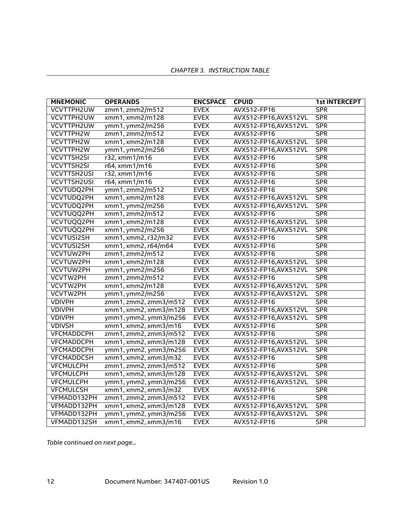| <b>MNEMONIC</b>    | <b>OPERANDS</b>       | <b>ENCSPACE</b> | <b>CPUID</b>          | <b>1st INTERCEPT</b> |
|--------------------|-----------------------|-----------------|-----------------------|----------------------|
| <b>VCVTTPH2UW</b>  | zmm1, zmm2/m512       | <b>EVEX</b>     | AVX512-FP16           | <b>SPR</b>           |
| VCVTTPH2UW         | xmm1, xmm2/m128       | <b>EVEX</b>     | AVX512-FP16, AVX512VL | SPR                  |
| VCVTTPH2UW         | ymm1, ymm2/m256       | <b>EVEX</b>     | AVX512-FP16, AVX512VL | SPR                  |
| <b>VCVTTPH2W</b>   | zmm1, zmm2/m512       | <b>EVEX</b>     | AVX512-FP16           | SPR                  |
| VCVTTPH2W          | xmm1, xmm2/m128       | <b>EVEX</b>     | AVX512-FP16, AVX512VL | <b>SPR</b>           |
| VCVTTPH2W          | ymm1, ymm2/m256       | <b>EVEX</b>     | AVX512-FP16, AVX512VL | SPR                  |
| <b>VCVTTSH2SI</b>  | r32, xmm1/m16         | <b>EVEX</b>     | AVX512-FP16           | <b>SPR</b>           |
| <b>VCVTTSH2SI</b>  | r64, xmm1/m16         | <b>EVEX</b>     | AVX512-FP16           | <b>SPR</b>           |
| <b>VCVTTSH2USI</b> | r32, xmm1/m16         | <b>EVEX</b>     | AVX512-FP16           | <b>SPR</b>           |
| <b>VCVTTSH2USI</b> | r64, xmm1/m16         | <b>EVEX</b>     | AVX512-FP16           | <b>SPR</b>           |
| VCVTUDQ2PH         | ymm1, zmm2/m512       | <b>EVEX</b>     | AVX512-FP16           | <b>SPR</b>           |
| <b>VCVTUDQ2PH</b>  | xmm1, xmm2/m128       | <b>EVEX</b>     | AVX512-FP16, AVX512VL | <b>SPR</b>           |
| VCVTUDQ2PH         | xmm1, ymm2/m256       | <b>EVEX</b>     | AVX512-FP16, AVX512VL | <b>SPR</b>           |
| <b>VCVTUQQ2PH</b>  | xmm1, zmm2/m512       | <b>EVEX</b>     | AVX512-FP16           | <b>SPR</b>           |
| VCVTUQQ2PH         | xmm1, xmm2/m128       | <b>EVEX</b>     | AVX512-FP16, AVX512VL | <b>SPR</b>           |
| VCVTUQQ2PH         | xmm1, ymm2/m256       | <b>EVEX</b>     | AVX512-FP16, AVX512VL | <b>SPR</b>           |
| <b>VCVTUSI2SH</b>  | xmm1, xmm2, r32/m32   | <b>EVEX</b>     | AVX512-FP16           | <b>SPR</b>           |
| <b>VCVTUSI2SH</b>  | xmm1, xmm2, r64/m64   | <b>EVEX</b>     | AVX512-FP16           | <b>SPR</b>           |
| VCVTUW2PH          | zmm1, zmm2/m512       | <b>EVEX</b>     | AVX512-FP16           | <b>SPR</b>           |
| VCVTUW2PH          | xmm1, xmm2/m128       | <b>EVEX</b>     | AVX512-FP16, AVX512VL | <b>SPR</b>           |
| VCVTUW2PH          | ymm1, ymm2/m256       | <b>EVEX</b>     | AVX512-FP16, AVX512VL | <b>SPR</b>           |
| VCVTW2PH           | zmm1, zmm2/m512       | <b>EVEX</b>     | AVX512-FP16           | <b>SPR</b>           |
| VCVTW2PH           | xmm1, xmm2/m128       | <b>EVEX</b>     | AVX512-FP16, AVX512VL | SPR                  |
| VCVTW2PH           | ymm1, ymm2/m256       | <b>EVEX</b>     | AVX512-FP16, AVX512VL | <b>SPR</b>           |
| <b>VDIVPH</b>      | zmm1, zmm2, zmm3/m512 | <b>EVEX</b>     | AVX512-FP16           | <b>SPR</b>           |
| <b>VDIVPH</b>      | xmm1, xmm2, xmm3/m128 | <b>EVEX</b>     | AVX512-FP16, AVX512VL | <b>SPR</b>           |
| <b>VDIVPH</b>      | ymm1, ymm2, ymm3/m256 | <b>EVEX</b>     | AVX512-FP16, AVX512VL | <b>SPR</b>           |
| <b>VDIVSH</b>      | xmm1, xmm2, xmm3/m16  | <b>EVEX</b>     | AVX512-FP16           | <b>SPR</b>           |
| <b>VFCMADDCPH</b>  | zmm1, zmm2, zmm3/m512 | <b>EVEX</b>     | AVX512-FP16           | <b>SPR</b>           |
| <b>VFCMADDCPH</b>  | xmm1, xmm2, xmm3/m128 | <b>EVEX</b>     | AVX512-FP16, AVX512VL | <b>SPR</b>           |
| <b>VFCMADDCPH</b>  | ymm1, ymm2, ymm3/m256 | <b>EVEX</b>     | AVX512-FP16, AVX512VL | <b>SPR</b>           |
| <b>VFCMADDCSH</b>  | xmm1, xmm2, xmm3/m32  | <b>EVEX</b>     | AVX512-FP16           | <b>SPR</b>           |
| <b>VFCMULCPH</b>   | zmm1, zmm2, zmm3/m512 | <b>EVEX</b>     | AVX512-FP16           | <b>SPR</b>           |
| <b>VFCMULCPH</b>   | xmm1, xmm2, xmm3/m128 | <b>EVEX</b>     | AVX512-FP16, AVX512VL | <b>SPR</b>           |
| <b>VFCMULCPH</b>   | ymm1, ymm2, ymm3/m256 | <b>EVEX</b>     | AVX512-FP16, AVX512VL | <b>SPR</b>           |
| <b>VFCMULCSH</b>   | xmm1, xmm2, xmm3/m32  | <b>EVEX</b>     | AVX512-FP16           | <b>SPR</b>           |
| VFMADD132PH        | zmm1, zmm2, zmm3/m512 | <b>EVEX</b>     | AVX512-FP16           | <b>SPR</b>           |
| VFMADD132PH        | xmm1, xmm2, xmm3/m128 | <b>EVEX</b>     | AVX512-FP16, AVX512VL | SPR                  |
| VFMADD132PH        | ymm1, ymm2, ymm3/m256 | <b>EVEX</b>     | AVX512-FP16, AVX512VL | <b>SPR</b>           |
| VFMADD132SH        | xmm1, xmm2, xmm3/m16  | <b>EVEX</b>     | AVX512-FP16           | <b>SPR</b>           |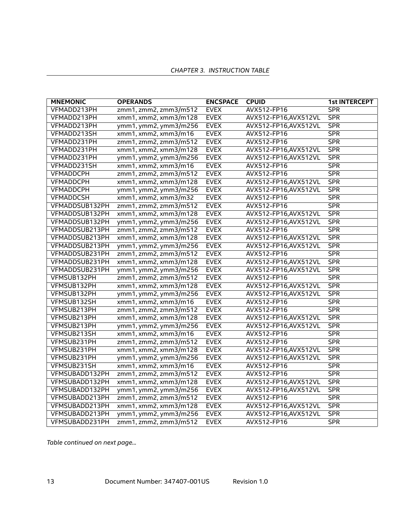| <b>MNEMONIC</b>  | <b>OPERANDS</b>       | <b>ENCSPACE</b> | <b>CPUID</b>          | <b>1st INTERCEPT</b> |
|------------------|-----------------------|-----------------|-----------------------|----------------------|
| VFMADD213PH      | zmm1, zmm2, zmm3/m512 | <b>EVEX</b>     | AVX512-FP16           | <b>SPR</b>           |
| VFMADD213PH      | xmm1, xmm2, xmm3/m128 | <b>EVEX</b>     | AVX512-FP16, AVX512VL | SPR                  |
| VFMADD213PH      | ymm1, ymm2, ymm3/m256 | <b>EVEX</b>     | AVX512-FP16, AVX512VL | SPR                  |
| VFMADD213SH      | xmm1, xmm2, xmm3/m16  | <b>EVEX</b>     | AVX512-FP16           | SPR                  |
| VFMADD231PH      | zmm1, zmm2, zmm3/m512 | <b>EVEX</b>     | AVX512-FP16           | SPR                  |
| VFMADD231PH      | xmm1, xmm2, xmm3/m128 | <b>EVEX</b>     | AVX512-FP16, AVX512VL | SPR                  |
| VFMADD231PH      | ymm1, ymm2, ymm3/m256 | <b>EVEX</b>     | AVX512-FP16, AVX512VL | SPR                  |
| VFMADD231SH      | xmm1, xmm2, xmm3/m16  | <b>EVEX</b>     | AVX512-FP16           | <b>SPR</b>           |
| <b>VFMADDCPH</b> | zmm1, zmm2, zmm3/m512 | <b>EVEX</b>     | AVX512-FP16           | <b>SPR</b>           |
| <b>VFMADDCPH</b> | xmm1, xmm2, xmm3/m128 | <b>EVEX</b>     | AVX512-FP16, AVX512VL | <b>SPR</b>           |
| <b>VFMADDCPH</b> | ymm1, ymm2, ymm3/m256 | <b>EVEX</b>     | AVX512-FP16,AVX512VL  | <b>SPR</b>           |
| <b>VFMADDCSH</b> | xmm1, xmm2, xmm3/m32  | <b>EVEX</b>     | AVX512-FP16           | <b>SPR</b>           |
| VFMADDSUB132PH   | zmm1, zmm2, zmm3/m512 | <b>EVEX</b>     | AVX512-FP16           | <b>SPR</b>           |
| VFMADDSUB132PH   | xmm1, xmm2, xmm3/m128 | <b>EVEX</b>     | AVX512-FP16, AVX512VL | <b>SPR</b>           |
| VFMADDSUB132PH   | ymm1, ymm2, ymm3/m256 | <b>EVEX</b>     | AVX512-FP16, AVX512VL | <b>SPR</b>           |
| VFMADDSUB213PH   | zmm1, zmm2, zmm3/m512 | <b>EVEX</b>     | AVX512-FP16           | <b>SPR</b>           |
| VFMADDSUB213PH   | xmm1, xmm2, xmm3/m128 | <b>EVEX</b>     | AVX512-FP16, AVX512VL | <b>SPR</b>           |
| VFMADDSUB213PH   | ymm1, ymm2, ymm3/m256 | <b>EVEX</b>     | AVX512-FP16, AVX512VL | SPR                  |
| VFMADDSUB231PH   | zmm1, zmm2, zmm3/m512 | <b>EVEX</b>     | AVX512-FP16           | <b>SPR</b>           |
| VFMADDSUB231PH   | xmm1, xmm2, xmm3/m128 | <b>EVEX</b>     | AVX512-FP16, AVX512VL | SPR                  |
| VFMADDSUB231PH   | ymm1, ymm2, ymm3/m256 | <b>EVEX</b>     | AVX512-FP16, AVX512VL | SPR                  |
| VFMSUB132PH      | zmm1, zmm2, zmm3/m512 | <b>EVEX</b>     | AVX512-FP16           | <b>SPR</b>           |
| VFMSUB132PH      | xmm1, xmm2, xmm3/m128 | <b>EVEX</b>     | AVX512-FP16, AVX512VL | <b>SPR</b>           |
| VFMSUB132PH      | ymm1, ymm2, ymm3/m256 | <b>EVEX</b>     | AVX512-FP16, AVX512VL | <b>SPR</b>           |
| VFMSUB132SH      | xmm1, xmm2, xmm3/m16  | <b>EVEX</b>     | AVX512-FP16           | SPR                  |
| VFMSUB213PH      | zmm1, zmm2, zmm3/m512 | <b>EVEX</b>     | AVX512-FP16           | SPR                  |
| VFMSUB213PH      | xmm1, xmm2, xmm3/m128 | <b>EVEX</b>     | AVX512-FP16, AVX512VL | <b>SPR</b>           |
| VFMSUB213PH      | ymm1, ymm2, ymm3/m256 | <b>EVEX</b>     | AVX512-FP16, AVX512VL | SPR                  |
| VFMSUB213SH      | xmm1, xmm2, xmm3/m16  | <b>EVEX</b>     | AVX512-FP16           | <b>SPR</b>           |
| VFMSUB231PH      | zmm1, zmm2, zmm3/m512 | <b>EVEX</b>     | AVX512-FP16           | <b>SPR</b>           |
| VFMSUB231PH      | xmm1, xmm2, xmm3/m128 | <b>EVEX</b>     | AVX512-FP16, AVX512VL | <b>SPR</b>           |
| VFMSUB231PH      | ymm1, ymm2, ymm3/m256 | <b>EVEX</b>     | AVX512-FP16, AVX512VL | <b>SPR</b>           |
| VFMSUB231SH      | xmm1, xmm2, xmm3/m16  | <b>EVEX</b>     | AVX512-FP16           | <b>SPR</b>           |
| VFMSUBADD132PH   | zmm1, zmm2, zmm3/m512 | <b>EVEX</b>     | AVX512-FP16           | <b>SPR</b>           |
| VFMSUBADD132PH   | xmm1, xmm2, xmm3/m128 | <b>EVEX</b>     | AVX512-FP16, AVX512VL | <b>SPR</b>           |
| VFMSUBADD132PH   | ymm1, ymm2, ymm3/m256 | <b>EVEX</b>     | AVX512-FP16, AVX512VL | <b>SPR</b>           |
| VFMSUBADD213PH   | zmm1, zmm2, zmm3/m512 | <b>EVEX</b>     | AVX512-FP16           | <b>SPR</b>           |
| VFMSUBADD213PH   | xmm1, xmm2, xmm3/m128 | <b>EVEX</b>     | AVX512-FP16, AVX512VL | <b>SPR</b>           |
| VFMSUBADD213PH   | ymm1, ymm2, ymm3/m256 | <b>EVEX</b>     | AVX512-FP16, AVX512VL | SPR                  |
| VFMSUBADD231PH   | zmm1, zmm2, zmm3/m512 | <b>EVEX</b>     | AVX512-FP16           | <b>SPR</b>           |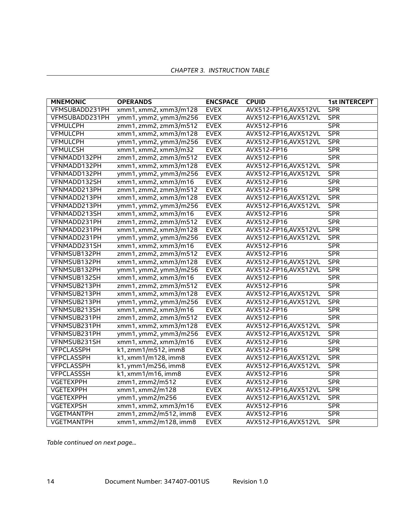| <b>MNEMONIC</b>   | <b>OPERANDS</b>       | <b>ENCSPACE</b> | <b>CPUID</b>          | <b>1st INTERCEPT</b> |
|-------------------|-----------------------|-----------------|-----------------------|----------------------|
| VFMSUBADD231PH    | xmm1, xmm2, xmm3/m128 | <b>EVEX</b>     | AVX512-FP16, AVX512VL | <b>SPR</b>           |
| VFMSUBADD231PH    | ymm1, ymm2, ymm3/m256 | <b>EVEX</b>     | AVX512-FP16, AVX512VL | SPR                  |
| <b>VFMULCPH</b>   | zmm1, zmm2, zmm3/m512 | <b>EVEX</b>     | AVX512-FP16           | SPR                  |
| <b>VFMULCPH</b>   | xmm1, xmm2, xmm3/m128 | <b>EVEX</b>     | AVX512-FP16, AVX512VL | SPR                  |
| <b>VFMULCPH</b>   | ymm1, ymm2, ymm3/m256 | <b>EVEX</b>     | AVX512-FP16, AVX512VL | SPR                  |
| <b>VFMULCSH</b>   | xmm1, xmm2, xmm3/m32  | <b>EVEX</b>     | AVX512-FP16           | SPR                  |
| VFNMADD132PH      | zmm1, zmm2, zmm3/m512 | <b>EVEX</b>     | AVX512-FP16           | SPR                  |
| VFNMADD132PH      | xmm1, xmm2, xmm3/m128 | <b>EVEX</b>     | AVX512-FP16, AVX512VL | <b>SPR</b>           |
| VFNMADD132PH      | ymm1, ymm2, ymm3/m256 | <b>EVEX</b>     | AVX512-FP16, AVX512VL | <b>SPR</b>           |
| VFNMADD132SH      | xmm1, xmm2, xmm3/m16  | <b>EVEX</b>     | AVX512-FP16           | <b>SPR</b>           |
| VFNMADD213PH      | zmm1, zmm2, zmm3/m512 | <b>EVEX</b>     | AVX512-FP16           | <b>SPR</b>           |
| VFNMADD213PH      | xmm1, xmm2, xmm3/m128 | <b>EVEX</b>     | AVX512-FP16, AVX512VL | <b>SPR</b>           |
| VFNMADD213PH      | ymm1, ymm2, ymm3/m256 | <b>EVEX</b>     | AVX512-FP16, AVX512VL | <b>SPR</b>           |
| VFNMADD213SH      | xmm1, xmm2, xmm3/m16  | <b>EVEX</b>     | AVX512-FP16           | <b>SPR</b>           |
| VFNMADD231PH      | zmm1, zmm2, zmm3/m512 | <b>EVEX</b>     | AVX512-FP16           | <b>SPR</b>           |
| VFNMADD231PH      | xmm1, xmm2, xmm3/m128 | <b>EVEX</b>     | AVX512-FP16, AVX512VL | <b>SPR</b>           |
| VFNMADD231PH      | ymm1, ymm2, ymm3/m256 | <b>EVEX</b>     | AVX512-FP16, AVX512VL | <b>SPR</b>           |
| VFNMADD231SH      | xmm1, xmm2, xmm3/m16  | <b>EVEX</b>     | AVX512-FP16           | <b>SPR</b>           |
| VFNMSUB132PH      | zmm1, zmm2, zmm3/m512 | <b>EVEX</b>     | AVX512-FP16           | SPR                  |
| VFNMSUB132PH      | xmm1, xmm2, xmm3/m128 | <b>EVEX</b>     | AVX512-FP16, AVX512VL | SPR                  |
| VFNMSUB132PH      | ymm1, ymm2, ymm3/m256 | <b>EVEX</b>     | AVX512-FP16, AVX512VL | <b>SPR</b>           |
| VFNMSUB132SH      | xmm1, xmm2, xmm3/m16  | <b>EVEX</b>     | AVX512-FP16           | <b>SPR</b>           |
| VFNMSUB213PH      | zmm1, zmm2, zmm3/m512 | <b>EVEX</b>     | AVX512-FP16           | SPR                  |
| VFNMSUB213PH      | xmm1, xmm2, xmm3/m128 | <b>EVEX</b>     | AVX512-FP16, AVX512VL | <b>SPR</b>           |
| VFNMSUB213PH      | ymm1, ymm2, ymm3/m256 | <b>EVEX</b>     | AVX512-FP16, AVX512VL | <b>SPR</b>           |
| VFNMSUB213SH      | xmm1, xmm2, xmm3/m16  | <b>EVEX</b>     | AVX512-FP16           | <b>SPR</b>           |
| VFNMSUB231PH      | zmm1, zmm2, zmm3/m512 | <b>EVEX</b>     | AVX512-FP16           | <b>SPR</b>           |
| VFNMSUB231PH      | xmm1, xmm2, xmm3/m128 | <b>EVEX</b>     | AVX512-FP16, AVX512VL | SPR                  |
| VFNMSUB231PH      | ymm1, ymm2, ymm3/m256 | <b>EVEX</b>     | AVX512-FP16, AVX512VL | <b>SPR</b>           |
| VFNMSUB231SH      | xmm1, xmm2, xmm3/m16  | <b>EVEX</b>     | AVX512-FP16           | <b>SPR</b>           |
| <b>VFPCLASSPH</b> | k1, zmm1/m512, imm8   | <b>EVEX</b>     | AVX512-FP16           | <b>SPR</b>           |
| <b>VFPCLASSPH</b> | k1, xmm1/m128, imm8   | <b>EVEX</b>     | AVX512-FP16, AVX512VL | <b>SPR</b>           |
| <b>VFPCLASSPH</b> | k1, ymm1/m256, imm8   | <b>EVEX</b>     | AVX512-FP16, AVX512VL | <b>SPR</b>           |
| <b>VFPCLASSSH</b> | k1, xmm1/m16, imm8    | <b>EVEX</b>     | AVX512-FP16           | <b>SPR</b>           |
| <b>VGETEXPPH</b>  | zmm1, zmm2/m512       | <b>EVEX</b>     | AVX512-FP16           | SPR                  |
| <b>VGETEXPPH</b>  | xmm1, xmm2/m128       | <b>EVEX</b>     | AVX512-FP16, AVX512VL | <b>SPR</b>           |
| <b>VGETEXPPH</b>  | ymm1, ymm2/m256       | <b>EVEX</b>     | AVX512-FP16, AVX512VL | <b>SPR</b>           |
| <b>VGETEXPSH</b>  | xmm1, xmm2, xmm3/m16  | <b>EVEX</b>     | AVX512-FP16           | <b>SPR</b>           |
| <b>VGETMANTPH</b> | zmm1, zmm2/m512, imm8 | <b>EVEX</b>     | AVX512-FP16           | <b>SPR</b>           |
| <b>VGETMANTPH</b> | xmm1, xmm2/m128, imm8 | <b>EVEX</b>     | AVX512-FP16, AVX512VL | SPR                  |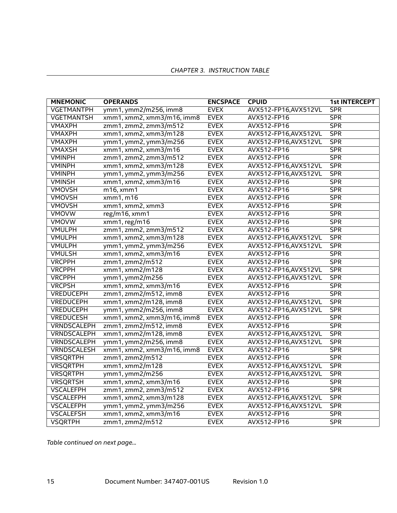| <b>MNEMONIC</b>    | <b>OPERANDS</b>            | <b>ENCSPACE</b> | <b>CPUID</b>          | <b>1st INTERCEPT</b> |
|--------------------|----------------------------|-----------------|-----------------------|----------------------|
| <b>VGETMANTPH</b>  | ymm1, ymm2/m256, imm8      | <b>EVEX</b>     | AVX512-FP16, AVX512VL | <b>SPR</b>           |
| <b>VGETMANTSH</b>  | xmm1, xmm2, xmm3/m16, imm8 | <b>EVEX</b>     | AVX512-FP16           | <b>SPR</b>           |
| <b>VMAXPH</b>      | zmm1, zmm2, zmm3/m512      | <b>EVEX</b>     | AVX512-FP16           | <b>SPR</b>           |
| <b>VMAXPH</b>      | xmm1, xmm2, xmm3/m128      | <b>EVEX</b>     | AVX512-FP16, AVX512VL | <b>SPR</b>           |
| <b>VMAXPH</b>      | ymm1, ymm2, ymm3/m256      | <b>EVEX</b>     | AVX512-FP16, AVX512VL | <b>SPR</b>           |
| <b>VMAXSH</b>      | xmm1, xmm2, xmm3/m16       | <b>EVEX</b>     | AVX512-FP16           | <b>SPR</b>           |
| <b>VMINPH</b>      | zmm1, zmm2, zmm3/m512      | <b>EVEX</b>     | AVX512-FP16           | SPR                  |
| <b>VMINPH</b>      | xmm1, xmm2, xmm3/m128      | <b>EVEX</b>     | AVX512-FP16, AVX512VL | <b>SPR</b>           |
| <b>VMINPH</b>      | ymm1, ymm2, ymm3/m256      | <b>EVEX</b>     | AVX512-FP16, AVX512VL | <b>SPR</b>           |
| <b>VMINSH</b>      | xmm1, xmm2, xmm3/m16       | <b>EVEX</b>     | AVX512-FP16           | <b>SPR</b>           |
| <b>VMOVSH</b>      | m16, xmm1                  | <b>EVEX</b>     | AVX512-FP16           | <b>SPR</b>           |
| <b>VMOVSH</b>      | xmm1, m16                  | <b>EVEX</b>     | AVX512-FP16           | <b>SPR</b>           |
| <b>VMOVSH</b>      | xmm1, xmm2, xmm3           | <b>EVEX</b>     | AVX512-FP16           | <b>SPR</b>           |
| <b>VMOVW</b>       | reg/m16, xmm1              | <b>EVEX</b>     | AVX512-FP16           | <b>SPR</b>           |
| <b>VMOVW</b>       | xmm1, reg/m16              | <b>EVEX</b>     | AVX512-FP16           | <b>SPR</b>           |
| <b>VMULPH</b>      | zmm1, zmm2, zmm3/m512      | <b>EVEX</b>     | AVX512-FP16           | <b>SPR</b>           |
| <b>VMULPH</b>      | xmm1, xmm2, xmm3/m128      | <b>EVEX</b>     | AVX512-FP16, AVX512VL | <b>SPR</b>           |
| <b>VMULPH</b>      | ymm1, ymm2, ymm3/m256      | <b>EVEX</b>     | AVX512-FP16, AVX512VL | <b>SPR</b>           |
| <b>VMULSH</b>      | xmm1, xmm2, xmm3/m16       | <b>EVEX</b>     | AVX512-FP16           | <b>SPR</b>           |
| <b>VRCPPH</b>      | zmm1, zmm2/m512            | <b>EVEX</b>     | AVX512-FP16           | <b>SPR</b>           |
| <b>VRCPPH</b>      | xmm1, xmm2/m128            | <b>EVEX</b>     | AVX512-FP16, AVX512VL | <b>SPR</b>           |
| <b>VRCPPH</b>      | ymm1, ymm2/m256            | <b>EVEX</b>     | AVX512-FP16, AVX512VL | <b>SPR</b>           |
| <b>VRCPSH</b>      | xmm1, xmm2, xmm3/m16       | <b>EVEX</b>     | AVX512-FP16           | <b>SPR</b>           |
| <b>VREDUCEPH</b>   | zmm1, zmm2/m512, imm8      | <b>EVEX</b>     | AVX512-FP16           | <b>SPR</b>           |
| <b>VREDUCEPH</b>   | xmm1, xmm2/m128, imm8      | <b>EVEX</b>     | AVX512-FP16, AVX512VL | <b>SPR</b>           |
| <b>VREDUCEPH</b>   | ymm1, ymm2/m256, imm8      | <b>EVEX</b>     | AVX512-FP16, AVX512VL | <b>SPR</b>           |
| <b>VREDUCESH</b>   | xmm1, xmm2, xmm3/m16, imm8 | <b>EVEX</b>     | AVX512-FP16           | <b>SPR</b>           |
| <b>VRNDSCALEPH</b> | zmm1, zmm2/m512, imm8      | <b>EVEX</b>     | AVX512-FP16           | <b>SPR</b>           |
| VRNDSCALEPH        | xmm1, xmm2/m128, imm8      | <b>EVEX</b>     | AVX512-FP16, AVX512VL | <b>SPR</b>           |
| VRNDSCALEPH        | ymm1, ymm2/m256, imm8      | <b>EVEX</b>     | AVX512-FP16, AVX512VL | <b>SPR</b>           |
| VRNDSCALESH        | xmm1, xmm2, xmm3/m16, imm8 | <b>EVEX</b>     | AVX512-FP16           | <b>SPR</b>           |
| <b>VRSQRTPH</b>    | zmm1, zmm2/m512            | <b>EVEX</b>     | AVX512-FP16           | <b>SPR</b>           |
| <b>VRSQRTPH</b>    | xmm1, xmm2/m128            | <b>EVEX</b>     | AVX512-FP16,AVX512VL  | <b>SPR</b>           |
| <b>VRSQRTPH</b>    | ymm1, ymm2/m256            | <b>EVEX</b>     | AVX512-FP16, AVX512VL | <b>SPR</b>           |
| <b>VRSQRTSH</b>    | xmm1, xmm2, xmm3/m16       | <b>EVEX</b>     | AVX512-FP16           | <b>SPR</b>           |
| <b>VSCALEFPH</b>   | zmm1, zmm2, zmm3/m512      | <b>EVEX</b>     | AVX512-FP16           | <b>SPR</b>           |
| <b>VSCALEFPH</b>   | xmm1, xmm2, xmm3/m128      | <b>EVEX</b>     | AVX512-FP16, AVX512VL | <b>SPR</b>           |
| <b>VSCALEFPH</b>   | ymm1, ymm2, ymm3/m256      | <b>EVEX</b>     | AVX512-FP16, AVX512VL | <b>SPR</b>           |
| <b>VSCALEFSH</b>   | xmm1, xmm2, xmm3/m16       | <b>EVEX</b>     | AVX512-FP16           | <b>SPR</b>           |
| <b>VSQRTPH</b>     | zmm1, zmm2/m512            | <b>EVEX</b>     | AVX512-FP16           | SPR                  |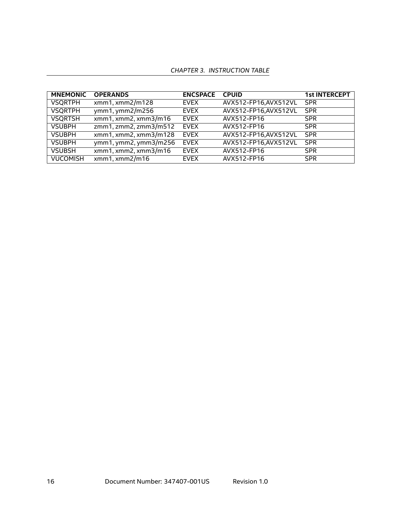| <b>MNEMONIC</b> | <b>OPERANDS</b>       | <b>ENCSPACE</b> | <b>CPUID</b>          | <b>1st INTERCEPT</b> |
|-----------------|-----------------------|-----------------|-----------------------|----------------------|
| <b>VSQRTPH</b>  | xmm1, xmm2/m128       | <b>EVEX</b>     | AVX512-FP16, AVX512VL | <b>SPR</b>           |
| <b>VSQRTPH</b>  | ymm1, ymm2/m256       | EVEX            | AVX512-FP16, AVX512VL | <b>SPR</b>           |
| <b>VSQRTSH</b>  | xmm1, xmm2, xmm3/m16  | EVEX            | AVX512-FP16           | <b>SPR</b>           |
| <b>VSUBPH</b>   | zmm1, zmm2, zmm3/m512 | <b>EVEX</b>     | AVX512-FP16           | <b>SPR</b>           |
| <b>VSUBPH</b>   | xmm1, xmm2, xmm3/m128 | <b>EVEX</b>     | AVX512-FP16, AVX512VL | <b>SPR</b>           |
| <b>VSUBPH</b>   | ymm1, ymm2, ymm3/m256 | <b>EVEX</b>     | AVX512-FP16,AVX512VL  | <b>SPR</b>           |
| <b>VSUBSH</b>   | xmm1, xmm2, xmm3/m16  | <b>EVEX</b>     | AVX512-FP16           | <b>SPR</b>           |
| <b>VUCOMISH</b> | xmm1, xmm2/m16        | <b>EVEX</b>     | AVX512-FP16           | <b>SPR</b>           |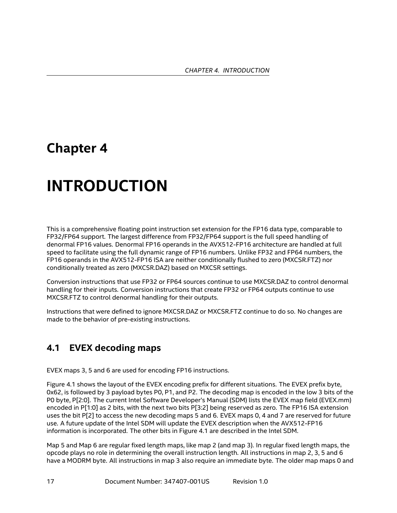# <span id="page-16-0"></span>**Chapter 4**

# **INTRODUCTION**

This is a comprehensive floating point instruction set extension for the FP16 data type, comparable to FP32/FP64 support. The largest difference from FP32/FP64 support is the full speed handling of denormal FP16 values. Denormal FP16 operands in the AVX512-FP16 architecture are handled at full speed to facilitate using the full dynamic range of FP16 numbers. Unlike FP32 and FP64 numbers, the FP16 operands in the AVX512-FP16 ISA are neither conditionally flushed to zero (MXCSR.FTZ) nor conditionally treated as zero (MXCSR.DAZ) based on MXCSR settings.

Conversion instructions that use FP32 or FP64 sources continue to use MXCSR.DAZ to control denormal handling for their inputs. Conversion instructions that create FP32 or FP64 outputs continue to use MXCSR.FTZ to control denormal handling for their outputs.

Instructions that were defined to ignore MXCSR.DAZ or MXCSR.FTZ continue to do so. No changes are made to the behavior of pre-existing instructions.

### <span id="page-16-1"></span>**4.1 EVEX decoding maps**

EVEX maps 3, 5 and 6 are used for encoding FP16 instructions.

Figure [4.1](#page-17-2) shows the layout of the EVEX encoding prefix for different situations. The EVEX prefix byte, 0x62, is followed by 3 payload bytes P0, P1, and P2. The decoding map is encoded in the low 3 bits of the P0 byte, P[2:0]. The current Intel Software Developer's Manual (SDM) lists the EVEX map field (EVEX.mm) encoded in P[1:0] as 2 bits, with the next two bits P[3:2] being reserved as zero. The FP16 ISA extension uses the bit P[2] to access the new decoding maps 5 and 6. EVEX maps 0, 4 and 7 are reserved for future use. A future update of the Intel SDM will update the EVEX description when the AVX512-FP16 information is incorporated. The other bits in Figure [4.1](#page-17-2) are described in the Intel SDM.

Map 5 and Map 6 are regular fixed length maps, like map 2 (and map 3). In regular fixed length maps, the opcode plays no role in determining the overall instruction length. All instructions in map 2, 3, 5 and 6 have a MODRM byte. All instructions in map 3 also require an immediate byte. The older map maps 0 and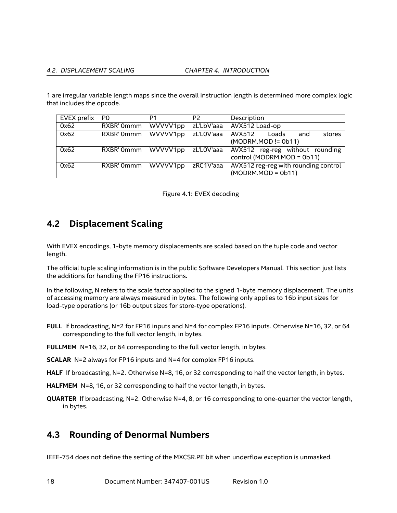1 are irregular variable length maps since the overall instruction length is determined more complex logic that includes the opcode.

| EVEX prefix | P <sub>0</sub> | P1       | P <sub>2</sub>    | Description                                             |
|-------------|----------------|----------|-------------------|---------------------------------------------------------|
| 0x62        | RXBR' 0mmm     | WVVVV1pp |                   | zL'LbV'aaa AVX512 Load-op                               |
| 0x62        | RXBR' 0mmm     | WVVVV1pp | zL'LOV'aaa AVX512 | stores<br>Loads<br>and                                  |
|             |                |          |                   | (MODRM.MOD != 0b11)                                     |
| 0x62        | RXBR' 0mmm     |          |                   | WVVVV1pp zL'LOV'aaa AVX512 reg-reg without rounding     |
|             |                |          |                   | control (MODRM.MOD = 0b11)                              |
| 0x62        | RXBR' 0mmm     |          |                   | WVVVV1pp zRC1V'aaa AVX512 reg-reg with rounding control |
|             |                |          |                   | $(MODRM.MOD = Ob11)$                                    |

<span id="page-17-2"></span>

|  |  |  | Figure 4.1: EVEX decoding |
|--|--|--|---------------------------|
|--|--|--|---------------------------|

# <span id="page-17-0"></span>**4.2 Displacement Scaling**

With EVEX encodings, 1-byte memory displacements are scaled based on the tuple code and vector length.

The official tuple scaling information is in the public Software Developers Manual. This section just lists the additions for handling the FP16 instructions.

In the following, N refers to the scale factor applied to the signed 1-byte memory displacement. The units of accessing memory are always measured in bytes. The following only applies to 16b input sizes for load-type operations (or 16b output sizes for store-type operations).

- **FULL** If broadcasting, N=2 for FP16 inputs and N=4 for complex FP16 inputs. Otherwise N=16, 32, or 64 corresponding to the full vector length, in bytes.
- **FULLMEM** N=16, 32, or 64 corresponding to the full vector length, in bytes.
- **SCALAR** N=2 always for FP16 inputs and N=4 for complex FP16 inputs.
- **HALF** If broadcasting, N=2. Otherwise N=8, 16, or 32 corresponding to half the vector length, in bytes.
- **HALFMEM** N=8, 16, or 32 corresponding to half the vector length, in bytes.
- **QUARTER** If broadcasting, N=2. Otherwise N=4, 8, or 16 corresponding to one-quarter the vector length, in bytes.

### <span id="page-17-1"></span>**4.3 Rounding of Denormal Numbers**

IEEE-754 does not define the setting of the MXCSR.PE bit when underflow exception is unmasked.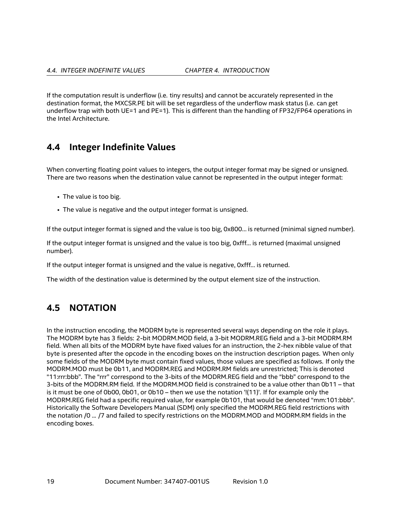If the computation result is underflow (i.e. tiny results) and cannot be accurately represented in the destination format, the MXCSR.PE bit will be set regardless of the underflow mask status (i.e. can get underflow trap with both UE=1 and PE=1). This is different than the handling of FP32/FP64 operations in the Intel Architecture.

### <span id="page-18-0"></span>**4.4 Integer Indefinite Values**

When converting floating point values to integers, the output integer format may be signed or unsigned. There are two reasons when the destination value cannot be represented in the output integer format:

- The value is too big.
- The value is negative and the output integer format is unsigned.

If the output integer format is signed and the value is too big, 0x800… is returned (minimal signed number).

If the output integer format is unsigned and the value is too big, 0xfff… is returned (maximal unsigned number).

If the output integer format is unsigned and the value is negative, 0xfff… is returned.

The width of the destination value is determined by the output element size of the instruction.

### <span id="page-18-1"></span>**4.5 NOTATION**

In the instruction encoding, the MODRM byte is represented several ways depending on the role it plays. The MODRM byte has 3 fields: 2-bit MODRM.MOD field, a 3-bit MODRM.REG field and a 3-bit MODRM.RM field. When all bits of the MODRM byte have fixed values for an instruction, the 2-hex nibble value of that byte is presented after the opcode in the encoding boxes on the instruction description pages. When only some fields of the MODRM byte must contain fixed values, those values are specified as follows. If only the MODRM.MOD must be 0b11, and MODRM.REG and MODRM.RM fields are unrestricted; This is denoted "11:rrr:bbb". The "rrr" correspond to the 3-bits of the MODRM.REG field and the "bbb" correspond to the 3-bits of the MODRM.RM field. If the MODRM.MOD field is constrained to be a value other than 0b11 – that is it must be one of 0b00, 0b01, or 0b10 – then we use the notation '!(11)'. If for example only the MODRM.REG field had a specific required value, for example 0b101, that would be denoted "mm:101:bbb". Historically the Software Developers Manual (SDM) only specified the MODRM.REG field restrictions with the notation /0 ... /7 and failed to specify restrictions on the MODRM.MOD and MODRM.RM fields in the encoding boxes.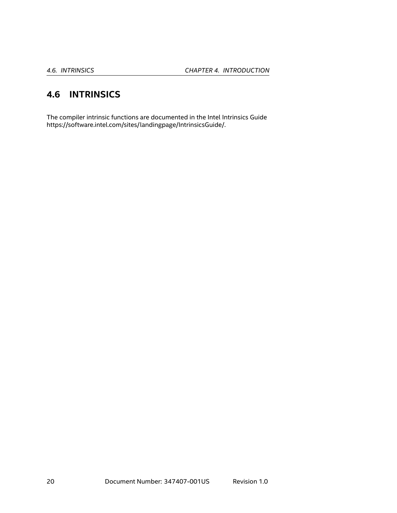# <span id="page-19-0"></span>**4.6 INTRINSICS**

The compiler intrinsic functions are documented in the Intel Intrinsics Guide <https://software.intel.com/sites/landingpage/IntrinsicsGuide/>.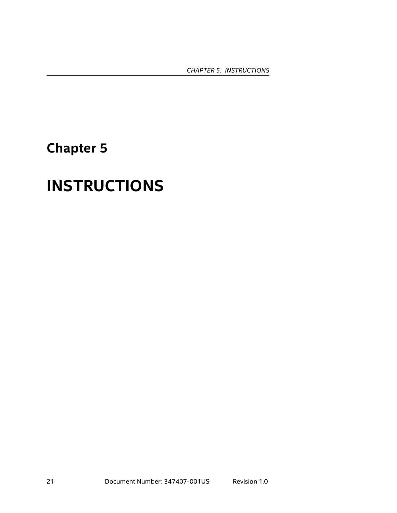*CHAPTER 5. INSTRUCTIONS*

# <span id="page-20-0"></span>**Chapter 5**

# **INSTRUCTIONS**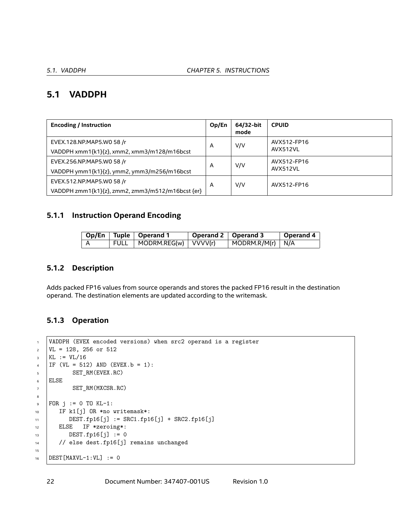### <span id="page-21-0"></span>**5.1 VADDPH**

| <b>Encoding / Instruction</b>                                                 | Op/En | 64/32-bit<br>mode | <b>CPUID</b>            |
|-------------------------------------------------------------------------------|-------|-------------------|-------------------------|
| EVEX.128.NP.MAP5.W0 58 /r<br>VADDPH xmm1{k1}{z}, xmm2, xmm3/m128/m16bcst      | A     | V/V               | AVX512-FP16<br>AVX512VL |
| EVEX.256.NP.MAP5.W0 58 /r<br>VADDPH ymm1{k1}{z}, ymm2, ymm3/m256/m16bcst      | A     | V/V               | AVX512-FP16<br>AVX512VL |
| EVEX.512.NP.MAP5.W0 58 /r<br>VADDPH zmm1{k1}{z}, zmm2, zmm3/m512/m16bcst {er} | A     | V/V               | AVX512-FP16             |

#### **5.1.1 Instruction Operand Encoding**

|  | Op/En Tuple   Operand 1                         | Operand 2   Operand 3 |                                  | Operand 4 |
|--|-------------------------------------------------|-----------------------|----------------------------------|-----------|
|  | $\mid$ FULL $\mid$ MODRM. REG(w) $\mid$ VVVV(r) |                       | $\vert$ MODRM.R/M(r) $\vert$ N/A |           |

#### **5.1.2 Description**

Adds packed FP16 values from source operands and stores the packed FP16 result in the destination operand. The destination elements are updated according to the writemask.

#### **5.1.3 Operation**

```
1 VADDPH (EVEX encoded versions) when src2 operand is a register
\text{VL} = 128, 256 or 512
_3 | KL := VL/16
4 | IF (VL = 512) AND (EVEX.b = 1):
5 SET_RM(EVEX.RC)
6 ELSE
7 SET_RM(MXCSR.RC)
8
\bullet FOR j := 0 TO KL-1:
10 | IF k1[j] OR *no writemask*:
11 DEST.fp16[j] := SRC1.fp16[j] + SRC2.fp16[j]
12 ELSE IF *zeroing*:
13 DEST.fp16[j] := 0
14 // else dest.fp16[j] remains unchanged
15
16 DEST [MAXVL-1:VL] := 0
```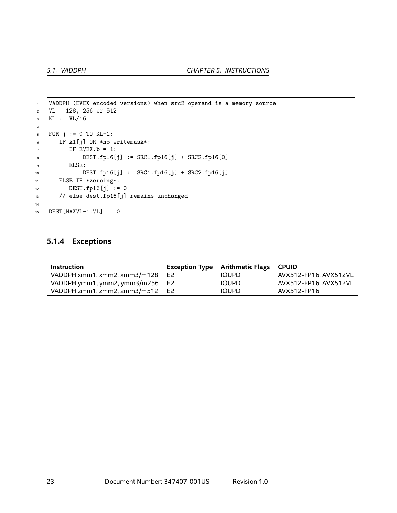```
1 VADDPH (EVEX encoded versions) when src2 operand is a memory source
\text{VL} = 128, 256 or 512
_3 | KL := VL/16
4
5 FOR j := 0 TO KL-1:
6 IF k1[j] OR *no writemask*:
7 IF EVEX.b = 1:
8 DEST.fp16[j] := SRC1.fp16[j] + SRC2.fp16[0]
9 ELSE:
10 DEST.fp16[j] := SRC1.fp16[j] + SRC2.fp16[j]
11 ELSE IF *zeroing*:
12 DEST.fp16[j] := 0
13 // else dest.fp16[j] remains unchanged
14
15 DEST [MAXVL-1:VL] := 0
```
#### **5.1.4 Exceptions**

| Instruction                         |                | Exception Type $\vert$ Arithmetic Flags $\vert$ CPUID |                       |
|-------------------------------------|----------------|-------------------------------------------------------|-----------------------|
| VADDPH xmm1. xmm2. xmm3/m128        | E <sub>2</sub> | <b>IOUPD</b>                                          | AVX512-FP16. AVX512VL |
| VADDPH ymm1, ymm2, ymm3/m256 $\mid$ | E2             | <b>IOUPD</b>                                          | AVX512-FP16. AVX512VL |
| VADDPH zmm1, zmm2, zmm3/m512        | E <sub>2</sub> | <b>IOUPD</b>                                          | AVX512-FP16           |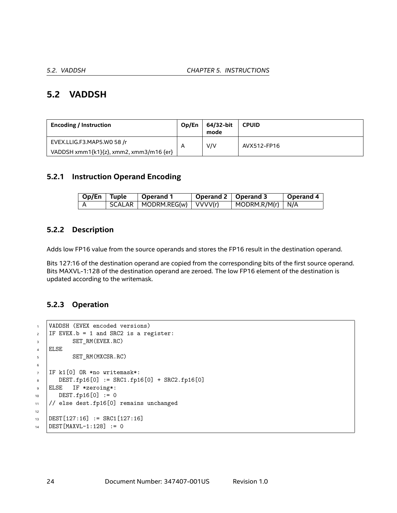### <span id="page-23-0"></span>**5.2 VADDSH**

| <b>Encoding / Instruction</b>           | Op/En | 64/32-bit<br>mode | <b>CPUID</b> |
|-----------------------------------------|-------|-------------------|--------------|
| EVEX.LLIG.F3.MAP5.W0 58 /r              | A     | V/V               | AVX512-FP16  |
| VADDSH xmm1{k1}{z}, xmm2, xmm3/m16 {er} |       |                   |              |

#### **5.2.1 Instruction Operand Encoding**

| Op/En   Tuple | $\vert$ Operand 1               | Operand 2   Operand 3 |                                  | Operand 4 |
|---------------|---------------------------------|-----------------------|----------------------------------|-----------|
|               | SCALAR   MODRM.REG(w)   VVVV(r) |                       | $\vert$ MODRM.R/M(r) $\vert$ N/A |           |

#### **5.2.2 Description**

Adds low FP16 value from the source operands and stores the FP16 result in the destination operand.

Bits 127:16 of the destination operand are copied from the corresponding bits of the first source operand. Bits MAXVL-1:128 of the destination operand are zeroed. The low FP16 element of the destination is updated according to the writemask.

#### **5.2.3 Operation**

```
1 VADDSH (EVEX encoded versions)
2 IF EVEX.b = 1 and SRC2 is a register:
3 SET_RM(EVEX.RC)
4 ELSE
5 SET_RM(MXCSR.RC)
6
7 IF k1[0] OR *no writemask*:
8 \mid DEST.fp16[0] := SRC1.fp16[0] + SRC2.fp16[0]
9 ELSE IF *zeroing*:
10 DEST.fp16[0] := 0
11 // else dest.fp16[0] remains unchanged
12
13 DEST[127:16] := SRC1[127:16]
14 DEST [MAXVL-1:128] := 0
```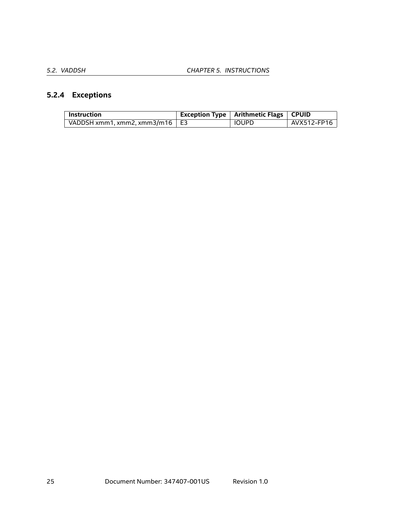### **5.2.4 Exceptions**

| <b>Instruction</b>                    | Exception Type   Arithmetic Flags   CPUID |             |
|---------------------------------------|-------------------------------------------|-------------|
| VADDSH xmm1, xmm2, xmm3/m16 $\mid$ E3 | <b>IOUPD</b>                              | AVX512-FP16 |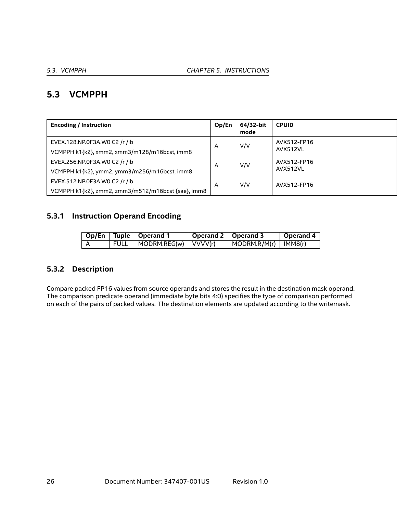### <span id="page-25-0"></span>**5.3 VCMPPH**

| <b>Encoding / Instruction</b>                                                       | Op/En | 64/32-bit<br>mode | <b>CPUID</b>            |
|-------------------------------------------------------------------------------------|-------|-------------------|-------------------------|
| EVEX.128.NP.0F3A.WO C2 /r /ib<br>VCMPPH k1{k2}, xmm2, xmm3/m128/m16bcst, imm8       | A     | V/V               | AVX512-FP16<br>AVX512VL |
| EVEX.256.NP.0F3A.WO C2 /r /ib<br>VCMPPH k1{k2}, ymm2, ymm3/m256/m16bcst, imm8       | A     | V/V               | AVX512-FP16<br>AVX512VL |
| EVEX.512.NP.0F3A.WO C2 /r /ib<br>VCMPPH k1{k2}, zmm2, zmm3/m512/m16bcst {sae}, imm8 | A     | V/V               | AVX512-FP16             |

### **5.3.1 Instruction Operand Encoding**

|    | Op/En   Tuple   Operand 1     | Operand 2   Operand 3 |                                    | Operand 4 |
|----|-------------------------------|-----------------------|------------------------------------|-----------|
| ∣A | FULL   MODRM.REG(w)   VVVV(r) |                       | $\mid$ MODRM.R/M(r) $\mid$ IMM8(r) |           |

#### **5.3.2 Description**

Compare packed FP16 values from source operands and stores the result in the destination mask operand. The comparison predicate operand (immediate byte bits 4:0) specifies the type of comparison performed on each of the pairs of packed values. The destination elements are updated according to the writemask.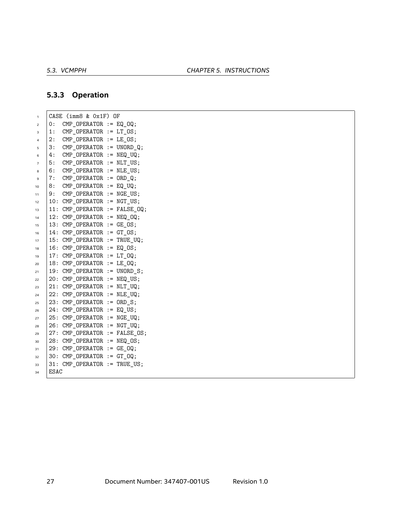#### **5.3.3 Operation**

<sup>1</sup> CASE (imm8 & 0x1F) OF  $2 \mid 0$ : CMP\_OPERATOR := EQ\_OQ;  $3 \mid 1$ : CMP\_OPERATOR := LT\_OS;  $4 \mid 2$ : CMP\_OPERATOR := LE\_OS;  $5 \mid 3$ : CMP\_OPERATOR := UNORD\_Q;  $6 \mid 4$ : CMP\_OPERATOR := NEQ\_UQ;  $7 \mid 5$ : CMP\_OPERATOR := NLT\_US;  $\begin{array}{ccc} \text{8} & \text{6}: & \text{CMP\_OPERATOR} := \text{NLE\_US}; \end{array}$  $\overline{9}$  7: CMP\_OPERATOR := ORD\_Q;  $10$  8: CMP OPERATOR := EQ UQ;  $11$  | 9: CMP\_OPERATOR  $:=$  NGE\_US;  $12 \mid 10:$  CMP OPERATOR  $:=$  NGT US;  $13$  | 11: CMP\_OPERATOR := FALSE\_OQ;  $14$  | 12: CMP\_OPERATOR  $:=$  NEQ\_OQ; <sup>15</sup> 13: CMP\_OPERATOR := GE\_OS;  $16$  | 14: CMP\_OPERATOR  $:=$  GT\_OS;  $17$  | 15: CMP\_OPERATOR := TRUE\_UQ;  $18$  | 16: CMP OPERATOR := EQ OS;  $19$  | 17: CMP\_OPERATOR  $:=$  LT\_OQ;  $20 \mid 18$ : CMP\_OPERATOR := LE\_OQ;  $21$  | 19: CMP\_OPERATOR := UNORD\_S;  $22 \mid 20$ : CMP OPERATOR := NEQ US;  $23$  21: CMP\_OPERATOR := NLT\_UQ;  $24$  | 22: CMP\_OPERATOR := NLE\_UQ;  $25$  23: CMP\_OPERATOR  $:=$  ORD\_S;  $26$  | 24: CMP\_OPERATOR  $:=$  EQ\_US;  $27$  25: CMP\_OPERATOR := NGE\_UQ;  $28$  | 26: CMP\_OPERATOR := NGT\_UQ;  $29$  | 27: CMP\_OPERATOR := FALSE\_OS;  $30 \mid 28$ : CMP\_OPERATOR := NEQ\_OS;  $31$  | 29: CMP\_OPERATOR := GE\_OQ;  $32 \mid 30: \text{CMP\_OPERATOR} := GT_QQ;$  $33$  31: CMP\_OPERATOR := TRUE\_US;  $_{34}$  ESAC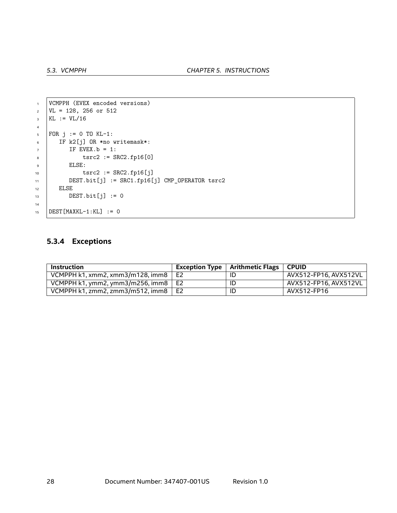```
1 | VCMPPH (EVEX encoded versions)
\text{VL} = 128, 256 \text{ or } 512_3 | KL := VL/16
4
5 FOR j := 0 TO KL-1:
6 IF k2[j] OR *no writemask*:
7 IF EVEX.b = 1:
8 tsrc2 := SRC2.fp16[0]
9 ELSE:
10 | tsrc2 := SRC2.fp16[j]
11 DEST.bit[j] := SRC1.fp16[j] CMP_OPERATOR tsrc2
12 ELSE
13 DEST.bit[j] := 0
14
15 DEST [MAXKL-1:KL] := 0
```
#### **5.3.4 Exceptions**

| <b>Instruction</b>                         | Exception Type $\parallel$ | Arithmetic Flags   CPUID |                       |
|--------------------------------------------|----------------------------|--------------------------|-----------------------|
| VCMPPH k1, xmm2, xmm3/m128, imm8 $\mid$ E2 |                            | ID                       | AVX512-FP16. AVX512VL |
| VCMPPH k1, ymm2, ymm3/m256, imm8 $\mid$ E2 |                            | ID                       | AVX512-FP16. AVX512VL |
| VCMPPH k1, zmm2, zmm3/m512, imm8 $\mid$ E2 |                            | ID                       | AVX512-FP16           |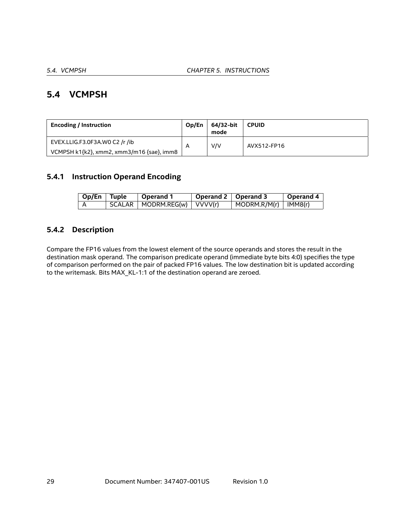### <span id="page-28-0"></span>**5.4 VCMPSH**

| <b>Encoding / Instruction</b>             | Op/En | 64/32-bit<br>mode | <b>CPUID</b> |
|-------------------------------------------|-------|-------------------|--------------|
| EVEX.LLIG.F3.0F3A.WO C2 /r /ib            |       | V/V               | AVX512-FP16  |
| VCMPSH k1{k2}, xmm2, xmm3/m16 {sae}, imm8 |       |                   |              |

#### **5.4.1 Instruction Operand Encoding**

| Op/En Tuple | $^{\circ}$ Operand 1            | Operand 2   Operand 3 |                                    | <b>Operand 4</b> |
|-------------|---------------------------------|-----------------------|------------------------------------|------------------|
|             | SCALAR   MODRM.REG(w)   VVVV(r) |                       | $\mid$ MODRM.R/M(r) $\mid$ IMM8(r) |                  |

#### **5.4.2 Description**

Compare the FP16 values from the lowest element of the source operands and stores the result in the destination mask operand. The comparison predicate operand (immediate byte bits 4:0) specifies the type of comparison performed on the pair of packed FP16 values. The low destination bit is updated according to the writemask. Bits MAX\_KL-1:1 of the destination operand are zeroed.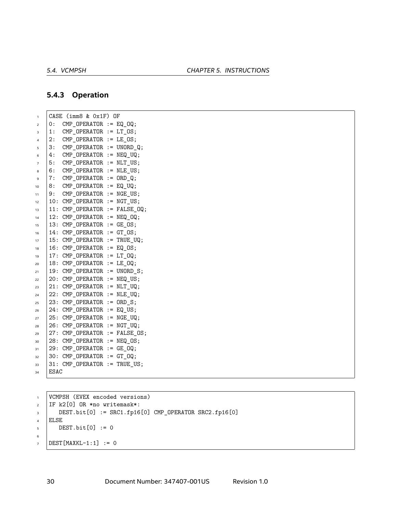#### **5.4.3 Operation**

 CASE (imm8 & 0x1F) OF  $2 \mid 0$ : CMP\_OPERATOR := EQ\_OQ;  $3 \mid 1$ : CMP\_OPERATOR := LT\_OS;  $4 \mid 2$ : CMP\_OPERATOR := LE\_OS;  $5 \mid 3$ : CMP\_OPERATOR := UNORD\_Q; | 4: CMP\_OPERATOR  $:=$  NEQ\_UQ;  $7 \mid 5$ : CMP\_OPERATOR := NLT\_US;  $\overline{\phantom{0}}$  6: CMP\_OPERATOR := NLE\_US;  $\overline{9}$  7: CMP\_OPERATOR := ORD\_Q; 8: CMP OPERATOR := EQ UQ; | 9: CMP\_OPERATOR  $:=$  NGE\_US;  $12 \mid 10:$  CMP OPERATOR  $:=$  NGT US; | 11: CMP\_OPERATOR := FALSE\_OQ; | 12: CMP\_OPERATOR  $:=$  NEQ\_OQ; 13: CMP\_OPERATOR := GE\_OS; | 14: CMP\_OPERATOR := GT\_OS; | 15: CMP\_OPERATOR := TRUE\_UQ; | 16: CMP OPERATOR  $:=$  EQ OS; | 17: CMP\_OPERATOR  $:=$  LT\_OQ;  $20 \mid 18$ : CMP\_OPERATOR := LE\_OQ; | 19: CMP\_OPERATOR := UNORD\_S;  $22 \mid 20$ : CMP OPERATOR := NEQ US; | 21: CMP\_OPERATOR  $:=$  NLT\_UQ; | 22: CMP\_OPERATOR := NLE\_UQ; 23: CMP\_OPERATOR  $:=$  ORD\_S; | 24: CMP\_OPERATOR  $:=$  EQ\_US; 25: CMP\_OPERATOR := NGE\_UQ; | 26: CMP\_OPERATOR := NGT\_UQ; | 27: CMP\_OPERATOR := FALSE\_OS;  $30 \mid 28$ : CMP\_OPERATOR := NEQ\_OS; | 29: CMP\_OPERATOR := GE\_OQ;  $32 \mid 30: \text{CMP\_OPERATOR} := GT_QQ;$  31: CMP\_OPERATOR := TRUE\_US; ESAC

 VCMPSH (EVEX encoded versions) IF k2[0] OR \*no writemask\*:  $\overline{3}$  DEST.bit[0] := SRC1.fp16[0] CMP\_OPERATOR SRC2.fp16[0] ELSE  $5 \mid$  DEST.bit $[0] := 0$   $7 \mid$  DEST [MAXKL-1:1] := 0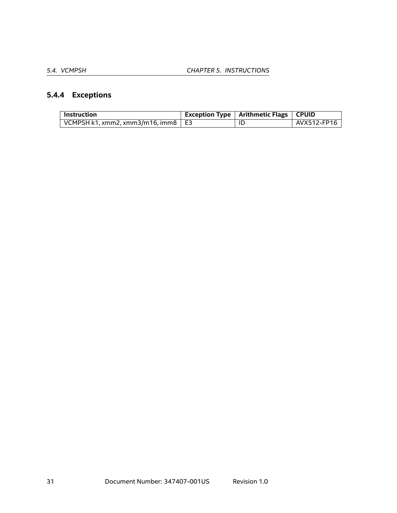# **5.4.4 Exceptions**

| Instruction                                        | <b>Exception Type   Arithmetic Flags   CPUID</b> |             |
|----------------------------------------------------|--------------------------------------------------|-------------|
| $\vert$ VCMPSH k1, xmm2, xmm3/m16, imm8 $\vert$ E3 | ID                                               | AVX512-FP16 |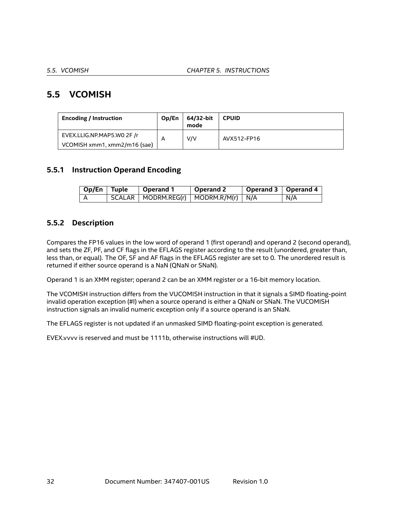## <span id="page-31-0"></span>**5.5 VCOMISH**

| <b>Encoding / Instruction</b> | Op/En | 64/32-bit<br>mode | <b>CPUID</b> |  |
|-------------------------------|-------|-------------------|--------------|--|
| EVEX.LLIG.NP.MAP5.WO 2F /r    |       | V/V               | AVX512-FP16  |  |
| VCOMISH xmm1, xmm2/m16 {sae}  |       |                   |              |  |

#### **5.5.1 Instruction Operand Encoding**

| $\sqrt{Op/En}$ Tuple | $\mid$ Operand 1                             | 'Operand 2 | Operand 3   Operand 4 |     |
|----------------------|----------------------------------------------|------------|-----------------------|-----|
|                      | $SCALAR$   MODRM.REG(r)   MODRM.R/M(r)   N/A |            |                       | N/A |

#### **5.5.2 Description**

Compares the FP16 values in the low word of operand 1 (first operand) and operand 2 (second operand), and sets the ZF, PF, and CF flags in the EFLAGS register according to the result (unordered, greater than, less than, or equal). The OF, SF and AF flags in the EFLAGS register are set to 0. The unordered result is returned if either source operand is a NaN (QNaN or SNaN).

Operand 1 is an XMM register; operand 2 can be an XMM register or a 16-bit memory location.

The VCOMISH instruction differs from the VUCOMISH instruction in that it signals a SIMD floating-point invalid operation exception (#I) when a source operand is either a QNaN or SNaN. The VUCOMISH instruction signals an invalid numeric exception only if a source operand is an SNaN.

The EFLAGS register is not updated if an unmasked SIMD floating-point exception is generated.

EVEX.vvvv is reserved and must be 1111b, otherwise instructions will #UD.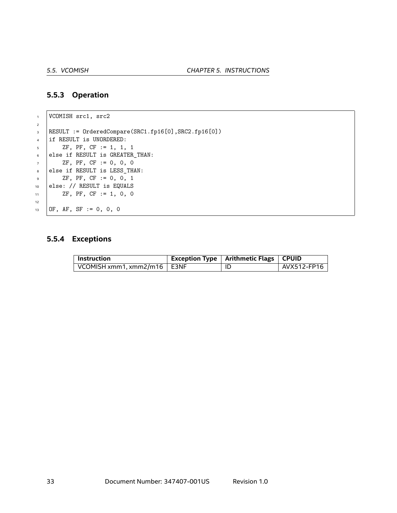#### **5.5.3 Operation**

```
1 VCOMISH src1, src2
2
3 RESULT := OrderedCompare(SRC1.fp16[0],SRC2.fp16[0])
4 | if RESULT is UNORDERED:
5 ZF, PF, CF := 1, 1, 1
6 else if RESULT is GREATER_THAN:
7 ZF, PF, CF := 0, 0, 0
8 else if RESULT is LESS_THAN:
9 ZF, PF, CF := 0, 0, 1
10 else: // RESULT is EQUALS
11 ZF, PF, CF := 1, 0, 0
12
13 OF, AF, SF := 0, 0, 0
```
#### **5.5.4 Exceptions**

| ' Instruction                               | Exception Type   Arithmetic Flags   CPUID |             |
|---------------------------------------------|-------------------------------------------|-------------|
| $\vert$ VCOMISH xmm1, xmm2/m16 $\vert$ E3NF |                                           | AVX512-FP16 |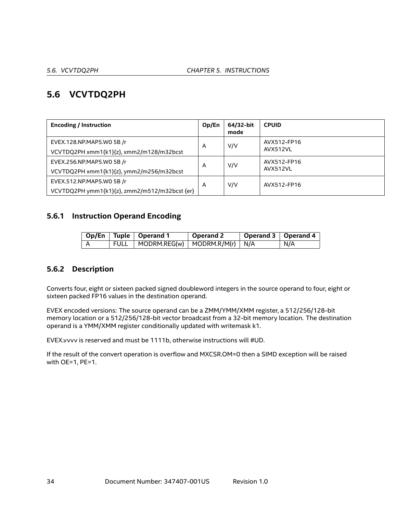### <span id="page-33-0"></span>**5.6 VCVTDQ2PH**

| <b>Encoding / Instruction</b>                                              | Op/En | 64/32-bit<br>mode | <b>CPUID</b>            |
|----------------------------------------------------------------------------|-------|-------------------|-------------------------|
| EVEX.128.NP.MAP5.WO 5B /r<br>VCVTDQ2PH xmm1{k1}{z}, xmm2/m128/m32bcst      | A     | V/V               | AVX512-FP16<br>AVX512VL |
| EVEX.256.NP.MAP5.WO 5B /r<br>VCVTDQ2PH xmm1{k1}{z}, ymm2/m256/m32bcst      | A     | V/V               | AVX512-FP16<br>AVX512VL |
| EVEX.512.NP.MAP5.WO 5B /r<br>VCVTDQ2PH ymm1{k1}{z}, zmm2/m512/m32bcst {er} | A     | V/V               | AVX512-FP16             |

#### **5.6.1 Instruction Operand Encoding**

|             | Op/En   Tuple   Operand 1                             | $\vert$ Operand 2 | Operand 3   Operand 4 |     |
|-------------|-------------------------------------------------------|-------------------|-----------------------|-----|
| <b>FULL</b> | $\vert$ MODRM.REG(w) $\vert$ MODRM.R/M(r) $\vert$ N/A |                   |                       | N/A |

#### **5.6.2 Description**

Converts four, eight or sixteen packed signed doubleword integers in the source operand to four, eight or sixteen packed FP16 values in the destination operand.

EVEX encoded versions: The source operand can be a ZMM/YMM/XMM register, a 512/256/128-bit memory location or a 512/256/128-bit vector broadcast from a 32-bit memory location. The destination operand is a YMM/XMM register conditionally updated with writemask k1.

EVEX.vvvv is reserved and must be 1111b, otherwise instructions will #UD.

If the result of the convert operation is overflow and MXCSR.OM=0 then a SIMD exception will be raised with OE=1, PE=1.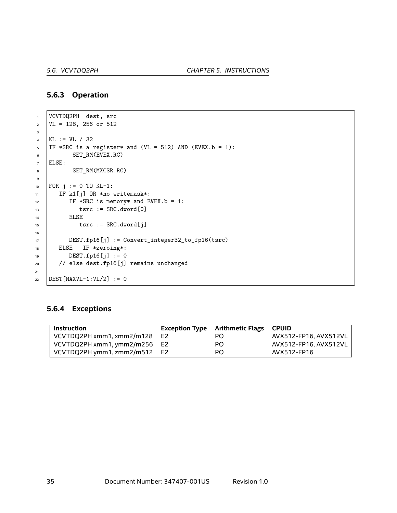#### **5.6.3 Operation**

```
1 VCVTDQ2PH dest, src
2 \text{ } | \text{VL} = 128, 256 \text{ or } 5123
4 KL := VL / 32
5 | IF *SRC is a register* and (VL = 512) AND (EVEX.b = 1):
6 SET_RM(EVEX.RC)
7 ELSE:
8 SET_RM(MXCSR.RC)
9
10 FOR j := 0 TO KL-1:
11 | IF k1[j] OR *no writemask*:
12 IF *SRC is memory* and EVEX.b = 1:
13 tsrc := SRC.dword[0]
14 | ELSE
15 tsrc := SRC.dword[j]
16
17 DEST.fp16[j] := Convert_integer32_to_fp16(tsrc)
18 | ELSE IF *zeroing*:
19 DEST.fp16[j] := 0
20 // else dest.fp16[j] remains unchanged
21
22 | DEST [MAXVL-1:VL/2] := 0
```
#### **5.6.4 Exceptions**

| <b>Instruction</b>                   | Exception Type $\vert$ Arithmetic Flags $\vert$ CPUID |                       |
|--------------------------------------|-------------------------------------------------------|-----------------------|
| VCVTDQ2PH xmm1, xmm2/m128 $\vert$ E2 | PO.                                                   | AVX512-FP16, AVX512VL |
| VCVTDQ2PH xmm1, ymm2/m256   E2       | PO.                                                   | AVX512-FP16, AVX512VL |
| VCVTDQ2PH ymm1, zmm2/m512 $\mid$ E2  | <b>PO</b>                                             | AVX512-FP16           |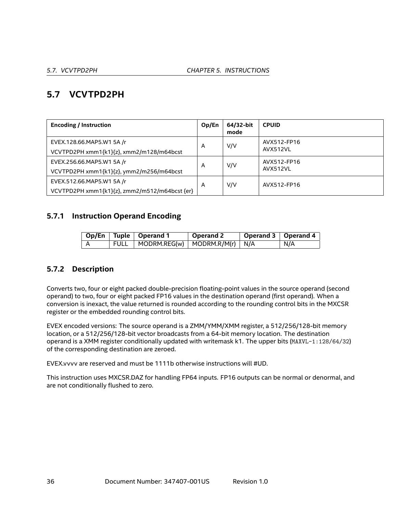# <span id="page-35-0"></span>**5.7 VCVTPD2PH**

| <b>Encoding / Instruction</b>                 | Op/En | 64/32-bit<br>mode | <b>CPUID</b> |
|-----------------------------------------------|-------|-------------------|--------------|
| EVEX.128.66.MAP5.W1 5A /r                     | A     | V/V               | AVX512-FP16  |
| VCVTPD2PH xmm1{k1}{z}, xmm2/m128/m64bcst      |       |                   | AVX512VL     |
| EVEX.256.66.MAP5.W1 5A /r                     |       | V/V               | AVX512-FP16  |
| VCVTPD2PH xmm1{k1}{z}, ymm2/m256/m64bcst      | A     |                   | AVX512VL     |
| EVEX.512.66.MAP5.W1 5A /r                     |       | V/V               | AVX512-FP16  |
| VCVTPD2PH xmm1{k1}{z}, zmm2/m512/m64bcst {er} | A     |                   |              |

#### **5.7.1 Instruction Operand Encoding**

|        | Op/En   Tuple   Operand 1                             | $\perp$ Operand 2 | Operand 3   Operand 4 |     |
|--------|-------------------------------------------------------|-------------------|-----------------------|-----|
| ' FULL | $\vert$ MODRM.REG(w) $\vert$ MODRM.R/M(r) $\vert$ N/A |                   |                       | N/A |

#### **5.7.2 Description**

Converts two, four or eight packed double-precision floating-point values in the source operand (second operand) to two, four or eight packed FP16 values in the destination operand (first operand). When a conversion is inexact, the value returned is rounded according to the rounding control bits in the MXCSR register or the embedded rounding control bits.

EVEX encoded versions: The source operand is a ZMM/YMM/XMM register, a 512/256/128-bit memory location, or a 512/256/128-bit vector broadcasts from a 64-bit memory location. The destination operand is a XMM register conditionally updated with writemask k1. The upper bits (MAXVL-1:128/64/32) of the corresponding destination are zeroed.

EVEX.vvvv are reserved and must be 1111b otherwise instructions will #UD.

This instruction uses MXCSR.DAZ for handling FP64 inputs. FP16 outputs can be normal or denormal, and are not conditionally flushed to zero.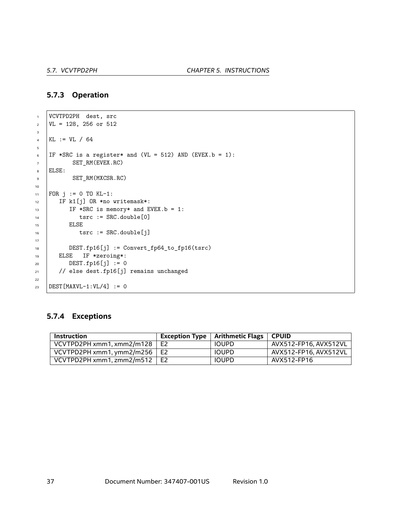#### **5.7.3 Operation**

```
1 VCVTPD2PH dest, src
2 \text{ } | \text{VL} = 128, 256 \text{ or } 5123
4 KL := VL / 64
5
6 | IF *SRC is a register* and (VL = 512) AND (EVEX.b = 1):
7 SET_RM(EVEX.RC)
8 ELSE:
9 SET_RM(MXCSR.RC)
10
11 | FOR j := 0 TO KL-1:
12 | IF k1[j] OR *no writemask*:
13 IF *SRC is memory* and EVEX.b = 1:
14 tsrc := SRC.double[0]
15 | ELSE
16 tsrc := SRC.double[j]
17
18 DEST.fp16[j] := Convert_fp64_to_fp16(tsrc)
19 ELSE IF *zeroing*:
20 DEST.fp16[j] := 0
21 // else dest.fp16[j] remains unchanged
22
23 | DEST [MAXVL-1:VL/4] := 0
```
#### **5.7.4 Exceptions**

| <b>Instruction</b>        | <b>Exception Type</b> | Arithmetic Flags | <b>CPUID</b>          |
|---------------------------|-----------------------|------------------|-----------------------|
| VCVTPD2PH xmm1, xmm2/m128 | E <sub>2</sub>        | <b>IOUPD</b>     | AVX512-FP16, AVX512VL |
| VCVTPD2PH xmm1, ymm2/m256 | E2                    | <b>IOUPD</b>     | AVX512-FP16, AVX512VL |
| VCVTPD2PH xmm1, zmm2/m512 | E <sub>2</sub>        | <b>IOUPD</b>     | AVX512-FP16           |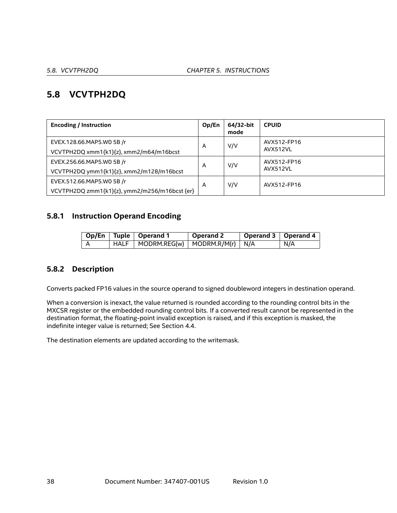# **5.8 VCVTPH2DQ**

| <b>Encoding / Instruction</b>                 | Op/En | 64/32-bit<br>mode | <b>CPUID</b> |
|-----------------------------------------------|-------|-------------------|--------------|
| EVEX.128.66.MAP5.W0 5B /r                     | A     | V/V               | AVX512-FP16  |
| VCVTPH2DQ xmm1{k1}{z}, xmm2/m64/m16bcst       |       |                   | AVX512VL     |
| EVEX.256.66.MAP5.WO 5B /r                     | A     | V/V               | AVX512-FP16  |
| VCVTPH2DQ ymm1{k1}{z}, xmm2/m128/m16bcst      |       |                   | AVX512VL     |
| EVEX.512.66.MAP5.WO 5B /r                     | A     | V/V               | AVX512-FP16  |
| VCVTPH2DQ zmm1{k1}{z}, ymm2/m256/m16bcst {er} |       |                   |              |

# **5.8.1 Instruction Operand Encoding**

|   | Op/En   Tuple   Operand 1                                      | Operand 2 | Operand 3   Operand 4 |     |
|---|----------------------------------------------------------------|-----------|-----------------------|-----|
| A | $\mid$ HALF $\mid$ MODRM.REG(w) $\mid$ MODRM.R/M(r) $\mid$ N/A |           |                       | N/A |

# **5.8.2 Description**

Converts packed FP16 values in the source operand to signed doubleword integers in destination operand.

When a conversion is inexact, the value returned is rounded according to the rounding control bits in the MXCSR register or the embedded rounding control bits. If a converted result cannot be represented in the destination format, the floating-point invalid exception is raised, and if this exception is masked, the indefinite integer value is returned; See Section [4.4.](#page-18-0)

The destination elements are updated according to the writemask.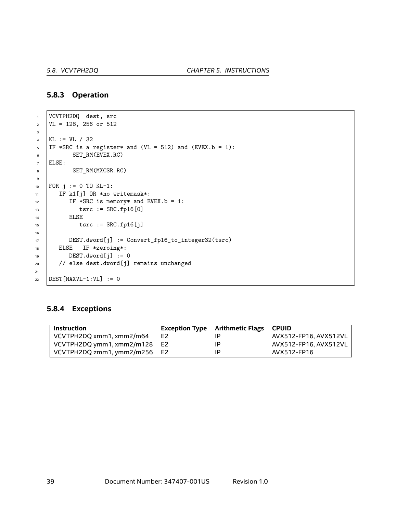#### **5.8.3 Operation**

```
1 VCVTPH2DQ dest, src
2 \text{ } | \text{VL} = 128, 256 \text{ or } 5123
4 KL := VL / 32
5 IF *SRC is a register* and (VL = 512) and (EVEX.b = 1):
6 SET_RM(EVEX.RC)
7 ELSE:
8 SET_RM(MXCSR.RC)
9
10 FOR j := 0 TO KL-1:
11 | IF k1[j] OR *no writemask*:
12 IF *SRC is memory* and EVEX.b = 1:
13 tsrc := SRC.fp16[0]
14 | ELSE
15 tsrc := SRC.fp16[j]
16
17 DEST.dword[j] := Convert_fp16_to_integer32(tsrc)
18 | ELSE IF *zeroing*:
19 DEST.dword[j] := 0
20 // else dest.dword[j] remains unchanged
21
22 DEST [MAXVL-1:VL] := 0
```
#### **5.8.4 Exceptions**

| <b>Instruction</b>        |                | Exception Type $\vert$ Arithmetic Flags $\vert$ | ∣ CPUID               |
|---------------------------|----------------|-------------------------------------------------|-----------------------|
| VCVTPH2DQ xmm1, xmm2/m64  | E <sub>2</sub> | ΙP                                              | AVX512-FP16, AVX512VL |
| VCVTPH2DQ ymm1, xmm2/m128 | E2             | ΙP                                              | AVX512-FP16, AVX512VL |
| VCVTPH2DQ zmm1, ymm2/m256 | l E2           | ΙP                                              | AVX512-FP16           |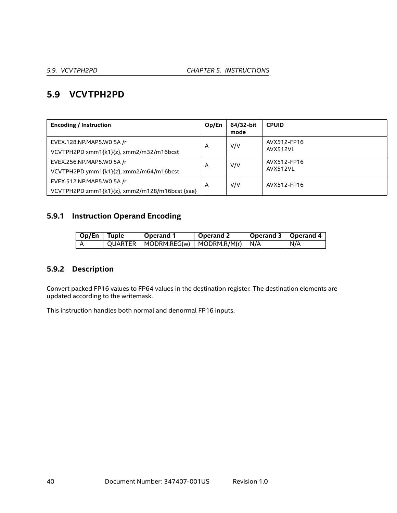# **5.9 VCVTPH2PD**

| <b>Encoding / Instruction</b>                  | Op/En | 64/32-bit<br>mode | <b>CPUID</b> |
|------------------------------------------------|-------|-------------------|--------------|
| EVEX.128.NP.MAP5.WO 5A /r                      | A     | V/V               | AVX512-FP16  |
| VCVTPH2PD xmm1{k1}{z}, xmm2/m32/m16bcst        |       |                   | AVX512VL     |
| EVEX.256.NP.MAP5.WO 5A /r                      | A     | V/V               | AVX512-FP16  |
| VCVTPH2PD ymm1{k1}{z}, xmm2/m64/m16bcst        |       |                   | AVX512VL     |
| EVEX.512.NP.MAP5.WO 5A /r                      | A     | V/V               | AVX512-FP16  |
| VCVTPH2PD zmm1{k1}{z}, xmm2/m128/m16bcst {sae} |       |                   |              |

# **5.9.1 Instruction Operand Encoding**

| Op/En Tuple | <b>Operand 1</b>                              | <b>Operand 2</b> | Operand 3   Operand 4 |     |
|-------------|-----------------------------------------------|------------------|-----------------------|-----|
|             | $QUARTER   MODRM.REG(w)   MODRM.R/M(r)   N/A$ |                  |                       | N/A |

# **5.9.2 Description**

Convert packed FP16 values to FP64 values in the destination register. The destination elements are updated according to the writemask.

This instruction handles both normal and denormal FP16 inputs.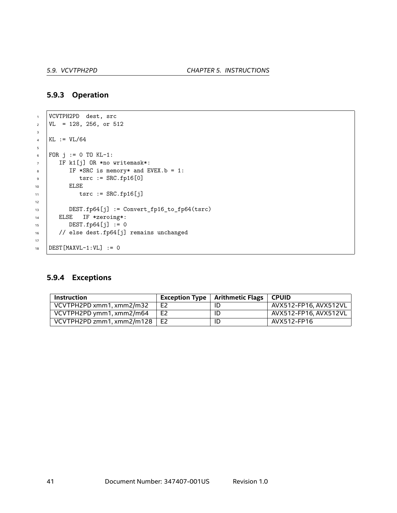#### **5.9.3 Operation**

```
1 VCVTPH2PD dest, src
\text{VL} = 128, 256, or 512
3
4 KL := VL/64
5
6 FOR j := 0 TO KL-1:
7 IF k1[j] OR *no writemask*:
\overline{\text{B}} IF *SRC is memory* and EVEX.b = 1:
9 tsrc := SRC.fp16[0]
10 ELSE
11 tsrc := SRC.fp16[j]
12
13 DEST.fp64[j] := Convert_fp16_to_fp64(tsrc)
14 ELSE IF *zeroing*:
15 DEST.fp64[j] := 0
16 // else dest.fp64[j] remains unchanged
17
18 DEST [MAXVL-1:VL] := 0
```
## **5.9.4 Exceptions**

| <b>Instruction</b>        |                | Exception Type $\vert$ Arithmetic Flags $\vert$ | <b>CPUID</b>          |
|---------------------------|----------------|-------------------------------------------------|-----------------------|
| VCVTPH2PD xmm1, xmm2/m32  | E <sub>2</sub> |                                                 | AVX512-FP16, AVX512VL |
| VCVTPH2PD ymm1, xmm2/m64  | E <sub>2</sub> |                                                 | AVX512-FP16, AVX512VL |
| VCVTPH2PD zmm1, xmm2/m128 | E <sub>2</sub> |                                                 | AVX512-FP16           |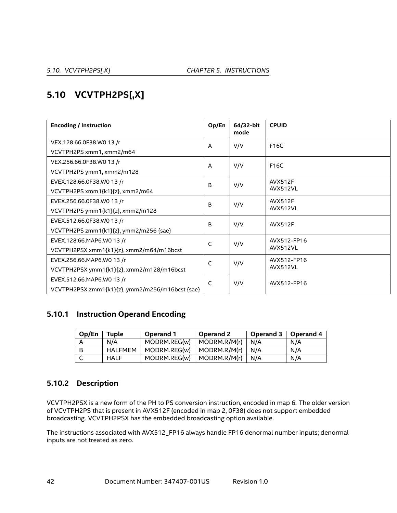# **5.10 VCVTPH2PS[,X]**

| <b>Encoding / Instruction</b>                   | Op/En          | 64/32-bit<br>mode | <b>CPUID</b>   |
|-------------------------------------------------|----------------|-------------------|----------------|
| VEX.128.66.0F38.W0 13 /r                        | A              | V/V               | F16C           |
| VCVTPH2PS xmm1, xmm2/m64                        |                |                   |                |
| VEX.256.66.0F38.W0 13 /r                        | $\overline{A}$ | V/V               | F16C           |
| VCVTPH2PS ymm1, xmm2/m128                       |                |                   |                |
| EVEX.128.66.0F38.W0 13 /r                       | B              | V/V               | <b>AVX512F</b> |
| VCVTPH2PS xmm1{k1}{z}, xmm2/m64                 |                |                   | AVX512VL       |
| EVEX.256.66.0F38.W0 13 /r                       | B              | V/V               | <b>AVX512F</b> |
| VCVTPH2PS ymm1{k1}{z}, xmm2/m128                |                |                   | AVX512VL       |
| EVEX.512.66.0F38.W0 13 /r                       | B              | V/V               | <b>AVX512F</b> |
| VCVTPH2PS zmm1{k1}{z}, ymm2/m256 {sae}          |                |                   |                |
| EVEX.128.66.MAP6.W0 13 /r                       | C              | V/V               | AVX512-FP16    |
| VCVTPH2PSX xmm1{k1}{z}, xmm2/m64/m16bcst        |                |                   | AVX512VL       |
| EVEX.256.66.MAP6.WO 13 /r                       | C              | V/V               | AVX512-FP16    |
| VCVTPH2PSX ymm1{k1}{z}, xmm2/m128/m16bcst       |                |                   | AVX512VL       |
| EVEX.512.66.MAP6.W0 13 /r                       | C              | V/V               | AVX512-FP16    |
| VCVTPH2PSX zmm1{k1}{z}, ymm2/m256/m16bcst {sae} |                |                   |                |

# **5.10.1 Instruction Operand Encoding**

| Op/En | Tuple          | Operand 1    | Operand 2    | Operand 3   Operand 4 |     |
|-------|----------------|--------------|--------------|-----------------------|-----|
| A     | N/A            | MODRM.REG(w) | MODRM.R/M(r) | N/A                   | N/A |
| - B   | <b>HALFMEM</b> | MODRM.REG(w) | MODRM.R/M(r) | N/A                   | N/A |
|       | <b>HALF</b>    | MODRM.REG(w) | MODRM.R/M(r) | N/A                   | N/A |

# **5.10.2 Description**

VCVTPH2PSX is a new form of the PH to PS conversion instruction, encoded in map 6. The older version of VCVTPH2PS that is present in AVX512F (encoded in map 2, 0F38) does not support embedded broadcasting. VCVTPH2PSX has the embedded broadcasting option available.

The instructions associated with AVX512\_FP16 always handle FP16 denormal number inputs; denormal inputs are not treated as zero.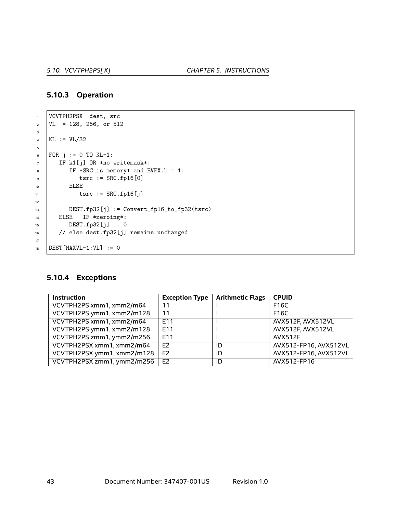#### **5.10.3 Operation**

```
1 VCVTPH2PSX dest, src
\text{VL} = 128, 256, \text{ or } 5123
4 KL := VL/32
5
6 FOR j := 0 TO KL-1:
7 IF k1[j] OR *no writemask*:
\overline{\text{B}} IF *SRC is memory* and EVEX.b = 1:
9 tsrc := SRC.fp16[0]
10 ELSE
11 tsrc := SRC.fp16[j]
12
13 DEST.fp32[j] := Convert_fp16_to_fp32(tsrc)
14 ELSE IF *zeroing*:
15 DEST.fp32[j] := 016 // else dest.fp32[j] remains unchanged
17
18 DEST [MAXVL-1:VL] := 0
```
## **5.10.4 Exceptions**

| <b>Instruction</b>         | <b>Exception Type</b> | <b>Arithmetic Flags</b> | <b>CPUID</b>          |
|----------------------------|-----------------------|-------------------------|-----------------------|
| VCVTPH2PS xmm1, xmm2/m64   | 11                    |                         | F16C                  |
| VCVTPH2PS ymm1, xmm2/m128  | 11                    |                         | F16C                  |
| VCVTPH2PS xmm1, xmm2/m64   | E <sub>11</sub>       |                         | AVX512F, AVX512VL     |
| VCVTPH2PS ymm1, xmm2/m128  | F <sub>11</sub>       |                         | AVX512F, AVX512VL     |
| VCVTPH2PS zmm1, ymm2/m256  | <b>E11</b>            |                         | <b>AVX512F</b>        |
| VCVTPH2PSX xmm1, xmm2/m64  | E <sub>2</sub>        | ID                      | AVX512-FP16, AVX512VL |
| VCVTPH2PSX ymm1, xmm2/m128 | E <sub>2</sub>        | ID                      | AVX512-FP16, AVX512VL |
| VCVTPH2PSX zmm1, ymm2/m256 | E <sub>2</sub>        | ID                      | AVX512-FP16           |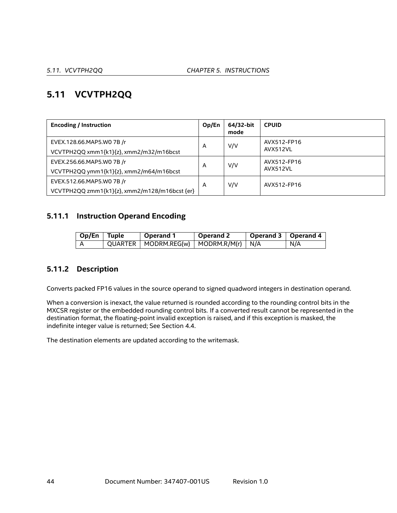# **5.11 VCVTPH2QQ**

| <b>Encoding / Instruction</b>                 | Op/En | 64/32-bit<br>mode | <b>CPUID</b>            |
|-----------------------------------------------|-------|-------------------|-------------------------|
| EVEX.128.66.MAP5.W0 7B /r                     | A     | V/V               | AVX512-FP16<br>AVX512VL |
| VCVTPH2QQ xmm1{k1}{z}, xmm2/m32/m16bcst       |       |                   |                         |
| EVEX.256.66.MAP5.WO 7B /r                     | А     | V/V               | AVX512-FP16             |
| VCVTPH2QQ ymm1{k1}{z}, xmm2/m64/m16bcst       |       |                   | AVX512VL                |
| EVEX.512.66.MAP5.WO 7B /r                     | A     | V/V               | AVX512-FP16             |
| VCVTPH2QQ zmm1{k1}{z}, xmm2/m128/m16bcst {er} |       |                   |                         |

# **5.11.1 Instruction Operand Encoding**

| $\overline{op/En}$ Tuple | <b>Operand 1</b>                              | <b>Operand 2</b> | Operand 3   Operand 4 |     |
|--------------------------|-----------------------------------------------|------------------|-----------------------|-----|
|                          | $QUARTER$   MODRM.REG(w)   MODRM.R/M(r)   N/A |                  |                       | N/A |

# **5.11.2 Description**

Converts packed FP16 values in the source operand to signed quadword integers in destination operand.

When a conversion is inexact, the value returned is rounded according to the rounding control bits in the MXCSR register or the embedded rounding control bits. If a converted result cannot be represented in the destination format, the floating-point invalid exception is raised, and if this exception is masked, the indefinite integer value is returned; See Section [4.4.](#page-18-0)

The destination elements are updated according to the writemask.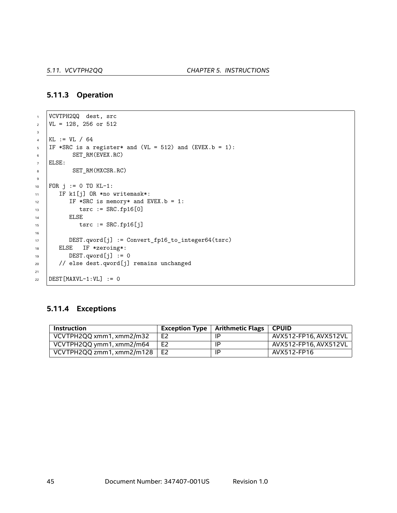#### **5.11.3 Operation**

```
1 VCVTPH2QQ dest, src
2 \text{ } | \text{VL} = 128, 256 \text{ or } 5123
4 KL := VL / 64
5 IF *SRC is a register* and (VL = 512) and (EVEX.b = 1):
6 SET_RM(EVEX.RC)
7 ELSE:
8 SET_RM(MXCSR.RC)
9
10 FOR j := 0 TO KL-1:
11 | IF k1[j] OR *no writemask*:
12 IF *SRC is memory* and EVEX.b = 1:
13 tsrc := SRC.fp16[0]
14 | ELSE
15 tsrc := SRC.fp16[j]
16
17 DEST.qword[j] := Convert_fp16_to_integer64(tsrc)
18 | ELSE IF *zeroing*:
19 DEST.qword[j] := 0
20 // else dest.qword[j] remains unchanged
21
22 DEST [MAXVL-1:VL] := 0
```
#### **5.11.4 Exceptions**

| <b>Instruction</b>        |                | <b>Exception Type</b> $\vert$ Arithmetic Flags | ∣ CPUID.              |
|---------------------------|----------------|------------------------------------------------|-----------------------|
| VCVTPH2QQ xmm1, xmm2/m32  | E <sub>2</sub> | ΙP                                             | AVX512-FP16. AVX512VL |
| VCVTPH2QQ ymm1, xmm2/m64  | E <sub>2</sub> | ΙP                                             | AVX512-FP16, AVX512VL |
| VCVTPH2QQ zmm1, xmm2/m128 | E <sub>2</sub> | ΙP                                             | AVX512-FP16           |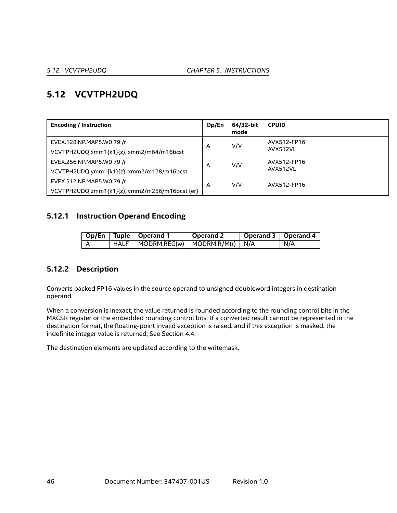# **5.12 VCVTPH2UDQ**

| <b>Encoding / Instruction</b>                  | Op/En | 64/32-bit<br>mode | <b>CPUID</b> |
|------------------------------------------------|-------|-------------------|--------------|
| EVEX.128.NP.MAP5.W0 79 /r                      | A     | V/V               | AVX512-FP16  |
| VCVTPH2UDQ xmm1{k1}{z}, xmm2/m64/m16bcst       |       |                   | AVX512VL     |
| EVEX.256.NP.MAP5.W0 79 /r                      | A     | V/V               | AVX512-FP16  |
| VCVTPH2UDQ ymm1{k1}{z}, xmm2/m128/m16bcst      |       |                   | AVX512VL     |
| EVEX.512.NP.MAP5.W0 79 /r                      | A     | V/V               | AVX512-FP16  |
| VCVTPH2UDQ zmm1{k1}{z}, ymm2/m256/m16bcst {er} |       |                   |              |

# **5.12.1 Instruction Operand Encoding**

|  | Op/En   Tuple   Operand 1 | Operand 2 | Operand 3   Operand 4 |     |
|--|---------------------------|-----------|-----------------------|-----|
|  |                           |           |                       | N/A |

# **5.12.2 Description**

Converts packed FP16 values in the source operand to unsigned doubleword integers in destination operand.

When a conversion is inexact, the value returned is rounded according to the rounding control bits in the MXCSR register or the embedded rounding control bits. If a converted result cannot be represented in the destination format, the floating-point invalid exception is raised, and if this exception is masked, the indefinite integer value is returned; See Section [4.4.](#page-18-0)

The destination elements are updated according to the writemask.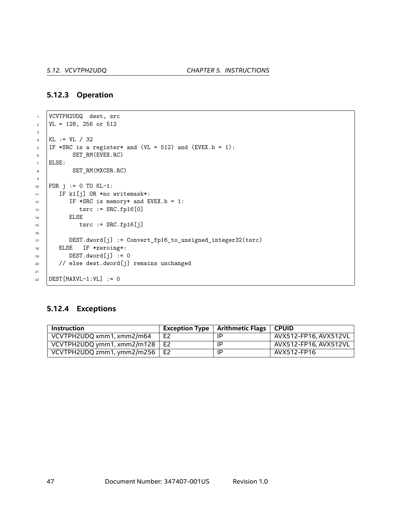#### **5.12.3 Operation**

```
1 VCVTPH2UDQ dest, src
2 \text{ } | \text{VL} = 128, 256 \text{ or } 5123
4 KL := VL / 32
5 | IF *SRC is a register* and (VL = 512) and (EVEX.b = 1):
6 SET_RM(EVEX.RC)
7 ELSE:
8 SET_RM(MXCSR.RC)
9
10 | FOR j := 0 TO KL-1:
11 | IF k1[j] OR *no writemask*:
12 IF *SRC is memory* and EVEX.b = 1:
13 tsrc := SRC.fp16[0]
14 | ELSE
15 tsrc := SRC.fp16[j]
16
17 DEST.dword[j] := Convert_fp16_to_unsigned_integer32(tsrc)
18 | ELSE IF *zeroing*:
\text{DEST.dword}[j] := 020 // else dest.dword[j] remains unchanged
21
22 DEST [MAXVL-1:VL] := 0
```
#### **5.12.4 Exceptions**

| Instruction                       |                | <b>Exception Type</b> $\vert$ Arithmetic Flags $\vert$ | <b>CPUID</b>          |
|-----------------------------------|----------------|--------------------------------------------------------|-----------------------|
| VCVTPH2UDQ xmm1, xmm2/m64         | E <sub>2</sub> | ΙP                                                     | AVX512-FP16, AVX512VL |
| VCVTPH2UDQ ymm1, xmm2/m128 $\mid$ | E2             | ΙP                                                     | AVX512-FP16. AVX512VL |
| VCVTPH2UDQ zmm1, ymm2/m256        | E2             | ΙP                                                     | AVX512-FP16           |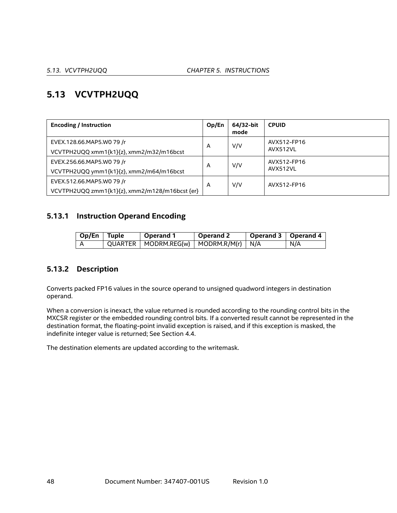# **5.13 VCVTPH2UQQ**

| <b>Encoding / Instruction</b>                  | Op/En | 64/32-bit<br>mode | <b>CPUID</b> |
|------------------------------------------------|-------|-------------------|--------------|
| EVEX.128.66.MAP5.W0 79 /r                      | A     | V/V               | AVX512-FP16  |
| VCVTPH2UQQ xmm1{k1}{z}, xmm2/m32/m16bcst       |       |                   | AVX512VL     |
| EVEX.256.66.MAP5.W0 79 /r                      | A     | V/V               | AVX512-FP16  |
| VCVTPH2UQQ ymm1{k1}{z}, xmm2/m64/m16bcst       |       |                   | AVX512VL     |
| EVEX.512.66.MAP5.W0 79 /r                      | A     | V/V               | AVX512-FP16  |
| VCVTPH2UQQ zmm1{k1}{z}, xmm2/m128/m16bcst {er} |       |                   |              |

# **5.13.1 Instruction Operand Encoding**

| $\log$ Dp/En Tuple | Operand 1                                   | Operand 2 | Operand 3   Operand 4 |     |
|--------------------|---------------------------------------------|-----------|-----------------------|-----|
|                    | QUARTER   MODRM.REG(w)   MODRM.R/M(r)   N/A |           |                       | N/A |

# **5.13.2 Description**

Converts packed FP16 values in the source operand to unsigned quadword integers in destination operand.

When a conversion is inexact, the value returned is rounded according to the rounding control bits in the MXCSR register or the embedded rounding control bits. If a converted result cannot be represented in the destination format, the floating-point invalid exception is raised, and if this exception is masked, the indefinite integer value is returned; See Section [4.4.](#page-18-0)

The destination elements are updated according to the writemask.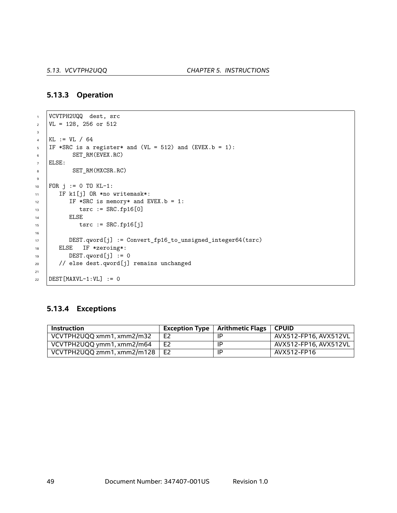#### **5.13.3 Operation**

```
1 VCVTPH2UQQ dest, src
2 \text{ } | \text{VL} = 128, 256 \text{ or } 5123
4 KL := VL / 64
5 | IF *SRC is a register* and (VL = 512) and (EVEX.b = 1):
6 SET_RM(EVEX.RC)
7 ELSE:
8 SET_RM(MXCSR.RC)
9
10 FOR j := 0 TO KL-1:
11 | IF k1[j] OR *no writemask*:
12 IF *SRC is memory* and EVEX.b = 1:
13 tsrc := SRC.fp16[0]
14 | ELSE
15 tsrc := SRC.fp16[j]
16
17 DEST.qword[j] := Convert_fp16_to_unsigned_integer64(tsrc)
18 | ELSE IF *zeroing*:
\text{DEST.}qword[j] := 020 // else dest.qword[j] remains unchanged
21
22 DEST [MAXVL-1:VL] := 0
```
#### **5.13.4 Exceptions**

| Instruction                |                | Exception Type $\vert$ Arithmetic Flags $\vert$ | <b>CPUID</b>          |
|----------------------------|----------------|-------------------------------------------------|-----------------------|
| VCVTPH2UQQ xmm1, xmm2/m32  | E <sub>2</sub> | ΙP                                              | AVX512-FP16, AVX512VL |
| VCVTPH2UQQ ymm1, xmm2/m64  | E <sub>2</sub> | -IP                                             | AVX512-FP16, AVX512VL |
| VCVTPH2UQQ zmm1, xmm2/m128 | E <sub>2</sub> | -IP                                             | AVX512-FP16           |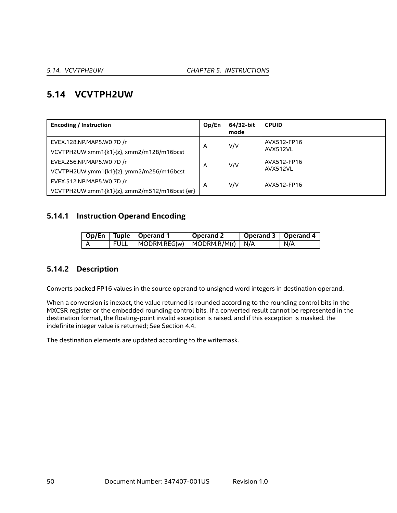# **5.14 VCVTPH2UW**

| <b>Encoding / Instruction</b>                                              | Op/En | 64/32-bit<br>mode | <b>CPUID</b>            |
|----------------------------------------------------------------------------|-------|-------------------|-------------------------|
| EVEX.128.NP.MAP5.WO 7D /r<br>VCVTPH2UW xmm1{k1}{z}, xmm2/m128/m16bcst      | A     | V/V               | AVX512-FP16<br>AVX512VL |
| EVEX.256.NP.MAP5.WO 7D /r<br>VCVTPH2UW ymm1{k1}{z}, ymm2/m256/m16bcst      | A     | V/V               | AVX512-FP16<br>AVX512VL |
| EVEX.512.NP.MAP5.WO 7D /r<br>VCVTPH2UW zmm1{k1}{z}, zmm2/m512/m16bcst {er} | A     | V/V               | AVX512-FP16             |

# **5.14.1 Instruction Operand Encoding**

|  | Op/En   Tuple   Operand 1                | Operand 2 | Operand 3   Operand 4 |     |
|--|------------------------------------------|-----------|-----------------------|-----|
|  | FULL   MODRM.REG(w)   MODRM.R/M(r)   N/A |           |                       | N/A |

# **5.14.2 Description**

Converts packed FP16 values in the source operand to unsigned word integers in destination operand.

When a conversion is inexact, the value returned is rounded according to the rounding control bits in the MXCSR register or the embedded rounding control bits. If a converted result cannot be represented in the destination format, the floating-point invalid exception is raised, and if this exception is masked, the indefinite integer value is returned; See Section [4.4.](#page-18-0)

The destination elements are updated according to the writemask.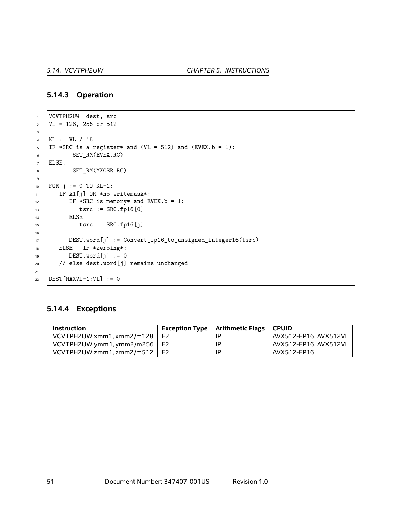#### **5.14.3 Operation**

```
1 VCVTPH2UW dest, src
2 \text{ } | \text{VL} = 128, 256 \text{ or } 5123
4 KL := VL / 16
5 IF *SRC is a register* and (VL = 512) and (EVEX.b = 1):
6 SET_RM(EVEX.RC)
7 ELSE:
8 SET_RM(MXCSR.RC)
9
10 FOR j := 0 TO KL-1:
11 | IF k1[j] OR *no writemask*:
12 IF *SRC is memory* and EVEX.b = 1:
13 tsrc := SRC.fp16[0]
14 | ELSE
15 tsrc := SRC.fp16[j]
16
17 DEST.word[j] := Convert_fp16_to_unsigned_integer16(tsrc)
18 | ELSE IF *zeroing*:
19 DEST.word[j] := 0
20 // else dest.word[j] remains unchanged
21
22 DEST [MAXVL-1:VL] := 0
```
#### **5.14.4 Exceptions**

| Instruction                          |                | Exception Type $\mid$ Arithmetic Flags | <b>CPUID</b>          |
|--------------------------------------|----------------|----------------------------------------|-----------------------|
| VCVTPH2UW xmm1, xmm2/m128            | E <sub>2</sub> | ΙP                                     | AVX512-FP16, AVX512VL |
| VCVTPH2UW ymm1, ymm2/m256 $\vert$ E2 |                | ΙP                                     | AVX512-FP16, AVX512VL |
| VCVTPH2UW zmm1, zmm2/m512            | E <sub>2</sub> | ΙP                                     | AVX512-FP16           |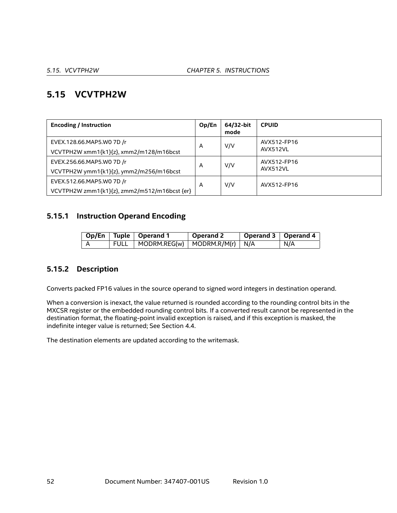# **5.15 VCVTPH2W**

| <b>Encoding / Instruction</b>                | Op/En | 64/32-bit<br>mode | <b>CPUID</b> |
|----------------------------------------------|-------|-------------------|--------------|
| EVEX.128.66.MAP5.WO 7D /r                    | A     | V/V               | AVX512-FP16  |
| VCVTPH2W xmm1{k1}{z}, xmm2/m128/m16bcst      |       |                   | AVX512VL     |
| EVEX.256.66.MAP5.WO 7D /r                    | A     | V/V               | AVX512-FP16  |
| VCVTPH2W ymm1{k1}{z}, ymm2/m256/m16bcst      |       |                   | AVX512VL     |
| EVEX.512.66.MAP5.WO 7D /r                    | A     | V/V               | AVX512-FP16  |
| VCVTPH2W zmm1{k1}{z}, zmm2/m512/m16bcst {er} |       |                   |              |

## **5.15.1 Instruction Operand Encoding**

|  | Op/En   Tuple   Operand 1                                      | $^{\circ}$ Operand 2 $^{\circ}$ | Operand 3   Operand 4 |     |
|--|----------------------------------------------------------------|---------------------------------|-----------------------|-----|
|  | $\mid$ FULL $\mid$ MODRM.REG(w) $\mid$ MODRM.R/M(r) $\mid$ N/A |                                 |                       | N/A |

# **5.15.2 Description**

Converts packed FP16 values in the source operand to signed word integers in destination operand.

When a conversion is inexact, the value returned is rounded according to the rounding control bits in the MXCSR register or the embedded rounding control bits. If a converted result cannot be represented in the destination format, the floating-point invalid exception is raised, and if this exception is masked, the indefinite integer value is returned; See Section [4.4.](#page-18-0)

The destination elements are updated according to the writemask.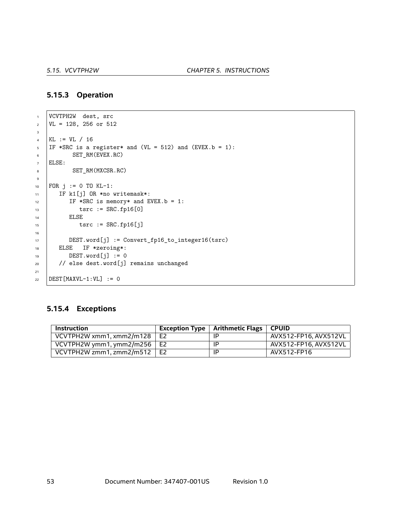#### **5.15.3 Operation**

```
1 VCVTPH2W dest, src
2 \mid \text{VL} = 128, 256 \text{ or } 5123
4 KL := VL / 16
5 IF *SRC is a register* and (VL = 512) and (EVEX.b = 1):
6 SET_RM(EVEX.RC)
7 ELSE:
8 SET_RM(MXCSR.RC)
9
10 FOR j := 0 TO KL-1:
11 | IF k1[j] OR *no writemask*:
12 IF *SRC is memory* and EVEX.b = 1:
13 tsrc := SRC.fp16[0]
14 | ELSE
15 tsrc := SRC.fp16[j]
16
17 DEST.word[j] := Convert_fp16_to_integer16(tsrc)
18 | ELSE IF *zeroing*:
19 DEST.word[j] := 0
20 // else dest.word[j] remains unchanged
21
22 DEST [MAXVL-1:VL] := 0
```
#### **5.15.4 Exceptions**

| <b>Instruction</b>              |    | Exception Type $\parallel$ Arithmetic Flags $\parallel$ | <b>CPUID</b>          |
|---------------------------------|----|---------------------------------------------------------|-----------------------|
| VCVTPH2W xmm1, xmm2/m128        | E2 | ΙP                                                      | AVX512-FP16. AVX512VL |
| VCVTPH2W ymm1, ymm2/m256   E2   |    | ΙP                                                      | AVX512-FP16. AVX512VL |
| VCVTPH2W zmm1, zmm2/m512 $\mid$ | E2 | ΙP                                                      | AVX512-FP16           |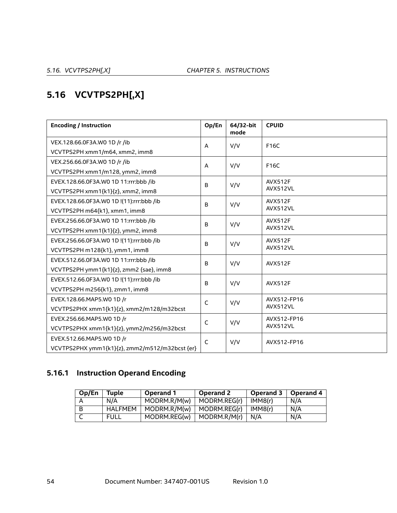# **5.16 VCVTPS2PH[,X]**

| <b>Encoding / Instruction</b>                  | Op/En        | 64/32-bit<br>mode | <b>CPUID</b>   |
|------------------------------------------------|--------------|-------------------|----------------|
| VEX.128.66.0F3A.WO 1D /r /ib                   | A            | V/V               | F16C           |
| VCVTPS2PH xmm1/m64, xmm2, imm8                 |              |                   |                |
| VEX.256.66.0F3A.WO 1D /r /ib                   | A            | V/V               | F16C           |
| VCVTPS2PH xmm1/m128, ymm2, imm8                |              |                   |                |
| EVEX.128.66.0F3A.W0 1D 11:rrr:bbb /ib          | B            | V/V               | <b>AVX512F</b> |
| VCVTPS2PH xmm1{k1}{z}, xmm2, imm8              |              |                   | AVX512VL       |
| EVEX.128.66.0F3A.WO 1D !(11):rrr:bbb /ib       | B            | V/V               | <b>AVX512F</b> |
| VCVTPS2PH m64{k1}, xmm1, imm8                  |              |                   | AVX512VL       |
| EVEX.256.66.0F3A.W0 1D 11:rrr:bbb /ib          | B            | V/V               | <b>AVX512F</b> |
| VCVTPS2PH xmm1{k1}{z}, ymm2, imm8              |              |                   | AVX512VL       |
| EVEX.256.66.0F3A.WO 1D !(11):rrr:bbb /ib       | B            | V/V               | <b>AVX512F</b> |
| VCVTPS2PH m128{k1}, ymm1, imm8                 |              |                   | AVX512VL       |
| EVEX.512.66.0F3A.W0 1D 11:rrr:bbb /ib          | B            | V/V               | <b>AVX512F</b> |
| VCVTPS2PH ymm1{k1}{z}, zmm2 {sae}, imm8        |              |                   |                |
| EVEX.512.66.0F3A.WO 1D !(11):rrr:bbb /ib       | B            | V/V               | <b>AVX512F</b> |
| VCVTPS2PH m256{k1}, zmm1, imm8                 |              |                   |                |
| EVEX.128.66.MAP5.W0 1D /r                      | C            | V/V               | AVX512-FP16    |
| VCVTPS2PHX xmm1{k1}{z}, xmm2/m128/m32bcst      |              |                   | AVX512VL       |
| EVEX.256.66.MAP5.WO 1D /r                      | C            | V/V               | AVX512-FP16    |
| VCVTPS2PHX xmm1{k1}{z}, ymm2/m256/m32bcst      |              |                   | AVX512VL       |
| EVEX.512.66.MAP5.WO 1D /r                      | $\mathsf{C}$ | V/V               | AVX512-FP16    |
| VCVTPS2PHX ymm1{k1}{z}, zmm2/m512/m32bcst {er} |              |                   |                |

# **5.16.1 Instruction Operand Encoding**

| Op/En | Tuple          | <b>Operand 1</b> | Operand 2    | Operand 3 | Operand 4 |
|-------|----------------|------------------|--------------|-----------|-----------|
|       | N/A            | MODRM.R/M(w)     | MODRM.REG(r) | IMM8(r)   | N/A       |
|       | <b>HALFMEM</b> | MODRM.R/M(w)     | MODRM.REG(r) | IMM8(r)   | N/A       |
|       | FULL           | MODRM.REG(w)     | MODRM.R/M(r) | N/A       | N/A       |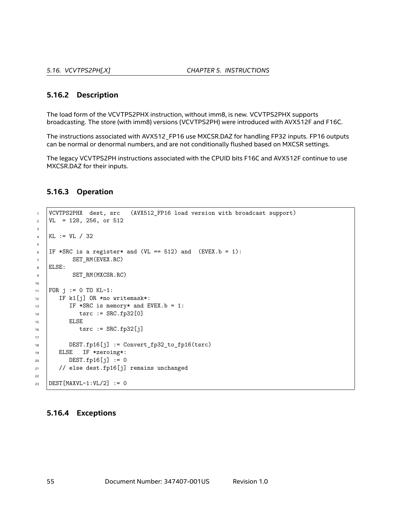#### **5.16.2 Description**

The load form of the VCVTPS2PHX instruction, without imm8, is new. VCVTPS2PHX supports broadcasting. The store (with imm8) versions (VCVTPS2PH) were introduced with AVX512F and F16C.

The instructions associated with AVX512\_FP16 use MXCSR.DAZ for handling FP32 inputs. FP16 outputs can be normal or denormal numbers, and are not conditionally flushed based on MXCSR settings.

The legacy VCVTPS2PH instructions associated with the CPUID bits F16C and AVX512F continue to use MXCSR.DAZ for their inputs.

#### **5.16.3 Operation**

```
1 VCVTPS2PHX dest, src (AVX512_FP16 load version with broadcast support)
2 \mid \text{VL} = 128, 256, \text{ or } 5123
_4 | KL := VL / 32
5
6 | IF *SRC is a register* and (VL == 512) and (EVEX.b = 1):
7 SET_RM(EVEX.RC)
8 ELSE:
9 SET_RM(MXCSR.RC)
10
11 | FOR j := 0 TO KL-1:
12 | IF k1[j] OR *no writemask*:
13 IF *SRC is memory* and EVEX.b = 1:
14 tsrc := SRC.fp32[0]
15 | ELSE
16 tsrc := SRC.fp32[j]
17
18 DEST.fp16[j] := Convert_fp32_to_fp16(tsrc)
19 ELSE IF *zeroing*:
20 DEST.fp16[j] := 0
21 // else dest.fp16[j] remains unchanged
22
23 | DEST [MAXVL-1:VL/2] := 0
```
#### **5.16.4 Exceptions**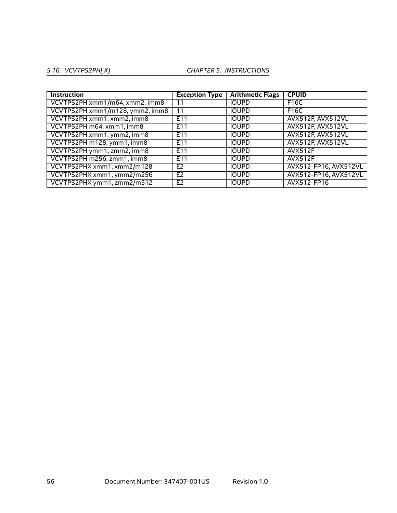## *5.16. VCVTPS2PH[,X] CHAPTER 5. INSTRUCTIONS*

| <b>Instruction</b>              | <b>Exception Type</b> | <b>Arithmetic Flags</b> | <b>CPUID</b>          |
|---------------------------------|-----------------------|-------------------------|-----------------------|
| VCVTPS2PH xmm1/m64, xmm2, imm8  | 11                    | <b>IOUPD</b>            | F16C                  |
| VCVTPS2PH xmm1/m128, ymm2, imm8 | 11                    | <b>IOUPD</b>            | F16C                  |
| VCVTPS2PH xmm1, xmm2, imm8      | E11                   | <b>IOUPD</b>            | AVX512F, AVX512VL     |
| VCVTPS2PH m64, xmm1, imm8       | E <sub>11</sub>       | <b>IOUPD</b>            | AVX512F, AVX512VL     |
| VCVTPS2PH xmm1, ymm2, imm8      | E <sub>11</sub>       | <b>IOUPD</b>            | AVX512F, AVX512VL     |
| VCVTPS2PH m128, ymm1, imm8      | E11                   | <b>IOUPD</b>            | AVX512F, AVX512VL     |
| VCVTPS2PH ymm1, zmm2, imm8      | E11                   | <b>IOUPD</b>            | <b>AVX512F</b>        |
| VCVTPS2PH m256, zmm1, imm8      | E11                   | <b>IOUPD</b>            | AVX512F               |
| VCVTPS2PHX xmm1, xmm2/m128      | E <sub>2</sub>        | <b>IOUPD</b>            | AVX512-FP16, AVX512VL |
| VCVTPS2PHX xmm1, ymm2/m256      | E <sub>2</sub>        | <b>IOUPD</b>            | AVX512-FP16, AVX512VL |
| VCVTPS2PHX ymm1, zmm2/m512      | E <sub>2</sub>        | <b>IOUPD</b>            | AVX512-FP16           |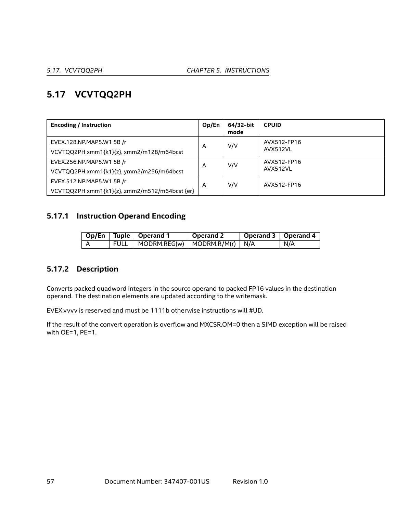# **5.17 VCVTQQ2PH**

| <b>Encoding / Instruction</b>                 | Op/En | 64/32-bit<br>mode | <b>CPUID</b> |
|-----------------------------------------------|-------|-------------------|--------------|
| EVEX.128.NP.MAP5.W1 5B /r                     | A     | V/V               | AVX512-FP16  |
| VCVTQQ2PH xmm1{k1}{z}, xmm2/m128/m64bcst      |       |                   | AVX512VL     |
| EVEX.256.NP.MAP5.W1 5B /r                     | A     | V/V               | AVX512-FP16  |
| VCVTQQ2PH xmm1{k1}{z}, ymm2/m256/m64bcst      |       |                   | AVX512VL     |
| EVEX.512.NP.MAP5.W1 5B /r                     | A     | V/V               | AVX512-FP16  |
| VCVTQQ2PH xmm1{k1}{z}, zmm2/m512/m64bcst {er} |       |                   |              |

# **5.17.1 Instruction Operand Encoding**

|  | Op/En   Tuple   Operand 1                | Operand 2 | Operand 3   Operand 4 |     |
|--|------------------------------------------|-----------|-----------------------|-----|
|  | FULL   MODRM.REG(w)   MODRM.R/M(r)   N/A |           |                       | N/A |

# **5.17.2 Description**

Converts packed quadword integers in the source operand to packed FP16 values in the destination operand. The destination elements are updated according to the writemask.

EVEX.vvvv is reserved and must be 1111b otherwise instructions will #UD.

If the result of the convert operation is overflow and MXCSR.OM=0 then a SIMD exception will be raised with OE=1, PE=1.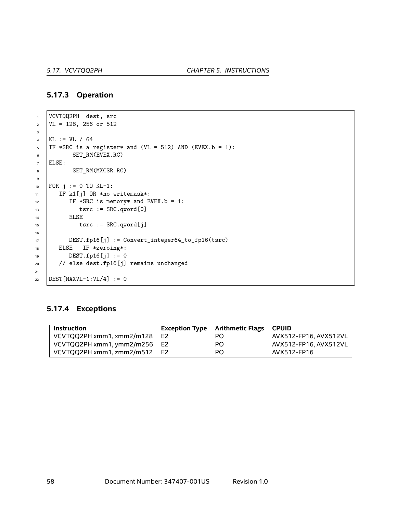#### **5.17.3 Operation**

```
1 VCVTQQ2PH dest, src
2 \text{ } | \text{VL} = 128, 256 \text{ or } 5123
4 KL := VL / 64
5 | IF *SRC is a register* and (VL = 512) AND (EVEX.b = 1):
6 SET_RM(EVEX.RC)
7 ELSE:
8 SET_RM(MXCSR.RC)
9
10 FOR j := 0 TO KL-1:
11 | IF k1[j] OR *no writemask*:
12 IF *SRC is memory* and EVEX.b = 1:
13 tsrc := SRC.qword[0]
14 | ELSE
15 tsrc := SRC.qword[j]
16
17 DEST.fp16[j] := Convert_integer64_to_fp16(tsrc)
18 | ELSE IF *zeroing*:
19 DEST.fp16[j] := 0
20 // else dest.fp16[j] remains unchanged
21
22 | DEST [MAXVL-1:VL/4] := 0
```
#### **5.17.4 Exceptions**

| Instruction                          | Exception Type $\vert$ Arithmetic Flags | ∣ CPUID               |
|--------------------------------------|-----------------------------------------|-----------------------|
| VCVTQQ2PH xmm1, xmm2/m128 $\mid$ E2  | PO.                                     | AVX512-FP16, AVX512VL |
| VCVTQQ2PH xmm1, ymm2/m256 $\vert$ E2 | <b>PO</b>                               | AVX512-FP16, AVX512VL |
| VCVTQQ2PH xmm1, zmm2/m512 $\vert$ E2 | P <sub>O</sub>                          | AVX512-FP16           |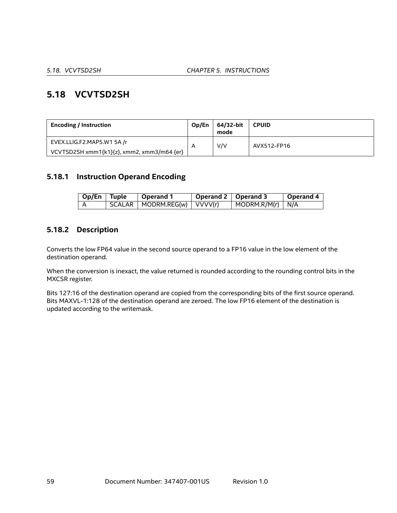# **5.18 VCVTSD2SH**

| <b>Encoding / Instruction</b>              | Op/En | 64/32-bit<br>mode | <b>CPUID</b> |
|--------------------------------------------|-------|-------------------|--------------|
| EVEX.LLIG.F2.MAP5.W1 5A /r                 |       | V/V               | AVX512-FP16  |
| VCVTSD2SH xmm1{k1}{z}, xmm2, xmm3/m64 {er} |       |                   |              |

## **5.18.1 Instruction Operand Encoding**

| Op/En Tuple | <b>Operand 1</b>              | Operand 2   Operand 3 |                                  | <b>Operand 4</b> |
|-------------|-------------------------------|-----------------------|----------------------------------|------------------|
|             | SCALAR   MODRM.REG(w) VVVV(r) |                       | $\vert$ MODRM.R/M(r) $\vert$ N/A |                  |

## **5.18.2 Description**

Converts the low FP64 value in the second source operand to a FP16 value in the low element of the destination operand.

When the conversion is inexact, the value returned is rounded according to the rounding control bits in the MXCSR register.

Bits 127:16 of the destination operand are copied from the corresponding bits of the first source operand. Bits MAXVL-1:128 of the destination operand are zeroed. The low FP16 element of the destination is updated according to the writemask.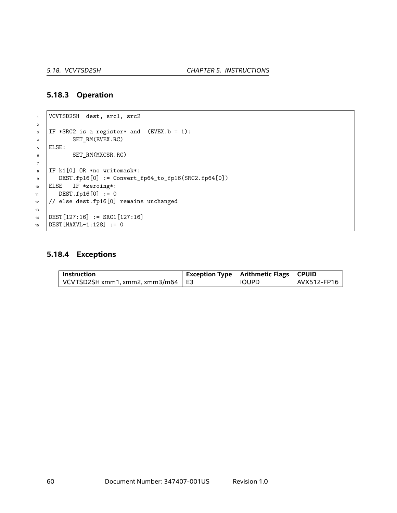#### **5.18.3 Operation**

```
1 VCVTSD2SH dest, src1, src2
2
\overline{\phantom{a}} IF *SRC2 is a register* and (EVEX.b = 1):
4 SET_RM(EVEX.RC)
5 ELSE:
6 SET_RM(MXCSR.RC)
7
\frac{1}{8} IF k1[0] OR *no writemask*:
9 DEST.fp16[0] := Convert_fp64_to_fp16(SRC2.fp64[0])
10 ELSE IF *zeroing*:
11 DEST.fp16[0] := 0
12 // else dest.fp16[0] remains unchanged
13
14 DEST[127:16] := SRC1[127:16]
15 DEST [MAXVL-1:128] := 0
```
# **5.18.4 Exceptions**

| Instruction                                     | <b>Exception Type   Arithmetic Flags   CPUID</b> |                          |
|-------------------------------------------------|--------------------------------------------------|--------------------------|
| $\mid$ VCVTSD2SH xmm1, xmm2, xmm3/m64 $\mid$ E3 | IOUPD                                            | <sup>⊦</sup> AVX512-FP16 |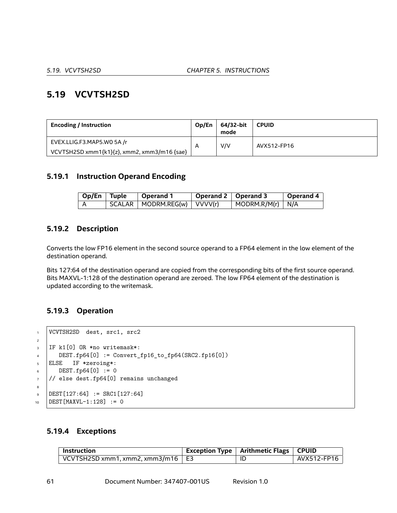# **5.19 VCVTSH2SD**

| <b>Encoding / Instruction</b>               | Op/En | 64/32-bit<br>mode | <b>CPUID</b> |
|---------------------------------------------|-------|-------------------|--------------|
| EVEX.LLIG.F3.MAP5.W0 5A /r                  | A     | V/V               | AVX512-FP16  |
| VCVTSH2SD xmm1{k1}{z}, xmm2, xmm3/m16 {sae} |       |                   |              |

## **5.19.1 Instruction Operand Encoding**

| $\log$ I Op/En Tuple | ∣ Operand 1                                      | Operand 2   Operand 3 |                                  | <b>Operand 4</b> |
|----------------------|--------------------------------------------------|-----------------------|----------------------------------|------------------|
|                      | $\mid$ SCALAR $\mid$ MODRM.REG(w) $\mid$ VVVV(r) |                       | $\vert$ MODRM.R/M(r) $\vert$ N/A |                  |

## **5.19.2 Description**

Converts the low FP16 element in the second source operand to a FP64 element in the low element of the destination operand.

Bits 127:64 of the destination operand are copied from the corresponding bits of the first source operand. Bits MAXVL-1:128 of the destination operand are zeroed. The low FP64 element of the destination is updated according to the writemask.

# **5.19.3 Operation**

```
1 VCVTSH2SD dest, src1, src2
2
3 | IF k1[0] OR *no writemask*:
\mu DEST.fp64[0] := Convert_fp16_to_fp64(SRC2.fp16[0])
5 ELSE IF *zeroing*:
6 \quad \text{DEST.fp64[0]} := 07 // else dest.fp64[0] remains unchanged
8
\text{DEF}[127:64] := \text{SRC1}[127:64]10 DEST [MAXVL-1:128] := 0
```
#### **5.19.4 Exceptions**

| $\perp$ Instruction                               | Exception Type   Arithmetic Flags   CPUID |             |
|---------------------------------------------------|-------------------------------------------|-------------|
| $\vert$ VCVTSH2SD xmm1, xmm2, xmm3/m16 $\vert$ E3 | Ш                                         | AVX512-FP16 |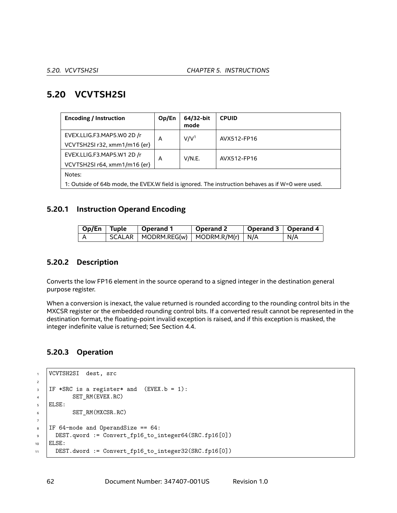# **5.20 VCVTSH2SI**

| <b>Encoding / Instruction</b>                                                                     | Op/En | 64/32-bit<br>mode | <b>CPUID</b> |  |  |
|---------------------------------------------------------------------------------------------------|-------|-------------------|--------------|--|--|
| EVEX.LLIG.F3.MAP5.WO 2D /r                                                                        | A     | V/V <sup>1</sup>  | AVX512-FP16  |  |  |
| VCVTSH2SI r32, xmm1/m16 {er}                                                                      |       |                   |              |  |  |
| EVEX.LLIG.F3.MAP5.W1 2D /r                                                                        | A     | V/N.E.            | AVX512-FP16  |  |  |
| VCVTSH2SI r64, xmm1/m16 {er}                                                                      |       |                   |              |  |  |
| Notes:                                                                                            |       |                   |              |  |  |
| 1: Outside of 64b mode, the EVEX.W field is ignored. The instruction behaves as if W=0 were used. |       |                   |              |  |  |

## **5.20.1 Instruction Operand Encoding**

| Op/En   Tuple | Operand 1 | Operand 2 | $\mid$ Operand 3 $\mid$ Operand 4 |     |
|---------------|-----------|-----------|-----------------------------------|-----|
|               |           |           |                                   | N/A |

## **5.20.2 Description**

Converts the low FP16 element in the source operand to a signed integer in the destination general purpose register.

When a conversion is inexact, the value returned is rounded according to the rounding control bits in the MXCSR register or the embedded rounding control bits. If a converted result cannot be represented in the destination format, the floating-point invalid exception is raised, and if this exception is masked, the integer indefinite value is returned; See Section [4.4.](#page-18-0)

# **5.20.3 Operation**

```
1 VCVTSH2SI dest, src
2
\overline{\phantom{a}} IF *SRC is a register* and (EVEX.b = 1):
4 SET_RM(EVEX.RC)
5 ELSE:
6 SET_RM(MXCSR.RC)
7
8 \mid \text{IF } 64-mode and OperandSize == 64:
9 DEST.qword := Convert_fp16_to_integer64(SRC.fp16[0])
10 ELSE:
11 DEST.dword := Convert_fp16_to_integer32(SRC.fp16[0])
```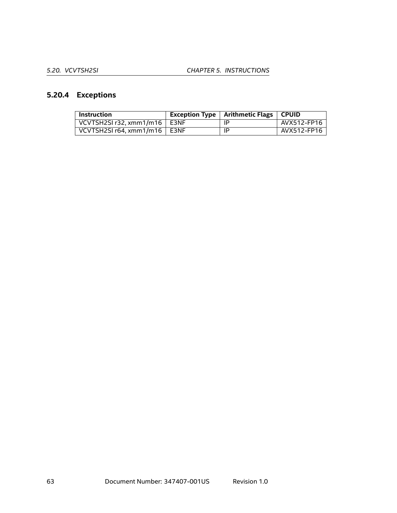# **5.20.4 Exceptions**

| <b>Instruction</b>                  | Exception Type   Arithmetic Flags   CPUID |             |
|-------------------------------------|-------------------------------------------|-------------|
| VCVTSH2SI r32, xmm1/m16 $\mid$ E3NF | ΙP                                        | AVX512-FP16 |
| VCVTSH2SI $r64. xmm1/m16$   E3NF    | ΙP                                        | AVX512-FP16 |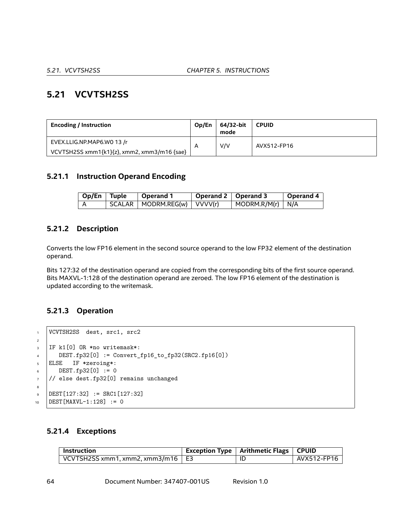# **5.21 VCVTSH2SS**

| <b>Encoding / Instruction</b>               | Op/En | 64/32-bit<br>mode | <b>CPUID</b> |
|---------------------------------------------|-------|-------------------|--------------|
| EVEX.LLIG.NP.MAP6.WO 13 /r                  | A     | V/V               | AVX512-FP16  |
| VCVTSH2SS xmm1{k1}{z}, xmm2, xmm3/m16 {sae} |       |                   |              |

## **5.21.1 Instruction Operand Encoding**

| Op/En Tuple | $^\shortparallel$ Operand 1                      | Operand 2   Operand 3 |                                | <b>Operand 4</b> |
|-------------|--------------------------------------------------|-----------------------|--------------------------------|------------------|
|             | $\mid$ SCALAR $\mid$ MODRM.REG(w) $\mid$ VVVV(r) |                       | $\mid$ MODRM.R/M(r) $\mid$ N/A |                  |

## **5.21.2 Description**

Converts the low FP16 element in the second source operand to the low FP32 element of the destination operand.

Bits 127:32 of the destination operand are copied from the corresponding bits of the first source operand. Bits MAXVL-1:128 of the destination operand are zeroed. The low FP16 element of the destination is updated according to the writemask.

## **5.21.3 Operation**

```
1 VCVTSH2SS dest, src1, src2
2
3 | IF k1[0] OR *no writemask*:
\mu DEST.fp32[0] := Convert_fp16_to_fp32(SRC2.fp16[0])
5 ELSE IF *zeroing*:
6 DEST.fp32[0] := 0
7 // else dest.fp32[0] remains unchanged
8
9 DEST[127:32] := SRC1[127:32]
10 DEST [MAXVL-1:128] := 0
```
## **5.21.4 Exceptions**

| <b>Instruction</b>                                      | Exception Type   Arithmetic Flags   CPUID |             |
|---------------------------------------------------------|-------------------------------------------|-------------|
| $\sqrt{2}$ VCVTSH2SS xmm1, xmm2, xmm3/m16 $\sqrt{2}$ E3 | -IC                                       | AVX512-FP16 |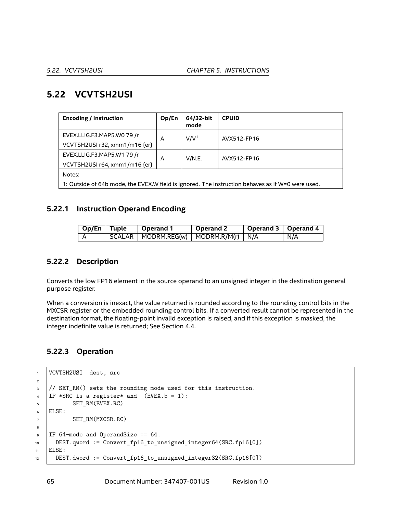# **5.22 VCVTSH2USI**

| <b>Encoding / Instruction</b>                                                                     | Op/En | 64/32-bit<br>mode | <b>CPUID</b> |  |  |
|---------------------------------------------------------------------------------------------------|-------|-------------------|--------------|--|--|
| EVEX.LLIG.F3.MAP5.WO 79 /r                                                                        | A     | V/V <sup>1</sup>  | AVX512-FP16  |  |  |
| VCVTSH2USI r32, xmm1/m16 {er}                                                                     |       |                   |              |  |  |
| EVEX.LLIG.F3.MAP5.W1 79 /r                                                                        |       | V/N.E.<br>A       | AVX512-FP16  |  |  |
| VCVTSH2USI r64, xmm1/m16 {er}                                                                     |       |                   |              |  |  |
| Notes:                                                                                            |       |                   |              |  |  |
| 1: Outside of 64b mode, the EVEX.W field is ignored. The instruction behaves as if W=0 were used. |       |                   |              |  |  |

## **5.22.1 Instruction Operand Encoding**

| $\overline{\phantom{a}}$ Op/En   Tuple | $\mid$ Operand 1                                                 | Operand 2 | $\mid$ Operand 3 $\mid$ Operand 4 |     |
|----------------------------------------|------------------------------------------------------------------|-----------|-----------------------------------|-----|
|                                        | $\mid$ SCALAR $\mid$ MODRM.REG(w) $\mid$ MODRM.R/M(r) $\mid$ N/A |           |                                   | N/A |

## **5.22.2 Description**

Converts the low FP16 element in the source operand to an unsigned integer in the destination general purpose register.

When a conversion is inexact, the value returned is rounded according to the rounding control bits in the MXCSR register or the embedded rounding control bits. If a converted result cannot be represented in the destination format, the floating-point invalid exception is raised, and if this exception is masked, the integer indefinite value is returned; See Section [4.4.](#page-18-0)

# **5.22.3 Operation**

```
1 | VCVTSH2USI dest, src
2
3 // SET_RM() sets the rounding mode used for this instruction.
4 IF *SRC is a register* and (EVEX.b = 1):
5 SET RM(EVEX.RC)
6 ELSE:
7 SET_RM(MXCSR.RC)
8
\sqrt{9} IF 64-mode and OperandSize == 64:
10 DEST.qword := Convert_fp16_to_unsigned_integer64(SRC.fp16[0])
11 ELSE:
12 DEST.dword := Convert_fp16_to_unsigned_integer32(SRC.fp16[0])
```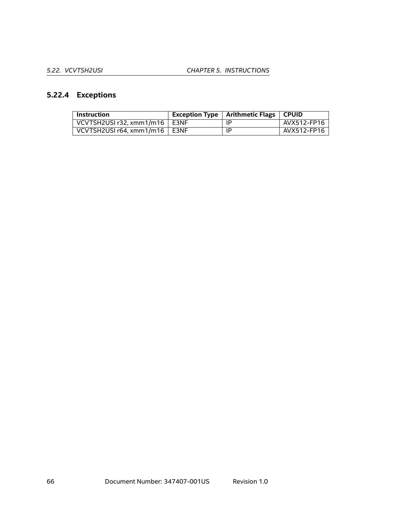# **5.22.4 Exceptions**

| <b>Instruction</b>                   | <b>Exception Type   Arithmetic Flags</b> | <b>CPUID</b> |
|--------------------------------------|------------------------------------------|--------------|
| VCVTSH2USI r32, xmm1/m16 $\mid$ E3NF | ΙP                                       | AVX512-FP16  |
| VCVTSH2USI $r64. xmm1/m16$   E3NF    | -lP                                      | AVX512-FP16  |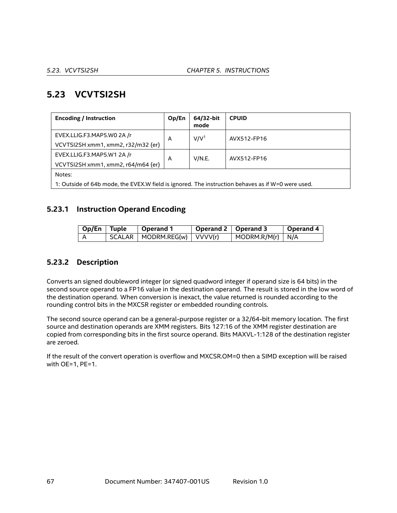# **5.23 VCVTSI2SH**

| <b>Encoding / Instruction</b>                                                                     | Op/En | 64/32-bit<br>mode | <b>CPUID</b> |  |  |
|---------------------------------------------------------------------------------------------------|-------|-------------------|--------------|--|--|
| EVEX.LLIG.F3.MAP5.WO 2A /r                                                                        | A     | V/V <sup>1</sup>  | AVX512-FP16  |  |  |
| VCVTSI2SH xmm1, xmm2, r32/m32 {er}                                                                |       |                   |              |  |  |
| EVEX.LLIG.F3.MAP5.W1 2A /r                                                                        | A     | V/N.E.            | AVX512-FP16  |  |  |
| VCVTSI2SH xmm1, xmm2, r64/m64 {er}                                                                |       |                   |              |  |  |
| Notes:                                                                                            |       |                   |              |  |  |
| 1: Outside of 64b mode, the EVEX.W field is ignored. The instruction behaves as if W=0 were used. |       |                   |              |  |  |

## **5.23.1 Instruction Operand Encoding**

| Op/En   Tuple | $\perp$ Operand 1             | $\blacksquare$ Operand 2 $\blacksquare$ Operand 3 |                                  | Operand 4 |
|---------------|-------------------------------|---------------------------------------------------|----------------------------------|-----------|
|               | SCALAR   MODRM.REG(w) VVVV(r) |                                                   | $\vert$ MODRM.R/M(r) $\vert$ N/A |           |

## **5.23.2 Description**

Converts an signed doubleword integer (or signed quadword integer if operand size is 64 bits) in the second source operand to a FP16 value in the destination operand. The result is stored in the low word of the destination operand. When conversion is inexact, the value returned is rounded according to the rounding control bits in the MXCSR register or embedded rounding controls.

The second source operand can be a general-purpose register or a 32/64-bit memory location. The first source and destination operands are XMM registers. Bits 127:16 of the XMM register destination are copied from corresponding bits in the first source operand. Bits MAXVL-1:128 of the destination register are zeroed.

If the result of the convert operation is overflow and MXCSR.OM=0 then a SIMD exception will be raised with OE=1, PE=1.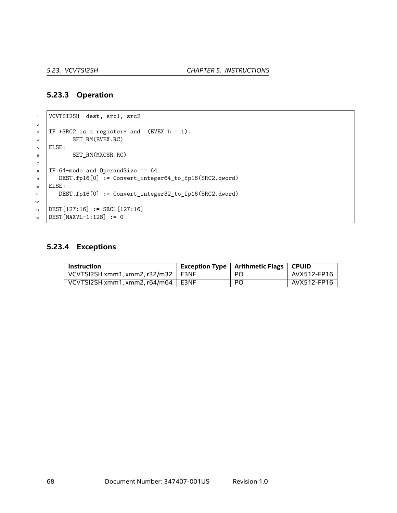#### **5.23.3 Operation**

```
1 VCVTSI2SH dest, src1, src2
2
\overline{\phantom{a}} IF *SRC2 is a register* and (EVEX.b = 1):
4 SET_RM(EVEX.RC)
5 ELSE:
6 SET_RM(MXCSR.RC)
7
\text{S} | IF 64-mode and OperandSize == 64:
9 DEST.fp16[0] := Convert_integer64_to_fp16(SRC2.qword)
10 ELSE:
11 DEST.fp16[0] := Convert_integer32_to_fp16(SRC2.dword)
12
13 DEST[127:16] := SRC1[127:16]
14 DEST [MAXVL-1:128] := 0
```
## **5.23.4 Exceptions**

| Instruction                                | <b>Exception Type   Arithmetic Flags   CPUID</b> |             |
|--------------------------------------------|--------------------------------------------------|-------------|
| VCVTSI2SH xmm1, xmm2, r32/m32 $\vert$ E3NF | <b>PO</b>                                        | AVX512-FP16 |
| VCVTSI2SH xmm1, xmm2, $r64/m64$   E3NF     | PO.                                              | AVX512-FP16 |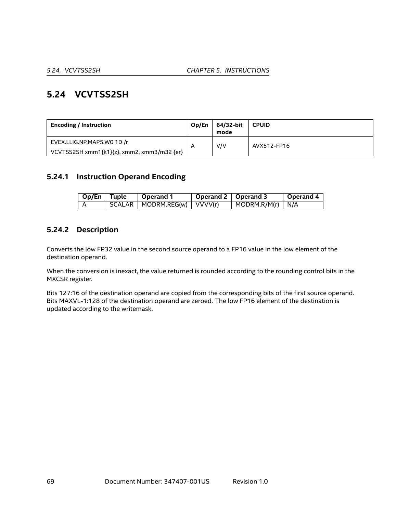# **5.24 VCVTSS2SH**

| <b>Encoding / Instruction</b>              | Op/En                   | 64/32-bit<br>mode | <b>CPUID</b> |
|--------------------------------------------|-------------------------|-------------------|--------------|
| EVEX.LLIG.NP.MAP5.WO 1D /r                 | $\overline{\mathsf{A}}$ | V/V               | AVX512-FP16  |
| VCVTSS2SH xmm1{k1}{z}, xmm2, xmm3/m32 {er} |                         |                   |              |

## **5.24.1 Instruction Operand Encoding**

| Op/En Tuple | Operand 1                       | Operand 2   Operand 3 |                                  | <b>Operand 4</b> |
|-------------|---------------------------------|-----------------------|----------------------------------|------------------|
|             | SCALAR   MODRM.REG(w)   VVVV(r) |                       | $\vert$ MODRM.R/M(r) $\vert$ N/A |                  |

## **5.24.2 Description**

Converts the low FP32 value in the second source operand to a FP16 value in the low element of the destination operand.

When the conversion is inexact, the value returned is rounded according to the rounding control bits in the MXCSR register.

Bits 127:16 of the destination operand are copied from the corresponding bits of the first source operand. Bits MAXVL-1:128 of the destination operand are zeroed. The low FP16 element of the destination is updated according to the writemask.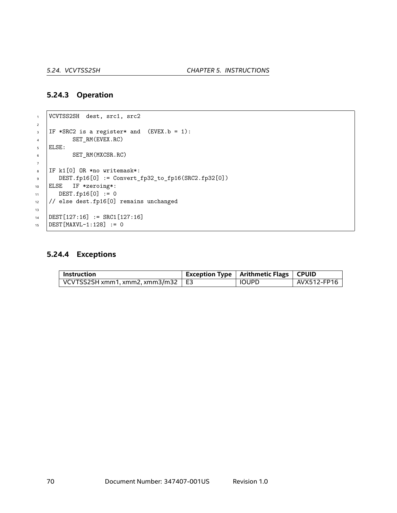#### **5.24.3 Operation**

```
1 VCVTSS2SH dest, src1, src2
2
\overline{\phantom{a}} IF *SRC2 is a register* and (EVEX.b = 1):
4 SET_RM(EVEX.RC)
5 ELSE:
6 SET_RM(MXCSR.RC)
7
\overline{\text{B}} IF k1[0] OR *no writemask*:
9 DEST.fp16[0] := Convert_fp32_to_fp16(SRC2.fp32[0])
10 ELSE IF *zeroing*:
11 DEST.fp16[0] := 0
12 // else dest.fp16[0] remains unchanged
13
14 DEST[127:16] := SRC1[127:16]
15 DEST [MAXVL-1:128] := 0
```
## **5.24.4 Exceptions**

| ' Instruction                                                           | $^\top$ Exception Type $\parallel$ Arithmetic Flags $\parallel$ CPUID |             |
|-------------------------------------------------------------------------|-----------------------------------------------------------------------|-------------|
| $^{\dagger}$ VCVTSS2SH xmm1, xmm2, xmm3/m32 $\parallel$ E3 $^{\dagger}$ | <b>IOUPD</b>                                                          | AVX512-FP16 |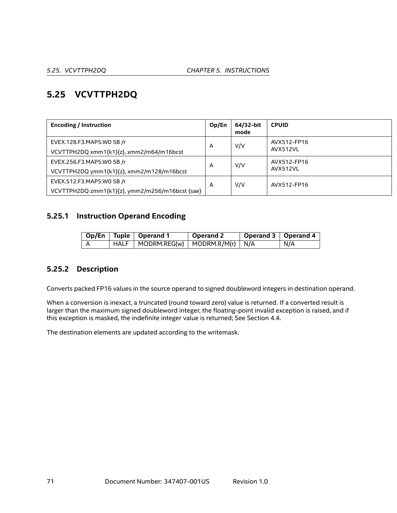# **5.25 VCVTTPH2DQ**

| <b>Encoding / Instruction</b>                   | Op/En | 64/32-bit<br>mode | <b>CPUID</b> |
|-------------------------------------------------|-------|-------------------|--------------|
| EVEX.128.F3.MAP5.W0 5B /r                       | A     | V/V               | AVX512-FP16  |
| VCVTTPH2DQ xmm1{k1}{z}, xmm2/m64/m16bcst        |       |                   | AVX512VL     |
| EVEX.256.F3.MAP5.W0 5B /r                       | A     | V/V               | AVX512-FP16  |
| VCVTTPH2DQ ymm1{k1}{z}, xmm2/m128/m16bcst       |       |                   | AVX512VL     |
| EVEX.512.F3.MAP5.W0 5B /r                       | A     | V/V               | AVX512-FP16  |
| VCVTTPH2DQ zmm1{k1}{z}, ymm2/m256/m16bcst {sae} |       |                   |              |

# **5.25.1 Instruction Operand Encoding**

|  | Op/En   Tuple   Operand 1                                      | Operand 2 | Operand 3   Operand 4 |     |
|--|----------------------------------------------------------------|-----------|-----------------------|-----|
|  | $\mid$ HALF $\mid$ MODRM.REG(w) $\mid$ MODRM.R/M(r) $\mid$ N/A |           |                       | N/A |

# **5.25.2 Description**

Converts packed FP16 values in the source operand to signed doubleword integers in destination operand.

When a conversion is inexact, a truncated (round toward zero) value is returned. If a converted result is larger than the maximum signed doubleword integer, the floating-point invalid exception is raised, and if this exception is masked, the indefinite integer value is returned; See Section [4.4](#page-18-0).

The destination elements are updated according to the writemask.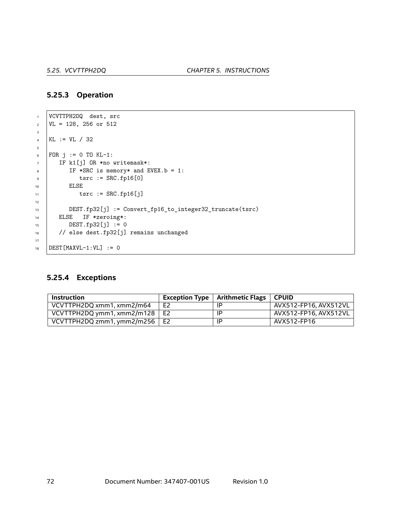#### **5.25.3 Operation**

```
1 VCVTTPH2DQ dest, src
\nu VL = 128, 256 or 512
3
4 KL := VL / 32
5
6 FOR j := 0 TO KL-1:
7 IF k1[j] OR *no writemask*:
\overline{\text{B}} IF *SRC is memory* and EVEX.b = 1:
9 tsrc := SRC.fp16[0]
10 ELSE
11 tsrc := SRC.fp16[j]
12
13 DEST.fp32[j] := Convert_fp16_to_integer32_truncate(tsrc)
14 ELSE IF *zeroing*:
15 DEST.fp32[j] := 016 // else dest.fp32[j] remains unchanged
17
18 DEST [MAXVL-1:VL] := 0
```
## **5.25.4 Exceptions**

| Instruction                          |                | Exception Type $\parallel$ Arithmetic Flags $\parallel$ | . CPUID .             |
|--------------------------------------|----------------|---------------------------------------------------------|-----------------------|
| VCVTTPH2DQ xmm1, xmm2/m64            | E <sub>2</sub> | ΙP                                                      | AVX512-FP16, AVX512VL |
| VCVTTPH2DQ ymm1, xmm2/m128 $\mid$ E2 |                | ΙP                                                      | AVX512-FP16. AVX512VL |
| VCVTTPH2DQ zmm1, ymm2/m256           | E2             | ΙP                                                      | AVX512-FP16           |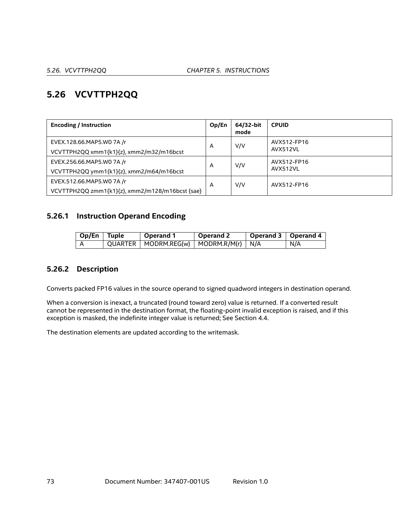# **5.26 VCVTTPH2QQ**

| <b>Encoding / Instruction</b>                   | Op/En | 64/32-bit<br>mode | <b>CPUID</b> |
|-------------------------------------------------|-------|-------------------|--------------|
| EVEX.128.66.MAP5.WO 7A /r                       | A     | V/V               | AVX512-FP16  |
| VCVTTPH2QQ xmm1{k1}{z}, xmm2/m32/m16bcst        |       |                   | AVX512VL     |
| EVEX.256.66.MAP5.WO 7A /r                       | A     | V/V               | AVX512-FP16  |
| VCVTTPH2QQ ymm1{k1}{z}, xmm2/m64/m16bcst        |       |                   | AVX512VL     |
| EVEX.512.66.MAP5.WO 7A /r                       | A     | V/V               | AVX512-FP16  |
| VCVTTPH2QQ zmm1{k1}{z}, xmm2/m128/m16bcst {sae} |       |                   |              |

# **5.26.1 Instruction Operand Encoding**

| $\overline{\phantom{a}}$ Op/En Tuple | Operand 1                                     | Operand 2 | Operand 3   Operand 4 |     |
|--------------------------------------|-----------------------------------------------|-----------|-----------------------|-----|
|                                      | $QUARTER   MODRM.REG(w)   MODRM.R/M(r)   N/A$ |           |                       | N/A |

## **5.26.2 Description**

Converts packed FP16 values in the source operand to signed quadword integers in destination operand.

When a conversion is inexact, a truncated (round toward zero) value is returned. If a converted result cannot be represented in the destination format, the floating-point invalid exception is raised, and if this exception is masked, the indefinite integer value is returned; See Section [4.4](#page-18-0).

The destination elements are updated according to the writemask.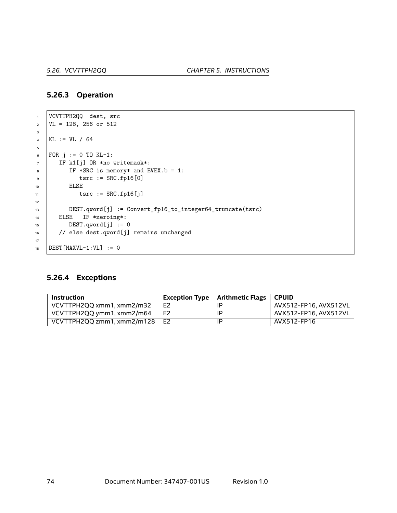#### **5.26.3 Operation**

```
1 VCVTTPH2QQ dest, src
2 \text{ } | \text{VL} = 128, 256 \text{ or } 5123
4 KL := VL / 64
5
6 FOR j := 0 TO KL-1:
7 IF k1[j] OR *no writemask*:
8 IF *SRC is memory* and EVEX.b = 1:
9 | tsrc := SRC.fp16[0]
10 ELSE
11 tsrc := SRC.fp16[j]
12
13 DEST.qword[j] := Convert_fp16_to_integer64_truncate(tsrc)
14 ELSE IF *zeroing*:
15 DEST.qword[j] := 0
16 // else dest.qword[j] remains unchanged
17
18 DEST [MAXVL-1:VL] := 0
```
#### **5.26.4 Exceptions**

| Instruction                |                | <b>Exception Type</b>   Arithmetic Flags | ∣ CPUID.              |
|----------------------------|----------------|------------------------------------------|-----------------------|
| VCVTTPH2QQ xmm1, xmm2/m32  | E <sub>2</sub> | IP                                       | AVX512-FP16. AVX512VL |
| VCVTTPH2QQ ymm1, xmm2/m64  | E <sub>2</sub> | ΙP                                       | AVX512-FP16, AVX512VL |
| VCVTTPH2QQ zmm1, xmm2/m128 | E <sub>2</sub> | ΙP                                       | AVX512-FP16           |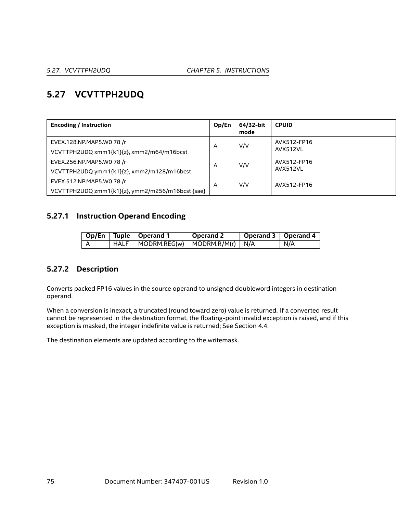# **5.27 VCVTTPH2UDQ**

| <b>Encoding / Instruction</b>                                                 | Op/En | 64/32-bit<br>mode | <b>CPUID</b>            |
|-------------------------------------------------------------------------------|-------|-------------------|-------------------------|
| EVEX.128.NP.MAP5.W0 78 /r<br>VCVTTPH2UDQ xmm1{k1}{z}, xmm2/m64/m16bcst        | A     | V/V               | AVX512-FP16<br>AVX512VL |
| EVEX.256.NP.MAP5.W0 78 /r<br>VCVTTPH2UDQ ymm1{k1}{z}, xmm2/m128/m16bcst       | A     | V/V               | AVX512-FP16<br>AVX512VL |
| EVEX.512.NP.MAP5.W0 78 /r<br>VCVTTPH2UDQ zmm1{k1}{z}, ymm2/m256/m16bcst {sae} | A     | V/V               | AVX512-FP16             |

## **5.27.1 Instruction Operand Encoding**

|  | Op/En   Tuple   Operand 1                  | Operand 2 | Operand 3   Operand 4 |     |
|--|--------------------------------------------|-----------|-----------------------|-----|
|  | $HALF$   MODRM.REG(w)   MODRM.R/M(r)   N/A |           |                       | N/A |

## **5.27.2 Description**

Converts packed FP16 values in the source operand to unsigned doubleword integers in destination operand.

When a conversion is inexact, a truncated (round toward zero) value is returned. If a converted result cannot be represented in the destination format, the floating-point invalid exception is raised, and if this exception is masked, the integer indefinite value is returned; See Section [4.4](#page-18-0).

The destination elements are updated according to the writemask.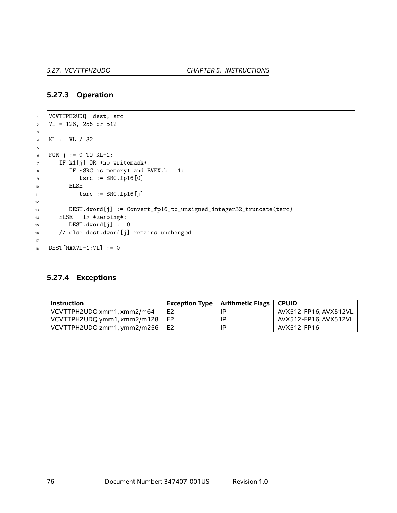#### **5.27.3 Operation**

```
1 VCVTTPH2UDQ dest, src
2 \text{ } | \text{VL} = 128, 256 \text{ or } 5123
4 KL := VL / 32
5
6 FOR j := 0 TO KL-1:
7 IF k1[j] OR *no writemask*:
\overline{\text{B}} IF *SRC is memory* and EVEX.b = 1:
9 | tsrc := SRC.fp16[0]
10 ELSE
11 tsrc := SRC.fp16[j]
12
13 DEST.dword[j] := Convert_fp16_to_unsigned_integer32_truncate(tsrc)
14 ELSE IF *zeroing*:
\text{DEST.dword}[j] := 016 // else dest.dword[j] remains unchanged
17
18 DEST [MAXVL-1:VL] := 0
```
#### **5.27.4 Exceptions**

| Instruction                 |                | Exception Type $\vert$ Arithmetic Flags $\vert$ CPUID |                       |
|-----------------------------|----------------|-------------------------------------------------------|-----------------------|
| VCVTTPH2UDQ xmm1, xmm2/m64  | E <sub>2</sub> | ΙP                                                    | AVX512-FP16. AVX512VL |
| VCVTTPH2UDQ ymm1, xmm2/m128 | E <sub>2</sub> | IP                                                    | AVX512-FP16. AVX512VL |
| VCVTTPH2UDQ zmm1, ymm2/m256 | E <sub>2</sub> | IP                                                    | AVX512-FP16           |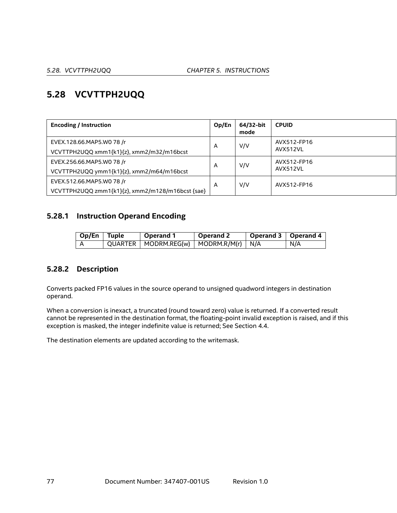# **5.28 VCVTTPH2UQQ**

| <b>Encoding / Instruction</b>                                                 | Op/En | 64/32-bit<br>mode | <b>CPUID</b>            |
|-------------------------------------------------------------------------------|-------|-------------------|-------------------------|
| EVEX.128.66.MAP5.W0 78 /r<br>VCVTTPH2UQQ xmm1{k1}{z}, xmm2/m32/m16bcst        | A     | V/V               | AVX512-FP16<br>AVX512VL |
| EVEX.256.66.MAP5.W0 78 /r<br>VCVTTPH2UQQ ymm1{k1}{z}, xmm2/m64/m16bcst        | A     | V/V               | AVX512-FP16<br>AVX512VL |
| EVEX.512.66.MAP5.W0 78 /r<br>VCVTTPH2UQQ zmm1{k1}{z}, xmm2/m128/m16bcst {sae} | A     | V/V               | AVX512-FP16             |

#### **5.28.1 Instruction Operand Encoding**

| $\overline{op/En}$ Tuple | Operand 1                                     | Operand 2 | Operand 3   Operand 4 |     |
|--------------------------|-----------------------------------------------|-----------|-----------------------|-----|
|                          | $QUARTER   MODRM.REG(w)   MODRM.R/M(r)   N/A$ |           |                       | N/A |

## **5.28.2 Description**

Converts packed FP16 values in the source operand to unsigned quadword integers in destination operand.

When a conversion is inexact, a truncated (round toward zero) value is returned. If a converted result cannot be represented in the destination format, the floating-point invalid exception is raised, and if this exception is masked, the integer indefinite value is returned; See Section [4.4](#page-18-0).

The destination elements are updated according to the writemask.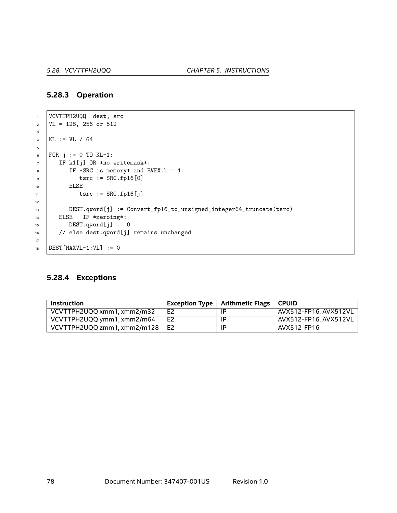#### **5.28.3 Operation**

```
1 VCVTTPH2UQQ dest, src
2 \text{ } | \text{VL} = 128, 256 \text{ or } 5123
4 KL := VL / 64
5
6 FOR j := 0 TO KL-1:
7 IF k1[j] OR *no writemask*:
8 IF *SRC is memory* and EVEX.b = 1:
9 | tsrc := SRC.fp16[0]
10 ELSE
11 tsrc := SRC.fp16[j]
12
13 DEST.qword[j] := Convert_fp16_to_unsigned_integer64_truncate(tsrc)
14 ELSE IF *zeroing*:
15 DEST.qword[j] := 0
16 // else dest.qword[j] remains unchanged
17
18 DEST [MAXVL-1:VL] := 0
```
#### **5.28.4 Exceptions**

| <b>Instruction</b>          |                | Exception Type   Arithmetic Flags   CPUID |                       |
|-----------------------------|----------------|-------------------------------------------|-----------------------|
| VCVTTPH2UQQ xmm1, xmm2/m32  | E <sub>2</sub> | -IP                                       | AVX512-FP16. AVX512VL |
| VCVTTPH2UQQ ymm1, xmm2/m64  | E <sub>2</sub> | -IP                                       | AVX512-FP16. AVX512VL |
| VCVTTPH2UQQ zmm1, xmm2/m128 | F <sub>2</sub> | ΙP                                        | AVX512-FP16           |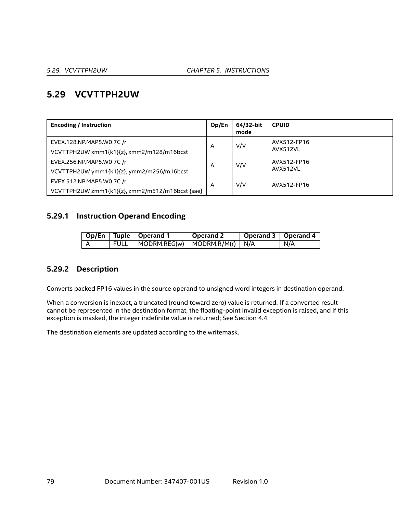# **5.29 VCVTTPH2UW**

| <b>Encoding / Instruction</b>                                                | Op/En | 64/32-bit<br>mode | <b>CPUID</b>            |
|------------------------------------------------------------------------------|-------|-------------------|-------------------------|
| EVEX.128.NP.MAP5.WO 7C /r<br>VCVTTPH2UW xmm1{k1}{z}, xmm2/m128/m16bcst       | A     | V/V               | AVX512-FP16<br>AVX512VL |
| EVEX.256.NP.MAP5.WO 7C /r<br>VCVTTPH2UW ymm1{k1}{z}, ymm2/m256/m16bcst       | A     | V/V               | AVX512-FP16<br>AVX512VL |
| EVEX.512.NP.MAP5.WO 7C /r<br>VCVTTPH2UW zmm1{k1}{z}, zmm2/m512/m16bcst {sae} | A     | V/V               | AVX512-FP16             |

## **5.29.1 Instruction Operand Encoding**

|       | Op/En   Tuple   Operand 1                             | Operand 2 | Operand 3   Operand 4 |     |
|-------|-------------------------------------------------------|-----------|-----------------------|-----|
| ,FULL | $\vert$ MODRM.REG(w) $\vert$ MODRM.R/M(r) $\vert$ N/A |           |                       | N/A |

#### **5.29.2 Description**

Converts packed FP16 values in the source operand to unsigned word integers in destination operand.

When a conversion is inexact, a truncated (round toward zero) value is returned. If a converted result cannot be represented in the destination format, the floating-point invalid exception is raised, and if this exception is masked, the integer indefinite value is returned; See Section [4.4](#page-18-0).

The destination elements are updated according to the writemask.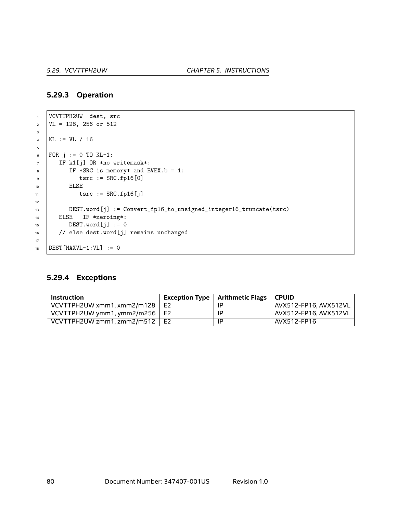#### **5.29.3 Operation**

```
1 VCVTTPH2UW dest, src
2 \text{ } | \text{VL} = 128, 256 \text{ or } 5123
4 KL := VL / 16
5
6 FOR j := 0 TO KL-1:
7 IF k1[j] OR *no writemask*:
\overline{\text{B}} IF *SRC is memory* and EVEX.b = 1:
9 | tsrc := SRC.fp16[0]
10 ELSE
11 tsrc := SRC.fp16[j]
12
13 DEST.word[j] := Convert_fp16_to_unsigned_integer16_truncate(tsrc)
14 ELSE IF *zeroing*:
\text{DEST.word}[j] := 016 // else dest.word[j] remains unchanged
17
18 DEST [MAXVL-1:VL] := 0
```
#### **5.29.4 Exceptions**

| Instruction                          | Exception Type $\vert$ Arithmetic Flags $\vert$ CPUID |                       |
|--------------------------------------|-------------------------------------------------------|-----------------------|
| VCVTTPH2UW xmm1, xmm2/m128 $\mid$ E2 | IP                                                    | AVX512-FP16, AVX512VL |
| VCVTTPH2UW ymm1, ymm2/m256 $\mid$ E2 | ΙP                                                    | AVX512-FP16. AVX512VL |
| VCVTTPH2UW zmm1, zmm2/m512 $\mid$ E2 | IP                                                    | AVX512-FP16           |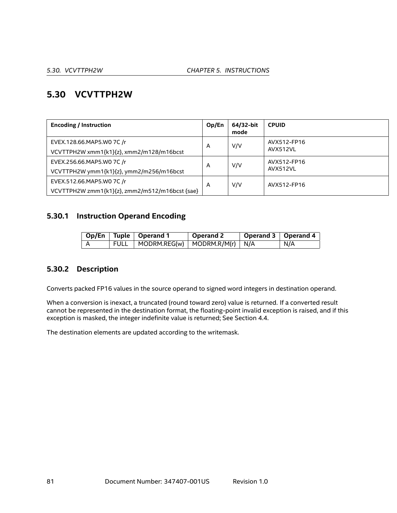# **5.30 VCVTTPH2W**

| <b>Encoding / Instruction</b>                  | Op/En | 64/32-bit<br>mode | <b>CPUID</b> |
|------------------------------------------------|-------|-------------------|--------------|
| EVEX.128.66.MAP5.W0 7C /r                      | A     | V/V               | AVX512-FP16  |
| VCVTTPH2W xmm1{k1}{z}, xmm2/m128/m16bcst       |       |                   | AVX512VL     |
| EVEX.256.66.MAP5.W0 7C /r                      | A     | V/V               | AVX512-FP16  |
| VCVTTPH2W ymm1{k1}{z}, ymm2/m256/m16bcst       |       |                   | AVX512VL     |
| EVEX.512.66.MAP5.W0 7C /r                      | A     | V/V               | AVX512-FP16  |
| VCVTTPH2W zmm1{k1}{z}, zmm2/m512/m16bcst {sae} |       |                   |              |

## **5.30.1 Instruction Operand Encoding**

|  | Op/En   Tuple   Operand 1                | Operand 2 | Operand 3   Operand 4 |     |
|--|------------------------------------------|-----------|-----------------------|-----|
|  | FULL   MODRM.REG(w)   MODRM.R/M(r)   N/A |           |                       | N/A |

## **5.30.2 Description**

Converts packed FP16 values in the source operand to signed word integers in destination operand.

When a conversion is inexact, a truncated (round toward zero) value is returned. If a converted result cannot be represented in the destination format, the floating-point invalid exception is raised, and if this exception is masked, the integer indefinite value is returned; See Section [4.4](#page-18-0).

The destination elements are updated according to the writemask.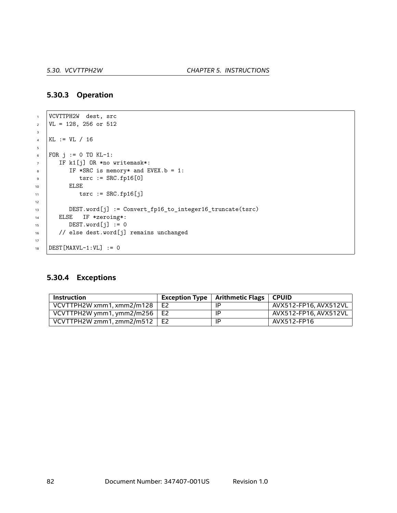#### **5.30.3 Operation**

```
1 VCVTTPH2W dest, src
2 \text{ } | \text{VL} = 128, 256 \text{ or } 5123
4 KL := VL / 16
5
6 FOR j := 0 TO KL-1:
7 IF k1[j] OR *no writemask*:
\overline{\text{B}} IF *SRC is memory* and EVEX.b = 1:
9 tsrc := SRC.fp16[0]
10 ELSE
11 tsrc := SRC.fp16[j]
12
13 DEST.word[j] := Convert_fp16_to_integer16_truncate(tsrc)
14 ELSE IF *zeroing*:
\text{DEST.word}[j] := 016 // else dest.word[j] remains unchanged
17
18 DEST [MAXVL-1:VL] := 0
```
#### **5.30.4 Exceptions**

| <b>Instruction</b>                  |                | Exception Type   Arithmetic Flags   CPUID |                       |
|-------------------------------------|----------------|-------------------------------------------|-----------------------|
| VCVTTPH2W xmm1, xmm2/m128           | E <sub>2</sub> | ΙP                                        | AVX512-FP16, AVX512VL |
| VCVTTPH2W ymm1, ymm2/m256 $\mid$ E2 |                | ΙP                                        | AVX512-FP16, AVX512VL |
| VCVTTPH2W zmm1, zmm2/m512           | E2             | -lP                                       | AVX512-FP16           |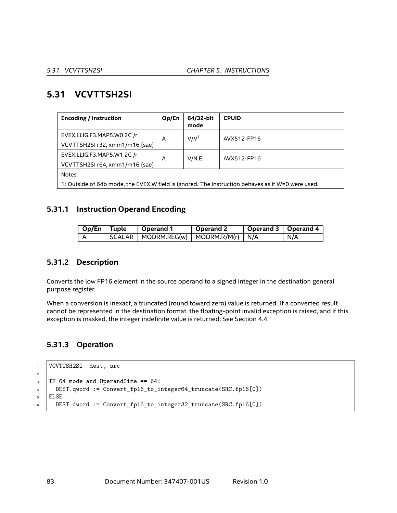# **5.31 VCVTTSH2SI**

| <b>Encoding / Instruction</b>                                                                     | Op/En       | 64/32-bit<br>mode | <b>CPUID</b> |  |  |
|---------------------------------------------------------------------------------------------------|-------------|-------------------|--------------|--|--|
| EVEX.LLIG.F3.MAP5.WO 2C /r                                                                        | A           | V/V <sup>1</sup>  | AVX512-FP16  |  |  |
| VCVTTSH2SI r32, xmm1/m16 {sae}                                                                    |             |                   |              |  |  |
| EVEX.LLIG.F3.MAP5.W1 2C /r                                                                        | V/N.E.<br>A |                   | AVX512-FP16  |  |  |
| VCVTTSH2SI r64, xmm1/m16 {sae}                                                                    |             |                   |              |  |  |
| Notes:                                                                                            |             |                   |              |  |  |
| 1: Outside of 64b mode, the EVEX.W field is ignored. The instruction behaves as if W=0 were used. |             |                   |              |  |  |

#### **5.31.1 Instruction Operand Encoding**

| $\vert$ Op/En $\vert$ Tuple | ∣ Operand 1 | Operand 2 | $\mid$ Operand 3 $\mid$ Operand 4 |     |
|-----------------------------|-------------|-----------|-----------------------------------|-----|
|                             |             |           |                                   | N/A |

#### **5.31.2 Description**

Converts the low FP16 element in the source operand to a signed integer in the destination general purpose register.

When a conversion is inexact, a truncated (round toward zero) value is returned. If a converted result cannot be represented in the destination format, the floating-point invalid exception is raised, and if this exception is masked, the integer indefinite value is returned; See Section [4.4](#page-18-0).

#### **5.31.3 Operation**

```
1 VCVTTSH2SI dest, src
2
3 IF 64-mode and OperandSize == 64:
4 DEST.qword := Convert_fp16_to_integer64_truncate(SRC.fp16[0])
5 ELSE:
6 DEST.dword := Convert_fp16_to_integer32_truncate(SRC.fp16[0])
```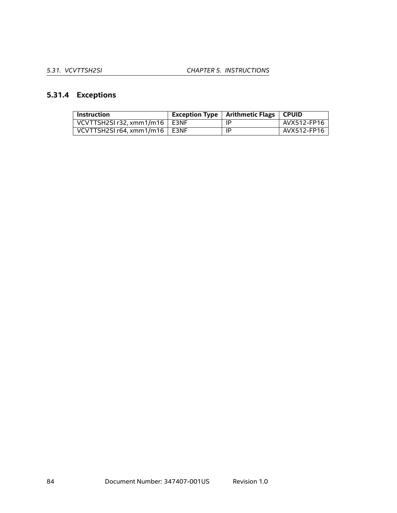# **5.31.4 Exceptions**

| Instruction                       | Exception Type $\parallel$ Arithmetic Flags | <b>CPUID</b> |
|-----------------------------------|---------------------------------------------|--------------|
| VCVTTSH2SI r32, xmm1/m16   E3NF   | -IP                                         | AVX512-FP16  |
| VCVTTSH2SI $r64. xmm1/m16$   E3NF | ΙP                                          | AVX512-FP16  |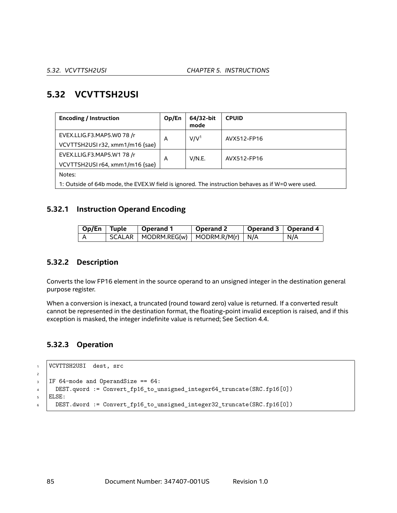# **5.32 VCVTTSH2USI**

| <b>Encoding / Instruction</b>                                                                     | Op/En       | 64/32-bit<br>mode | <b>CPUID</b> |  |  |
|---------------------------------------------------------------------------------------------------|-------------|-------------------|--------------|--|--|
| EVEX.LLIG.F3.MAP5.WO 78 /r                                                                        | A           | V/V <sup>1</sup>  | AVX512-FP16  |  |  |
| VCVTTSH2USI r32, xmm1/m16 {sae}                                                                   |             |                   |              |  |  |
| EVEX.LLIG.F3.MAP5.W1 78 /r                                                                        | V/N.E.<br>A | AVX512-FP16       |              |  |  |
| VCVTTSH2USI r64, xmm1/m16 {sae}                                                                   |             |                   |              |  |  |
| Notes:                                                                                            |             |                   |              |  |  |
| 1: Outside of 64b mode, the EVEX.W field is ignored. The instruction behaves as if W=0 were used. |             |                   |              |  |  |

#### **5.32.1 Instruction Operand Encoding**

| Op/En   Tuple | Operand 1 | <b>Operand 2</b> | Operand 3   Operand 4 |     |
|---------------|-----------|------------------|-----------------------|-----|
|               |           |                  |                       | N/A |

#### **5.32.2 Description**

Converts the low FP16 element in the source operand to an unsigned integer in the destination general purpose register.

When a conversion is inexact, a truncated (round toward zero) value is returned. If a converted result cannot be represented in the destination format, the floating-point invalid exception is raised, and if this exception is masked, the integer indefinite value is returned; See Section [4.4](#page-18-0).

#### **5.32.3 Operation**

```
1 VCVTTSH2USI dest, src
2
3 IF 64-mode and OperandSize == 64:
4 DEST.qword := Convert_fp16_to_unsigned_integer64_truncate(SRC.fp16[0])
5 ELSE:
6 DEST.dword := Convert_fp16_to_unsigned_integer32_truncate(SRC.fp16[0])
```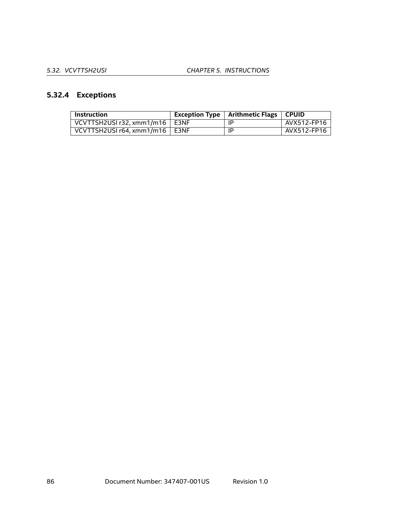# **5.32.4 Exceptions**

| <b>Instruction</b>               | <b>Exception Type</b> | Arithmetic Flags | ∣ CPUID     |
|----------------------------------|-----------------------|------------------|-------------|
| VCVTTSH2USI r32, xmm1/m16   E3NF |                       | IP               | AVX512-FP16 |
| VCVTTSH2USI r64, xmm1/m16   E3NF |                       | IP               | AVX512-FP16 |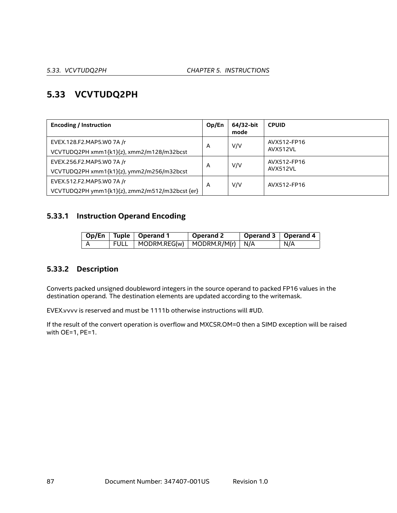# **5.33 VCVTUDQ2PH**

| <b>Encoding / Instruction</b>                  | Op/En | 64/32-bit<br>mode | <b>CPUID</b>            |
|------------------------------------------------|-------|-------------------|-------------------------|
| EVEX.128.F2.MAP5.WO 7A /r                      | A     | V/V               | AVX512-FP16<br>AVX512VL |
| VCVTUDQ2PH xmm1{k1}{z}, xmm2/m128/m32bcst      |       |                   |                         |
| EVEX.256.F2.MAP5.WO 7A /r                      | A     | V/V               | AVX512-FP16             |
| VCVTUDQ2PH xmm1{k1}{z}, ymm2/m256/m32bcst      |       |                   | AVX512VL                |
| EVEX.512.F2.MAP5.WO 7A /r                      | A     | V/V               | AVX512-FP16             |
| VCVTUDQ2PH ymm1{k1}{z}, zmm2/m512/m32bcst {er} |       |                   |                         |

# **5.33.1 Instruction Operand Encoding**

|  | Op/En   Tuple   Operand 1                | Operand 2 | Operand 3   Operand 4 |     |
|--|------------------------------------------|-----------|-----------------------|-----|
|  | FULL   MODRM.REG(w)   MODRM.R/M(r)   N/A |           |                       | N/A |

## **5.33.2 Description**

Converts packed unsigned doubleword integers in the source operand to packed FP16 values in the destination operand. The destination elements are updated according to the writemask.

EVEX.vvvv is reserved and must be 1111b otherwise instructions will #UD.

If the result of the convert operation is overflow and MXCSR.OM=0 then a SIMD exception will be raised with OE=1, PE=1.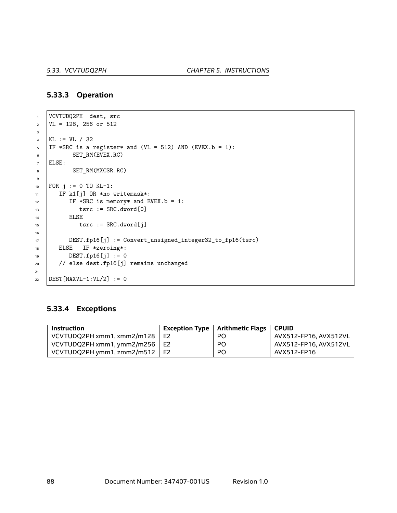#### **5.33.3 Operation**

```
1 VCVTUDQ2PH dest, src
2 \text{ } | \text{VL} = 128, 256 \text{ or } 5123
4 KL := VL / 32
5 IF *SRC is a register* and (VL = 512) AND (EVEX.b = 1):
6 SET_RM(EVEX.RC)
7 ELSE:
8 SET_RM(MXCSR.RC)
9
10 FOR j := 0 TO KL-1:
11 | IF k1[j] OR *no writemask*:
12 IF *SRC is memory* and EVEX.b = 1:
13 tsrc := SRC.dword[0]
14 ELSE
15 tsrc := SRC.dword[j]
16
17 DEST.fp16[j] := Convert_unsigned_integer32_to_fp16(tsrc)
18 | ELSE IF *zeroing*:
19 DEST.fp16[j] := 0
20 // else dest.fp16[j] remains unchanged
21
22 | DEST [MAXVL-1:VL/2] := 0
```
#### **5.33.4 Exceptions**

| Instruction                          |                | Exception Type $\mid$ Arithmetic Flags $\mid$ | ∣ CPUID               |
|--------------------------------------|----------------|-----------------------------------------------|-----------------------|
| VCVTUDQ2PH xmm1, xmm2/m128           | E <sub>2</sub> | PO.                                           | AVX512-FP16, AVX512VL |
| VCVTUDQ2PH xmm1, ymm2/m256 $\mid$ E2 |                | <b>PO</b>                                     | AVX512-FP16. AVX512VL |
| VCVTUDQ2PH ymm1, zmm2/m512           | E2             | PO                                            | AVX512-FP16           |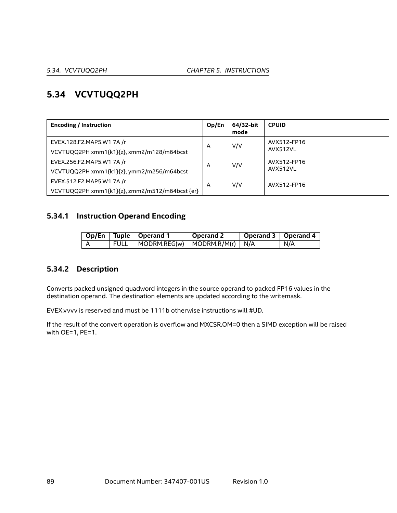# **5.34 VCVTUQQ2PH**

| <b>Encoding / Instruction</b>                  | Op/En | 64/32-bit<br>mode | <b>CPUID</b> |
|------------------------------------------------|-------|-------------------|--------------|
| EVEX.128.F2.MAP5.W1 7A /r                      | A     | V/V               | AVX512-FP16  |
| VCVTUQQ2PH xmm1{k1}{z}, xmm2/m128/m64bcst      |       |                   | AVX512VL     |
| EVEX.256.F2.MAP5.W1 7A /r                      | A     | V/V               | AVX512-FP16  |
| VCVTUQQ2PH xmm1{k1}{z}, ymm2/m256/m64bcst      |       |                   | AVX512VL     |
| EVEX.512.F2.MAP5.W1 7A /r                      | A     | V/V               | AVX512-FP16  |
| VCVTUQQ2PH xmm1{k1}{z}, zmm2/m512/m64bcst {er} |       |                   |              |

## **5.34.1 Instruction Operand Encoding**

|  | Op/En   Tuple   Operand 1                | Operand 2 | Operand 3   Operand 4 |     |
|--|------------------------------------------|-----------|-----------------------|-----|
|  | FULL   MODRM.REG(w)   MODRM.R/M(r)   N/A |           |                       | N/A |

## **5.34.2 Description**

Converts packed unsigned quadword integers in the source operand to packed FP16 values in the destination operand. The destination elements are updated according to the writemask.

EVEX.vvvv is reserved and must be 1111b otherwise instructions will #UD.

If the result of the convert operation is overflow and MXCSR.OM=0 then a SIMD exception will be raised with OE=1, PE=1.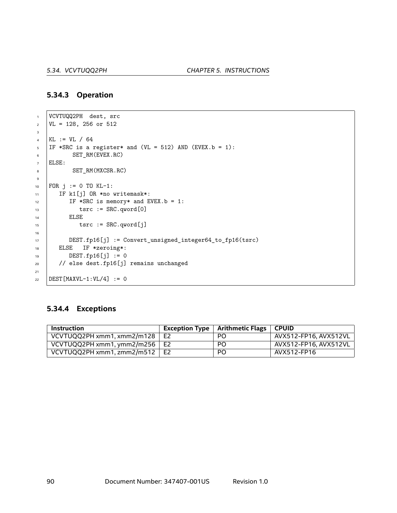#### **5.34.3 Operation**

```
1 VCVTUQQ2PH dest, src
2 \text{ } | \text{VL} = 128, 256 \text{ or } 5123
4 KL := VL / 64
5 | IF *SRC is a register* and (VL = 512) AND (EVEX.b = 1):
6 SET_RM(EVEX.RC)
7 ELSE:
8 SET_RM(MXCSR.RC)
9
10 FOR j := 0 TO KL-1:
11 | IF k1[j] OR *no writemask*:
12 IF *SRC is memory* and EVEX.b = 1:
13 tsrc := SRC.qword[0]
14 | ELSE
15 tsrc := SRC.qword[j]
16
17 DEST.fp16[j] := Convert_unsigned_integer64_to_fp16(tsrc)
18 | ELSE IF *zeroing*:
19 DEST.fp16[j] := 0
20 // else dest.fp16[j] remains unchanged
21
22 | DEST [MAXVL-1:VL/4] := 0
```
#### **5.34.4 Exceptions**

| <b>Instruction</b>                   |                | <b>Exception Type</b>   Arithmetic Flags | <b>CPUID</b>          |
|--------------------------------------|----------------|------------------------------------------|-----------------------|
| VCVTUQQ2PH xmm1, xmm2/m128           | E <sub>2</sub> | PO                                       | AVX512-FP16, AVX512VL |
| VCVTUQQ2PH xmm1, ymm2/m256 $\mid$ E2 |                | PO                                       | AVX512-FP16. AVX512VL |
| VCVTUQQ2PH xmm1, zmm2/m512 $\mid$ E2 |                | PO                                       | AVX512-FP16           |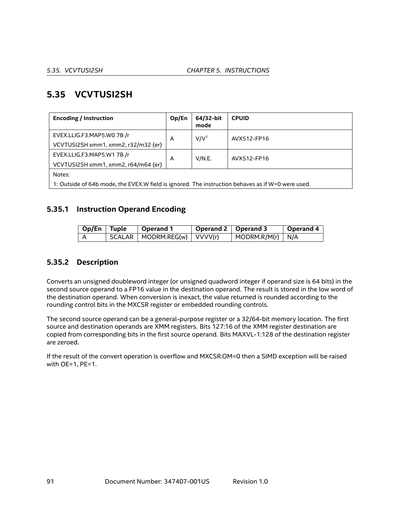# **5.35 VCVTUSI2SH**

| <b>Encoding / Instruction</b>       | Op/En                                                                                             | 64/32-bit<br>mode | <b>CPUID</b> |  |  |
|-------------------------------------|---------------------------------------------------------------------------------------------------|-------------------|--------------|--|--|
| EVEX.LLIG.F3.MAP5.WO 7B /r          | A                                                                                                 | V/V <sup>1</sup>  | AVX512-FP16  |  |  |
| VCVTUSI2SH xmm1, xmm2, r32/m32 {er} |                                                                                                   |                   |              |  |  |
| EVEX.LLIG.F3.MAP5.W1 7B /r          | A                                                                                                 | V/N.E.            | AVX512-FP16  |  |  |
| VCVTUSI2SH xmm1, xmm2, r64/m64 {er} |                                                                                                   |                   |              |  |  |
| Notes:                              |                                                                                                   |                   |              |  |  |
|                                     | 1: Outside of 64b mode, the EVEX.W field is ignored. The instruction behaves as if W=0 were used. |                   |              |  |  |

#### **5.35.1 Instruction Operand Encoding**

| $\sqrt{2p/En}$ Tuple | $^{\shortmid}$ Operand 1      | $\blacksquare$ Operand 2 $\blacksquare$ Operand 3 |                                  | $\sqrt{2}$ Operand 4 |
|----------------------|-------------------------------|---------------------------------------------------|----------------------------------|----------------------|
|                      | SCALAR   MODRM.REG(w) VVVV(r) |                                                   | $\vert$ MODRM.R/M(r) $\vert$ N/A |                      |

#### **5.35.2 Description**

Converts an unsigned doubleword integer (or unsigned quadword integer if operand size is 64 bits) in the second source operand to a FP16 value in the destination operand. The result is stored in the low word of the destination operand. When conversion is inexact, the value returned is rounded according to the rounding control bits in the MXCSR register or embedded rounding controls.

The second source operand can be a general-purpose register or a 32/64-bit memory location. The first source and destination operands are XMM registers. Bits 127:16 of the XMM register destination are copied from corresponding bits in the first source operand. Bits MAXVL-1:128 of the destination register are zeroed.

If the result of the convert operation is overflow and MXCSR.OM=0 then a SIMD exception will be raised with OE=1, PE=1.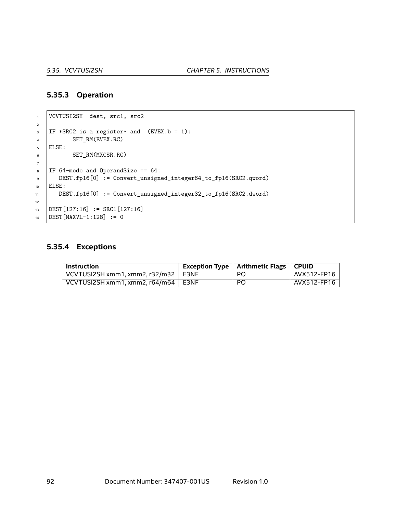#### **5.35.3 Operation**

```
1 VCVTUSI2SH dest, src1, src2
2
\overline{\phantom{a}} IF *SRC2 is a register* and (EVEX.b = 1):
4 SET_RM(EVEX.RC)
5 ELSE:
6 SET_RM(MXCSR.RC)
7
8 \mid \text{IF } 64-mode and OperandSize == 64:
9 DEST.fp16[0] := Convert_unsigned_integer64_to_fp16(SRC2.qword)
10 ELSE:
11 DEST.fp16[0] := Convert_unsigned_integer32_to_fp16(SRC2.dword)
12
13 DEST[127:16] := SRC1[127:16]
14 DEST [MAXVL-1:128] := 0
```
#### **5.35.4 Exceptions**

| <b>Instruction</b>                      | <b>Exception Type   Arithmetic Flags   CPUID</b> |             |
|-----------------------------------------|--------------------------------------------------|-------------|
| VCVTUSI2SH xmm1, xmm2, r32/m32   E3NF   | PO.                                              | AVX512-FP16 |
| VCVTUSI2SH xmm1, xmm2, $r64/m64$   E3NF | <b>PO</b>                                        | AVX512-FP16 |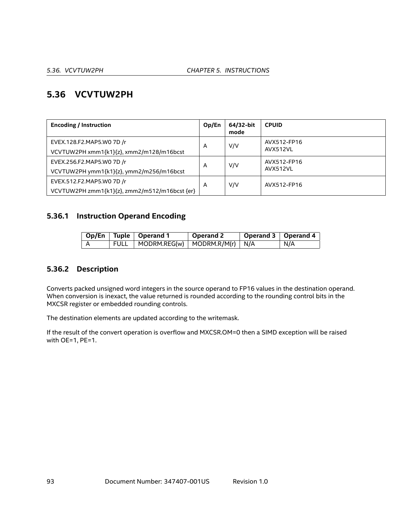# **5.36 VCVTUW2PH**

| <b>Encoding / Instruction</b>                                              | Op/En | 64/32-bit<br>mode | <b>CPUID</b>            |
|----------------------------------------------------------------------------|-------|-------------------|-------------------------|
| EVEX.128.F2.MAP5.WO 7D /r<br>VCVTUW2PH xmm1{k1}{z}, xmm2/m128/m16bcst      | A     | V/V               | AVX512-FP16<br>AVX512VL |
| EVEX.256.F2.MAP5.WO 7D /r<br>VCVTUW2PH ymm1{k1}{z}, ymm2/m256/m16bcst      | A     | V/V               | AVX512-FP16<br>AVX512VL |
| EVEX.512.F2.MAP5.W0 7D /r<br>VCVTUW2PH zmm1{k1}{z}, zmm2/m512/m16bcst {er} | A     | V/V               | AVX512-FP16             |

#### **5.36.1 Instruction Operand Encoding**

|  | Op/En   Tuple   Operand 1                | Operand 2 | Operand 3   Operand 4 |     |
|--|------------------------------------------|-----------|-----------------------|-----|
|  | FULL   MODRM.REG(w)   MODRM.R/M(r)   N/A |           |                       | N/A |

#### **5.36.2 Description**

Converts packed unsigned word integers in the source operand to FP16 values in the destination operand. When conversion is inexact, the value returned is rounded according to the rounding control bits in the MXCSR register or embedded rounding controls.

The destination elements are updated according to the writemask.

If the result of the convert operation is overflow and MXCSR.OM=0 then a SIMD exception will be raised with OE=1, PE=1.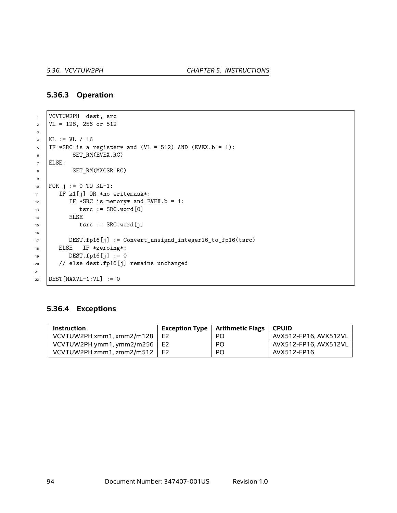#### **5.36.3 Operation**

```
1 VCVTUW2PH dest, src
2 \text{ } | \text{VL} = 128, 256 \text{ or } 5123
4 KL := VL / 16
5 IF *SRC is a register* and (VL = 512) AND (EVEX.b = 1):
6 SET_RM(EVEX.RC)
7 ELSE:
8 SET_RM(MXCSR.RC)
9
10 | FOR j := 0 TO KL-1:
11 | IF k1[j] OR *no writemask*:
12 IF *SRC is memory* and EVEX.b = 1:
13 tsrc := SRC.word[0]
14 ELSE
15 tsrc := SRC.word[j]
16
17 DEST.fp16[j] := Convert_unsignd_integer16_to_fp16(tsrc)
18 | ELSE IF *zeroing*:
DEST.fp16[j] := 020 // else dest.fp16[j] remains unchanged
21
22 DEST [MAXVL-1:VL] := 0
```
#### **5.36.4 Exceptions**

| Instruction                          |                | Exception Type $\mid$ Arithmetic Flags | <b>CPUID</b>          |
|--------------------------------------|----------------|----------------------------------------|-----------------------|
| VCVTUW2PH xmm1, xmm2/m128            | E <sub>2</sub> | PO                                     | AVX512-FP16. AVX512VL |
| VCVTUW2PH ymm1, ymm2/m256 $\vert$ E2 |                | PO                                     | AVX512-FP16, AVX512VL |
| VCVTUW2PH zmm1, zmm2/m512            | E2             | PO                                     | AVX512-FP16           |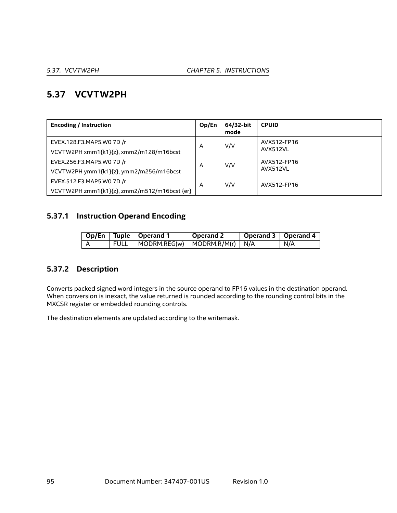# **5.37 VCVTW2PH**

| <b>Encoding / Instruction</b>                | Op/En | 64/32-bit<br>mode | <b>CPUID</b> |
|----------------------------------------------|-------|-------------------|--------------|
| EVEX.128.F3.MAP5.WO 7D /r                    | A     | V/V               | AVX512-FP16  |
| VCVTW2PH xmm1{k1}{z}, xmm2/m128/m16bcst      |       |                   | AVX512VL     |
| EVEX.256.F3.MAP5.WO 7D /r                    | A     | V/V               | AVX512-FP16  |
| VCVTW2PH ymm1{k1}{z}, ymm2/m256/m16bcst      |       |                   | AVX512VL     |
| EVEX.512.F3.MAP5.W0 7D /r                    | A     | V/V               | AVX512-FP16  |
| VCVTW2PH zmm1{k1}{z}, zmm2/m512/m16bcst {er} |       |                   |              |

# **5.37.1 Instruction Operand Encoding**

|  | Op/En   Tuple   Operand 1                | Operand 2 | Operand 3   Operand 4 |     |
|--|------------------------------------------|-----------|-----------------------|-----|
|  | FULL   MODRM.REG(w)   MODRM.R/M(r)   N/A |           |                       | N/A |

# **5.37.2 Description**

Converts packed signed word integers in the source operand to FP16 values in the destination operand. When conversion is inexact, the value returned is rounded according to the rounding control bits in the MXCSR register or embedded rounding controls.

The destination elements are updated according to the writemask.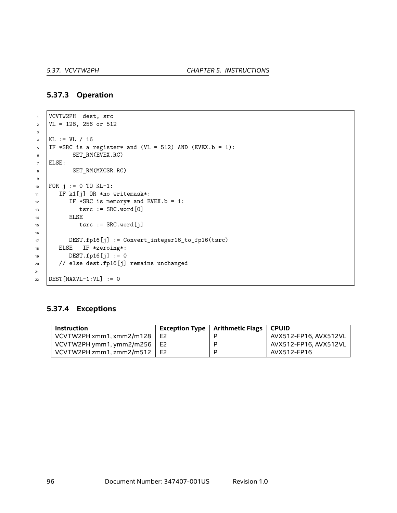#### **5.37.3 Operation**

```
1 VCVTW2PH dest, src
2 \mid \text{VL} = 128, 256 \text{ or } 5123
4 KL := VL / 16
5 | IF *SRC is a register* and (VL = 512) AND (EVEX.b = 1):
6 SET_RM(EVEX.RC)
7 ELSE:
8 SET_RM(MXCSR.RC)
9
10 FOR j := 0 TO KL-1:
11 | IF k1[j] OR *no writemask*:
12 IF *SRC is memory* and EVEX.b = 1:
13 tsrc := SRC.word[0]
14 ELSE
15 tsrc := SRC.word[j]
16
17 DEST.fp16[j] := Convert_integer16_to_fp16(tsrc)
18 | ELSE IF *zeroing*:
19 DEST.fp16[j] := 0
20 // else dest.fp16[j] remains unchanged
21
22 DEST [MAXVL-1:VL] := 0
```
#### **5.37.4 Exceptions**

| <b>Instruction</b>       | <b>Exception Type</b> | Arithmetic Flags | <b>CPUID</b>          |
|--------------------------|-----------------------|------------------|-----------------------|
| VCVTW2PH xmm1, xmm2/m128 | E <sub>2</sub>        |                  | AVX512-FP16. AVX512VL |
| VCVTW2PH ymm1, ymm2/m256 | E2                    |                  | AVX512-FP16. AVX512VL |
| VCVTW2PH zmm1, zmm2/m512 | E <sub>2</sub>        |                  | AVX512-FP16           |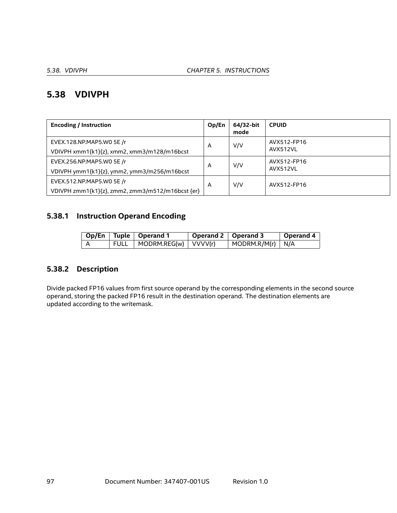# **5.38 VDIVPH**

| <b>Encoding / Instruction</b>                    | Op/En | 64/32-bit<br>mode | <b>CPUID</b> |
|--------------------------------------------------|-------|-------------------|--------------|
| EVEX.128.NP.MAP5.WO 5E /r                        | A     | V/V               | AVX512-FP16  |
| VDIVPH xmm1{k1}{z}, xmm2, xmm3/m128/m16bcst      |       |                   | AVX512VL     |
| EVEX.256.NP.MAP5.WO 5E /r                        | A     | V/V               | AVX512-FP16  |
| VDIVPH ymm1{k1}{z}, ymm2, ymm3/m256/m16bcst      |       |                   | AVX512VL     |
| EVEX.512.NP.MAP5.WO 5E /r                        | A     | V/V               | AVX512-FP16  |
| VDIVPH zmm1{k1}{z}, zmm2, zmm3/m512/m16bcst {er} |       |                   |              |

## **5.38.1 Instruction Operand Encoding**

|   |      | Op/En   Tuple   Operand 1             | Operand $2 \mid$ Operand 3 |                                  | Operand 4 |
|---|------|---------------------------------------|----------------------------|----------------------------------|-----------|
| A | FULL | $\sqrt{MODRM.REG(w)}$ $\sqrt{VVV(r)}$ |                            | $\vert$ MODRM.R/M(r) $\vert$ N/A |           |

## **5.38.2 Description**

Divide packed FP16 values from first source operand by the corresponding elements in the second source operand, storing the packed FP16 result in the destination operand. The destination elements are updated according to the writemask.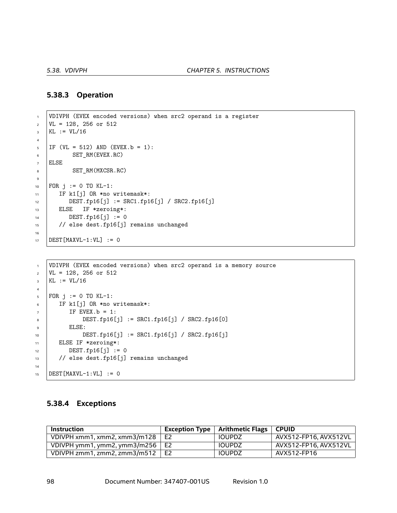#### **5.38.3 Operation**

```
1 VDIVPH (EVEX encoded versions) when src2 operand is a register
\text{VL} = 128, 256 or 512
3 KL := VIL/164
5 IF (VL = 512) AND (EVEX.b = 1):
6 SET_RM(EVEX.RC)
7 ELSE
8 SET_RM(MXCSR.RC)
9
10 FOR j := 0 TO KL-1:
11 | IF k1[j] OR *no writemask*:
12 DEST.fp16[j] := SRC1.fp16[j] / SRC2.fp16[j]
13 ELSE IF *zeroing*:
14 DEST.fp16[j] := 0
15 // else dest.fp16[j] remains unchanged
16
17 DEST [MAXVL-1:VL] := 0
```

```
1 VDIVPH (EVEX encoded versions) when src2 operand is a memory source
\text{VL} = 128, 256 \text{ or } 512_3 | KL := VL/16
4
5 | FOR j := 0 TO KL-1:
6 IF k1[j] OR *no writemask*:
7 IF EVEX. b = 1:
8 DEST.fp16[j] := SRC1.fp16[j] / SRC2.fp16[0]
\bullet ELSE:
10 DEST.fp16[j] := SRC1.fp16[j] / SRC2.fp16[j]
11 ELSE IF *zeroing*:
DEST.fp16[i] := 013 // else dest.fp16[j] remains unchanged
14
15 DEST [MAXVL-1:VL] := 0
```
#### **5.38.4 Exceptions**

| <b>Instruction</b>           | <b>Exception Type</b> | Arithmetic Flags   CPUID |                       |
|------------------------------|-----------------------|--------------------------|-----------------------|
| VDIVPH xmm1, xmm2, xmm3/m128 | E <sub>2</sub>        | <b>IOUPDZ</b>            | AVX512-FP16. AVX512VL |
| VDIVPH ymm1, ymm2, ymm3/m256 | E <sub>2</sub>        | <b>IOUPDZ</b>            | AVX512-FP16. AVX512VL |
| VDIVPH zmm1, zmm2, zmm3/m512 | E <sub>2</sub>        | <b>IOUPDZ</b>            | AVX512-FP16           |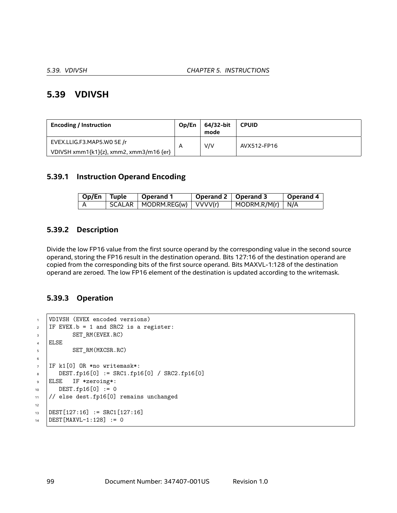# **5.39 VDIVSH**

| <b>Encoding / Instruction</b>           | Op/En | 64/32-bit<br>mode | <b>CPUID</b> |
|-----------------------------------------|-------|-------------------|--------------|
| EVEX.LLIG.F3.MAP5.WO 5E /r              | A     | V/V               | AVX512-FP16  |
| VDIVSH xmm1{k1}{z}, xmm2, xmm3/m16 {er} |       |                   |              |

#### **5.39.1 Instruction Operand Encoding**

| $\log$ Op/En Tuple | $\vert$ Operand 1               | Operand 2   Operand 3 |                                  | Operand 4 |
|--------------------|---------------------------------|-----------------------|----------------------------------|-----------|
|                    | SCALAR   MODRM.REG(w)   VVVV(r) |                       | $\vert$ MODRM.R/M(r) $\vert$ N/A |           |

#### **5.39.2 Description**

Divide the low FP16 value from the first source operand by the corresponding value in the second source operand, storing the FP16 result in the destination operand. Bits 127:16 of the destination operand are copied from the corresponding bits of the first source operand. Bits MAXVL-1:128 of the destination operand are zeroed. The low FP16 element of the destination is updated according to the writemask.

#### **5.39.3 Operation**

```
1 VDIVSH (EVEX encoded versions)
2 IF EVEX.b = 1 and SRC2 is a register:
3 SET_RM(EVEX.RC)
4 ELSE
5 SET RM(MXCSR.RC)
6
7 IF k1[0] OR *no writemask*:
8 DEST.fp16[0] := SRC1.fp16[0] / SRC2.fp16[0]
9 ELSE IF *zeroing*:
10 DEST.fp16[0] := 0
11 // else dest.fp16[0] remains unchanged
12
13 DEST[127:16] := SRC1[127:16]
14 DEST [MAXVL-1:128] := 0
```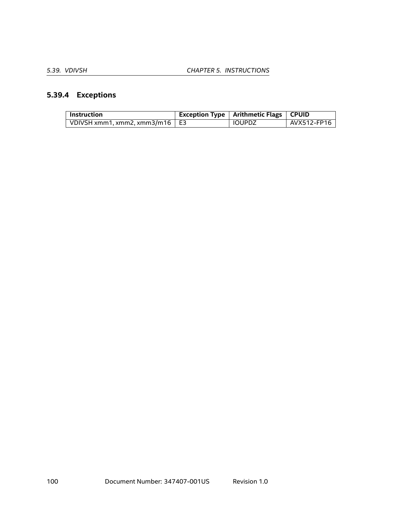# **5.39.4 Exceptions**

| <b>Instruction</b>                     | Exception Type   Arithmetic Flags   CPUID |             |
|----------------------------------------|-------------------------------------------|-------------|
| VDIVSH xmm1, xmm2, xmm3/m16 $\vert$ E3 | IOUPDZ                                    | AVX512-FP16 |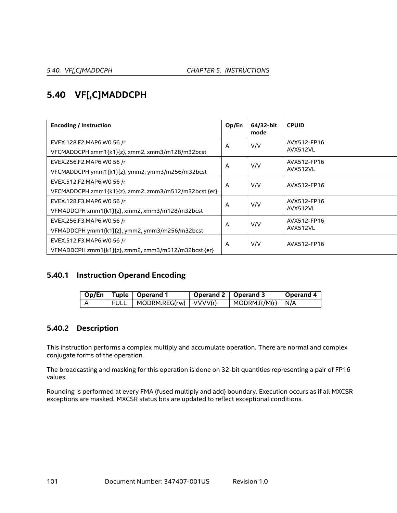# **5.40 VF[,C]MADDCPH**

| <b>Encoding / Instruction</b>                        | Op/En | 64/32-bit<br>mode | <b>CPUID</b> |
|------------------------------------------------------|-------|-------------------|--------------|
| EVEX.128.F2.MAP6.W0 56 /r                            | A     | V/V               | AVX512-FP16  |
| VFCMADDCPH xmm1{k1}{z}, xmm2, xmm3/m128/m32bcst      |       |                   | AVX512VL     |
| EVEX.256.F2.MAP6.WO 56 /r                            | A     | V/V               | AVX512-FP16  |
| VFCMADDCPH ymm1{k1}{z}, ymm2, ymm3/m256/m32bcst      |       |                   | AVX512VL     |
| EVEX.512.F2.MAP6.W0 56 /r                            | A     | V/V               | AVX512-FP16  |
| VFCMADDCPH zmm1{k1}{z}, zmm2, zmm3/m512/m32bcst {er} |       |                   |              |
| EVEX.128.F3.MAP6.W0 56 /r                            | A     | V/V               | AVX512-FP16  |
| VFMADDCPH xmm1{k1}{z}, xmm2, xmm3/m128/m32bcst       |       |                   | AVX512VL     |
| EVEX.256.F3.MAP6.W0 56 /r                            | A     | V/V               | AVX512-FP16  |
| VFMADDCPH ymm1{k1}{z}, ymm2, ymm3/m256/m32bcst       |       |                   | AVX512VL     |
| EVEX.512.F3.MAP6.WO 56 /r                            | A     | V/V               | AVX512-FP16  |
| VFMADDCPH zmm1{k1}{z}, zmm2, zmm3/m512/m32bcst {er}  |       |                   |              |

## **5.40.1 Instruction Operand Encoding**

|  | Op/En   Tuple   Operand 1    | Operand 2   Operand 3 |                                  | Operand 4 |
|--|------------------------------|-----------------------|----------------------------------|-----------|
|  | FULL   MODRM.REG(rw) VVVV(r) |                       | $\vert$ MODRM.R/M(r) $\vert$ N/A |           |

## **5.40.2 Description**

This instruction performs a complex multiply and accumulate operation. There are normal and complex conjugate forms of the operation.

The broadcasting and masking for this operation is done on 32-bit quantities representing a pair of FP16 values.

Rounding is performed at every FMA (fused multiply and add) boundary. Execution occurs as if all MXCSR exceptions are masked. MXCSR status bits are updated to reflect exceptional conditions.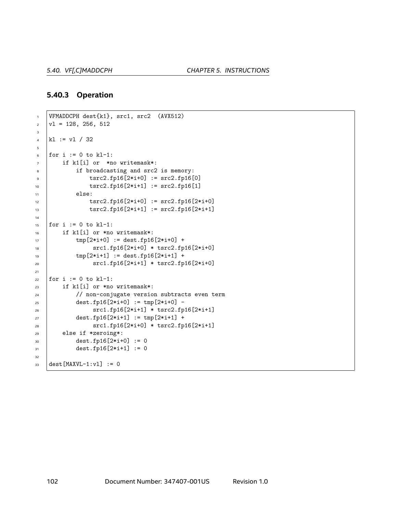#### **5.40.3 Operation**

```
1 VFMADDCPH dest{k1}, src1, src2 (AVX512)
\vert v1 = 128, 256, 5123
4 k1 := v1 / 325
6 for i := 0 to kl-1:
7 if k1[i] or *no writemask*:
8 if broadcasting and src2 is memory:
9 tsrc2.fp16[2*i+0] := src2.fp16[0]
10 | tsrc2.fp16[2*i+1] := src2.fp16[1]
11 else:
12 tsrc2.fp16[2*i+0] := src2.fp16[2*i+0]
13 tsrc2.fp16[2*i+1] := src2.fp16[2*i+1]
14
15 | for i := 0 to kl-1:
16 if k1[i] or *no writemask*:
_{17} \qquad \qquad \text{tmp}[2*1+0] := \text{dest.fp16}[2*1+0] + \text{true}18 src1.fp16[2*i+0] * tsrc2.fp16[2*i+0]
_{19} | _{\text{tmp}[2*1+1]} := \text{dest.fp16}[2*1+1] +20 src1.fp16[2*i+1] * tsrc2.fp16[2*i+0]
21
22 for i := 0 to k1-1:
23 if k1[i] or *no writemask*:
24 // non-conjugate version subtracts even term
25 dest.fp16[2*1+0] := tmp[2*1+0] -
26 src1.fp16[2*i+1] * tsrc2.fp16[2*i+1]
27 dest.fp16[2*1+1] := tmp[2*1+1] +28 src1.fp16[2*i+0] * tsrc2.fp16[2*i+1]
29 else if *zeroing*:
30 dest.fp16[2*i+0] := 0
31 dest.fp16[2*i+1] := 0
32
33 dest [MAXVL-1:v1] := 0
```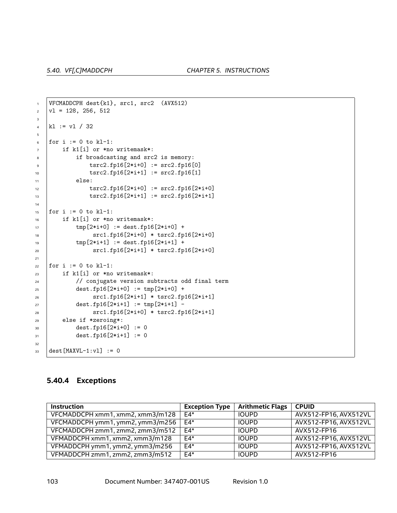```
1 | VFCMADDCPH dest{k1}, src1, src2 (AVX512)
\vert v1 = 128, 256, 5123
\frac{1}{4} kl := vl / 32
5
6 for i := 0 to kl-1:
7 if k1[i] or *no writemask*:
8 if broadcasting and src2 is memory:
9 tsrc2.fp16[2*i+0] := src2.fp16[0]
10 \vert tsrc2.fp16[2*i+1] := src2.fp16[1]
11 else:
12 tsrc2.fp16[2*i+0] := src2.fp16[2*i+0]
13 | tsrc2.fp16[2*i+1] := src2.fp16[2*i+1]
14
15 for i := 0 to k1-1:
16 if k1[i] or *no writemask*:
_{17} | tmp[2*i+0] := dest.fp16[2*i+0] +
18 | src1.fp16[2*i+0] * tsrc2.fp16[2*i+0]
_{19} | _{\text{tmp}[2*1+1]} := \text{dest.fp16}[2*1+1] +20 src1.fp16[2*i+1] * tsrc2.fp16[2*i+0]
21
22 for i := 0 to kl-1:
23 if k1[i] or *no writemask*:
24 / / conjugate version subtracts odd final term
25 dest.fp16[2*1+0] := tmp[2*1+0] +26 src1.fp16[2*i+1] * tsrc2.fp16[2*i+1]
27 dest.fp16[2*i+1] := tmp[2*i+1] -
28 src1.fp16[2*i+0] * tsrc2.fp16[2*i+1]
29 else if *zeroing*:
30 dest.fp16[2*i+0] := 0
31 dest.fp16[2*i+1] := 0
32
33 dest [MAXVL-1:v1] := 0
```
#### **5.40.4 Exceptions**

| <b>Instruction</b>               | <b>Exception Type</b> | <b>Arithmetic Flags</b> | <b>CPUID</b>          |
|----------------------------------|-----------------------|-------------------------|-----------------------|
| VFCMADDCPH xmm1, xmm2, xmm3/m128 | $F4*$                 | <b>IOUPD</b>            | AVX512-FP16, AVX512VL |
| VFCMADDCPH ymm1, ymm2, ymm3/m256 | $F4*$                 | <b>IOUPD</b>            | AVX512-FP16, AVX512VL |
| VFCMADDCPH zmm1, zmm2, zmm3/m512 | F4*                   | <b>IOUPD</b>            | AVX512-FP16           |
| VFMADDCPH xmm1, xmm2, xmm3/m128  | $F4*$                 | <b>IOUPD</b>            | AVX512-FP16, AVX512VL |
| VFMADDCPH ymm1, ymm2, ymm3/m256  | $F4*$                 | <b>IOUPD</b>            | AVX512-FP16, AVX512VL |
| VFMADDCPH zmm1, zmm2, zmm3/m512  | $F4*$                 | <b>IOUPD</b>            | AVX512-FP16           |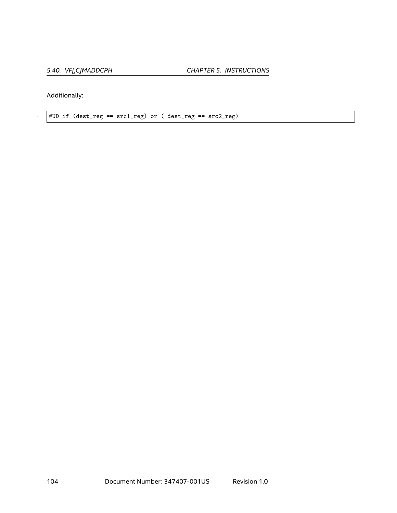Additionally:

 $1$  #UD if (dest\_reg ==  $src1\_reg$ ) or ( dest\_reg ==  $src2\_reg$ )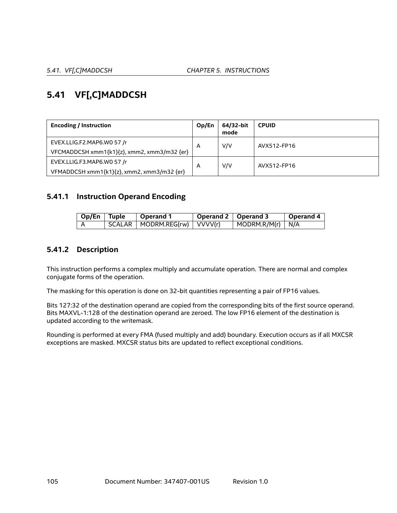# **5.41 VF[,C]MADDCSH**

| <b>Encoding / Instruction</b>               | Op/En | 64/32-bit<br>mode | <b>CPUID</b> |
|---------------------------------------------|-------|-------------------|--------------|
| EVEX.LLIG.F2.MAP6.WO 57 /r                  | A     | V/V               | AVX512-FP16  |
| VFCMADDCSH xmm1{k1}{z}, xmm2, xmm3/m32 {er} |       |                   |              |
| EVEX.LLIG.F3.MAP6.WO 57 /r                  | A     | V/V               | AVX512-FP16  |
| VFMADDCSH xmm1{k1}{z}, xmm2, xmm3/m32 {er}  |       |                   |              |

#### **5.41.1 Instruction Operand Encoding**

| $\overline{\phantom{a}}$ Op/En $\overline{\phantom{a}}$ Tuple | Operand 1                          | Operand 2 Dperand 3 |                                  | <b>Operand 4</b> |
|---------------------------------------------------------------|------------------------------------|---------------------|----------------------------------|------------------|
|                                                               | $SCALAR$   MODRM.REG(rw)   VVVV(r) |                     | $\vert$ MODRM.R/M(r) $\vert$ N/A |                  |

## **5.41.2 Description**

This instruction performs a complex multiply and accumulate operation. There are normal and complex conjugate forms of the operation.

The masking for this operation is done on 32-bit quantities representing a pair of FP16 values.

Bits 127:32 of the destination operand are copied from the corresponding bits of the first source operand. Bits MAXVL-1:128 of the destination operand are zeroed. The low FP16 element of the destination is updated according to the writemask.

Rounding is performed at every FMA (fused multiply and add) boundary. Execution occurs as if all MXCSR exceptions are masked. MXCSR status bits are updated to reflect exceptional conditions.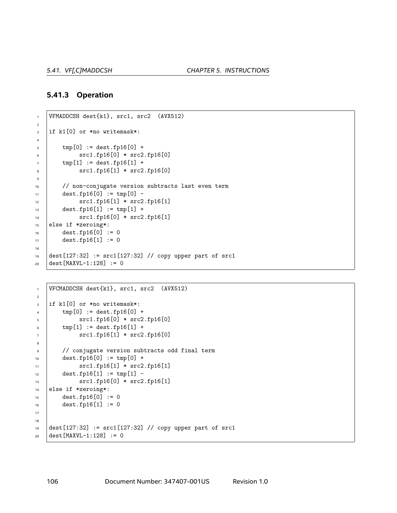#### **5.41.3 Operation**

```
1 VFMADDCSH dest{k1}, src1, src2 (AVX512)
2
3 if k1[0] or *no writemask*:
4
5 tmp[0] := dest.fp16[0] +6 src1.fp16[0] * src2.fp16[0]
7 \mid tmp[1] := dest.fp16[1] +
8 \t\t\t\t src1.fp16[1] * src2.fp16[0]\ddot{q}10 // non-conjugate version subtracts last even term
11 dest.fp16[0] := tmp[0] -
12 | src1.fp16[1] * src2.fp16[1]
13 dest.fp16[1] := tmp[1] +
14 src1.fp16[0] * src2.fp16[1]
15 else if *zeroing*:
16 dest.fp16[0] := 0
17 dest.fp16[1] := 0
18
19 dest[127:32] := src1[127:32] // copy upper part of src1
_{20} dest [MAXVL-1:128] := 0
```

```
1 VFCMADDCSH dest\{k1\}, src1, src2 (AVX512)
2
3 if k1[0] or *no writemask*:
4 \quad \text{tmp}[0] := \text{dest.fp16}[0] + \text{true}5 src1.fp16[0] * src2.fp16[0]
6 \quad \text{tmp}[1] := \text{dest.fp16}[1] +7 | src1.fp16[1] * src2.fp16[0]
8
9 // conjugate version subtracts odd final term
10 dest.fp16[0] := tmp[0] +
11 src1.fp16[1] * src2.fp16[1]
12 dest.fp16[1] := tmp[1] -
13 | src1.fp16[0] * src2.fp16[1]
14 else if *zeroing*:
15 dest.fp16[0] := 0
16 dest.fp16[1] := 0
17
18
19 dest[127:32] := src1[127:32] // copy upper part of src1
20 dest [MAXVL-1:128] := 0
```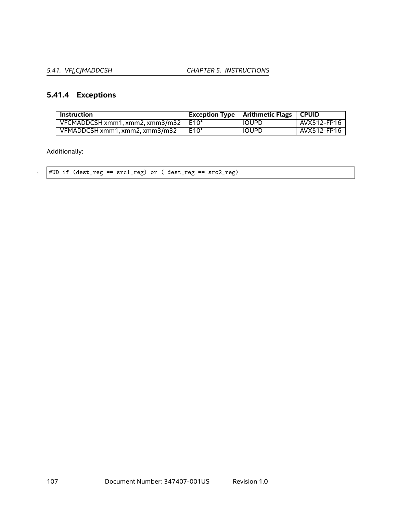*5.41. VF[,C]MADDCSH CHAPTER 5. INSTRUCTIONS*

# **5.41.4 Exceptions**

| <b>Instruction</b>                          |      | Exception Type $\mid$ Arithmetic Flags $\mid$ CPUID |             |
|---------------------------------------------|------|-----------------------------------------------------|-------------|
| VFCMADDCSH xmm1, xmm2, xmm3/m32 $\mid$ E10* |      | <b>IOUPD</b>                                        | AVX512-FP16 |
| VFMADDCSH xmm1, xmm2, xmm3/m32              | E10* | <b>IOUPD</b>                                        | AVX512-FP16 |

Additionally:

 $1$  #UD if (dest\_reg ==  $src1\_reg$ ) or ( dest\_reg ==  $src2\_reg$ )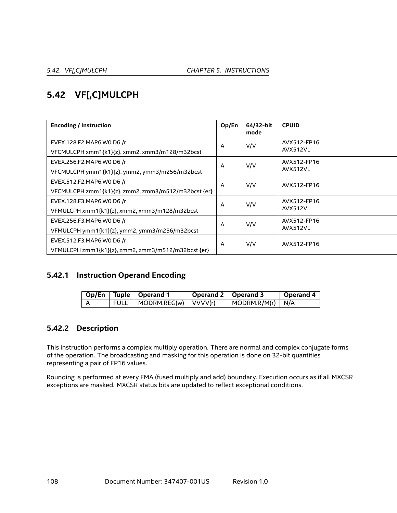# **5.42 VF[,C]MULCPH**

| <b>Encoding / Instruction</b>                       | Op/En | 64/32-bit<br>mode | <b>CPUID</b>            |
|-----------------------------------------------------|-------|-------------------|-------------------------|
| EVEX.128.F2.MAP6.WO D6 /r                           | A     | V/V               | AVX512-FP16<br>AVX512VL |
| VFCMULCPH xmm1{k1}{z}, xmm2, xmm3/m128/m32bcst      |       |                   |                         |
| EVEX.256.F2.MAP6.WO D6 /r                           | A     | V/V               | AVX512-FP16<br>AVX512VL |
| VFCMULCPH ymm1{k1}{z}, ymm2, ymm3/m256/m32bcst      |       |                   |                         |
| EVEX.512.F2.MAP6.WO D6 /r                           | A     | V/V               | AVX512-FP16             |
| VFCMULCPH zmm1{k1}{z}, zmm2, zmm3/m512/m32bcst {er} |       |                   |                         |
| EVEX.128.F3.MAP6.WO D6 /r                           | A     | V/V               | AVX512-FP16<br>AVX512VL |
| VFMULCPH xmm1{k1}{z}, xmm2, xmm3/m128/m32bcst       |       |                   |                         |
| EVEX.256.F3.MAP6.WO D6 /r                           | A     | V/V               | AVX512-FP16<br>AVX512VL |
| VFMULCPH ymm1{k1}{z}, ymm2, ymm3/m256/m32bcst       |       |                   |                         |
| EVEX.512.F3.MAP6.WO D6 /r                           | A     | V/V               | AVX512-FP16             |
| VFMULCPH zmm1{k1}{z}, zmm2, zmm3/m512/m32bcst {er}  |       |                   |                         |

## **5.42.1 Instruction Operand Encoding**

|  | Op/En   Tuple   Operand 1     | Operand 2   Operand 3 |                                  | $\vert$ Operand 4 $\vert$ |
|--|-------------------------------|-----------------------|----------------------------------|---------------------------|
|  | FULL   MODRM.REG(w)   VVVV(r) |                       | $\vert$ MODRM.R/M(r) $\vert$ N/A |                           |

## **5.42.2 Description**

This instruction performs a complex multiply operation. There are normal and complex conjugate forms of the operation. The broadcasting and masking for this operation is done on 32-bit quantities representing a pair of FP16 values.

Rounding is performed at every FMA (fused multiply and add) boundary. Execution occurs as if all MXCSR exceptions are masked. MXCSR status bits are updated to reflect exceptional conditions.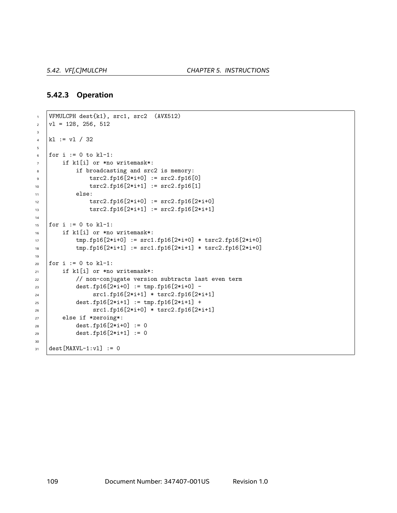#### **5.42.3 Operation**

```
1 VFMULCPH dest{k1}, src1, src2 (AVX512)
\vert v1 = 128, 256, 5123
4 k1 := v1 / 325
6 for i := 0 to kl-1:
7 if k1[i] or *no writemask*:
8 if broadcasting and src2 is memory:
9 tsrc2.fp16[2*i+0] := src2.fp16[0]
10 \vert tsrc2.fp16[2*i+1] := src2.fp16[1]
11 else:
12 tsrc2.fp16[2*i+0] := src2.fp16[2*i+0]
13 tsrc2.fp16[2*i+1] := src2.fp16[2*i+1]
14
15 for i := 0 to kl-1:
16 if k1[i] or *no writemask*:
17 tmp.fp16[2*i+0] := src1.fp16[2*i+0] * tsrc2.fp16[2*i+0]
18 \text{tmp.fpl6}[2*i+1] := \text{src1.fpl6}[2*i+1] * \text{tsrc2.fpl6}[2*i+0]19
_{20} for i := 0 to kl-1:
21 if k1[i] or *no writemask*:
22 // non-conjugate version subtracts last even term
23 \vert dest.fp16[2*i+0] := tmp.fp16[2*i+0] -
24 src1.fp16[2*i+1] * tsrc2.fp16[2*i+1]
25 dest.fp16[2*i+1] := tmp.fp16[2*i+1] +
26 src1.fp16[2*i+0] * tsrc2.fp16[2*i+1]
27 else if *zeroing*:
28 dest.fp16[2*i+0] := 0
29 dest.fp16[2*i+1] := 0
30
31 dest [MAXVL-1:v1] := 0
```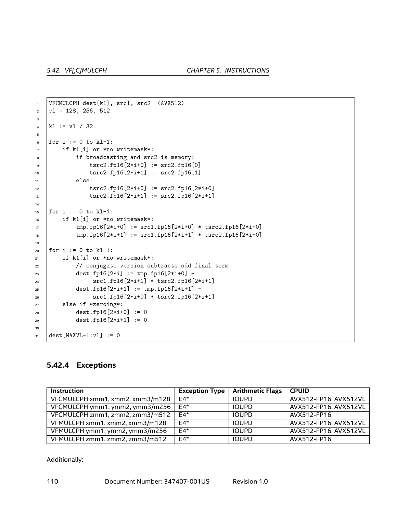```
1 VFCMULCPH dest{k1}, src1, src2 (AVX512)
\vert v1 = 128, 256, 512 \vert3
\vert k1 \vert := v1 / 325
6 for i := 0 to kl-1:
7 if k1[i] or *no writemask*:
8 if broadcasting and src2 is memory:
9 tsrc2.fp16[2*i+0] := src2.fp16[0]
10 tsrc2.fp16[2*i+1] := src2.fp16[1]
11 else:
12 tsrc2.fp16[2*i+0] := src2.fp16[2*i+0]
13 | tsrc2.fp16[2*i+1] := src2.fp16[2*i+1]
14
15 for i := 0 to k1-1:
16 if k1[i] or *no writemask*:
17 tmp.fp16[2*i+0] := src1.fp16[2*i+0] * tsrc2.fp16[2*i+0]
18 tmp.fp16[2*i+1] := src1.fp16[2*i+1] * tsrc2.fp16[2*i+0]
19
_{20} for i := 0 to kl-1:
_{21} if k1[i] or *no writemask*:
22 | // conjugate version subtracts odd final term
23 dest.fp16[2*i] := tmp.fp16[2*i+0] +
24 src1.fp16[2*i+1] * tsrc2.fp16[2*i+1]
25 dest.fp16[2*1+1] := tmp.fp16[2*1+1] -
26 src1.fp16[2*i+0] * tsrc2.fp16[2*i+1]
27 else if *zeroing*:
28 dest.fp16[2*i+0] := 0
29 dest.fp16[2*i+1] := 0
30
31 dest [MAXVL-1:v1] := 0
```
### **5.42.4 Exceptions**

| <b>Instruction</b>              | <b>Exception Type</b> | <b>Arithmetic Flags</b> | <b>CPUID</b>          |
|---------------------------------|-----------------------|-------------------------|-----------------------|
| VFCMULCPH xmm1, xmm2, xmm3/m128 | $E4*$                 | <b>IOUPD</b>            | AVX512-FP16, AVX512VL |
| VFCMULCPH ymm1, ymm2, ymm3/m256 | $E4*$                 | <b>IOUPD</b>            | AVX512-FP16, AVX512VL |
| VFCMULCPH zmm1, zmm2, zmm3/m512 | $FA*$                 | <b>IOUPD</b>            | AVX512-FP16           |
| VFMULCPH xmm1, xmm2, xmm3/m128  | $E4*$                 | <b>IOUPD</b>            | AVX512-FP16, AVX512VL |
| VFMULCPH ymm1, ymm2, ymm3/m256  | $E4*$                 | <b>IOUPD</b>            | AVX512-FP16, AVX512VL |
| VFMULCPH zmm1, zmm2, zmm3/m512  | $E4*$                 | <b>IOUPD</b>            | AVX512-FP16           |

Additionally: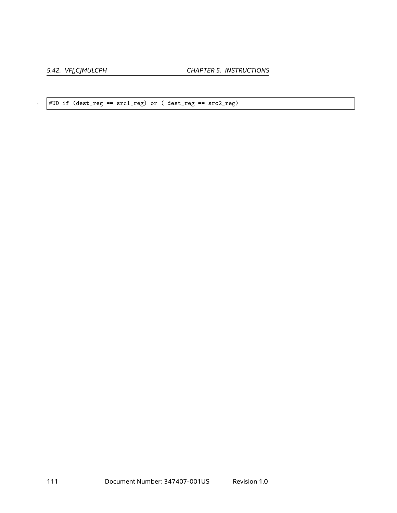*5.42. VF[,C]MULCPH CHAPTER 5. INSTRUCTIONS*

 $\frac{1}{1}$  #UD if (dest\_reg ==  $\text{src1\_reg}$ ) or ( dest\_reg ==  $\text{src2\_reg}$ )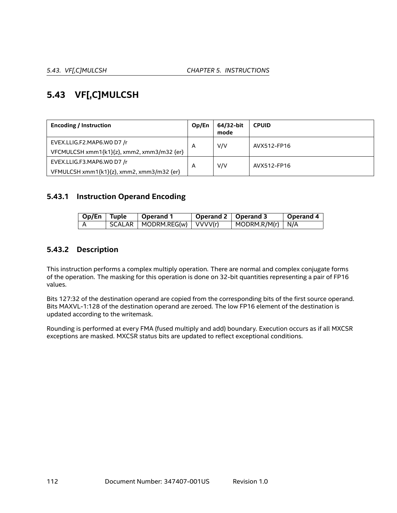# **5.43 VF[,C]MULCSH**

| <b>Encoding / Instruction</b>              | Op/En          | 64/32-bit<br>mode | <b>CPUID</b> |
|--------------------------------------------|----------------|-------------------|--------------|
| EVEX.LLIG.F2.MAP6.WO D7 /r                 | A              | V/V               | AVX512-FP16  |
| VFCMULCSH xmm1{k1}{z}, xmm2, xmm3/m32 {er} |                |                   |              |
| EVEX.LLIG.F3.MAP6.WO D7 /r                 | $\overline{A}$ | V/V               | AVX512-FP16  |
| VFMULCSH xmm1{k1}{z}, xmm2, xmm3/m32 {er}  |                |                   |              |

# **5.43.1 Instruction Operand Encoding**

| Op/En Tuple | Operand 1                       | Operand 2 $\vert$ Operand 3 |                                  | Operand 4 |
|-------------|---------------------------------|-----------------------------|----------------------------------|-----------|
|             | SCALAR   MODRM.REG(w)   VVVV(r) |                             | $\vert$ MODRM.R/M(r) $\vert$ N/A |           |

# **5.43.2 Description**

This instruction performs a complex multiply operation. There are normal and complex conjugate forms of the operation. The masking for this operation is done on 32-bit quantities representing a pair of FP16 values.

Bits 127:32 of the destination operand are copied from the corresponding bits of the first source operand. Bits MAXVL-1:128 of the destination operand are zeroed. The low FP16 element of the destination is updated according to the writemask.

Rounding is performed at every FMA (fused multiply and add) boundary. Execution occurs as if all MXCSR exceptions are masked. MXCSR status bits are updated to reflect exceptional conditions.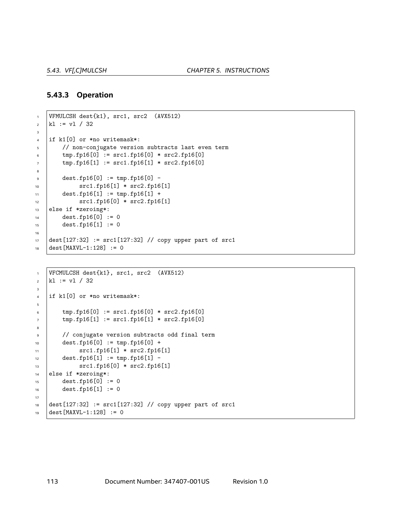### **5.43.3 Operation**

```
1 VFMULCSH dest{k1}, src1, src2 (AVX512)
\vert k1 \vert := v1 / 323
4 if k1[0] or *no writemask*:
5 // non-conjugate version subtracts last even term
6 \Box tmp.fp16[0] := src1.fp16[0] * src2.fp16[0]
7 \mid tmp.fp16[1] := src1.fp16[1] * src2.fp16[0]
8
9 dest.fp16[0] := tmp.fp16[0] -
_{10} src1.fp16[1] * src2.fp16[1]
11 dest.fp16[1] := tmp.fp16[1] +
12 | src1.fp16[0] * src2.fp16[1]
13 else if *zeroing*:
14 dest.fp16[0] := 0
15 dest.fp16[1] := 0
16
17 dest[127:32] := src1[127:32] // copy upper part of src1
18 dest [MAXVL-1:128] := 0
```

```
1 VFCMULCSH dest{k1}, src1, src2 (AVX512)
\vert k1 \vert := v1 / 323
4 | if k1[0] or *no writemask*:
5
6 \Box tmp.fp16[0] := src1.fp16[0] * src2.fp16[0]
7 \uparrow tmp.fp16[1] := src1.fp16[1] * src2.fp16[0]
8
9 // conjugate version subtracts odd final term
_{10} dest.fp16[0] := tmp.fp16[0] +
11 src1.fp16[1] * src2.fp16[1]
12 dest.fp16[1] := tmp.fp16[1] -
13 src1.fp16[0] * src2.fp16[1]
14 else if *zeroing*:
15 dest.fp16[0] := 0
16 dest.fp16[1] := 0
17
18 dest[127:32] := src1[127:32] // copy upper part of src1
19 dest [MAXVL-1:128] := 0
```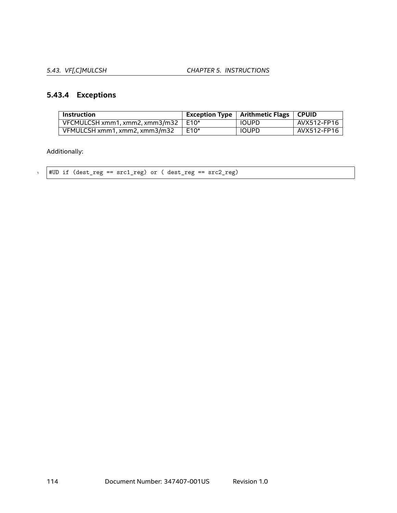*5.43. VF[,C]MULCSH CHAPTER 5. INSTRUCTIONS*

# **5.43.4 Exceptions**

| <b>Instruction</b>                    |      | Exception Type   Arithmetic Flags   CPUID |             |
|---------------------------------------|------|-------------------------------------------|-------------|
| VFCMULCSH xmm1, xmm2, xmm3/m32   E10* |      | <b>IOUPD</b>                              | AVX512-FP16 |
| VFMULCSH xmm1, xmm2, xmm3/m32         | E10* | <b>IOUPD</b>                              | AVX512-FP16 |

Additionally:

 $1$  #UD if (dest\_reg ==  $src1\_reg$ ) or ( dest\_reg ==  $src2\_reg$ )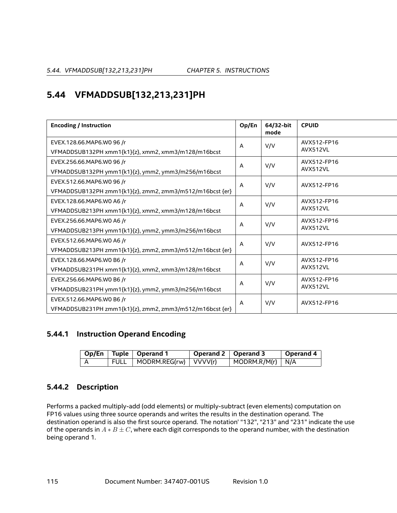# **5.44 VFMADDSUB[132,213,231]PH**

| <b>Encoding / Instruction</b>                                                         | Op/En          | 64/32-bit<br>mode | <b>CPUID</b>            |
|---------------------------------------------------------------------------------------|----------------|-------------------|-------------------------|
| EVEX.128.66.MAP6.W0 96 /r<br>VFMADDSUB132PH xmm1{k1}{z}, xmm2, xmm3/m128/m16bcst      | A              | V/V               | AVX512-FP16<br>AVX512VL |
| EVEX.256.66.MAP6.W0 96 /r<br>VFMADDSUB132PH ymm1{k1}{z}, ymm2, ymm3/m256/m16bcst      | A              | V/V               | AVX512-FP16<br>AVX512VL |
| EVEX.512.66.MAP6.W0 96 /r<br>VFMADDSUB132PH zmm1{k1}{z}, zmm2, zmm3/m512/m16bcst {er} | $\overline{A}$ | V/V               | AVX512-FP16             |
| EVEX.128.66.MAP6.WO A6 /r<br>VFMADDSUB213PH xmm1{k1}{z}, xmm2, xmm3/m128/m16bcst      | A              | V/V               | AVX512-FP16<br>AVX512VL |
| EVEX.256.66.MAP6.WO A6 /r<br>VFMADDSUB213PH ymm1{k1}{z}, ymm2, ymm3/m256/m16bcst      | A              | V/V               | AVX512-FP16<br>AVX512VL |
| EVEX.512.66.MAP6.WO A6 /r<br>VFMADDSUB213PH zmm1{k1}{z}, zmm2, zmm3/m512/m16bcst {er} | A              | V/V               | AVX512-FP16             |
| EVEX.128.66.MAP6.W0 B6 /r<br>VFMADDSUB231PH xmm1{k1}{z}, xmm2, xmm3/m128/m16bcst      | A              | V/V               | AVX512-FP16<br>AVX512VL |
| EVEX.256.66.MAP6.W0 B6 /r<br>VFMADDSUB231PH ymm1{k1}{z}, ymm2, ymm3/m256/m16bcst      | A              | V/V               | AVX512-FP16<br>AVX512VL |
| EVEX.512.66.MAP6.W0 B6 /r<br>VFMADDSUB231PH zmm1{k1}{z}, zmm2, zmm3/m512/m16bcst {er} | A              | V/V               | AVX512-FP16             |

# **5.44.1 Instruction Operand Encoding**

|  | Op/En   Tuple   Operand 1      | Operand 2   Operand 3 |                    | Operand 4 |
|--|--------------------------------|-----------------------|--------------------|-----------|
|  | FULL   MODRM.REG(rw)   VVVV(r) |                       | $MODRM.R/M(r)$ N/A |           |

# **5.44.2 Description**

Performs a packed multiply-add (odd elements) or multiply-subtract (even elements) computation on FP16 values using three source operands and writes the results in the destination operand. The destination operand is also the first source operand. The notation' "132", "213" and "231" indicate the use of the operands in *A ∗ B ± C*, where each digit corresponds to the operand number, with the destination being operand 1.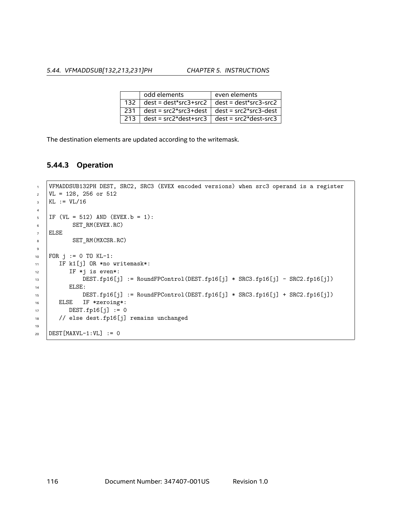*5.44. VFMADDSUB[132,213,231]PH CHAPTER 5. INSTRUCTIONS*

|       | odd elements | even elements                                       |
|-------|--------------|-----------------------------------------------------|
| 132   |              | $dest = dest*src3+src2   dest = dest*src3-src2  $   |
| -231  |              | $dest = src2*src3+dest$ dest = $src2*src3-dest$     |
| ∣ 213 |              | $dest = src2*dest + src3$ $dest = src2*dest - src3$ |

The destination elements are updated according to the writemask.

## **5.44.3 Operation**

```
1 VFMADDSUB132PH DEST, SRC2, SRC3 (EVEX encoded versions) when src3 operand is a register
2 \mid \text{VL} = 128, 256 \text{ or } 5123 KL := VIL/164
5 IF (VL = 512) AND (EVEX. b = 1):
6 SET_RM(EVEX.RC)
7 ELSE
8 SET_RM(MXCSR.RC)
9
10 \text{ FOR } j := 0 \text{ TO } KL-1:
11 | IF k1[j] OR *no writemask*:
12 IF *j is even*:
13 DEST.fp16[j] := RoundFPControl(DEST.fp16[j] * SRC3.fp16[j] - SRC2.fp16[j])
14 | ELSE:
15 DEST.fp16[j] := RoundFPControl(DEST.fp16[j] * SRC3.fp16[j] + SRC2.fp16[j])
16 ELSE IF *zeroing*:
17 DEST.fp16[j] := 018 // else dest.fp16[j] remains unchanged
19
20 DEST [MAXVL-1:VL] := 0
```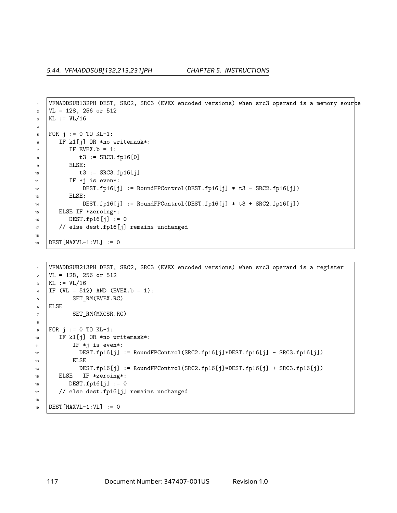```
1 VFMADDSUB132PH DEST, SRC2, SRC3 (EVEX encoded versions) when src3 operand is a memory source
2 \mid \text{VL} = 128, 256 \text{ or } 5123 KL := VI/164
5 FOR j := 0 TO KL-1:
6 IF k1[j] OR *no writemask*:
7 IF EVEX. b = 1:
8 \t\t t3 := SRC3.fp16[0]9 ELSE:
10 t3 := SRC3.fp16[j]11 | IF *j is even*:
12 DEST.fp16[j] := RoundFPControl(DEST.fp16[j] * t3 - SRC2.fp16[j])
13 | ELSE:
14 DEST.fp16[j] := RoundFPControl(DEST.fp16[j] * t3 + SRC2.fp16[j])
15 ELSE IF *zeroing*:
16 DEST.fp16[j] := 0
17 | // else dest.fp16[j] remains unchanged
18
19 DEST [MAXVL-1:VL] := 0
```

```
1 VFMADDSUB213PH DEST, SRC2, SRC3 (EVEX encoded versions) when src3 operand is a register
2 \text{ VL} = 128, 256 or 512
_3 | KL := VL/16
4 | IF (VL = 512) AND (EVEX.b = 1):
5 SET_RM(EVEX.RC)
6 ELSE
7 SET_RM(MXCSR.RC)
8
\bullet FOR j := 0 TO KL-1:
10 IF k1[j] OR *no writemask*:
11 IF *j is even*:
12 | DEST.fp16[j] := RoundFPControl(SRC2.fp16[j]*DEST.fp16[j] - SRC3.fp16[j])
13 | ELSE
14 DEST.fp16[j] := RoundFPControl(SRC2.fp16[j]*DEST.fp16[j] + SRC3.fp16[j])
15 ELSE IF *zeroing*:
16 DEST.fp16[j] := 0
17 // else dest.fp16[j] remains unchanged
18
19 DEST[MAXVL-1:VL] := 0
```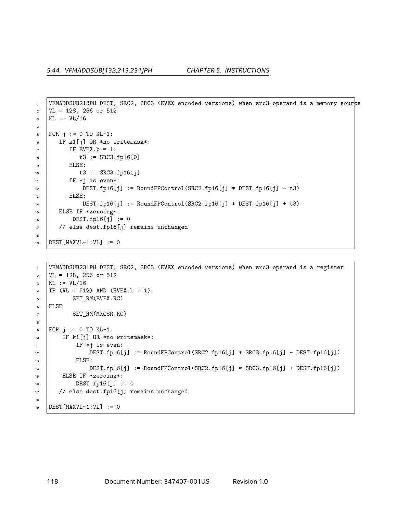```
1 VFMADDSUB213PH DEST, SRC2, SRC3 (EVEX encoded versions) when src3 operand is a memory source
2 \mid \text{VL} = 128, 256 \text{ or } 5123 KL := VL/16
4
5 FOR j := 0 TO KL-1:
6 IF k1[j] OR *no writemask*:
7 IF EVEX. b = 1:
8 \t\t t3 := SRC3.fp16[0]9 ELSE:
10 t3 := SRC3.fp16[j]11 | IF *j is even*:
12 DEST.fp16[j] := RoundFPControl(SRC2.fp16[j] * DEST.fp16[j] - t3)
13 | ELSE:
14 DEST.fp16[j] := RoundFPControl(SRC2.fp16[j] * DEST.fp16[j] + t3)
15 ELSE IF *zeroing*:
16 DEST.fp16[j] := 0
17 | // else dest.fp16[j] remains unchanged
18
19 DEST [MAXVL-1:VL] := 0
```

```
1 VFMADDSUB231PH DEST, SRC2, SRC3 (EVEX encoded versions) when src3 operand is a register
2 \mid \text{VL} = 128, 256 \text{ or } 512_3 | KL := VL/16
4 | IF (VL = 512) AND (EVEX.b = 1):
5 SET_RM(EVEX.RC)
6 ELSE
7 SET_RM(MXCSR.RC)
8
9 FOR j := 0 TO KL-1:
10 | IF k1[j] OR *no writemask*:
11 IF *j is even:
12 DEST.fp16[j] := RoundFPControl(SRC2.fp16[j] * SRC3.fp16[j] - DEST.fp16[j])
13 | ELSE:
14 DEST.fp16[j] := RoundFPControl(SRC2.fp16[j] * SRC3.fp16[j] + DEST.fp16[j])
15 ELSE IF *zeroing*:
16 DEST.fp16[j] := 0
17 // else dest.fp16[j] remains unchanged
18
19 DEST[MAXVL-1:VL] := 0
```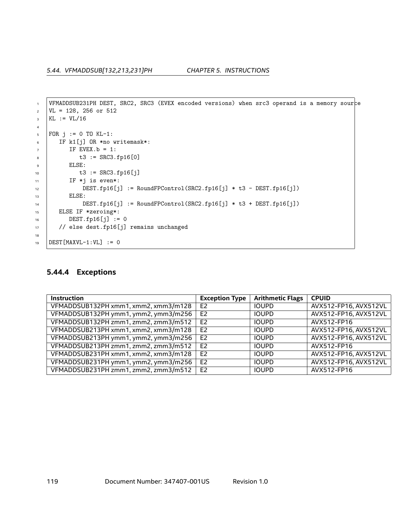```
1 VFMADDSUB231PH DEST, SRC2, SRC3 (EVEX encoded versions) when src3 operand is a memory source
\text{VL} = 128, 256 or 512
_3 KL := VL/16
4
5 FOR j := 0 TO KL-1:
6 IF k1[j] OR *no writemask*:
7 IF EVEX.b = 1:
8 \mid t3 := \text{SRC3.fp16[0]}9 ELSE:
10 \bigcup_{10} t3 := SRC3.fp16[j]
11 | IF *j is even*:
12 | DEST.fp16[j] := RoundFPControl(SRC2.fp16[j] * t3 - DEST.fp16[j])
13 | ELSE:
14 DEST.fp16[j] := RoundFPControl(SRC2.fp16[j] * t3 + DEST.fp16[j])
15 ELSE IF *zeroing*:
DEST.fp16[j] := 017 // else dest.fp16[j] remains unchanged
18
19 DEST [MAXVL-1:VL] := 0
```
### **5.44.4 Exceptions**

| <b>Instruction</b>                   | <b>Exception Type</b> | <b>Arithmetic Flags</b> | <b>CPUID</b>          |
|--------------------------------------|-----------------------|-------------------------|-----------------------|
| VFMADDSUB132PH xmm1, xmm2, xmm3/m128 | E <sub>2</sub>        | <b>IOUPD</b>            | AVX512-FP16, AVX512VL |
| VFMADDSUB132PH ymm1, ymm2, ymm3/m256 | E <sub>2</sub>        | <b>IOUPD</b>            | AVX512-FP16, AVX512VL |
| VFMADDSUB132PH zmm1, zmm2, zmm3/m512 | E <sub>2</sub>        | <b>IOUPD</b>            | AVX512-FP16           |
| VFMADDSUB213PH xmm1, xmm2, xmm3/m128 | E <sub>2</sub>        | <b>IOUPD</b>            | AVX512-FP16, AVX512VL |
| VFMADDSUB213PH ymm1, ymm2, ymm3/m256 | E <sub>2</sub>        | <b>IOUPD</b>            | AVX512-FP16, AVX512VL |
| VFMADDSUB213PH zmm1, zmm2, zmm3/m512 | E <sub>2</sub>        | <b>IOUPD</b>            | AVX512-FP16           |
| VFMADDSUB231PH xmm1, xmm2, xmm3/m128 | E <sub>2</sub>        | <b>IOUPD</b>            | AVX512-FP16, AVX512VL |
| VFMADDSUB231PH ymm1, ymm2, ymm3/m256 | E <sub>2</sub>        | <b>IOUPD</b>            | AVX512-FP16, AVX512VL |
| VFMADDSUB231PH zmm1, zmm2, zmm3/m512 | E <sub>2</sub>        | <b>IOUPD</b>            | AVX512-FP16           |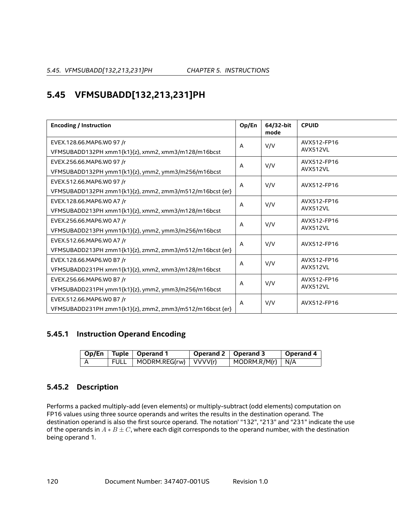# **5.45 VFMSUBADD[132,213,231]PH**

| <b>Encoding / Instruction</b>                            | Op/En          | 64/32-bit<br>mode | <b>CPUID</b>            |
|----------------------------------------------------------|----------------|-------------------|-------------------------|
| EVEX.128.66.MAP6.W0 97 /r                                | A              | V/V               | AVX512-FP16<br>AVX512VL |
| VFMSUBADD132PH xmm1{k1}{z}, xmm2, xmm3/m128/m16bcst      |                |                   |                         |
| EVEX.256.66.MAP6.W0 97 /r                                | A              | V/V               | AVX512-FP16             |
| VFMSUBADD132PH ymm1{k1}{z}, ymm2, ymm3/m256/m16bcst      |                |                   | AVX512VL                |
| EVEX.512.66.MAP6.W0 97 /r                                | $\overline{A}$ | V/V               | AVX512-FP16             |
| VFMSUBADD132PH zmm1{k1}{z}, zmm2, zmm3/m512/m16bcst {er} |                |                   |                         |
| EVEX.128.66.MAP6.WO A7 /r                                | A              | V/V               | AVX512-FP16             |
| VFMSUBADD213PH xmm1{k1}{z}, xmm2, xmm3/m128/m16bcst      |                |                   | AVX512VL                |
| EVEX.256.66.MAP6.WO A7 /r                                | A              | V/V               | AVX512-FP16             |
| VFMSUBADD213PH ymm1{k1}{z}, ymm2, ymm3/m256/m16bcst      |                |                   | AVX512VL                |
| EVEX.512.66.MAP6.WO A7 /r                                | A              | V/V               | AVX512-FP16             |
| VFMSUBADD213PH zmm1{k1}{z}, zmm2, zmm3/m512/m16bcst {er} |                |                   |                         |
| EVEX.128.66.MAP6.WO B7 /r                                | A              | V/V               | AVX512-FP16             |
| VFMSUBADD231PH xmm1{k1}{z}, xmm2, xmm3/m128/m16bcst      |                |                   | AVX512VL                |
| EVEX.256.66.MAP6.WO B7 /r                                | A              | V/V               | AVX512-FP16             |
| VFMSUBADD231PH ymm1{k1}{z}, ymm2, ymm3/m256/m16bcst      |                |                   | AVX512VL                |
| EVEX.512.66.MAP6.WO B7 /r                                | A              | V/V               | AVX512-FP16             |
| VFMSUBADD231PH zmm1{k1}{z}, zmm2, zmm3/m512/m16bcst {er} |                |                   |                         |

## **5.45.1 Instruction Operand Encoding**

|  | Op/En   Tuple   Operand 1      | Operand 2   Operand 3 |                    | Operand 4 |
|--|--------------------------------|-----------------------|--------------------|-----------|
|  | FULL   MODRM.REG(rw)   VVVV(r) |                       | $MODRM.R/M(r)$ N/A |           |

# **5.45.2 Description**

Performs a packed multiply-add (even elements) or multiply-subtract (odd elements) computation on FP16 values using three source operands and writes the results in the destination operand. The destination operand is also the first source operand. The notation' "132", "213" and "231" indicate the use of the operands in *A ∗ B ± C*, where each digit corresponds to the operand number, with the destination being operand 1.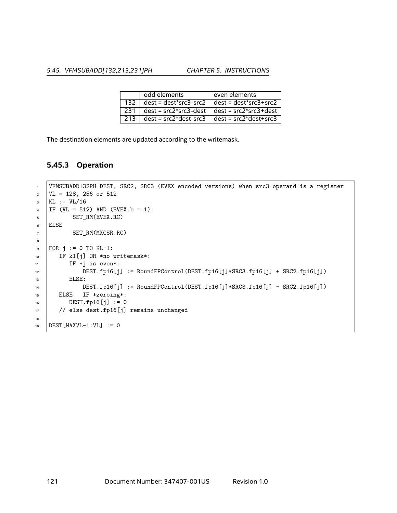*5.45. VFMSUBADD[132,213,231]PH CHAPTER 5. INSTRUCTIONS*

|       | odd elements | even elements                                         |
|-------|--------------|-------------------------------------------------------|
| 132   |              | $dest = dest*src3 - src2$ $  dest = dest*src3 + src2$ |
| ∣ 231 |              | $dest = src2*src3-dest \mid dest = src2*src3+dest$    |
| ∣ 213 |              | $dest = src2*dest - src3$   $dest = src2*dest + src3$ |

The destination elements are updated according to the writemask.

### **5.45.3 Operation**

```
1 VFMSUBADD132PH DEST, SRC2, SRC3 (EVEX encoded versions) when src3 operand is a register
2 \text{ VL} = 128, 256 \text{ or } 5123 KL := VIL/164 | IF (VL = 512) AND (EVEX. b = 1):
5 SET_RM(EVEX.RC)
6 ELSE
7 SET_RM(MXCSR.RC)
8
\bullet | FOR j := 0 TO KL-1:
10 | IF k1[j] OR *no writemask*:
11 IF *j is even*:
12 DEST.fp16[j] := RoundFPControl(DEST.fp16[j]*SRC3.fp16[j] + SRC2.fp16[j])
13 | ELSE:
14 DEST.fp16[j] := RoundFPControl(DEST.fp16[j]*SRC3.fp16[j] - SRC2.fp16[j])
15 ELSE IF *zeroing*:
DEST.fp16[j] := 017 // else dest.fp16[j] remains unchanged
18
19 DEST [MAXVL-1:VL] := 0
```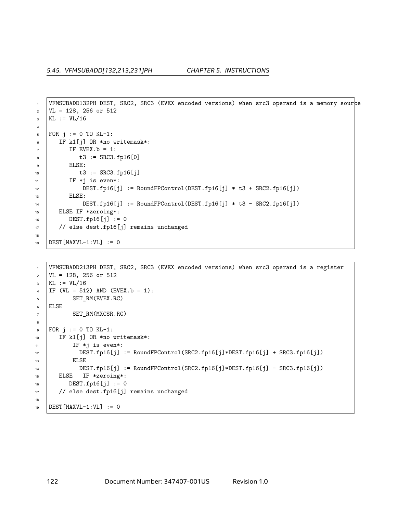```
1 VFMSUBADD132PH DEST, SRC2, SRC3 (EVEX encoded versions) when src3 operand is a memory source
2 \mid \text{VL} = 128, 256 \text{ or } 5123 KL := VL/16
4
5 FOR j := 0 TO KL-1:
6 IF k1[j] OR *no writemask*:
7 IF EVEX.b = 1:
8 \t\t t3 := SRC3.fp16[0]9 ELSE:
10 t3 := SRC3.fp16[j]11 | IF *j is even*:
12 DEST.fp16[j] := RoundFPControl(DEST.fp16[j] * t3 + SRC2.fp16[j])
13 | ELSE:
14 DEST.fp16[j] := RoundFPControl(DEST.fp16[j] * t3 - SRC2.fp16[j])
15 ELSE IF *zeroing*:
DEST.fp16[i] := 017 | // else dest.fp16[j] remains unchanged
18
19 DEST [MAXVL-1:VL] := 0
```

```
1 VFMSUBADD213PH DEST, SRC2, SRC3 (EVEX encoded versions) when src3 operand is a register
2 \mid \text{VL} = 128, 256 \text{ or } 512_3 | KL := VL/16
4 | IF (VL = 512) AND (EVEX.b = 1):
5 SET_RM(EVEX.RC)
6 ELSE
7 SET_RM(MXCSR.RC)
8
\bullet FOR j := 0 TO KL-1:
10 IF k1[j] OR *no writemask*:
11 IF *j is even*:
12 | DEST.fp16[j] := RoundFPControl(SRC2.fp16[j]*DEST.fp16[j] + SRC3.fp16[j])
13 | ELSE
14 | DEST.fp16[j] := RoundFPControl(SRC2.fp16[j]*DEST.fp16[j] - SRC3.fp16[j])
15 ELSE IF *zeroing*:
16 DEST.fp16[j] := 0
17 // else dest.fp16[j] remains unchanged
18
19 DEST[MAXVL-1:VL] := 0
```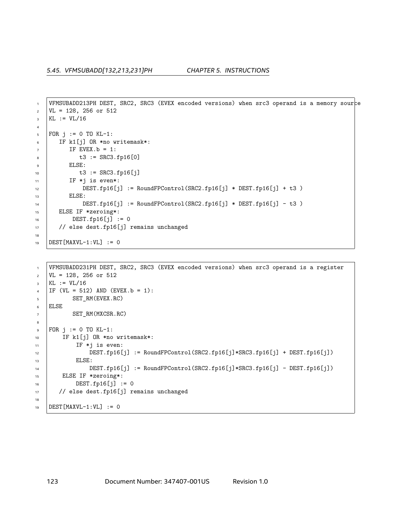```
1 VFMSUBADD213PH DEST, SRC2, SRC3 (EVEX encoded versions) when src3 operand is a memory source
2 \mid \text{VL} = 128, 256 \text{ or } 5123 KL := VL/16
4
5 FOR j := 0 TO KL-1:
6 IF k1[j] OR *no writemask*:
7 IF EVEX. b = 1:
8 \t\t t3 := SRC3.fp16[0]9 ELSE:
10 t3 := SRC3.fp16[j]
11 | IF *j is even*:
12 DEST.fp16[j] := RoundFPControl(SRC2.fp16[j] * DEST.fp16[j] + t3 )
13 | ELSE:
14 DEST.fp16[j] := RoundFPControl(SRC2.fp16[j] * DEST.fp16[j] - t3 )
15 ELSE IF *zeroing*:
16 DEST.fp16[j] := 0
17 | // else dest.fp16[j] remains unchanged
18
19 DEST [MAXVL-1:VL] := 0
```

```
1 VFMSUBADD231PH DEST, SRC2, SRC3 (EVEX encoded versions) when src3 operand is a register
2 \mid \text{VL} = 128, 256 \text{ or } 512_3 | KL := VL/16
4 | IF (VL = 512) AND (EVEX.b = 1):
5 SET_RM(EVEX.RC)
6 ELSE
7 SET_RM(MXCSR.RC)
8
\bullet FOR j := 0 TO KL-1:
10 | IF k1[j] OR *no writemask*:
11 IF *j is even:
12 DEST.fp16[j] := RoundFPControl(SRC2.fp16[j]*SRC3.fp16[j] + DEST.fp16[j])
13 | ELSE:
14 DEST.fp16[j] := RoundFPControl(SRC2.fp16[j]*SRC3.fp16[j] - DEST.fp16[j])
15 ELSE IF *zeroing*:
16 DEST.fp16[j] := 0
17 // else dest.fp16[j] remains unchanged
18
19 DEST[MAXVL-1:VL] := 0
```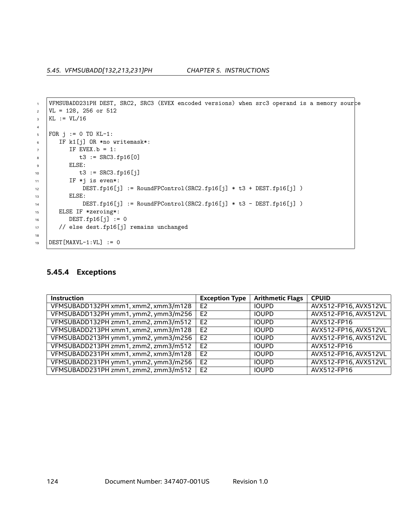```
1 VFMSUBADD231PH DEST, SRC2, SRC3 (EVEX encoded versions) when src3 operand is a memory source
\text{VL} = 128, 256 or 512
_3 KL := VL/16
4
5 FOR j := 0 TO KL-1:
6 IF k1[j] OR *no writemask*:
7 IF EVEX.b = 1:
8 \mid t3 := \text{SRC3.fp16[0]}9 ELSE:
10 \bigcup_{10} t3 := SRC3.fp16[j]
11 | IF *j is even*:
12 | DEST.fp16[j] := RoundFPControl(SRC2.fp16[j] * t3 + DEST.fp16[j] )
13 | ELSE:
14 DEST.fp16[j] := RoundFPControl(SRC2.fp16[j] * t3 - DEST.fp16[j] )
15 ELSE IF *zeroing*:
DEST.fp16[j] := 017 // else dest.fp16[j] remains unchanged
18
19 DEST [MAXVL-1:VL] := 0
```
### **5.45.4 Exceptions**

| <b>Instruction</b>                   | <b>Exception Type</b> | <b>Arithmetic Flags</b> | <b>CPUID</b>          |
|--------------------------------------|-----------------------|-------------------------|-----------------------|
| VFMSUBADD132PH xmm1, xmm2, xmm3/m128 | E <sub>2</sub>        | <b>IOUPD</b>            | AVX512-FP16, AVX512VL |
| VFMSUBADD132PH ymm1, ymm2, ymm3/m256 | F <sub>2</sub>        | <b>IOUPD</b>            | AVX512-FP16, AVX512VL |
| VFMSUBADD132PH zmm1, zmm2, zmm3/m512 | E <sub>2</sub>        | <b>IOUPD</b>            | AVX512-FP16           |
| VFMSUBADD213PH xmm1, xmm2, xmm3/m128 | E <sub>2</sub>        | <b>IOUPD</b>            | AVX512-FP16, AVX512VL |
| VFMSUBADD213PH ymm1, ymm2, ymm3/m256 | E <sub>2</sub>        | <b>IOUPD</b>            | AVX512-FP16, AVX512VL |
| VFMSUBADD213PH zmm1, zmm2, zmm3/m512 | E <sub>2</sub>        | <b>IOUPD</b>            | AVX512-FP16           |
| VFMSUBADD231PH xmm1, xmm2, xmm3/m128 | E <sub>2</sub>        | <b>IOUPD</b>            | AVX512-FP16, AVX512VL |
| VFMSUBADD231PH ymm1, ymm2, ymm3/m256 | E <sub>2</sub>        | <b>IOUPD</b>            | AVX512-FP16, AVX512VL |
| VFMSUBADD231PH zmm1, zmm2, zmm3/m512 | E <sub>2</sub>        | <b>IOUPD</b>            | AVX512-FP16           |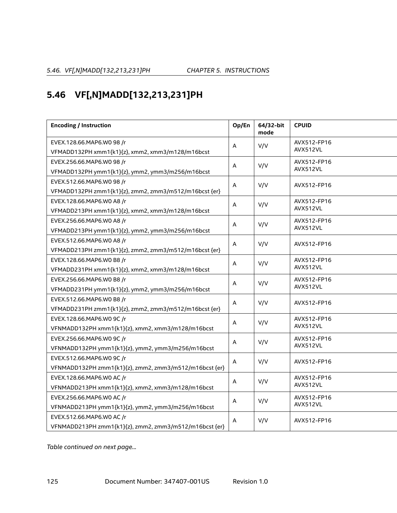# **5.46 VF[,N]MADD[132,213,231]PH**

| <b>Encoding / Instruction</b>                          |   | 64/32-bit<br>mode | <b>CPUID</b> |  |
|--------------------------------------------------------|---|-------------------|--------------|--|
| EVEX.128.66.MAP6.W0 98 /r                              | A | V/V               | AVX512-FP16  |  |
| VFMADD132PH xmm1{k1}{z}, xmm2, xmm3/m128/m16bcst       |   |                   | AVX512VL     |  |
| EVEX.256.66.MAP6.W0 98 /r                              | Α | V/V               | AVX512-FP16  |  |
| VFMADD132PH ymm1{k1}{z}, ymm2, ymm3/m256/m16bcst       |   |                   | AVX512VL     |  |
| EVEX.512.66.MAP6.W0 98 /r                              | A | V/V               | AVX512-FP16  |  |
| VFMADD132PH zmm1{k1}{z}, zmm2, zmm3/m512/m16bcst {er}  |   |                   |              |  |
| EVEX.128.66.MAP6.WO A8 /r                              | A | V/V               | AVX512-FP16  |  |
| VFMADD213PH xmm1{k1}{z}, xmm2, xmm3/m128/m16bcst       |   |                   | AVX512VL     |  |
| EVEX.256.66.MAP6.WO A8 /r                              | A | V/V               | AVX512-FP16  |  |
| VFMADD213PH ymm1{k1}{z}, ymm2, ymm3/m256/m16bcst       |   |                   | AVX512VL     |  |
| EVEX.512.66.MAP6.WO A8 /r                              | A | V/V               | AVX512-FP16  |  |
| VFMADD213PH zmm1{k1}{z}, zmm2, zmm3/m512/m16bcst {er}  |   |                   |              |  |
| EVEX.128.66.MAP6.WO B8 /r                              | Α | V/V               | AVX512-FP16  |  |
| VFMADD231PH xmm1{k1}{z}, xmm2, xmm3/m128/m16bcst       |   | AVX512VL          |              |  |
| EVEX.256.66.MAP6.WO B8 /r                              | A | V/V               | AVX512-FP16  |  |
| VFMADD231PH ymm1{k1}{z}, ymm2, ymm3/m256/m16bcst       |   |                   | AVX512VL     |  |
| EVEX.512.66.MAP6.WO B8 /r                              | A | V/V               | AVX512-FP16  |  |
| VFMADD231PH zmm1{k1}{z}, zmm2, zmm3/m512/m16bcst {er}  |   |                   |              |  |
| EVEX.128.66.MAP6.WO 9C /r                              | A | V/V               | AVX512-FP16  |  |
| VFNMADD132PH xmm1{k1}{z}, xmm2, xmm3/m128/m16bcst      |   |                   | AVX512VL     |  |
| EVEX.256.66.MAP6.WO 9C /r                              | Α | V/V               | AVX512-FP16  |  |
| VFNMADD132PH ymm1{k1}{z}, ymm2, ymm3/m256/m16bcst      |   |                   | AVX512VL     |  |
| EVEX.512.66.MAP6.WO 9C /r                              | A | V/V               | AVX512-FP16  |  |
| VFNMADD132PH zmm1{k1}{z}, zmm2, zmm3/m512/m16bcst {er} |   |                   |              |  |
| EVEX.128.66.MAP6.WO AC /r                              | A | V/V               | AVX512-FP16  |  |
| VFNMADD213PH xmm1{k1}{z}, xmm2, xmm3/m128/m16bcst      |   |                   | AVX512VL     |  |
| EVEX.256.66.MAP6.WO AC /r                              | A | V/V               | AVX512-FP16  |  |
| VFNMADD213PH ymm1{k1}{z}, ymm2, ymm3/m256/m16bcst      |   |                   | AVX512VL     |  |
| EVEX.512.66.MAP6.WO AC /r                              | A | V/V               | AVX512-FP16  |  |
| VFNMADD213PH zmm1{k1}{z}, zmm2, zmm3/m512/m16bcst {er} |   |                   |              |  |

*Table continued on next page...*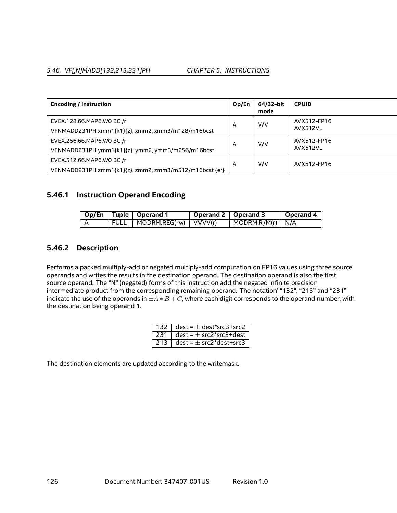### *5.46. VF[,N]MADD[132,213,231]PH CHAPTER 5. INSTRUCTIONS*

| <b>Encoding / Instruction</b>                          | Op/En | 64/32-bit<br>mode | <b>CPUID</b> |  |
|--------------------------------------------------------|-------|-------------------|--------------|--|
| EVEX.128.66.MAP6.WO BC /r                              | A     | V/V               | AVX512-FP16  |  |
| VFNMADD231PH xmm1{k1}{z}, xmm2, xmm3/m128/m16bcst      |       |                   | AVX512VL     |  |
| EVEX.256.66.MAP6.WO BC /r                              | A     | V/V               | AVX512-FP16  |  |
| VFNMADD231PH ymm1{k1}{z}, ymm2, ymm3/m256/m16bcst      |       |                   | AVX512VL     |  |
| EVEX.512.66.MAP6.WO BC /r                              | A     | V/V               | AVX512-FP16  |  |
| VFNMADD231PH zmm1{k1}{z}, zmm2, zmm3/m512/m16bcst {er} |       |                   |              |  |

## **5.46.1 Instruction Operand Encoding**

|  | Op/En   Tuple   Operand 1      | Operand 2   Operand 3 |                                  | Operand 4 |
|--|--------------------------------|-----------------------|----------------------------------|-----------|
|  | FULL   MODRM.REG(rw)   VVVV(r) |                       | $\vert$ MODRM.R/M(r) $\vert$ N/A |           |

## **5.46.2 Description**

Performs a packed multiply-add or negated multiply-add computation on FP16 values using three source operands and writes the results in the destination operand. The destination operand is also the first source operand. The "N" (negated) forms of this instruction add the negated infinite precision intermediate product from the corresponding remaining operand. The notation' "132", "213" and "231" indicate the use of the operands in  $\pm A*B+C$ , where each digit corresponds to the operand number, with the destination being operand 1.

|     | 132 $\vert$ dest = $\pm$ dest*src3+src2 |
|-----|-----------------------------------------|
| 231 | dest = $\pm$ src2*src3+dest             |
| 213 | $\vert$ dest = $\pm$ src2*dest+src3     |

The destination elements are updated according to the writemask.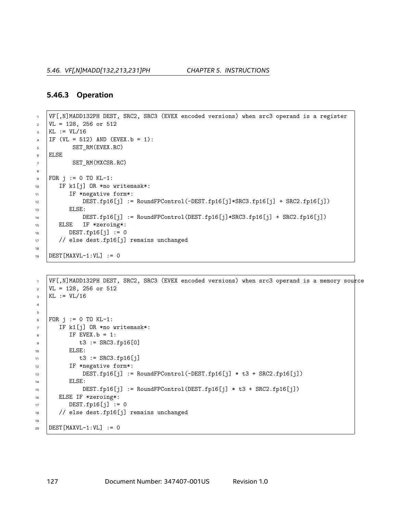# **5.46.3 Operation**

```
1 VF[,N]MADD132PH DEST, SRC2, SRC3 (EVEX encoded versions) when src3 operand is a register
\text{VL} = 128, 256 or 512
3 KL := VL/16
4 | IF (VL = 512) AND (EVEX.b = 1):
5 SET RM(EVEX.RC)
6 ELSE
7 SET_RM(MXCSR.RC)
8
\bullet FOR j := 0 TO KL-1:
10 IF k1[j] OR *no writemask*:
11 | IF *negative form*:
12 DEST.fp16[j] := RoundFPControl(-DEST.fp16[j]*SRC3.fp16[j] + SRC2.fp16[j])
13 | ELSE:
14 DEST.fp16[j] := RoundFPControl(DEST.fp16[j]*SRC3.fp16[j] + SRC2.fp16[j])
15 ELSE IF *zeroing*:
16 DEST.fp16[j] := 0
17 // else dest.fp16[j] remains unchanged
18
19 DEST [MAXVL-1:VL] := 0
```

```
1 VF[,N]MADD132PH DEST, SRC2, SRC3 (EVEX encoded versions) when src3 operand is a memory source
2 \mid \text{VL} = 128, 256 \text{ or } 512_3 | KL := VL/16
4
5
6 | FOR j := 0 TO KL-1:
7 IF k1[j] OR *no writemask*:
8 \mid \text{IF EVEX.b} = 1:
\bullet t3 := SRC3.fp16[0]10 | ELSE:
11 t3 := SRC3.fp16[j]12 IF *negative form*:
13 DEST.fp16[j] := RoundFPControl(-DEST.fp16[j] * t3 + SRC2.fp16[j])
14 | ELSE:
15 DEST.fp16[j] := RoundFPControl(DEST.fp16[j] * t3 + SRC2.fp16[j])
16 ELSE IF *zeroing*:
17 DEST.fp16[j] := 0
18 // else dest.fp16[j] remains unchanged
19
20 DEST [MAXVL-1:VL] := 0
```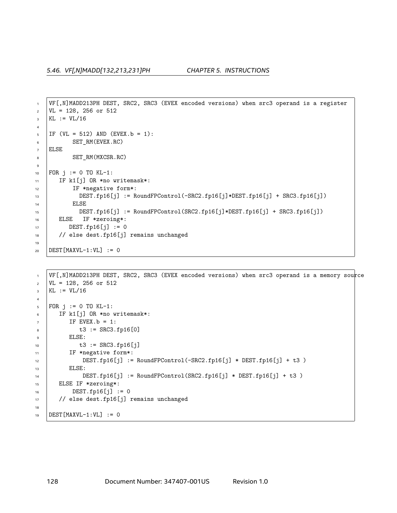```
1 VF[,N]MADD213PH DEST, SRC2, SRC3 (EVEX encoded versions) when src3 operand is a register
2 \mid \text{VL} = 128, 256 \text{ or } 512_3 KL := VL/16
4
5 | IF (VL = 512) AND (EVEX. b = 1):
6 SET_RM(EVEX.RC)
7 ELSE
8 SET_RM(MXCSR.RC)
9
10 | FOR j := 0 TO KL-1:
11 | IF k1[j] OR *no writemask*:
12 IF *negative form*:
13 DEST.fp16[j] := RoundFPControl(-SRC2.fp16[j]*DEST.fp16[j] + SRC3.fp16[j])
14 | ELSE
15 DEST.fp16[j] := RoundFPControl(SRC2.fp16[j]*DEST.fp16[j] + SRC3.fp16[j])
16 ELSE IF *zeroing*:
DEST.fp16[j] := 018 // else dest.fp16[j] remains unchanged
19
20 DEST [MAXVL-1:VL] := 0
```

```
1 VF[,N]MADD213PH DEST, SRC2, SRC3 (EVEX encoded versions) when src3 operand is a memory source
2 \text{ } | \text{VL} = 128, 256 \text{ or } 5123 KL := VIL/164
5 FOR j := 0 TO KL-1:
6 IF k1[j] OR *no writemask*:
7 \quad | \quad \text{IF EVEX.b} = 1:8 t3 := SRC3.fp16[0]
9 ELSE:
10 t3 := SRC3.fp16[j]11 | IF *negative form*:
12 DEST.fp16[j] := RoundFPControl(-SRC2.fp16[j] * DEST.fp16[j] + t3 )
13 | ELSE:
14 DEST.fp16[j] := RoundFPControl(SRC2.fp16[j] * DEST.fp16[j] + t3 )
15 ELSE IF *zeroing*:
16 DEST.fp16[j] := 0
17 // else dest.fp16[j] remains unchanged
18
19 DEST[MAXVL-1:VL] := 0
```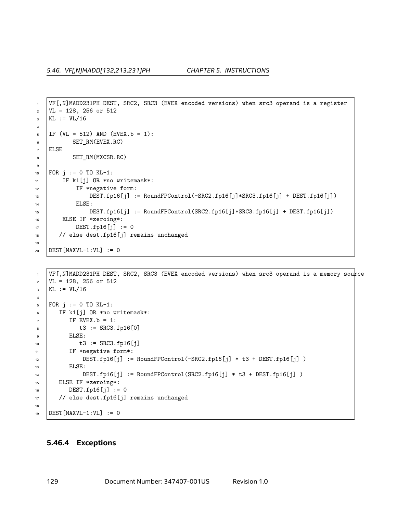```
1 VF[,N]MADD231PH DEST, SRC2, SRC3 (EVEX encoded versions) when src3 operand is a register
2 \mid \text{VL} = 128, 256 \text{ or } 512_3 KL := VL/16
4
5 | IF (VL = 512) AND (EVEX. b = 1):
6 SET_RM(EVEX.RC)
7 ELSE
8 SET_RM(MXCSR.RC)
9
10 FOR j := 0 TO KL-1:
11 | IF k1[j] OR *no writemask*:
12 IF *negative form:
13 DEST.fp16[j] := RoundFPControl(-SRC2.fp16[j]*SRC3.fp16[j] + DEST.fp16[j])
14 ELSE:
15 DEST.fp16[j] := RoundFPControl(SRC2.fp16[j]*SRC3.fp16[j] + DEST.fp16[j])
16 ELSE IF *zeroing*:
DEST.fp16[j] := 018 // else dest.fp16[j] remains unchanged
19
20 DEST [MAXVL-1:VL] := 0
```

```
1 | VF[, N]MADD231PH DEST, SRC2, SRC3 (EVEX encoded versions) when src3 operand is a memory source
\text{VL} = 128, 256 or 512
3 KL := VIL/164
5 FOR j := 0 TO KL-1:
6 IF k1[j] OR *no writemask*:
7 IF EVEX. b = 1:
8 \mid t3 := SRC3.fp16[0]
9 ELSE:
10 t3 := SRC3.fp16[j]11 | IF *negative form*:
12 DEST.fp16[j] := RoundFPControl(-SRC2.fp16[j] * t3 + DEST.fp16[j] )
13 | ELSE:
14 DEST.fp16[j] := RoundFPControl(SRC2.fp16[j] * t3 + DEST.fp16[j] )
15 ELSE IF *zeroing*:
16 DEST.fp16[j] := 0
17 // else dest.fp16[j] remains unchanged
18
19 DEST [MAXVL-1:VL] := 0
```
### **5.46.4 Exceptions**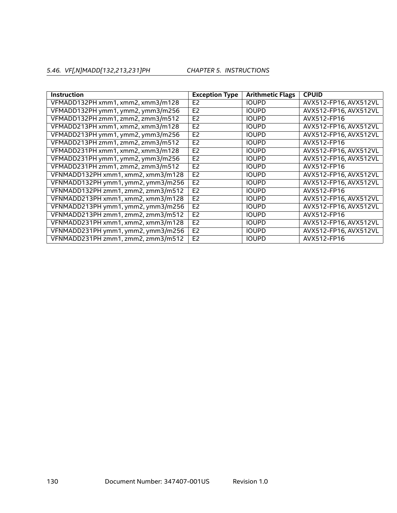# *5.46. VF[,N]MADD[132,213,231]PH CHAPTER 5. INSTRUCTIONS*

| <b>Instruction</b>                 | <b>Exception Type</b> | <b>Arithmetic Flags</b> | <b>CPUID</b>          |
|------------------------------------|-----------------------|-------------------------|-----------------------|
| VFMADD132PH xmm1, xmm2, xmm3/m128  | E <sub>2</sub>        | <b>IOUPD</b>            | AVX512-FP16, AVX512VL |
| VFMADD132PH ymm1, ymm2, ymm3/m256  | E <sub>2</sub>        | <b>IOUPD</b>            | AVX512-FP16, AVX512VL |
| VFMADD132PH zmm1, zmm2, zmm3/m512  | E <sub>2</sub>        | <b>IOUPD</b>            | AVX512-FP16           |
| VFMADD213PH xmm1, xmm2, xmm3/m128  | E <sub>2</sub>        | <b>IOUPD</b>            | AVX512-FP16, AVX512VL |
| VFMADD213PH ymm1, ymm2, ymm3/m256  | E <sub>2</sub>        | <b>IOUPD</b>            | AVX512-FP16, AVX512VL |
| VFMADD213PH zmm1, zmm2, zmm3/m512  | E <sub>2</sub>        | <b>IOUPD</b>            | AVX512-FP16           |
| VFMADD231PH xmm1, xmm2, xmm3/m128  | E <sub>2</sub>        | <b>IOUPD</b>            | AVX512-FP16, AVX512VL |
| VFMADD231PH ymm1, ymm2, ymm3/m256  | E <sub>2</sub>        | <b>IOUPD</b>            | AVX512-FP16, AVX512VL |
| VFMADD231PH zmm1, zmm2, zmm3/m512  | E <sub>2</sub>        | <b>IOUPD</b>            | AVX512-FP16           |
| VFNMADD132PH xmm1, xmm2, xmm3/m128 | E <sub>2</sub>        | <b>IOUPD</b>            | AVX512-FP16, AVX512VL |
| VFNMADD132PH ymm1, ymm2, ymm3/m256 | E <sub>2</sub>        | <b>IOUPD</b>            | AVX512-FP16, AVX512VL |
| VFNMADD132PH zmm1, zmm2, zmm3/m512 | E <sub>2</sub>        | <b>IOUPD</b>            | AVX512-FP16           |
| VFNMADD213PH xmm1, xmm2, xmm3/m128 | E <sub>2</sub>        | <b>IOUPD</b>            | AVX512-FP16, AVX512VL |
| VFNMADD213PH ymm1, ymm2, ymm3/m256 | E <sub>2</sub>        | <b>IOUPD</b>            | AVX512-FP16, AVX512VL |
| VFNMADD213PH zmm1, zmm2, zmm3/m512 | E <sub>2</sub>        | <b>IOUPD</b>            | AVX512-FP16           |
| VFNMADD231PH xmm1, xmm2, xmm3/m128 | E <sub>2</sub>        | <b>IOUPD</b>            | AVX512-FP16, AVX512VL |
| VFNMADD231PH ymm1, ymm2, ymm3/m256 | E <sub>2</sub>        | <b>IOUPD</b>            | AVX512-FP16, AVX512VL |
| VFNMADD231PH zmm1, zmm2, zmm3/m512 | E <sub>2</sub>        | <b>IOUPD</b>            | AVX512-FP16           |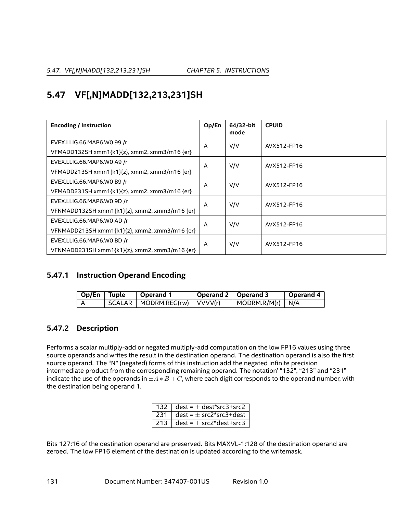# **5.47 VF[,N]MADD[132,213,231]SH**

| <b>Encoding / Instruction</b>                 | Op/En | 64/32-bit<br>mode | <b>CPUID</b> |  |
|-----------------------------------------------|-------|-------------------|--------------|--|
| EVEX.LLIG.66.MAP6.WO 99 /r                    | A     | V/V               | AVX512-FP16  |  |
| VFMADD132SH xmm1{k1}{z}, xmm2, xmm3/m16 {er}  |       |                   |              |  |
| EVEX.LLIG.66.MAP6.WO A9 /r                    | A     | V/V               | AVX512-FP16  |  |
| VFMADD213SH xmm1{k1}{z}, xmm2, xmm3/m16 {er}  |       |                   |              |  |
| EVEX.LLIG.66.MAP6.WO B9 /r                    | A     | V/V               | AVX512-FP16  |  |
| VFMADD231SH xmm1{k1}{z}, xmm2, xmm3/m16 {er}  |       |                   |              |  |
| EVEX.LLIG.66.MAP6.WO 9D /r                    | A     | V/V               | AVX512-FP16  |  |
| VFNMADD132SH xmm1{k1}{z}, xmm2, xmm3/m16 {er} |       |                   |              |  |
| EVEX.LLIG.66.MAP6.WO AD /r                    | A     | V/V               | AVX512-FP16  |  |
| VFNMADD213SH xmm1{k1}{z}, xmm2, xmm3/m16 {er} |       |                   |              |  |
| EVEX.LLIG.66.MAP6.WO BD /r                    | A     | V/V               | AVX512-FP16  |  |
| VFNMADD231SH xmm1{k1}{z}, xmm2, xmm3/m16 {er} |       |                   |              |  |

# **5.47.1 Instruction Operand Encoding**

| Op/En Tuple | $^\shortparallel$ Operand 1                       | Operand 2   Operand 3 |                                  | Operand 4 |
|-------------|---------------------------------------------------|-----------------------|----------------------------------|-----------|
|             | $\mid$ SCALAR $\mid$ MODRM.REG(rw) $\mid$ VVVV(r) |                       | $\vert$ MODRM.R/M(r) $\vert$ N/A |           |

# **5.47.2 Description**

Performs a scalar multiply-add or negated multiply-add computation on the low FP16 values using three source operands and writes the result in the destination operand. The destination operand is also the first source operand. The "N" (negated) forms of this instruction add the negated infinite precision intermediate product from the corresponding remaining operand. The notation' "132", "213" and "231" indicate the use of the operands in  $\pm A*B+C$ , where each digit corresponds to the operand number, with the destination being operand 1.

|     | 132 $\vert$ dest = $\pm$ dest*src3+src2 |
|-----|-----------------------------------------|
| 231 | $dest = \pm src2*src3+dest$             |
| 213 | dest = $\pm$ src2*dest+src3             |

Bits 127:16 of the destination operand are preserved. Bits MAXVL-1:128 of the destination operand are zeroed. The low FP16 element of the destination is updated according to the writemask.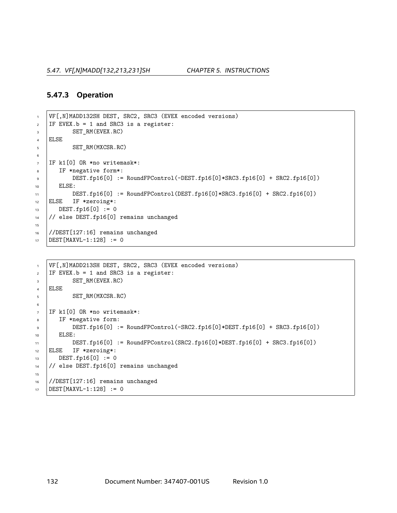### **5.47.3 Operation**

```
1 VF[,N]MADD132SH DEST, SRC2, SRC3 (EVEX encoded versions)
2 IF EVEX.b = 1 and SRC3 is a register:
3 SET_RM(EVEX.RC)
4 ELSE
5 SET RM(MXCSR.RC)
6
7 IF k1[0] OR *no writemask*:
8 IF *negative form*:
9 DEST.fp16[0] := RoundFPControl(-DEST.fp16[0]*SRC3.fp16[0] + SRC2.fp16[0])
10 ELSE:
11 DEST.fp16[0] := RoundFPControl(DEST.fp16[0]*SRC3.fp16[0] + SRC2.fp16[0])
12 ELSE IF *zeroing*:
13 DEST.fp16[0] := 0
14 // else DEST.fp16[0] remains unchanged
15
16 //DEST[127:16] remains unchanged
17 DEST [MAXVL-1:128] := 0
```

```
1 VF[,N]MADD213SH DEST, SRC2, SRC3 (EVEX encoded versions)
2 IF EVEX.b = 1 and SRC3 is a register:
3 SET_RM(EVEX.RC)
4 ELSE
5 SET_RM(MXCSR.RC)
6
7 IF k1[0] OR *no writemask*:
8 IF *negative form:
\bullet DEST.fp16[0] := RoundFPControl(-SRC2.fp16[0]*DEST.fp16[0] + SRC3.fp16[0])
10 | ELSE:
11 \vert DEST.fp16[0] := RoundFPControl(SRC2.fp16[0]*DEST.fp16[0] + SRC3.fp16[0])
12 ELSE IF *zeroing*:
13 DEST.fp16[0] := 0
14 // else DEST.fp16[0] remains unchanged
15
16 //DEST[127:16] remains unchanged
17 DEST [MAXVL-1:128] := 0
```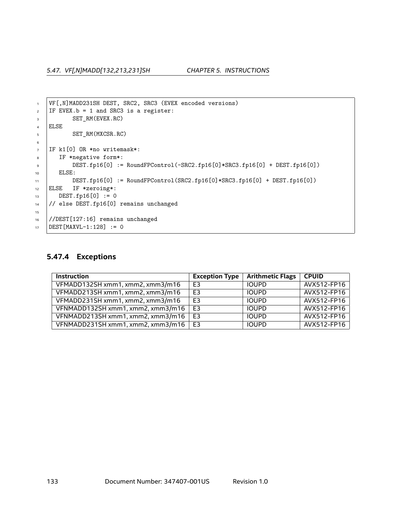*5.47. VF[,N]MADD[132,213,231]SH CHAPTER 5. INSTRUCTIONS*

```
1 | VF[,N]MADD231SH DEST, SRC2, SRC3 (EVEX encoded versions)
2 IF EVEX.b = 1 and SRC3 is a register:
3 SET_RM(EVEX.RC)
4 ELSE
5 SET_RM(MXCSR.RC)
6
7 IF k1[0] OR *no writemask*:
8 IF *negative form*:
9 DEST.fp16[0] := RoundFPControl(-SRC2.fp16[0]*SRC3.fp16[0] + DEST.fp16[0])
10 | ELSE:
11 DEST.fp16[0] := RoundFPControl(SRC2.fp16[0]*SRC3.fp16[0] + DEST.fp16[0])
12 ELSE IF *zeroing*:
13 DEST.fp16[0] := 0
14 // else DEST.fp16[0] remains unchanged
15
16 //DEST[127:16] remains unchanged
17 DEST [MAXVL-1:128] := 0
```
# **5.47.4 Exceptions**

| <b>Instruction</b>                | <b>Exception Type</b> | <b>Arithmetic Flags</b> | <b>CPUID</b> |
|-----------------------------------|-----------------------|-------------------------|--------------|
| VFMADD132SH xmm1, xmm2, xmm3/m16  | E <sub>3</sub>        | <b>IOUPD</b>            | AVX512-FP16  |
| VFMADD213SH xmm1, xmm2, xmm3/m16  | E <sub>3</sub>        | <b>IOUPD</b>            | AVX512-FP16  |
| VFMADD231SH xmm1, xmm2, xmm3/m16  | E <sub>3</sub>        | <b>IOUPD</b>            | AVX512-FP16  |
| VFNMADD132SH xmm1, xmm2, xmm3/m16 | E <sub>3</sub>        | <b>IOUPD</b>            | AVX512-FP16  |
| VFNMADD213SH xmm1, xmm2, xmm3/m16 | E <sub>3</sub>        | <b>IOUPD</b>            | AVX512-FP16  |
| VFNMADD231SH xmm1, xmm2, xmm3/m16 | E <sub>3</sub>        | <b>IOUPD</b>            | AVX512-FP16  |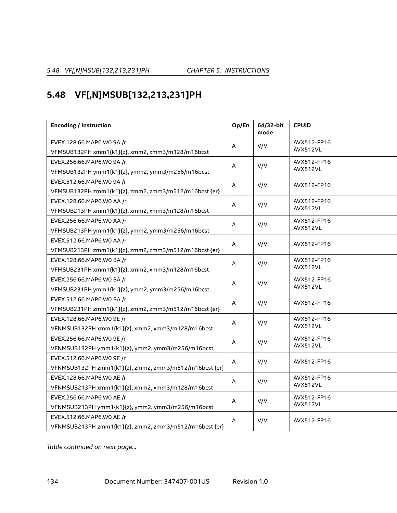# **5.48 VF[,N]MSUB[132,213,231]PH**

| <b>Encoding / Instruction</b>                          | Op/En       | 64/32-bit<br>mode | <b>CPUID</b> |
|--------------------------------------------------------|-------------|-------------------|--------------|
| EVEX.128.66.MAP6.WO 9A /r                              | Α           | V/V               | AVX512-FP16  |
| VFMSUB132PH xmm1{k1}{z}, xmm2, xmm3/m128/m16bcst       |             |                   | AVX512VL     |
| EVEX.256.66.MAP6.W0 9A /r                              | A           | V/V               | AVX512-FP16  |
| VFMSUB132PH ymm1{k1}{z}, ymm2, ymm3/m256/m16bcst       |             |                   | AVX512VL     |
| EVEX.512.66.MAP6.WO 9A /r                              | Α           | V/V               | AVX512-FP16  |
| VFMSUB132PH zmm1{k1}{z}, zmm2, zmm3/m512/m16bcst {er}  |             |                   |              |
| EVEX.128.66.MAP6.WO AA /r                              | $\mathsf A$ | V/V               | AVX512-FP16  |
| VFMSUB213PH xmm1{k1}{z}, xmm2, xmm3/m128/m16bcst       |             |                   | AVX512VL     |
| EVEX.256.66.MAP6.WO AA /r                              | Α           | V/V               | AVX512-FP16  |
| VFMSUB213PH ymm1{k1}{z}, ymm2, ymm3/m256/m16bcst       |             |                   | AVX512VL     |
| EVEX.512.66.MAP6.WO AA /r                              | Α           | V/V               | AVX512-FP16  |
| VFMSUB213PH zmm1{k1}{z}, zmm2, zmm3/m512/m16bcst {er}  |             |                   |              |
| EVEX.128.66.MAP6.WO BA /r                              | A           | V/V               | AVX512-FP16  |
| VFMSUB231PH xmm1{k1}{z}, xmm2, xmm3/m128/m16bcst       |             |                   | AVX512VL     |
| EVEX.256.66.MAP6.WO BA /r                              | A           | V/V               | AVX512-FP16  |
| VFMSUB231PH ymm1{k1}{z}, ymm2, ymm3/m256/m16bcst       |             |                   | AVX512VL     |
| EVEX.512.66.MAP6.WO BA /r                              | Α           | V/V               | AVX512-FP16  |
| VFMSUB231PH zmm1{k1}{z}, zmm2, zmm3/m512/m16bcst {er}  |             |                   |              |
| EVEX.128.66.MAP6.WO 9E /r                              | A           | V/V               | AVX512-FP16  |
| VFNMSUB132PH xmm1{k1}{z}, xmm2, xmm3/m128/m16bcst      |             |                   | AVX512VL     |
| EVEX.256.66.MAP6.WO 9E /r                              | A           | V/V               | AVX512-FP16  |
| VFNMSUB132PH ymm1{k1}{z}, ymm2, ymm3/m256/m16bcst      |             |                   | AVX512VL     |
| EVEX.512.66.MAP6.WO 9E /r                              | Α           | V/V               | AVX512-FP16  |
| VFNMSUB132PH zmm1{k1}{z}, zmm2, zmm3/m512/m16bcst {er} |             |                   |              |
| EVEX.128.66.MAP6.WO AE /r                              | $\mathsf A$ | V/V               | AVX512-FP16  |
| VFNMSUB213PH xmm1{k1}{z}, xmm2, xmm3/m128/m16bcst      |             |                   | AVX512VL     |
| EVEX.256.66.MAP6.WO AE /r                              | Α           | V/V               | AVX512-FP16  |
| VFNMSUB213PH ymm1{k1}{z}, ymm2, ymm3/m256/m16bcst      |             |                   | AVX512VL     |
| EVEX.512.66.MAP6.WO AE /r                              | Α           | V/V               | AVX512-FP16  |
| VFNMSUB213PH zmm1{k1}{z}, zmm2, zmm3/m512/m16bcst {er} |             |                   |              |

*Table continued on next page...*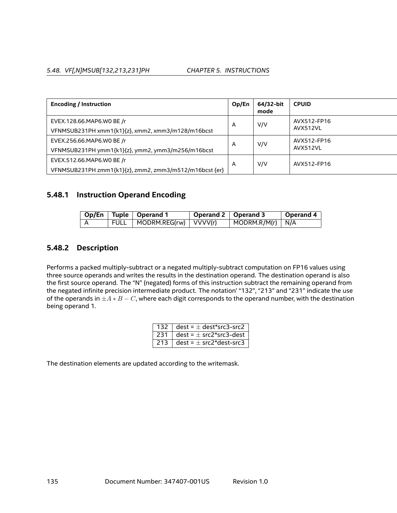### *5.48. VF[,N]MSUB[132,213,231]PH CHAPTER 5. INSTRUCTIONS*

| <b>Encoding / Instruction</b>                          | Op/En | 64/32-bit<br>mode | <b>CPUID</b> |
|--------------------------------------------------------|-------|-------------------|--------------|
| EVEX.128.66.MAP6.WO BE /r                              | A     | V/V               | AVX512-FP16  |
| VFNMSUB231PH xmm1{k1}{z}, xmm2, xmm3/m128/m16bcst      |       |                   | AVX512VL     |
| EVEX.256.66.MAP6.WO BE /r                              | A     | V/V               | AVX512-FP16  |
| VFNMSUB231PH ymm1{k1}{z}, ymm2, ymm3/m256/m16bcst      |       |                   | AVX512VL     |
| EVEX.512.66.MAP6.WO BE /r                              | A     | V/V               | AVX512-FP16  |
| VFNMSUB231PH zmm1{k1}{z}, zmm2, zmm3/m512/m16bcst {er} |       |                   |              |

### **5.48.1 Instruction Operand Encoding**

|  | Op/En   Tuple   Operand 1    | Operand 2   Operand 3 |                                  | Operand 4 |
|--|------------------------------|-----------------------|----------------------------------|-----------|
|  | FULL   MODRM.REG(rw) VVVV(r) |                       | $\vert$ MODRM.R/M(r) $\vert$ N/A |           |

## **5.48.2 Description**

Performs a packed multiply-subtract or a negated multiply-subtract computation on FP16 values using three source operands and writes the results in the destination operand. The destination operand is also the first source operand. The "N" (negated) forms of this instruction subtract the remaining operand from the negated infinite precision intermediate product. The notation' "132", "213" and "231" indicate the use of the operands in  $\pm A*B-C$ , where each digit corresponds to the operand number, with the destination being operand 1.

| 132   dest = $\pm$ dest*src3-src2               |
|-------------------------------------------------|
| 231   dest = $\pm$ src2*src3-dest               |
| 213 $\vert$ dest = $\pm$ src2*dest-src3 $\vert$ |

The destination elements are updated according to the writemask.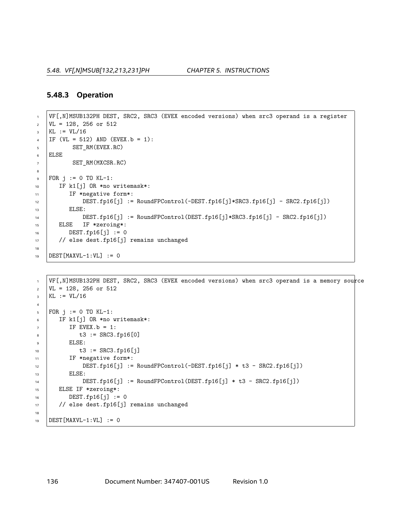### **5.48.3 Operation**

```
1 VF[,N]MSUB132PH DEST, SRC2, SRC3 (EVEX encoded versions) when src3 operand is a register
2 \mid \text{VL} = 128, 256 \text{ or } 5123 KL := VL/16
4 | IF (VL = 512) AND (EVEX.b = 1):
5 SET RM(EVEX.RC)
6 ELSE
7 SET_RM(MXCSR.RC)
8
\bullet FOR j := 0 TO KL-1:
10 IF k1[j] OR *no writemask*:
11 | IF *negative form*:
12 DEST.fp16[j] := RoundFPControl(-DEST.fp16[j]*SRC3.fp16[j] - SRC2.fp16[j])
13 | ELSE:
14 DEST.fp16[j] := RoundFPControl(DEST.fp16[j]*SRC3.fp16[j] - SRC2.fp16[j])
15 ELSE IF *zeroing*:
16 DEST.fp16[j] := 0
17 // else dest.fp16[j] remains unchanged
18
19 DEST [MAXVL-1:VL] := 0
```

```
1 VF[,N]MSUB132PH DEST, SRC2, SRC3 (EVEX encoded versions) when src3 operand is a memory source
2 \mid \text{VL} = 128, 256 \text{ or } 5123 \mid KL := VL/164
5 | FOR j := 0 TO KL-1:
6 IF k1[j] OR *no writemask*:
7 \quad | \quad \text{IF } \text{EVEX}. b = 1:8 \mid t3 := SRC3.fp16[0]
9 ELSE:
10 \t\t t3 := SRC3.fp16[i]11 | IF *negative form*:
12 DEST.fp16[j] := RoundFPControl(-DEST.fp16[j] * t3 - SRC2.fp16[j])
13 | ELSE:
14 DEST.fp16[j] := RoundFPControl(DEST.fp16[j] * t3 - SRC2.fp16[j])
15 ELSE IF *zeroing*:
16 DEST.fp16[j] := 0
17 // else dest.fp16[j] remains unchanged
18
19 DEST[MAXVL-1:VL] := 0
```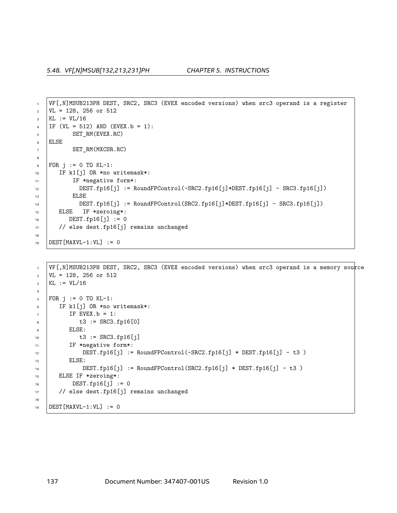```
1 VF[,N]MSUB213PH DEST, SRC2, SRC3 (EVEX encoded versions) when src3 operand is a register
2 \mid \text{VL} = 128, 256 \text{ or } 512_3 KL := VL/16
4 | IF (VL = 512) AND (EVEX. b = 1):
5 SET_RM(EVEX.RC)
6 ELSE
7 SET_RM(MXCSR.RC)
8
9 FOR j := 0 TO KL-1:
10 | IF k1[j] OR *no writemask*:
11 IF *negative form*:
12 DEST.fp16[j] := RoundFPControl(-SRC2.fp16[j]*DEST.fp16[j] - SRC3.fp16[j])
13 | ELSE
14 DEST.fp16[j] := RoundFPControl(SRC2.fp16[j]*DEST.fp16[j] - SRC3.fp16[j])
15 ELSE IF *zeroing*:
16 DEST.fp16[j] := 0
17 | // else dest.fp16[j] remains unchanged
18
19 DEST [MAXVL-1:VL] := 0
```

```
1 VF[,N]MSUB213PH DEST, SRC2, SRC3 (EVEX encoded versions) when src3 operand is a memory source
2 \mid \text{VL} = 128, 256 \text{ or } 512_3 | KL := VL/16
4
5 FOR j := 0 TO KL-1:
6 IF k1[j] OR *no writemask*:
7 \quad | \quad \text{IF } \text{EVEX}. b = 1:8 \t\t t3 := SRC3.fp16[0]9 ELSE:
10 t3 := SRC3.fp16[j]11 | IF *negative form*:
12 DEST.fp16[j] := RoundFPControl(-SRC2.fp16[j] * DEST.fp16[j] - t3 )
13 ELSE:
14 DEST.fp16[j] := RoundFPControl(SRC2.fp16[j] * DEST.fp16[j] - t3 )
15 ELSE IF *zeroing*:
16 DEST.fp16[j] := 0
17 // else dest.fp16[j] remains unchanged
18
19 DEST[MAXVL-1:VL] := 0
```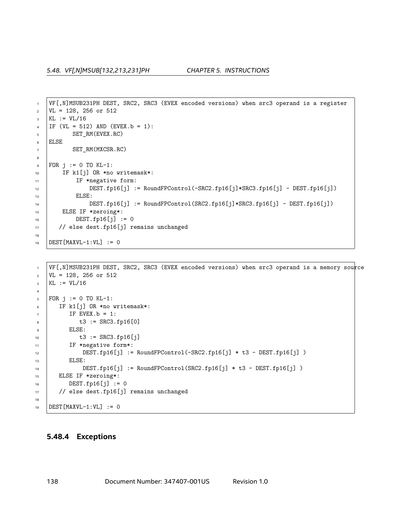```
1 VF[,N]MSUB231PH DEST, SRC2, SRC3 (EVEX encoded versions) when src3 operand is a register
2 \mid \text{VL} = 128, 256 \text{ or } 512_3 KL := VL/16
4 | IF (VL = 512) AND (EVEX. b = 1):
5 SET_RM(EVEX.RC)
6 ELSE
7 SET_RM(MXCSR.RC)
8
9 FOR j := 0 TO KL-1:
10 | IF k1[j] OR *no writemask*:
11 | IF *negative form:
12 DEST.fp16[j] := RoundFPControl(-SRC2.fp16[j]*SRC3.fp16[j] - DEST.fp16[j])
13 | ELSE:
14 DEST.fp16[j] := RoundFPControl(SRC2.fp16[j]*SRC3.fp16[j] - DEST.fp16[j])
15 ELSE IF *zeroing*:
DEST.fp16[j] := 017 | // else dest.fp16[j] remains unchanged
18
19 DEST [MAXVL-1:VL] := 0
```

```
1 VF[,N]MSUB231PH DEST, SRC2, SRC3 (EVEX encoded versions) when src3 operand is a memory source
2 \mid \text{VL} = 128, 256 \text{ or } 512_3 | KL := VL/16
4
5 FOR j := 0 TO KL-1:
6 IF k1[j] OR *no writemask*:
7 \quad \text{IF} EVEX.b = 1:
8 \t\t t3 := SRC3.fp16[0]9 \quad | \quad ELSE:
10 t3 := SRC3.fp16[j]11 | IF *negative form*:
12 | DEST.fp16[j] := RoundFPControl(-SRC2.fp16[j] * t3 - DEST.fp16[j] )
13 ELSE:
14 DEST.fp16[j] := RoundFPControl(SRC2.fp16[j] * t3 - DEST.fp16[j] )
15 ELSE IF *zeroing*:
16 DEST.fp16[j] := 0
17 // else dest.fp16[j] remains unchanged
18
19 DEST[MAXVL-1:VL] := 0
```
### **5.48.4 Exceptions**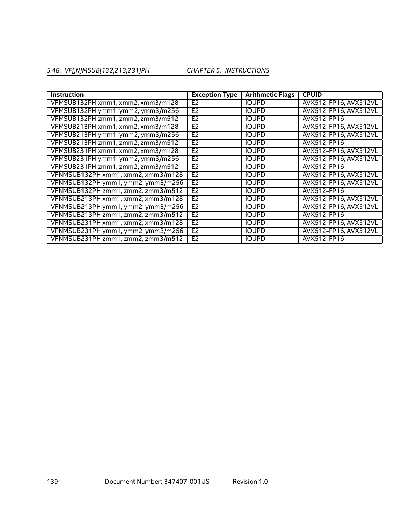# *5.48. VF[,N]MSUB[132,213,231]PH CHAPTER 5. INSTRUCTIONS*

| <b>Instruction</b>                 | <b>Exception Type</b> | <b>Arithmetic Flags</b> | <b>CPUID</b>          |
|------------------------------------|-----------------------|-------------------------|-----------------------|
| VFMSUB132PH xmm1, xmm2, xmm3/m128  | E <sub>2</sub>        | <b>IOUPD</b>            | AVX512-FP16, AVX512VL |
| VFMSUB132PH ymm1, ymm2, ymm3/m256  | E <sub>2</sub>        | <b>IOUPD</b>            | AVX512-FP16, AVX512VL |
| VFMSUB132PH zmm1, zmm2, zmm3/m512  | E <sub>2</sub>        | <b>IOUPD</b>            | AVX512-FP16           |
| VFMSUB213PH xmm1, xmm2, xmm3/m128  | E <sub>2</sub>        | <b>IOUPD</b>            | AVX512-FP16, AVX512VL |
| VFMSUB213PH ymm1, ymm2, ymm3/m256  | E <sub>2</sub>        | <b>IOUPD</b>            | AVX512-FP16, AVX512VL |
| VFMSUB213PH zmm1, zmm2, zmm3/m512  | E <sub>2</sub>        | <b>IOUPD</b>            | AVX512-FP16           |
| VFMSUB231PH xmm1, xmm2, xmm3/m128  | E <sub>2</sub>        | <b>IOUPD</b>            | AVX512-FP16, AVX512VL |
| VFMSUB231PH ymm1, ymm2, ymm3/m256  | E <sub>2</sub>        | <b>IOUPD</b>            | AVX512-FP16, AVX512VL |
| VFMSUB231PH zmm1, zmm2, zmm3/m512  | E <sub>2</sub>        | <b>IOUPD</b>            | AVX512-FP16           |
| VFNMSUB132PH xmm1, xmm2, xmm3/m128 | E <sub>2</sub>        | <b>IOUPD</b>            | AVX512-FP16, AVX512VL |
| VFNMSUB132PH ymm1, ymm2, ymm3/m256 | E <sub>2</sub>        | <b>IOUPD</b>            | AVX512-FP16, AVX512VL |
| VFNMSUB132PH zmm1, zmm2, zmm3/m512 | E <sub>2</sub>        | <b>IOUPD</b>            | AVX512-FP16           |
| VFNMSUB213PH xmm1, xmm2, xmm3/m128 | E <sub>2</sub>        | <b>IOUPD</b>            | AVX512-FP16, AVX512VL |
| VFNMSUB213PH ymm1, ymm2, ymm3/m256 | E <sub>2</sub>        | <b>IOUPD</b>            | AVX512-FP16, AVX512VL |
| VFNMSUB213PH zmm1, zmm2, zmm3/m512 | E <sub>2</sub>        | <b>IOUPD</b>            | AVX512-FP16           |
| VFNMSUB231PH xmm1, xmm2, xmm3/m128 | E <sub>2</sub>        | <b>IOUPD</b>            | AVX512-FP16, AVX512VL |
| VFNMSUB231PH ymm1, ymm2, ymm3/m256 | E <sub>2</sub>        | <b>IOUPD</b>            | AVX512-FP16, AVX512VL |
| VFNMSUB231PH zmm1, zmm2, zmm3/m512 | E <sub>2</sub>        | <b>IOUPD</b>            | AVX512-FP16           |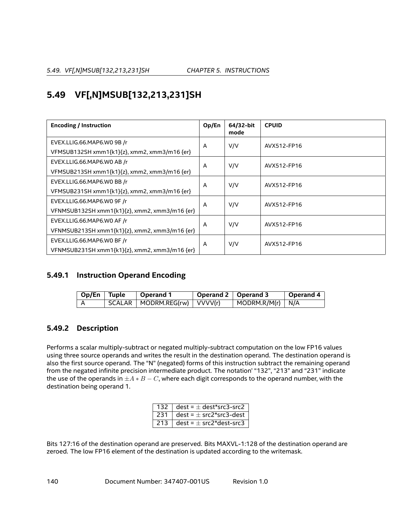# **5.49 VF[,N]MSUB[132,213,231]SH**

| <b>Encoding / Instruction</b>                 | Op/En | 64/32-bit<br>mode | <b>CPUID</b> |  |
|-----------------------------------------------|-------|-------------------|--------------|--|
| EVEX.LLIG.66.MAP6.WO 9B /r                    | A     | V/V               | AVX512-FP16  |  |
| VFMSUB132SH xmm1{k1}{z}, xmm2, xmm3/m16 {er}  |       |                   |              |  |
| EVEX.LLIG.66.MAP6.WO AB /r                    | A     | V/V               | AVX512-FP16  |  |
| VFMSUB213SH xmm1{k1}{z}, xmm2, xmm3/m16 {er}  |       |                   |              |  |
| EVEX.LLIG.66.MAP6.WO BB /r                    | A     | V/V               | AVX512-FP16  |  |
| VFMSUB231SH xmm1{k1}{z}, xmm2, xmm3/m16 {er}  |       |                   |              |  |
| EVEX.LLIG.66.MAP6.WO 9F /r                    | A     | V/V               | AVX512-FP16  |  |
| VFNMSUB132SH xmm1{k1}{z}, xmm2, xmm3/m16 {er} |       |                   |              |  |
| EVEX.LLIG.66.MAP6.WO AF /r                    | A     | V/V               | AVX512-FP16  |  |
| VFNMSUB213SH xmm1{k1}{z}, xmm2, xmm3/m16 {er} |       |                   |              |  |
| EVEX.LLIG.66.MAP6.WO BF /r                    | Α     | V/V               | AVX512-FP16  |  |
| VFNMSUB231SH xmm1{k1}{z}, xmm2, xmm3/m16 {er} |       |                   |              |  |

# **5.49.1 Instruction Operand Encoding**

| Op/En Tuple | $^\shortparallel$ Operand 1                       | Operand 2   Operand 3 |                                  | Operand 4 |
|-------------|---------------------------------------------------|-----------------------|----------------------------------|-----------|
|             | $\mid$ SCALAR $\mid$ MODRM.REG(rw) $\mid$ VVVV(r) |                       | $\vert$ MODRM.R/M(r) $\vert$ N/A |           |

# **5.49.2 Description**

Performs a scalar multiply-subtract or negated multiply-subtract computation on the low FP16 values using three source operands and writes the result in the destination operand. The destination operand is also the first source operand. The "N" (negated) forms of this instruction subtract the remaining operand from the negated infinite precision intermediate product. The notation' "132", "213" and "231" indicate the use of the operands in  $\pm A*B-C$ , where each digit corresponds to the operand number, with the destination being operand 1.

| $132 \perp$ | $dest = ± dest*src3-src2$ |
|-------------|---------------------------|
| 231         | $dest = ± src2*src3-dest$ |
| 213         | $dest = ± src2*dest-src3$ |

Bits 127:16 of the destination operand are preserved. Bits MAXVL-1:128 of the destination operand are zeroed. The low FP16 element of the destination is updated according to the writemask.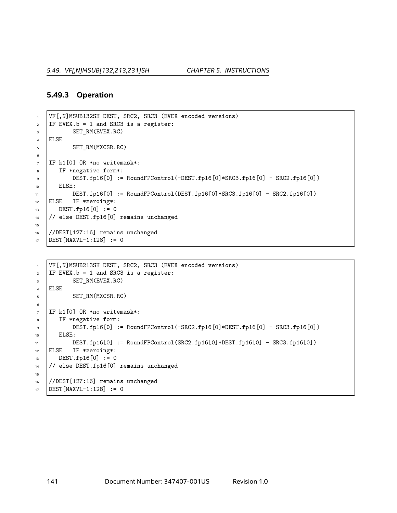### **5.49.3 Operation**

```
1 VF[,N]MSUB132SH DEST, SRC2, SRC3 (EVEX encoded versions)
2 IF EVEX.b = 1 and SRC3 is a register:
3 SET_RM(EVEX.RC)
4 ELSE
5 SET RM(MXCSR.RC)
6
7 IF k1[0] OR *no writemask*:
8 IF *negative form*:
9 DEST.fp16[0] := RoundFPControl(-DEST.fp16[0]*SRC3.fp16[0] - SRC2.fp16[0])
10 ELSE:
11 \vert DEST.fp16[0] := RoundFPControl(DEST.fp16[0] *SRC3.fp16[0] - SRC2.fp16[0])
12 ELSE IF *zeroing*:
13 DEST.fp16[0] := 0
14 // else DEST.fp16[0] remains unchanged
15
16 //DEST[127:16] remains unchanged
17 DEST[MAXVL-1:128] := 0
```

```
1 VF[,N]MSUB213SH DEST, SRC2, SRC3 (EVEX encoded versions)
2 IF EVEX.b = 1 and SRC3 is a register:
3 SET_RM(EVEX.RC)
4 ELSE
5 SET_RM(MXCSR.RC)
6
7 IF k1[0] OR *no writemask*:
8 IF *negative form:
\bullet DEST.fp16[0] := RoundFPControl(-SRC2.fp16[0]*DEST.fp16[0] - SRC3.fp16[0])
10 ELSE:
11 | DEST.fp16[0] := RoundFPControl(SRC2.fp16[0]*DEST.fp16[0] - SRC3.fp16[0])
12 ELSE IF *zeroing*:
13 DEST.fp16[0] := 0
14 // else DEST.fp16[0] remains unchanged
15
16 //DEST[127:16] remains unchanged
17 DEST [MAXVL-1:128] := 0
```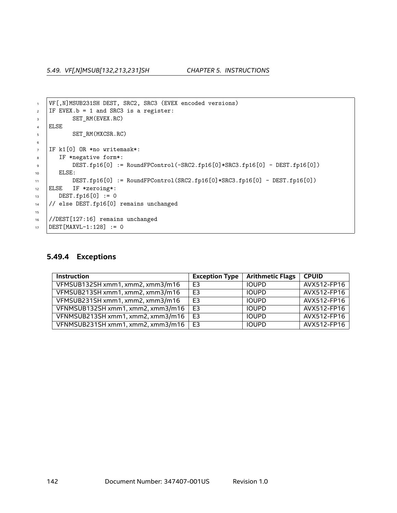*5.49. VF[,N]MSUB[132,213,231]SH CHAPTER 5. INSTRUCTIONS*

```
1 | VF[,N]MSUB231SH DEST, SRC2, SRC3 (EVEX encoded versions)
2 IF EVEX.b = 1 and SRC3 is a register:
3 SET_RM(EVEX.RC)
4 ELSE
5 SET_RM(MXCSR.RC)
6
7 IF k1[0] OR *no writemask*:
8 IF *negative form*:
9 DEST.fp16[0] := RoundFPControl(-SRC2.fp16[0]*SRC3.fp16[0] - DEST.fp16[0])
10 | ELSE:
11 DEST.fp16[0] := RoundFPControl(SRC2.fp16[0]*SRC3.fp16[0] - DEST.fp16[0])
12 ELSE IF *zeroing*:
13 DEST.fp16[0] := 0
14 // else DEST.fp16[0] remains unchanged
15
16 //DEST[127:16] remains unchanged
17 DEST [MAXVL-1:128] := 0
```
# **5.49.4 Exceptions**

| <b>Instruction</b>                | <b>Exception Type</b> | <b>Arithmetic Flags</b> | <b>CPUID</b> |
|-----------------------------------|-----------------------|-------------------------|--------------|
| VFMSUB132SH xmm1, xmm2, xmm3/m16  | E <sub>3</sub>        | <b>IOUPD</b>            | AVX512-FP16  |
| VFMSUB213SH xmm1, xmm2, xmm3/m16  | E <sub>3</sub>        | <b>IOUPD</b>            | AVX512-FP16  |
| VFMSUB231SH xmm1, xmm2, xmm3/m16  | E <sub>3</sub>        | <b>IOUPD</b>            | AVX512-FP16  |
| VFNMSUB132SH xmm1, xmm2, xmm3/m16 | E <sub>3</sub>        | <b>IOUPD</b>            | AVX512-FP16  |
| VFNMSUB213SH xmm1, xmm2, xmm3/m16 | E <sub>3</sub>        | <b>IOUPD</b>            | AVX512-FP16  |
| VFNMSUB231SH xmm1, xmm2, xmm3/m16 | E <sub>3</sub>        | <b>IOUPD</b>            | AVX512-FP16  |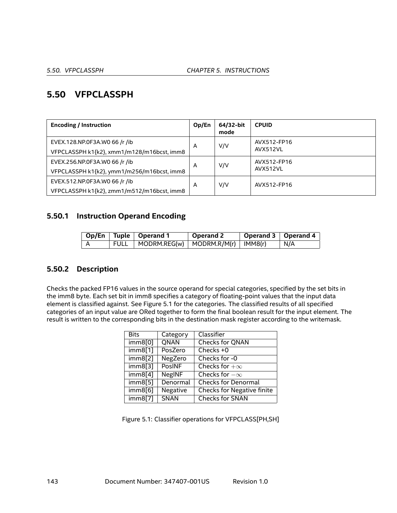# **5.50 VFPCLASSPH**

| <b>Encoding / Instruction</b>                                               | Op/En | 64/32-bit<br>mode | <b>CPUID</b>            |
|-----------------------------------------------------------------------------|-------|-------------------|-------------------------|
| EVEX.128.NP.0F3A.W0 66 /r /ib<br>VFPCLASSPH k1{k2}, xmm1/m128/m16bcst, imm8 | A     | V/V               | AVX512-FP16<br>AVX512VL |
| EVEX.256.NP.0F3A.W0 66 /r /ib<br>VFPCLASSPH k1{k2}, ymm1/m256/m16bcst, imm8 | A     | V/V               | AVX512-FP16<br>AVX512VL |
| EVEX.512.NP.0F3A.WO 66 /r /ib<br>VFPCLASSPH k1{k2}, zmm1/m512/m16bcst, imm8 | A     | V/V               | AVX512-FP16             |

## **5.50.1 Instruction Operand Encoding**

|  | Op/En   Tuple   Operand 1                    | Operand 2 | Operand 3   Operand 4 |       |
|--|----------------------------------------------|-----------|-----------------------|-------|
|  | FULL   MODRM.REG(w)   MODRM.R/M(r)   IMM8(r) |           |                       | ∣ N/A |

## **5.50.2 Description**

Checks the packed FP16 values in the source operand for special categories, specified by the set bits in the imm8 byte. Each set bit in imm8 specifies a category of floating-point values that the input data element is classified against. See Figure [5.1](#page-142-0) for the categories. The classified results of all specified categories of an input value are ORed together to form the final boolean result for the input element. The result is written to the corresponding bits in the destination mask register according to the writemask.

| <b>Bits</b> | Category      | Classifier                        |
|-------------|---------------|-----------------------------------|
| imm8[0]     | <b>QNAN</b>   | <b>Checks for QNAN</b>            |
| imm8[1]     | PosZero       | Checks $+0$                       |
| imm8[2]     | NegZero       | Checks for -0                     |
| imm8[3]     | <b>PosINF</b> | Checks for $+\infty$              |
| imm8[4]     | <b>NegINF</b> | Checks for $-\infty$              |
| imm8[5]     | Denormal      | <b>Checks for Denormal</b>        |
| imm8[6]     | Negative      | <b>Checks for Negative finite</b> |
| imm8[7]     | <b>SNAN</b>   | <b>Checks for SNAN</b>            |

<span id="page-142-0"></span>Figure 5.1: Classifier operations for VFPCLASS[PH,SH]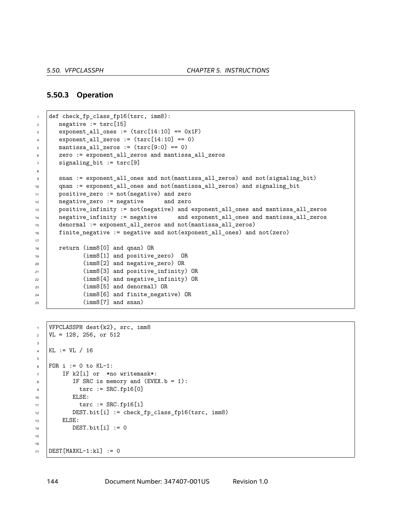#### **5.50.3 Operation**

```
1 def check_fp_class_fp16(tsrc, imm8):
2 negative := tsrc[15]\vert exponent_all_ones := (\text{tsrc}[14:10] == 0x1F)4 exponent_all_zeros := (\text{tsrc}[14:10] == 0)5 \mid mantissa_all_zeros := (\text{tsrc}[9:0] == 0)6 zero := exponent_all_zeros and mantissa_all_zeros
7 signaling_bit := tsrc[9]
8
9 snan := exponent_all_ones and not(mantissa_all_zeros) and not(signaling_bit)
10 qnan := exponent all ones and not(mantissa all zeros) and signaling bit
11 positive_zero := not(negative) and zero
12 negative_zero := negative and zero
13 positive_infinity := not(negative) and exponent_all_ones and mantissa_all_zeros
14 negative_infinity := negative and exponent_all_ones and mantissa_all_zeros
15 denormal := exponent_all_zeros and not(mantissa_all_zeros)
16 finite_negative := negative and not(exponent_all_ones) and not(zero)
17
18 return (imm8[0] and qnan) OR
19 (imm8[1] and positive_zero) OR
20 (imm8[2] and negative_zero) OR
21 (imm8[3] and positive_infinity) OR
22 (imm8[4] and negative infinity) OR
23 (imm8[5] and denormal) OR
<sup>24</sup> (imm8[6] and finite negative) OR
25 (imm8[7] and snan)
```

```
1 VFPCLASSPH dest{k2}, src, imm8
\text{VL} = 128, 256, \text{or } 5123
4 KL := VL / 16
5
6 | FOR i := 0 to KL-1:
7 | IF k2[i] or *no writemask*:
8 \mid IF SRC is memory and (EVEX.b = 1):
\circ \qquad \qquad \text{tsrc} := \text{SRC.fp16[0]}10 ELSE:
11 tsrc := SRC.fp16[i]
12 DEST.bit[i] := check_fp_class_fp16(tsrc, imm8)
13 | ELSE:
14 DEST.bit[i] := 0
15
16
17 DEST[MAXKL-1:kl] := 0
```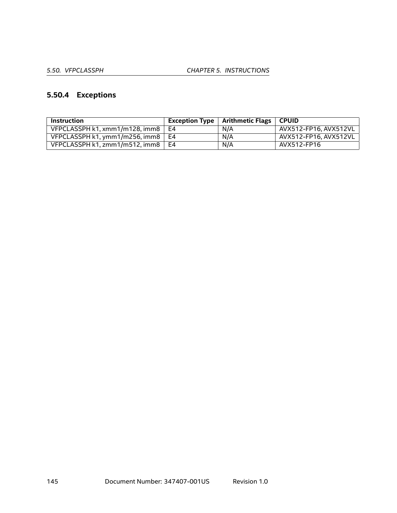# **5.50.4 Exceptions**

| <b>Instruction</b>             |      | Exception Type $\vert$ Arithmetic Flags $\vert$ CPUID |                       |
|--------------------------------|------|-------------------------------------------------------|-----------------------|
| VFPCLASSPH k1, xmm1/m128, imm8 | E4   | N/A                                                   | AVX512-FP16, AVX512VL |
| VFPCLASSPH k1, ymm1/m256, imm8 | . F4 | N/A                                                   | AVX512-FP16. AVX512VL |
| VFPCLASSPH k1. zmm1/m512. imm8 | E4   | N/A                                                   | AVX512-FP16           |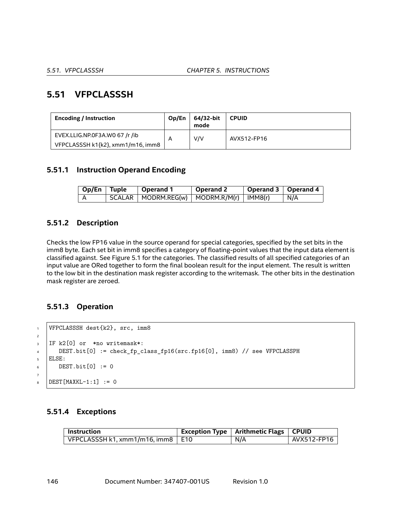# **5.51 VFPCLASSSH**

| <b>Encoding / Instruction</b>     | Op/En | 64/32-bit<br>mode | <b>CPUID</b> |
|-----------------------------------|-------|-------------------|--------------|
| EVEX.LLIG.NP.0F3A.WO 67 /r /ib    |       | V/V               | AVX512-FP16  |
| VFPCLASSSH k1{k2}, xmm1/m16, imm8 |       |                   |              |

## **5.51.1 Instruction Operand Encoding**

| $\log$ I Tuple | $\vert$ Operand 1                                                    | Operand 2 | Operand 3   Operand 4 |     |
|----------------|----------------------------------------------------------------------|-----------|-----------------------|-----|
|                | $\mid$ SCALAR $\mid$ MODRM.REG(w) $\mid$ MODRM.R/M(r) $\mid$ IMM8(r) |           |                       | N/A |

## **5.51.2 Description**

Checks the low FP16 value in the source operand for special categories, specified by the set bits in the imm8 byte. Each set bit in imm8 specifies a category of floating-point values that the input data element is classified against. See Figure [5.1](#page-142-0) for the categories. The classified results of all specified categories of an input value are ORed together to form the final boolean result for the input element. The result is written to the low bit in the destination mask register according to the writemask. The other bits in the destination mask register are zeroed.

# **5.51.3 Operation**

```
1 VFPCLASSSH dest{k2}, src, imm8
3 IF k2[0] or *no writemask*:
4 DEST.bit[0] := check_fp_class_fp16(src.fp16[0], imm8) // see VFPCLASSPH
5 ELSE:
6 DEST.bit[0] := 0
B = \text{DEST}[\text{MAXKL}-1:1] := 0
```
## **5.51.4 Exceptions**

| $^{\mathrm{+}}$ Instruction $^{\mathrm{+}}$ | Exception Type   Arithmetic Flags   CPUID |             |
|---------------------------------------------|-------------------------------------------|-------------|
| VFPCLASSSH k1, xmm1/m16, imm8 $\mid$ E10    | N/A                                       | AVX512-FP16 |

2

7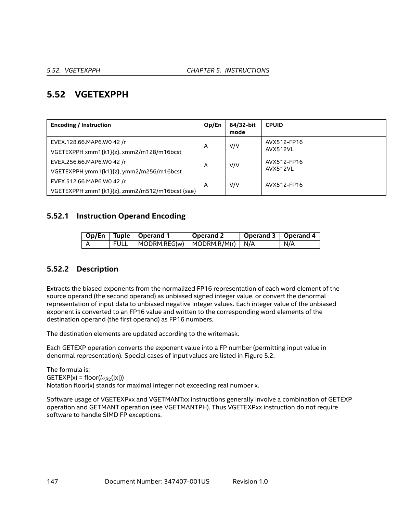# **5.52 VGETEXPPH**

| <b>Encoding / Instruction</b>                                               | Op/En | 64/32-bit<br>mode | <b>CPUID</b>            |
|-----------------------------------------------------------------------------|-------|-------------------|-------------------------|
| EVEX.128.66.MAP6.W0 42 /r<br>VGETEXPPH xmm1{k1}{z}, xmm2/m128/m16bcst       | A     | V/V               | AVX512-FP16<br>AVX512VL |
| EVEX.256.66.MAP6.W0 42 /r<br>VGETEXPPH ymm1{k1}{z}, ymm2/m256/m16bcst       | A     | V/V               | AVX512-FP16<br>AVX512VL |
| EVEX.512.66.MAP6.WO 42 /r<br>VGETEXPPH zmm1{k1}{z}, zmm2/m512/m16bcst {sae} | A     | V/V               | AVX512-FP16             |

## **5.52.1 Instruction Operand Encoding**

|  | Op/En   Tuple   Operand 1                | Operand 2 | Operand 3   Operand 4 |     |
|--|------------------------------------------|-----------|-----------------------|-----|
|  | FULL   MODRM.REG(w)   MODRM.R/M(r)   N/A |           |                       | N/A |

# **5.52.2 Description**

Extracts the biased exponents from the normalized FP16 representation of each word element of the source operand (the second operand) as unbiased signed integer value, or convert the denormal representation of input data to unbiased negative integer values. Each integer value of the unbiased exponent is converted to an FP16 value and written to the corresponding word elements of the destination operand (the first operand) as FP16 numbers.

The destination elements are updated according to the writemask.

Each GETEXP operation converts the exponent value into a FP number (permitting input value in denormal representation). Special cases of input values are listed in Figure [5.2.](#page-147-0)

The formula is: GETEXP(x) = floor( $log_2$ (|x|)) Notation floor(x) stands for maximal integer not exceeding real number x.

Software usage of VGETEXPxx and VGETMANTxx instructions generally involve a combination of GETEXP operation and GETMANT operation (see VGETMANTPH). Thus VGETEXPxx instruction do not require software to handle SIMD FP exceptions.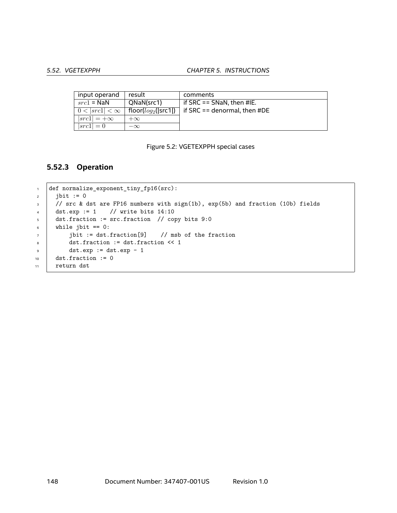#### *5.52. VGETEXPPH CHAPTER 5. INSTRUCTIONS*

| input operand         | result                  | comments                     |
|-----------------------|-------------------------|------------------------------|
| $src1 =$ NaN          | QNaN(src1)              | if SRC == $SNaN$ , then #IE. |
| $0 <  src1  < \infty$ | floor( $log_2$ ( src1 ) | if SRC == denormal, then #DE |
| $ src1  = +\infty$    | $+\infty$               |                              |
| $ src1  = 0$          | $-\infty$               |                              |

#### <span id="page-147-0"></span>Figure 5.2: VGETEXPPH special cases

#### **5.52.3 Operation**

```
1 def normalize_exponent_tiny_fp16(src):
2 \mid \text{jbit} := 03 / // src & dst are FP16 numbers with sign(1b), exp(5b) and fraction (10b) fields
4 dst.exp := 1 // write bits 14:105 dst.fraction := src.fraction // copy bits 9:0
6 while jbit == 0:
7 jbit := dst.fraction[9] // msb of the fraction
8 dst.fraction := dst.fraction << 1
\bullet dst.exp := dst.exp - 1
10 dst.fraction := 0
11 return dst
```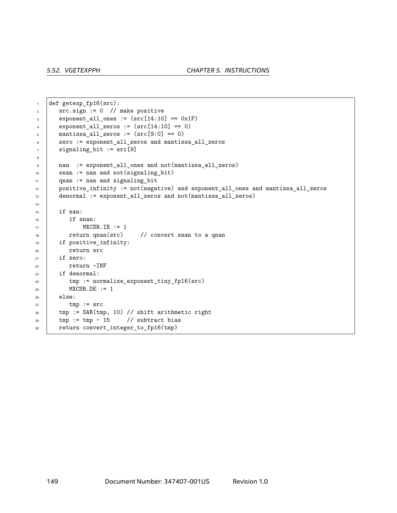```
1 def getexp_fp16(src):
2 \mid src.sign := 0 // make positive
\vert exponent_all_ones := (src[14:10] == 0x1F)
4 exponent_all_zeros := (\text{src}[14:10] == 0)5 mantissa_all_zeros := (\text{src}[9:0] == 0)6 zero := exponent_all_zeros and mantissa_all_zeros
7 signaling_bit := src[9]8
9 nan := exponent_all_ones and not(mantissa_all_zeros)
10 | snan := nan and not (signaling_bit)
11 qnan := nan and signaling_bit
12 positive_infinity := not(negative) and exponent_all_ones and mantissa_all_zeros
13 denormal := exponent_all_zeros and not(mantissa_all_zeros)
14
_{15} if nan:
_{16} | if snan:
17 | MXCSR. IE := 1
18 Teturn qnan(src) // convert snan to a qnan
19 if positive_infinity:
20 return src
21 if zero:
22 return -INF
23 if denormal:
24 tmp := normalize_exponent_tiny_fp16(src)
25 MXCSR.DE := 1
26 else:
27 tmp := src
28 tmp := SAR(tmp, 10) // shift arithmetic right
29 tmp := tmp - 15 // subtract bias
30 return convert_integer_to_fp16(tmp)
```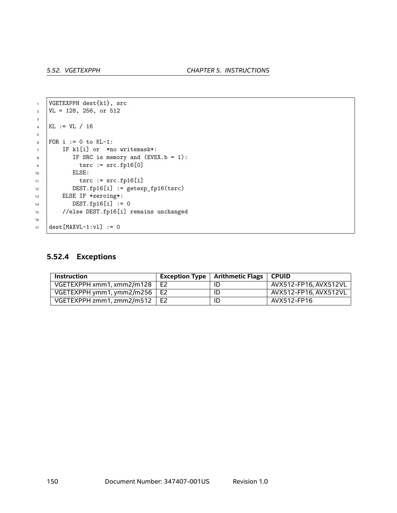```
1 VGETEXPPH dest{k1}, src
\text{VL} = 128, 256, \text{ or } 5123
4 KL := VL / 16
5
6 | FOR i := 0 to KL-1:
7 | IF k1[i] or *no writemask*:
8 IF SRC is memory and (EVEX.b = 1):
9 | tsrc := src.fp16[0]
10 | ELSE:
11 tsrc := src.fp16[i]12 DEST.fp16[i] := getexp_fp16(tsrc)
13 ELSE IF *zeroing*:
14 DEST.fp16[i] := 0
15 //else DEST.fp16[i] remains unchanged
16
17 dest [MAXVL-1:v1] := 0
```
## **5.52.4 Exceptions**

| Instruction               |                | Exception Type $\vert$ Arithmetic Flags $\vert$ | <b>CPUID</b>          |
|---------------------------|----------------|-------------------------------------------------|-----------------------|
| VGETEXPPH xmm1.xmm2/m128  | E <sub>2</sub> | ID                                              | AVX512-FP16, AVX512VL |
| VGETEXPPH ymm1, ymm2/m256 | E2             | ID                                              | AVX512-FP16, AVX512VL |
| VGETEXPPH zmm1, zmm2/m512 | E2             | ID                                              | AVX512-FP16           |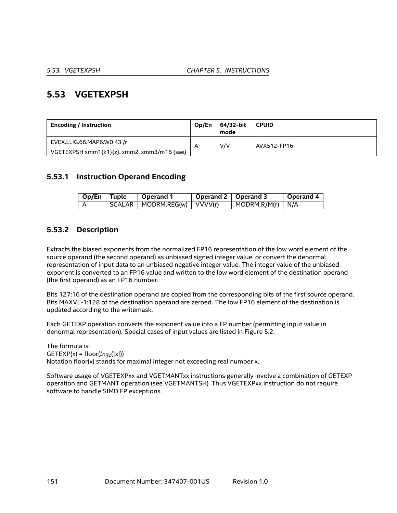# **5.53 VGETEXPSH**

| <b>Encoding / Instruction</b>               | Op/En | 64/32-bit<br>mode | <b>CPUID</b> |
|---------------------------------------------|-------|-------------------|--------------|
| EVEX.LLIG.66.MAP6.W0 43 /r                  | A     | V/V               | AVX512-FP16  |
| VGETEXPSH xmm1{k1}{z}, xmm2, xmm3/m16 {sae} |       |                   |              |

## **5.53.1 Instruction Operand Encoding**

| Op/En Tuple | <b>Operand 1</b>                | Operand 2   Operand 3 |                                  | <b>Operand 4</b> |
|-------------|---------------------------------|-----------------------|----------------------------------|------------------|
|             | SCALAR   MODRM.REG(w)   VVVV(r) |                       | $\vert$ MODRM.R/M(r) $\vert$ N/A |                  |

## **5.53.2 Description**

Extracts the biased exponents from the normalized FP16 representation of the low word element of the source operand (the second operand) as unbiased signed integer value, or convert the denormal representation of input data to an unbiased negative integer value. The integer value of the unbiased exponent is converted to an FP16 value and written to the low word element of the destination operand (the first operand) as an FP16 number.

Bits 127:16 of the destination operand are copied from the corresponding bits of the first source operand. Bits MAXVL-1:128 of the destination operand are zeroed. The low FP16 element of the destination is updated according to the writemask.

Each GETEXP operation converts the exponent value into a FP number (permitting input value in denormal representation). Special cases of input values are listed in Figure [5.2.](#page-147-0)

The formula is:  $GETEXP(x) = floor(log_2(|x|))$ Notation floor(x) stands for maximal integer not exceeding real number x.

Software usage of VGETEXPxx and VGETMANTxx instructions generally involve a combination of GETEXP operation and GETMANT operation (see VGETMANTSH). Thus VGETEXPxx instruction do not require software to handle SIMD FP exceptions.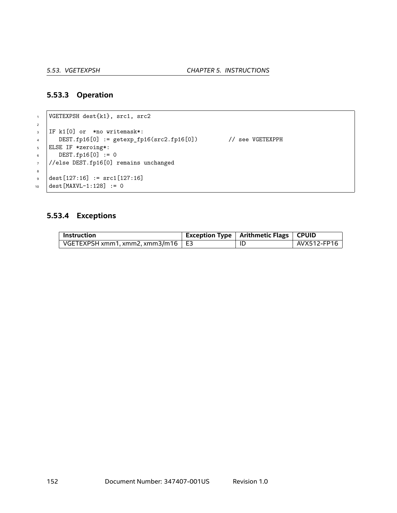#### **5.53.3 Operation**

```
1 VGETEXPSH dest{k1}, src1, src2
2
3 IF k1[0] or *no writemask*:
4 DEST.fp16[0] := getexp_fp16(src2.fp16[0]) // see VGETEXPPH
5 ELSE IF *zeroing*:
6 \quad \text{DEST.fp16[0]} := 07 //else DEST.fp16[0] remains unchanged
8
\bullet dest[127:16] := src1[127:16]
10 dest [MAXVL-1:128] := 0
```
## **5.53.4 Exceptions**

| Instruction                              | Exception Type   Arithmetic Flags   CPUID |             |
|------------------------------------------|-------------------------------------------|-------------|
| VGETEXPSH xmm1, xmm2, xmm3/m16 $\mid$ E3 | ΙL                                        | AVX512-FP16 |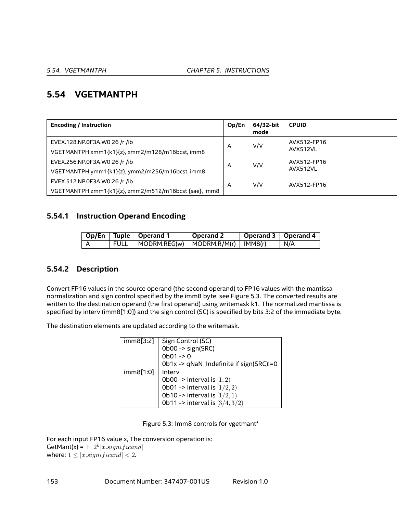# **5.54 VGETMANTPH**

| <b>Encoding / Instruction</b>                         | Op/En | 64/32-bit<br>mode | <b>CPUID</b>            |
|-------------------------------------------------------|-------|-------------------|-------------------------|
| EVEX.128.NP.0F3A.WO 26 /r /ib                         | A     | V/V               | AVX512-FP16<br>AVX512VL |
| VGETMANTPH xmm1{k1}{z}, xmm2/m128/m16bcst, imm8       |       |                   |                         |
| EVEX.256.NP.0F3A.WO 26 /r /ib                         | A     | V/V               | AVX512-FP16             |
| VGETMANTPH ymm1{k1}{z}, ymm2/m256/m16bcst, imm8       |       |                   | AVX512VL                |
| EVEX.512.NP.0F3A.WO 26 /r /ib                         | A     | V/V               | AVX512-FP16             |
| VGETMANTPH zmm1{k1}{z}, zmm2/m512/m16bcst {sae}, imm8 |       |                   |                         |

## **5.54.1 Instruction Operand Encoding**

|  | Op/En   Tuple   Operand 1                    | $\vert$ Operand 2 | Operand 3   Operand 4 |            |
|--|----------------------------------------------|-------------------|-----------------------|------------|
|  | FULL   MODRM.REG(w)   MODRM.R/M(r)   IMM8(r) |                   |                       | $\mid N/A$ |

# **5.54.2 Description**

Convert FP16 values in the source operand (the second operand) to FP16 values with the mantissa normalization and sign control specified by the imm8 byte, see Figure [5.3.](#page-152-0) The converted results are written to the destination operand (the first operand) using writemask k1. The normalized mantissa is specified by interv (imm8[1:0]) and the sign control (SC) is specified by bits 3:2 of the immediate byte.

The destination elements are updated according to the writemask.

| imm8[3:2] | Sign Control (SC)                          |
|-----------|--------------------------------------------|
|           | Ob00 -> sign(SRC)                          |
|           | $0b01 - 0$                                 |
|           | Ob1x -> qNaN_Indefinite if sign(SRC)!=0    |
| imm8[1:0] | Interv                                     |
|           | Ob00 -> interval is $[1, 2)$               |
|           | Ob01 -> interval is $[1/2, 2)$             |
|           | <b>Ob10</b> -> interval is $[1/2, 1)$      |
|           | <b>0b11 -&gt; interval is</b> $[3/4, 3/2)$ |

<span id="page-152-0"></span>Figure 5.3: Imm8 controls for vgetmant\*

For each input FP16 value x, The conversion operation is: GetMant(x) =  $\pm$  2<sup>k</sup>|*x*.significand|

where:  $1 \leq |x \cdot significant| < 2$ .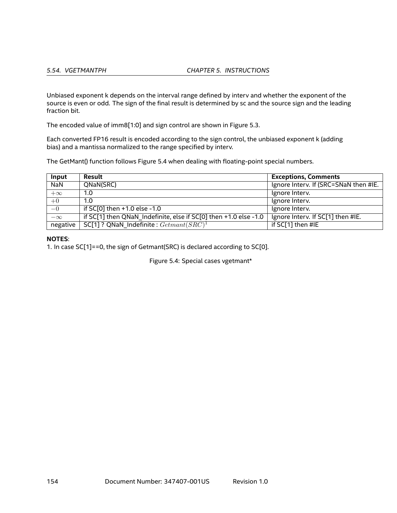*5.54. VGETMANTPH CHAPTER 5. INSTRUCTIONS*

Unbiased exponent k depends on the interval range defined by interv and whether the exponent of the source is even or odd. The sign of the final result is determined by sc and the source sign and the leading fraction bit.

The encoded value of imm8[1:0] and sign control are shown in Figure [5.3](#page-152-0).

Each converted FP16 result is encoded according to the sign control, the unbiased exponent k (adding bias) and a mantissa normalized to the range specified by interv.

The GetMant() function follows Figure [5.4](#page-153-0) when dealing with floating-point special numbers.

| Input      | Result                                                           | <b>Exceptions, Comments</b>           |
|------------|------------------------------------------------------------------|---------------------------------------|
| <b>NaN</b> | QNaN(SRC)                                                        | Ignore Interv. If (SRC=SNaN then #IE. |
| $+\infty$  | 1.0                                                              | Ignore Interv.                        |
| $+0$       | 1.0                                                              | Ignore Interv.                        |
| $-0$       | if SC[0] then +1.0 else -1.0                                     | Ignore Interv.                        |
| $-\infty$  | if SC[1] then QNaN Indefinite, else if SC[0] then +1.0 else -1.0 | Ignore Interv. If SC[1] then #IE.     |
| negative   | SC[1]? QNaN Indefinite: $Getmant(SRC)^1$                         | if SC[1] then #IE                     |

#### **NOTES**:

1. In case SC[1]==0, the sign of Getmant(SRC) is declared according to SC[0].

<span id="page-153-0"></span>Figure 5.4: Special cases vgetmant\*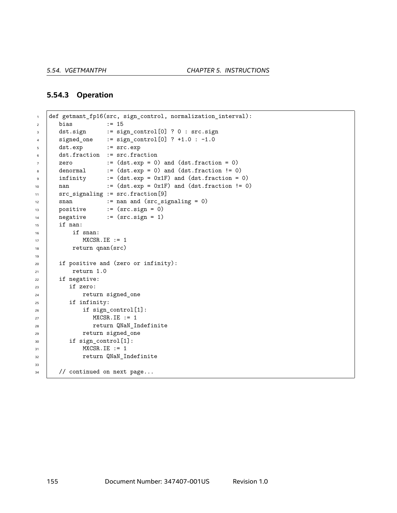#### **5.54.3 Operation**

```
1 def getmant_fp16(src, sign_control, normalization_interval):
2 \mid \text{bias} \mid := 153 dst.sign := sign_control[0] ? 0 : src.sign
4 signed_one := sign_control[0] ? +1.0 : -1.0
5 dst.exp := src.exp
6 dst.fraction := src.fraction
7 \mid zero := (dst.exp = 0) and (dst.fraction = 0)
\begin{array}{c|c} \hline \text{1} & \text{2} & \text{3} \\ \text{3} & \text{4} & \text{5} \\ \hline \text{4} & \text{5} & \text{6} \\ \hline \text{5} & \text{6} & \text{6} \\ \hline \text{6} & \text{7} & \text{7} \\ \hline \text{7} & \text{8} & \text{7} \\ \hline \text{8} & \text{9} & \text{8} \\ \hline \text{9} & \text{10} & \text{8} \\ \hline \text{10} & \text{11} & \text{9} \\ \hline \text{11} & \text{12} & \text{109 infinity := (dst.exp = 0x1F) and (dst.fraction = 0)10 nan := (dst.exp = 0x1F) and (dst.fraction != 0)
11 src_signaling := src.fraction[9]
12 snan := nan and (src_signaling = 0)
13 positive := (src.sign = 0)
14 negative := (src.sign = 1)
15 if nan:
_{16} if snan:
MXCSR.IE := 118 return qnan(src)
19
20 if positive and (zero or infinity):
21 return 1.0
22 if negative:
23 if zero:
24 return signed_one
25 if infinity:
26 if sign_control[1]:
27 | MXCSR.IE := 1
28 Participal Terminist Preturn QNaN_Indefinite
29 return signed_one
30 if sign_control[1]:
31 | MXCSR.IE := 1
32 Teturn QNaN_Indefinite
33
34 // continued on next page...
```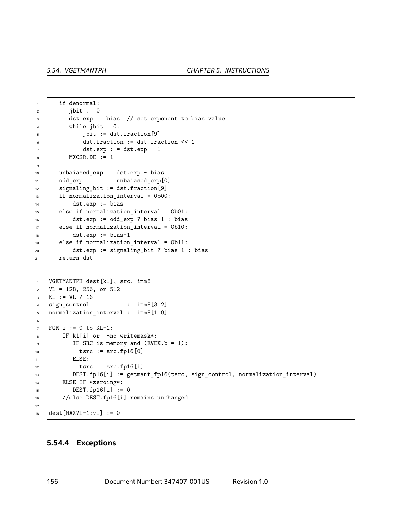```
1 if denormal:
2 \quad | \quad j \text{bit} := 03 dst.exp := bias // set exponent to bias value
4 while jbit = 0:
5 jbit := dst.fraction[9]
6 dst.fraction := dst.fraction << 1
7 \mid dst.exp : = dst.exp - 1
8 | MXCSR.DE := 1
9
10 | unbaiased_exp := dst.exp - bias
11 odd_exp := unbaiased_exp[0]
12 | signaling_bit := dst.fraction[9]
13 | if normalization_interval = 0b00:
14 dst.exp := bias
15 else if normalization_interval = 0b01:
16 dst.exp := odd_exp ? bias-1 : bias
17 else if normalization_interval = 0b10:
18 dst.exp := bias-1
19 else if normalization_interval = 0b11:
20 dst.exp := signaling_bit ? bias-1 : bias
_{21} return dst
```

```
1 | VGETMANTPH dest{k1}, src, imm8
\text{VL} = 128, 256, \text{ or } 512_3 KL := VL / 16
4 sign_{\text{control}} := imm8[3:2]5 | normalization_interval := imm8[1:0]
6
7 FOR i := 0 to KL-1:
8 IF k1[i] or *no writemask*:
9 | IF SRC is memory and (EVEX.b = 1):
10 | tsrc := src.fp16[0]
11 | ELSE:
12 tsrc := src.fp16[i]13 DEST.fp16[i] := getmant_fp16(tsrc, sign_control, normalization_interval)
14 | ELSE IF *zeroing*:
15 DEST.fp16[i] := 0
16 //else DEST.fp16[i] remains unchanged
17
18 dest [MAXVL-1:v1] := 0
```
#### **5.54.4 Exceptions**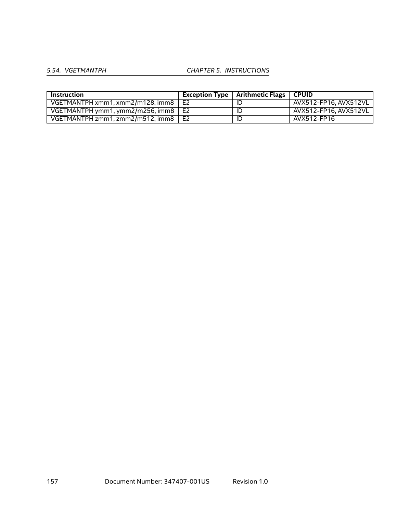# *5.54. VGETMANTPH CHAPTER 5. INSTRUCTIONS*

| Instruction                                 |    | Exception Type $\mid$ Arithmetic Flags $\mid$ | <b>CPUID</b>          |
|---------------------------------------------|----|-----------------------------------------------|-----------------------|
| VGETMANTPH xmm1, xmm2/m128, imm8            | E2 | ID                                            | AVX512-FP16. AVX512VL |
| VGETMANTPH ymm1, ymm2/m256, imm8 $\vert$ E2 |    | ID                                            | AVX512-FP16. AVX512VL |
| VGETMANTPH zmm1, zmm2/m512, imm8 $\mid$ E2  |    | ID                                            | AVX512-FP16           |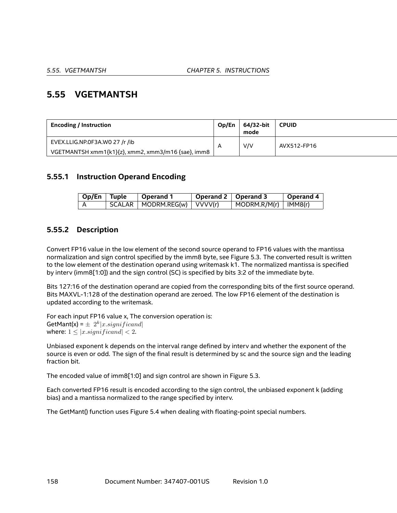# **5.55 VGETMANTSH**

| <b>Encoding / Instruction</b>                      | Op/En | 64/32-bit<br>mode | <b>CPUID</b> |
|----------------------------------------------------|-------|-------------------|--------------|
| EVEX.LLIG.NP.0F3A.WO 27 /r /ib                     |       | V/V               | AVX512-FP16  |
| VGETMANTSH xmm1{k1}{z}, xmm2, xmm3/m16 {sae}, imm8 |       |                   |              |

## **5.55.1 Instruction Operand Encoding**

| Op/En Tuple | Operand 1                     | Operand 2   Operand 3 |                                      | Operand 4 |
|-------------|-------------------------------|-----------------------|--------------------------------------|-----------|
|             | SCALAR   MODRM.REG(w) VVVV(r) |                       | $\vert$ MODRM.R/M(r) $\vert$ IMM8(r) |           |

## **5.55.2 Description**

Convert FP16 value in the low element of the second source operand to FP16 values with the mantissa normalization and sign control specified by the imm8 byte, see Figure [5.3.](#page-152-0) The converted result is written to the low element of the destination operand using writemask k1. The normalized mantissa is specified by interv (imm8[1:0]) and the sign control (SC) is specified by bits 3:2 of the immediate byte.

Bits 127:16 of the destination operand are copied from the corresponding bits of the first source operand. Bits MAXVL-1:128 of the destination operand are zeroed. The low FP16 element of the destination is updated according to the writemask.

For each input FP16 value x, The conversion operation is: GetMant(x) =  $\pm$  2<sup>k</sup>|*x*.significand| where:  $1 \leq |x \leq |$ *x*.*significand* $| \leq 2$ .

Unbiased exponent k depends on the interval range defined by interv and whether the exponent of the source is even or odd. The sign of the final result is determined by sc and the source sign and the leading fraction bit.

The encoded value of imm8[1:0] and sign control are shown in Figure [5.3](#page-152-0).

Each converted FP16 result is encoded according to the sign control, the unbiased exponent k (adding bias) and a mantissa normalized to the range specified by interv.

The GetMant() function uses Figure [5.4](#page-153-0) when dealing with floating-point special numbers.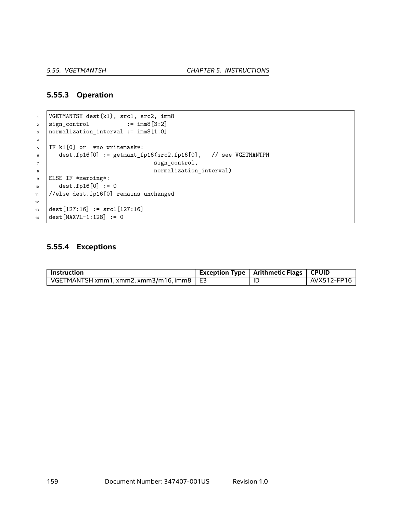#### **5.55.3 Operation**

```
1 VGETMANTSH dest{k1}, src1, src2, imm8
2 \quad \text{sign-control} \quad := \text{imm8[3:2]}\frac{1}{3} normalization_interval := imm8[1:0]
4
5 IF k1[0] or *no writemask*:
6 dest.fp16[0] := getmant_fp16(src2.fp16[0], // see VGETMANTPH
\begin{array}{ccc} \hline \end{array} sign_control,
8 a normalization_interval)
9 ELSE IF *zeroing*:
10 dest.fp16[0] := 0
11 //else dest.fp16[0] remains unchanged
12
13 dest[127:16] := src1[127:16]
14 dest [MAXVL-1:128] := 0
```
## **5.55.4 Exceptions**

| Instruction                                | Exception Type $\mid$ Arithmetic Flags $\mid$ CPUID |             |
|--------------------------------------------|-----------------------------------------------------|-------------|
| VGETMANTSH xmm1. xmm2. xmm3/m16. imm8   E3 | ТD                                                  | AVX512-FP16 |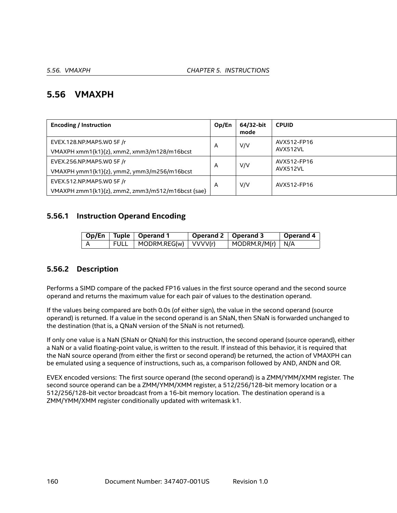# **5.56 VMAXPH**

| <b>Encoding / Instruction</b>                                                  | Op/En | 64/32-bit<br>mode | <b>CPUID</b>            |
|--------------------------------------------------------------------------------|-------|-------------------|-------------------------|
| EVEX.128.NP.MAP5.W0 5F /r<br>VMAXPH xmm1{k1}{z}, xmm2, xmm3/m128/m16bcst       | A     | V/V               | AVX512-FP16<br>AVX512VL |
| EVEX.256.NP.MAP5.WO 5F /r<br>VMAXPH ymm1{k1}{z}, ymm2, ymm3/m256/m16bcst       | A     | V/V               | AVX512-FP16<br>AVX512VL |
| EVEX.512.NP.MAP5.W0 5F /r<br>VMAXPH zmm1{k1}{z}, zmm2, zmm3/m512/m16bcst {sae} | A     | V/V               | AVX512-FP16             |

## **5.56.1 Instruction Operand Encoding**

|     |             | Op/En   Tuple   Operand 1 | Operand 2   Operand 3 |                                  | Operand 4 |
|-----|-------------|---------------------------|-----------------------|----------------------------------|-----------|
| - A | <b>FULL</b> | MODRM.REG(w) VVVV(r)      |                       | $\vert$ MODRM.R/M(r) $\vert$ N/A |           |

## **5.56.2 Description**

Performs a SIMD compare of the packed FP16 values in the first source operand and the second source operand and returns the maximum value for each pair of values to the destination operand.

If the values being compared are both 0.0s (of either sign), the value in the second operand (source operand) is returned. If a value in the second operand is an SNaN, then SNaN is forwarded unchanged to the destination (that is, a QNaN version of the SNaN is not returned).

If only one value is a NaN (SNaN or QNaN) for this instruction, the second operand (source operand), either a NaN or a valid floating-point value, is written to the result. If instead of this behavior, it is required that the NaN source operand (from either the first or second operand) be returned, the action of VMAXPH can be emulated using a sequence of instructions, such as, a comparison followed by AND, ANDN and OR.

EVEX encoded versions: The first source operand (the second operand) is a ZMM/YMM/XMM register. The second source operand can be a ZMM/YMM/XMM register, a 512/256/128-bit memory location or a 512/256/128-bit vector broadcast from a 16-bit memory location. The destination operand is a ZMM/YMM/XMM register conditionally updated with writemask k1.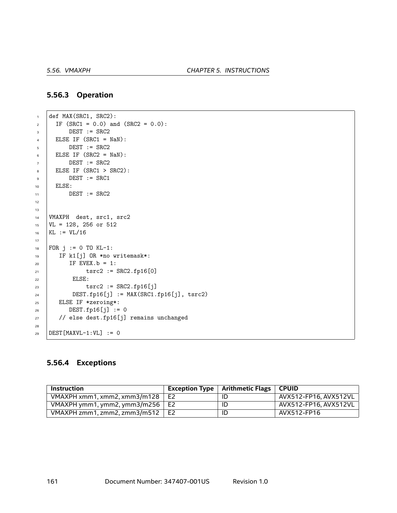### **5.56.3 Operation**

```
\frac{1}{1} def MAX(SRC1, SRC2):
2 \text{ IF (SRC1 = 0.0) and (SRC2 = 0.0):}\overline{\text{3}} DEST := SRC2
\angle ELSE IF (SRC1 = NaN):
5 DEST := SRC2
6 ELSE IF (SRC2 = NaN):
7 \quad | \quad DEST := SRC2\overline{\phantom{0}} ELSE IF (SRC1 > SRC2):
9 \t\t\t  DEST := SRC1
10 ELSE:
11 DEST := SRC2
12
13
14 | VMAXPH dest, src1, src2
15 VL = 128, 256 or 512
16 KL := VL/16
17
18 FOR j := 0 TO KL-1:
19 IF k1[j] OR *no writemask*:
20 IF EVEX.b = 1:
21 \qquad \qquad \text{tsrc2} := \text{SRC2.fpl6[0]}22 ELSE:
23 tsrc2 := SRC2.fp16[j]
24 DEST.fp16[j] := MAX(SRC1.fp16[j], tsrc2)
25 ELSE IF *zeroing*:
26 DEST.fp16[j] := 0
27 | // else dest.fp16[j] remains unchanged
28
29 DEST [MAXVL-1:VL] := 0
```
## **5.56.4 Exceptions**

| Instruction                            | Exception Type $\vert$ Arithmetic Flags $\vert$ CPUID |                       |
|----------------------------------------|-------------------------------------------------------|-----------------------|
| VMAXPH xmm1. xmm2. xmm3/m128 $\mid$ E2 | ID                                                    | AVX512-FP16. AVX512VL |
| VMAXPH ymm1, ymm2, ymm3/m256 $\mid$ E2 | ID                                                    | AVX512-FP16, AVX512VL |
| VMAXPH zmm1, zmm2, zmm3/m512 $\mid$ E2 | ID                                                    | AVX512-FP16           |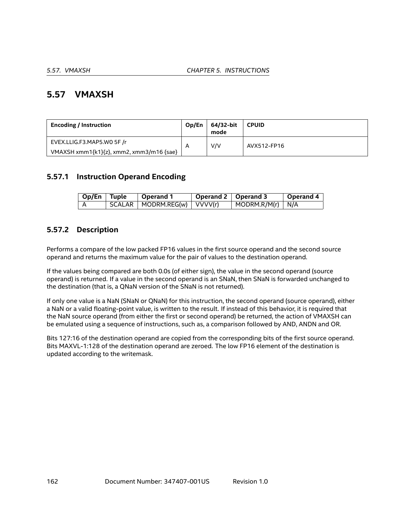# **5.57 VMAXSH**

| <b>Encoding / Instruction</b>            | Op/En | 64/32-bit<br>mode | <b>CPUID</b> |
|------------------------------------------|-------|-------------------|--------------|
| EVEX.LLIG.F3.MAP5.W0 5F /r               | A     | V/V               | AVX512-FP16  |
| VMAXSH xmm1{k1}{z}, xmm2, xmm3/m16 {sae} |       |                   |              |

# **5.57.1 Instruction Operand Encoding**

| Op/En Tuple | Operand 1                       | Operand 2   Operand 3 |                                  | <b>Operand 4</b> |
|-------------|---------------------------------|-----------------------|----------------------------------|------------------|
|             | SCALAR   MODRM.REG(w)   VVVV(r) |                       | $\vert$ MODRM.R/M(r) $\vert$ N/A |                  |

# **5.57.2 Description**

Performs a compare of the low packed FP16 values in the first source operand and the second source operand and returns the maximum value for the pair of values to the destination operand.

If the values being compared are both 0.0s (of either sign), the value in the second operand (source operand) is returned. If a value in the second operand is an SNaN, then SNaN is forwarded unchanged to the destination (that is, a QNaN version of the SNaN is not returned).

If only one value is a NaN (SNaN or QNaN) for this instruction, the second operand (source operand), either a NaN or a valid floating-point value, is written to the result. If instead of this behavior, it is required that the NaN source operand (from either the first or second operand) be returned, the action of VMAXSH can be emulated using a sequence of instructions, such as, a comparison followed by AND, ANDN and OR.

Bits 127:16 of the destination operand are copied from the corresponding bits of the first source operand. Bits MAXVL-1:128 of the destination operand are zeroed. The low FP16 element of the destination is updated according to the writemask.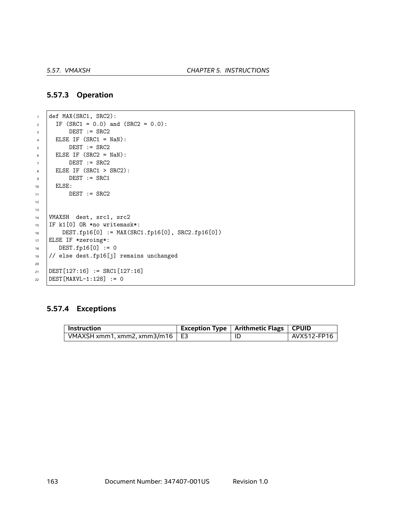### **5.57.3 Operation**

```
\frac{1}{1} def MAX(SRC1, SRC2):
2 \mid \text{IF (SRC1 = 0.0) and (SRC2 = 0.0):}\overline{\text{3}} DEST := SRC2
\angle ELSE IF (SRC1 = NaN):
5 DEST := SRC2
6 ELSE IF (SRC2 = NaN):
7 \quad | \quad DEST := SRC2\overline{\phantom{0}} ELSE IF (SRC1 > SRC2):
\overline{9} DEST := SRC1
10 ELSE:
11 DEST := SRC2
12
13
14 | VMAXSH dest, src1, src2
15 IF k1[0] OR *no writemask*:
16 DEST.fp16[0] := MAX(SRC1.fp16[0], SRC2.fp16[0])
17 ELSE IF *zeroing*:
18 DEST.fp16[0] := 0
19 // else dest.fp16[j] remains unchanged
20
21 DEST[127:16] := SRC1[127:16]
22 DEST [MAXVL-1:128] := 0
```
#### **5.57.4 Exceptions**

| $^{\shortmid}$ Instruction            | Exception Type   Arithmetic Flags   CPUID |             |
|---------------------------------------|-------------------------------------------|-------------|
| VMAXSH xmm1, xmm2, xmm3/m16 $\mid$ E3 |                                           | AVX512-FP16 |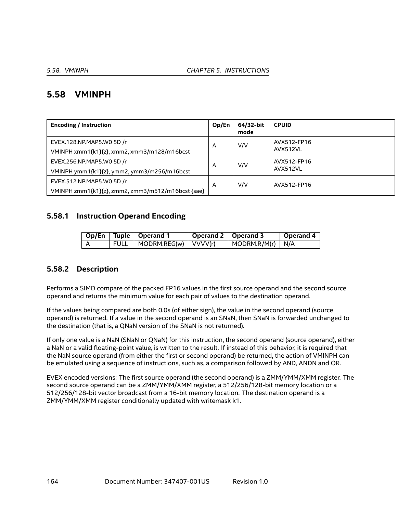# **5.58 VMINPH**

| <b>Encoding / Instruction</b>                     | Op/En | 64/32-bit<br>mode | <b>CPUID</b> |
|---------------------------------------------------|-------|-------------------|--------------|
| EVEX.128.NP.MAP5.WO 5D /r                         | A     | V/V               | AVX512-FP16  |
| VMINPH xmm1{k1}{z}, xmm2, xmm3/m128/m16bcst       |       |                   | AVX512VL     |
| EVEX.256.NP.MAP5.WO 5D /r                         | A     | V/V               | AVX512-FP16  |
| VMINPH ymm1{k1}{z}, ymm2, ymm3/m256/m16bcst       |       |                   | AVX512VL     |
| EVEX.512.NP.MAP5.W0 5D /r                         | A     | V/V               | AVX512-FP16  |
| VMINPH zmm1{k1}{z}, zmm2, zmm3/m512/m16bcst {sae} |       |                   |              |

## **5.58.1 Instruction Operand Encoding**

|     |             | Op/En   Tuple   Operand 1 | Operand 2   Operand 3 |                                  | Operand 4 |
|-----|-------------|---------------------------|-----------------------|----------------------------------|-----------|
| - A | <b>FULL</b> | MODRM.REG(w) VVVV(r)      |                       | $\vert$ MODRM.R/M(r) $\vert$ N/A |           |

## **5.58.2 Description**

Performs a SIMD compare of the packed FP16 values in the first source operand and the second source operand and returns the minimum value for each pair of values to the destination operand.

If the values being compared are both 0.0s (of either sign), the value in the second operand (source operand) is returned. If a value in the second operand is an SNaN, then SNaN is forwarded unchanged to the destination (that is, a QNaN version of the SNaN is not returned).

If only one value is a NaN (SNaN or QNaN) for this instruction, the second operand (source operand), either a NaN or a valid floating-point value, is written to the result. If instead of this behavior, it is required that the NaN source operand (from either the first or second operand) be returned, the action of VMINPH can be emulated using a sequence of instructions, such as, a comparison followed by AND, ANDN and OR.

EVEX encoded versions: The first source operand (the second operand) is a ZMM/YMM/XMM register. The second source operand can be a ZMM/YMM/XMM register, a 512/256/128-bit memory location or a 512/256/128-bit vector broadcast from a 16-bit memory location. The destination operand is a ZMM/YMM/XMM register conditionally updated with writemask k1.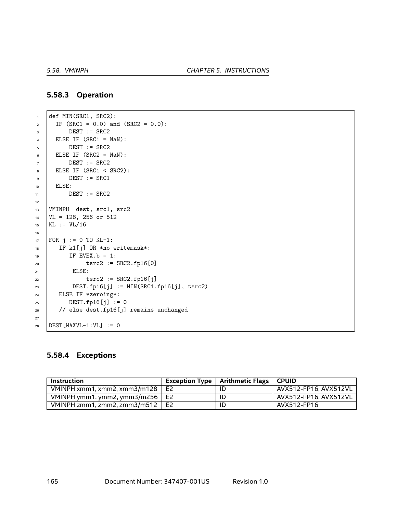## **5.58.3 Operation**

```
\frac{1}{1} def MIN(SRC1, SRC2):
2 \text{ IF (SRC1 = 0.0) and (SRC2 = 0.0):}\overline{\text{3}} DEST := SRC2
\angle ELSE IF (SRC1 = NaN):
5 DEST := SRC2
6 ELSE IF (SRC2 = NaN):
7 \quad | \quad DEST := SRC2\overline{\phantom{0}} ELSE IF (SRC1 < SRC2):
\overline{9} DEST := SRC1
10 ELSE:
11 DEST := SRC2
12
13 VMINPH dest, src1, src2
14 | VL = 128, 256 or 512
15 KL := VL/16
16
17 | FOR j := 0 TO KL-1:
18 | IF k1[j] OR *no writemask*:
19 IF EVEX. b = 1:
20 tsrc2 := SRC2.fp16[0]
21 | ELSE:
22 tsrc2 := SRC2.fp16[j]
23 DEST.fp16[j] := MIN(SRC1.fp16[j], tsrc2)
24 ELSE IF *zeroing*:
25 DEST.fp16[j] := 0
26 // else dest.fp16[j] remains unchanged
27
28 DEST [MAXVL-1:VL] := 0
```
#### **5.58.4 Exceptions**

| <b>Instruction</b>           |                | Exception Type $\vert$ Arithmetic Flags $\vert$ CPUID |                         |
|------------------------------|----------------|-------------------------------------------------------|-------------------------|
| VMINPH xmm1, xmm2, xmm3/m128 | E <sub>2</sub> | ID                                                    | AVX512-FP16. AVX512VL   |
| VMINPH ymm1, ymm2, ymm3/m256 | E2             | ΙD                                                    | . AVX512-FP16. AVX512VL |
| VMINPH zmm1. zmm2. zmm3/m512 | E2             | ID                                                    | AVX512-FP16             |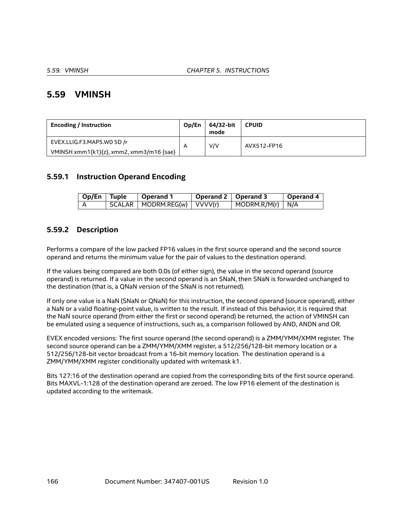# **5.59 VMINSH**

| <b>Encoding / Instruction</b>            | Op/En                   | 64/32-bit<br>mode | <b>CPUID</b> |
|------------------------------------------|-------------------------|-------------------|--------------|
| EVEX.LLIG.F3.MAP5.WO 5D /r               | $\overline{\mathsf{A}}$ | V/V               | AVX512-FP16  |
| VMINSH xmm1{k1}{z}, xmm2, xmm3/m16 {sae} |                         |                   |              |

## **5.59.1 Instruction Operand Encoding**

| Op/En Tuple | Operand 1                       | Operand 2   Operand 3 |                                  | <b>Operand 4</b> |
|-------------|---------------------------------|-----------------------|----------------------------------|------------------|
|             | SCALAR   MODRM.REG(w)   VVVV(r) |                       | $\vert$ MODRM.R/M(r) $\vert$ N/A |                  |

## **5.59.2 Description**

Performs a compare of the low packed FP16 values in the first source operand and the second source operand and returns the minimum value for the pair of values to the destination operand.

If the values being compared are both 0.0s (of either sign), the value in the second operand (source operand) is returned. If a value in the second operand is an SNaN, then SNaN is forwarded unchanged to the destination (that is, a QNaN version of the SNaN is not returned).

If only one value is a NaN (SNaN or QNaN) for this instruction, the second operand (source operand), either a NaN or a valid floating-point value, is written to the result. If instead of this behavior, it is required that the NaN source operand (from either the first or second operand) be returned, the action of VMINSH can be emulated using a sequence of instructions, such as, a comparison followed by AND, ANDN and OR.

EVEX encoded versions: The first source operand (the second operand) is a ZMM/YMM/XMM register. The second source operand can be a ZMM/YMM/XMM register, a 512/256/128-bit memory location or a 512/256/128-bit vector broadcast from a 16-bit memory location. The destination operand is a ZMM/YMM/XMM register conditionally updated with writemask k1.

Bits 127:16 of the destination operand are copied from the corresponding bits of the first source operand. Bits MAXVL-1:128 of the destination operand are zeroed. The low FP16 element of the destination is updated according to the writemask.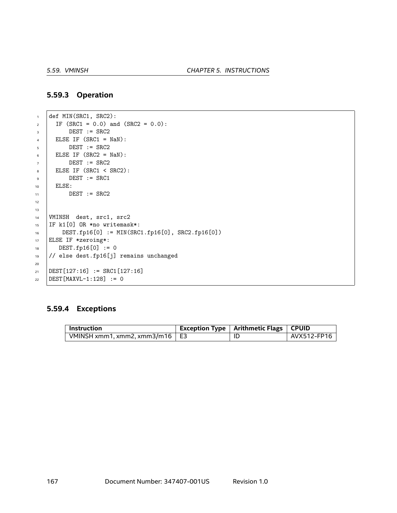### **5.59.3 Operation**

```
\frac{1}{1} def MIN(SRC1, SRC2):
2 \mid \text{IF (SRC1 = 0.0) and (SRC2 = 0.0):}\overline{\text{3}} DEST := SRC2
\angle ELSE IF (SRC1 = NaN):
5 DEST := SRC2
6 ELSE IF (SRC2 = NaN):
7 \quad | \quad DEST := SRC2\overline{\phantom{0}} ELSE IF (SRC1 < SRC2):
\overline{9} DEST := SRC1
10 | ELSE:
11 DEST := SRC2
12
13
14 | VMINSH dest, src1, src2
15 IF k1[0] OR *no writemask*:
16 DEST.fp16[0] := MIN(SRC1.fp16[0], SRC2.fp16[0])
17 ELSE IF *zeroing*:
18 DEST.fp16[0] := 0
19 // else dest.fp16[j] remains unchanged
20
21 DEST[127:16] := SRC1[127:16]
22 DEST [MAXVL-1:128] := 0
```
## **5.59.4 Exceptions**

| Instruction                     | Exception Type   Arithmetic Flags   CPUID |                          |
|---------------------------------|-------------------------------------------|--------------------------|
| VMINSH xmm1, xmm2, xmm3/m16 $E$ | ID                                        | <sup>⊦</sup> AVX512-FP16 |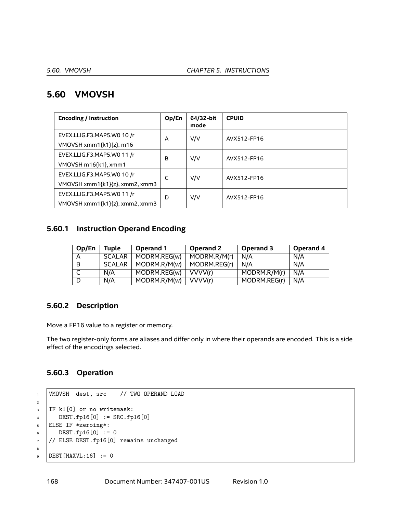# **5.60 VMOVSH**

| <b>Encoding / Instruction</b>  | Op/En | 64/32-bit<br>mode | <b>CPUID</b> |
|--------------------------------|-------|-------------------|--------------|
| EVEX.LLIG.F3.MAP5.WO 10 /r     | A     | V/V               | AVX512-FP16  |
| VMOVSH xmm1 ${k1}{z}$ , m16    |       |                   |              |
| EVEX.LLIG.F3.MAP5.WO 11 /r     | в     | V/V               | AVX512-FP16  |
| VMOVSH m16{k1}, xmm1           |       |                   |              |
| EVEX.LLIG.F3.MAP5.WO 10 /r     | C     | V/V               | AVX512-FP16  |
| VMOVSH xmm1{k1}{z}, xmm2, xmm3 |       |                   |              |
| EVEX.LLIG.F3.MAP5.WO 11 /r     | D     | V/V               | AVX512-FP16  |
| VMOVSH xmm1{k1}{z}, xmm2, xmm3 |       |                   |              |

## **5.60.1 Instruction Operand Encoding**

| Op/En | Tuple         | Operand 1    | Operand 2    | Operand 3    | Operand 4 |
|-------|---------------|--------------|--------------|--------------|-----------|
| A     | <b>SCALAR</b> | MODRM.REG(w) | MODRM.R/M(r) | N/A          | N/A       |
| B     | <b>SCALAR</b> | MODRM.R/M(w) | MODRM.REG(r) | N/A          | N/A       |
|       | N/A           | MODRM.REG(w) | VVVV(r)      | MODRM.R/M(r) | N/A       |
|       | N/A           | MODRM.R/M(w) | VVVV(r)      | MODRM.REG(r) | N/A       |

# **5.60.2 Description**

Move a FP16 value to a register or memory.

The two register-only forms are aliases and differ only in where their operands are encoded. This is a side effect of the encodings selected.

# **5.60.3 Operation**

```
1 VMOVSH dest, src // TWO OPERAND LOAD
2
3 IF k1[0] or no writemask:
4 DEST.fp16[0] := SRC.fp16[0]
5 ELSE IF *zeroing*:
6 \quad \text{DEST.fp16[0]} := 07 // ELSE DEST.fp16[0] remains unchanged
8
\overline{\text{DEST}[\text{MAXVL}:16]} := 0
```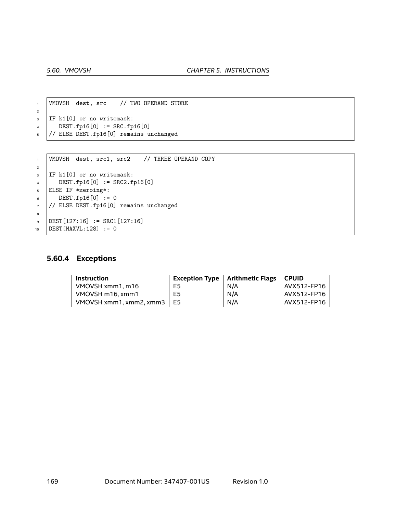```
1 | VMOVSH dest, src // TWO OPERAND STORE
2
3 IF k1[0] or no writemask:
4 DEST.fp16[0] := SRC.fp16[0]
5 // ELSE DEST.fp16[0] remains unchanged
```

```
1 | VMOVSH dest, src1, src2 / / THREE OPERAND COPY
2
3 IF k1[0] or no writemask:
\mu DEST.fp16[0] := SRC2.fp16[0]
5 ELSE IF *zeroing*:
6 \quad \text{DEST.fp16[0]} := 07 // ELSE DEST.fp16[0] remains unchanged
8
\text{DEF}[127:16] := \text{SRC1}[127:16]10 DEST[MAXVL:128] := 0
```
#### **5.60.4 Exceptions**

| <b>Instruction</b>      | <b>Exception Type</b> | Arithmetic Flags . | <b>CPUID</b> |
|-------------------------|-----------------------|--------------------|--------------|
| VMOVSH xmm1, m16        | E5                    | N/A                | AVX512-FP16  |
| VMOVSH m16, xmm1        | E <sub>5</sub>        | N/A                | AVX512-FP16  |
| VMOVSH xmm1. xmm2. xmm3 | E5                    | N/A                | AVX512-FP16  |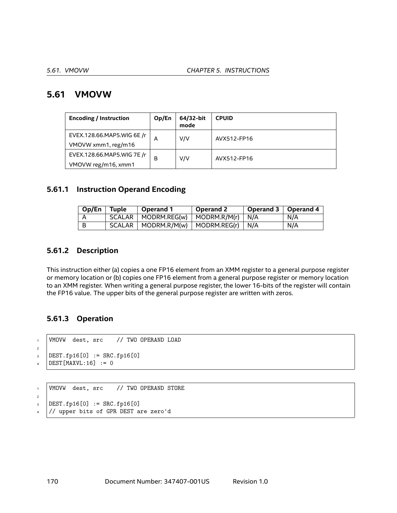# **5.61 VMOVW**

| <b>Encoding / Instruction</b>                     | Op/En | 64/32-bit<br>mode | <b>CPUID</b> |
|---------------------------------------------------|-------|-------------------|--------------|
| EVEX.128.66.MAP5.WIG 6E /r<br>VMOVW xmm1, reg/m16 | А     | V/V               | AVX512-FP16  |
|                                                   |       |                   |              |
| EVEX.128.66.MAP5.WIG 7E /r<br>VMOVW reg/m16, xmm1 | B     | V/V               | AVX512-FP16  |

## **5.61.1 Instruction Operand Encoding**

| Op/En | Tuple               | Operand 1             | Operand 2                        | Operand 3   Operand 4 |     |
|-------|---------------------|-----------------------|----------------------------------|-----------------------|-----|
|       | SCALAR              | MODRM.REG(w)          | $MODRM.R/M(r)$ N/A               |                       | N/A |
| - B   | SCALAR <sub>I</sub> | $\vdash$ MODRM.R/M(w) | $\vert$ MODRM.REG(r) $\vert$ N/A |                       | N/A |

## **5.61.2 Description**

This instruction either (a) copies a one FP16 element from an XMM register to a general purpose register or memory location or (b) copies one FP16 element from a general purpose register or memory location to an XMM register. When writing a general purpose register, the lower 16-bits of the register will contain the FP16 value. The upper bits of the general purpose register are written with zeros.

## **5.61.3 Operation**

```
1 VMOVW dest, src // TWO OPERAND LOAD
2
3 DEST.fp16[0] := SRC.fp16[0]
\angle DEST [MAXVL:16] := 0
```

```
1 VMOVW dest, src // TWO OPERAND STORE
2
3 DEST.fp16[0] := SRC.fp16[0]
4 // upper bits of GPR DEST are zero'd
```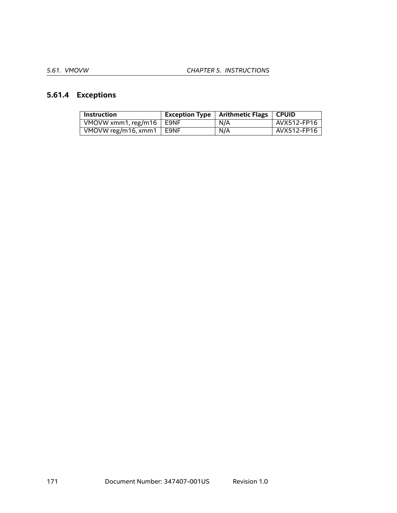# **5.61.4 Exceptions**

| <b>Instruction</b>         | Exception Type $ $ | Arithmetic Flags   CPUID |             |
|----------------------------|--------------------|--------------------------|-------------|
| VMOVW xmm1, reg/m16 $\mid$ | E9NF               | N/A                      | AVX512-FP16 |
| VMOVW reg/m16, xmm1        | <b>E9NF</b>        | N/A                      | AVX512-FP16 |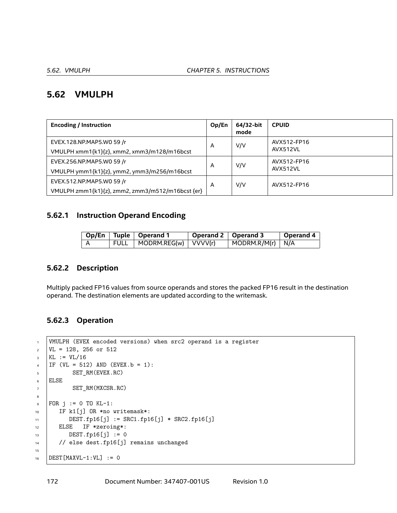# **5.62 VMULPH**

| <b>Encoding / Instruction</b>                    | Op/En | 64/32-bit<br>mode | <b>CPUID</b>            |
|--------------------------------------------------|-------|-------------------|-------------------------|
| EVEX.128.NP.MAP5.W0 59 /r                        | A     | V/V               | AVX512-FP16<br>AVX512VL |
| VMULPH xmm1{k1}{z}, xmm2, xmm3/m128/m16bcst      |       |                   |                         |
| EVEX.256.NP.MAP5.W0 59 /r                        | A     | V/V               | AVX512-FP16             |
| VMULPH ymm1{k1}{z}, ymm2, ymm3/m256/m16bcst      |       |                   | AVX512VL                |
| EVEX.512.NP.MAP5.W0 59 /r                        | A     | V/V               | AVX512-FP16             |
| VMULPH zmm1{k1}{z}, zmm2, zmm3/m512/m16bcst {er} |       |                   |                         |

## **5.62.1 Instruction Operand Encoding**

|  | Op/En   Tuple   Operand 1     | Operand 2   Operand 3 |                                  | Operand 4 |
|--|-------------------------------|-----------------------|----------------------------------|-----------|
|  | FULL   MODRM.REG(w)   VVVV(r) |                       | $\vert$ MODRM.R/M(r) $\vert$ N/A |           |

## **5.62.2 Description**

Multiply packed FP16 values from source operands and stores the packed FP16 result in the destination operand. The destination elements are updated according to the writemask.

### **5.62.3 Operation**

```
1 | VMULPH (EVEX encoded versions) when src2 operand is a register
\text{VL} = 128, 256 or 512
_3 | KL := VL/16
4 | IF (VL = 512) AND (EVEX.b = 1):
5 SET_RM(EVEX.RC)
6 ELSE
7 SET_RM(MXCSR.RC)
8
\bullet FOR j := 0 TO KL-1:
10 | IF k1[j] OR *no writemask*:
11 DEST.fp16[j] := SRC1.fp16[j] * SRC2.fp16[j]
12 ELSE IF *zeroing*:
13 DEST.fp16[j] := 0
14 // else dest.fp16[j] remains unchanged
15
16 DEST [MAXVL-1:VL] := 0
```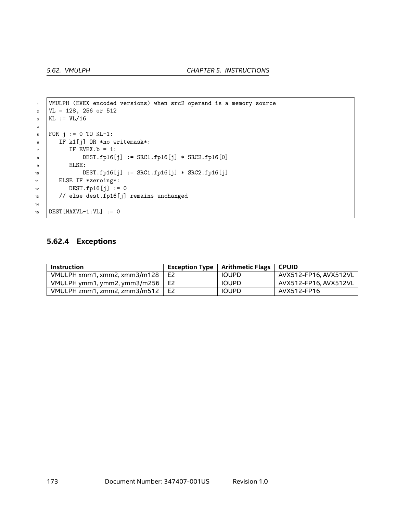```
1 | VMULPH (EVEX encoded versions) when src2 operand is a memory source
\text{VL} = 128, 256 or 512
_3 | KL := VL/16
4
5 FOR j := 0 TO KL-1:
6 IF k1[j] OR *no writemask*:
7 IF EVEX.b = 1:
8 DEST.fp16[j] := SRC1.fp16[j] * SRC2.fp16[0]
9 ELSE:
10 DEST.fp16[j] := SRC1.fp16[j] * SRC2.fp16[j]
11 ELSE IF *zeroing*:
12 DEST.fp16[j] := 0
13 // else dest.fp16[j] remains unchanged
14
15 DEST [MAXVL-1:VL] := 0
```
### **5.62.4 Exceptions**

| Instruction                            |    | Exception Type $\vert$ Arithmetic Flags $\vert$ CPUID |                       |
|----------------------------------------|----|-------------------------------------------------------|-----------------------|
| VMULPH xmm1, xmm2, xmm3/m128           | E2 | <b>IOUPD</b>                                          | AVX512-FP16, AVX512VL |
| VMULPH ymm1, ymm2, ymm3/m256 $\mid$ E2 |    | <b>IOUPD</b>                                          | AVX512-FP16, AVX512VL |
| VMULPH zmm1, zmm2, zmm3/m512           | E2 | <b>IOUPD</b>                                          | AVX512-FP16           |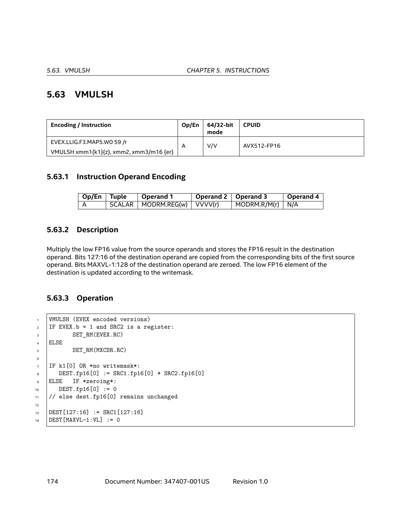# **5.63 VMULSH**

| <b>Encoding / Instruction</b>           | Op/En | 64/32-bit<br>mode | <b>CPUID</b> |
|-----------------------------------------|-------|-------------------|--------------|
| EVEX.LLIG.F3.MAP5.WO 59 /r              | A     | V/V               | AVX512-FP16  |
| VMULSH xmm1{k1}{z}, xmm2, xmm3/m16 {er} |       |                   |              |

## **5.63.1 Instruction Operand Encoding**

| Op/En   Tuple | $\vert$ Operand 1               | Operand 2   Operand 3 |                                  | Operand 4 |
|---------------|---------------------------------|-----------------------|----------------------------------|-----------|
|               | SCALAR   MODRM.REG(w)   VVVV(r) |                       | $\vert$ MODRM.R/M(r) $\vert$ N/A |           |

## **5.63.2 Description**

Multiply the low FP16 value from the source operands and stores the FP16 result in the destination operand. Bits 127:16 of the destination operand are copied from the corresponding bits of the first source operand. Bits MAXVL-1:128 of the destination operand are zeroed. The low FP16 element of the destination is updated according to the writemask.

#### **5.63.3 Operation**

```
1 | VMULSH (EVEX encoded versions)
2 IF EVEX.b = 1 and SRC2 is a register:
3 SET_RM(EVEX.RC)
4 ELSE
5 SET_RM(MXCSR.RC)
6
7 IF k1[0] OR *no writemask*:
8 \mid DEST.fp16[0] := SRC1.fp16[0] * SRC2.fp16[0]
9 ELSE IF *zeroing*:
10 DEST.fp16[0] := 0
11 // else dest.fp16[0] remains unchanged
12
13 DEST[127:16] := SRC1[127:16]
14 DEST [MAXVL-1:VL] := 0
```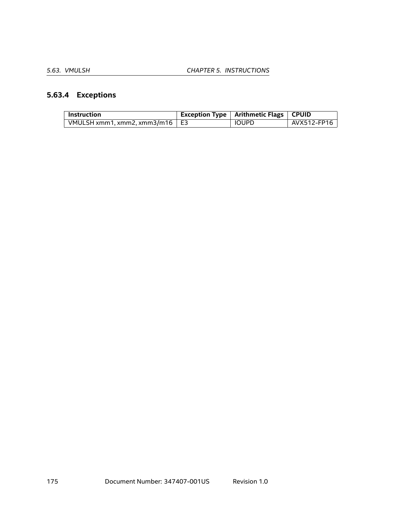# **5.63.4 Exceptions**

| <b>Instruction</b>                    | <b>Exception Type   Arithmetic Flags   CPUID</b> |             |
|---------------------------------------|--------------------------------------------------|-------------|
| VMULSH xmm1, xmm2, xmm3/m16 $\mid$ E3 | <b>IOUPD</b>                                     | AVX512-FP16 |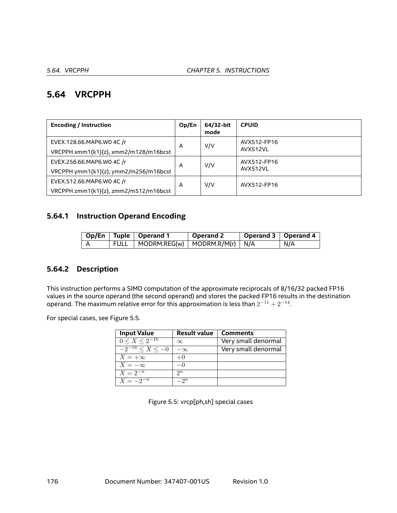# **5.64 VRCPPH**

| <b>Encoding / Instruction</b>                                      | Op/En | 64/32-bit<br>mode | <b>CPUID</b>            |
|--------------------------------------------------------------------|-------|-------------------|-------------------------|
| EVEX.128.66.MAP6.WO 4C /r<br>VRCPPH xmm1{k1}{z}, xmm2/m128/m16bcst | A     | V/V               | AVX512-FP16<br>AVX512VL |
| EVEX.256.66.MAP6.WO 4C /r<br>VRCPPH ymm1{k1}{z}, ymm2/m256/m16bcst | A     | V/V               | AVX512-FP16<br>AVX512VL |
| EVEX.512.66.MAP6.WO 4C /r<br>VRCPPH zmm1{k1}{z}, zmm2/m512/m16bcst | A     | V/V               | AVX512-FP16             |

# **5.64.1 Instruction Operand Encoding**

|  | Op/En   Tuple   Operand 1                | Operand 2 | Operand 3   Operand 4 |     |
|--|------------------------------------------|-----------|-----------------------|-----|
|  | FULL   MODRM.REG(w)   MODRM.R/M(r)   N/A |           |                       | N/A |

## **5.64.2 Description**

This instruction performs a SIMD computation of the approximate reciprocals of 8/16/32 packed FP16 values in the source operand (the second operand) and stores the packed FP16 results in the destination operand. The maximum relative error for this approximation is less than  $2^{-11} + 2^{-14}.$ 

For special cases, see Figure [5.5](#page-175-0).

| <b>Input Value</b>    | <b>Result value</b> | <b>Comments</b>     |
|-----------------------|---------------------|---------------------|
| $0 \le X \le 2^{-16}$ | $\infty$            | Very small denormal |
| $-2^{-16} < X < -0$   | $-\infty$           | Very small denormal |
| $X = +\infty$         | $+0$                |                     |
| $X=-\infty$           | $-()$               |                     |
| $X = 2^{-n}$          | $2^n$               |                     |
| $X = -2^{-n}$         | $-2^n$              |                     |

<span id="page-175-0"></span>Figure 5.5: vrcp[ph,sh] special cases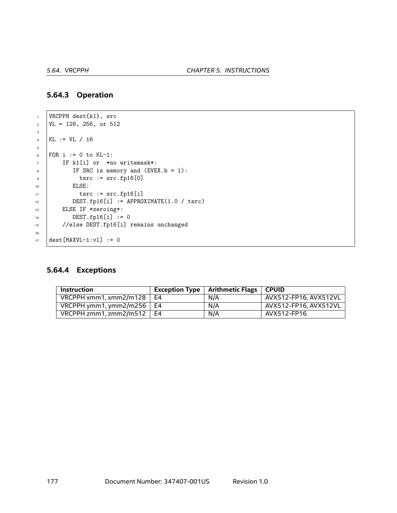### **5.64.3 Operation**

```
1 VRCPPH dest{k1}, src
\text{VL} = 128, 256, \text{ or } 5123
4 KL := VL / 16
5
6 FOR i := 0 to KL-1:
7 IF k1[i] or *no writemask*:
8 \mid IF SRC is memory and (EVEX.b = 1):
\frac{1}{9} tsrc := src.fp16[0]
10 | ELSE:
11 tsrc := src.fp16[i]12 DEST.fp16[i] := APPROXIMATE(1.0 / tsrc)
13 ELSE IF *zeroing*:
14 DEST.fp16[i] := 0
15 //else DEST.fp16[i] remains unchanged
16
17 dest [MAXVL-1:v1] := 0
```
# **5.64.4 Exceptions**

| <b>Instruction</b>     |    | Exception Type $\vert$ Arithmetic Flags $\vert$ CPUID |                       |
|------------------------|----|-------------------------------------------------------|-----------------------|
| VRCPPH xmm1, xmm2/m128 | F4 | N/A                                                   | AVX512-FP16. AVX512VL |
| VRCPPH ymm1, ymm2/m256 | F4 | N/A                                                   | AVX512-FP16. AVX512VL |
| VRCPPH zmm1. zmm2/m512 | F4 | N/A                                                   | AVX512-FP16           |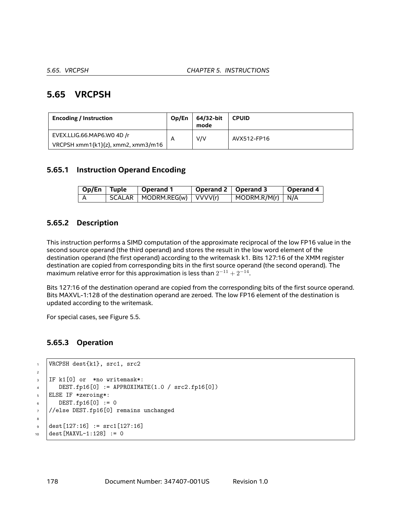# **5.65 VRCPSH**

| <b>Encoding / Instruction</b>      | Op/En | 64/32-bit<br>mode | <b>CPUID</b> |
|------------------------------------|-------|-------------------|--------------|
| EVEX.LLIG.66.MAP6.WO 4D /r         | A     | V/V               | AVX512-FP16  |
| VRCPSH xmm1{k1}{z}, xmm2, xmm3/m16 |       |                   |              |

## **5.65.1 Instruction Operand Encoding**

|  | Op/En   Tuple | $\vert$ Operand 1             | Operand 2   Operand 3 |                                | $\vert$ Operand 4 $\vert$ |
|--|---------------|-------------------------------|-----------------------|--------------------------------|---------------------------|
|  |               | SCALAR   MODRM.REG(w) VVVV(r) |                       | $\mid$ MODRM.R/M(r) $\mid$ N/A |                           |

## **5.65.2 Description**

This instruction performs a SIMD computation of the approximate reciprocal of the low FP16 value in the second source operand (the third operand) and stores the result in the low word element of the destination operand (the first operand) according to the writemask k1. Bits 127:16 of the XMM register destination are copied from corresponding bits in the first source operand (the second operand). The maximum relative error for this approximation is less than 2 *<sup>−</sup>*<sup>11</sup> + 2*−*<sup>14</sup> .

Bits 127:16 of the destination operand are copied from the corresponding bits of the first source operand. Bits MAXVL-1:128 of the destination operand are zeroed. The low FP16 element of the destination is updated according to the writemask.

For special cases, see Figure [5.5](#page-175-0).

## **5.65.3 Operation**

```
1 VRCPSH dest{k1}, src1, src2
2
3 IF k1[0] or *no writemask*:
4 DEST.fp16[0] := APPROXIMATE(1.0 / src2.fp16[0])
5 ELSE IF *zeroing*:
6 \quad \text{DEST.fp16[0]} := 07 //else DEST.fp16[0] remains unchanged
8
\bullet dest[127:16] := src1[127:16]
10 dest [MAXVL-1:128] := 0
```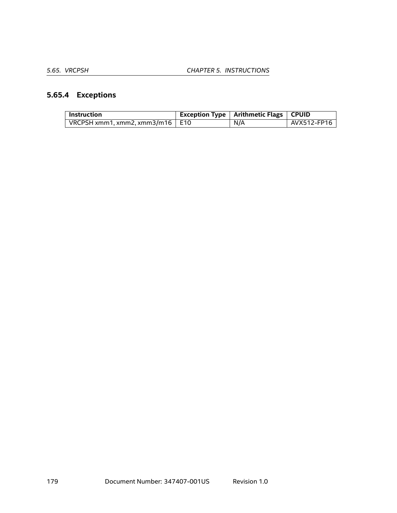# **5.65.4 Exceptions**

| <b>Instruction</b>                     | Exception Type   Arithmetic Flags   CPUID |             |
|----------------------------------------|-------------------------------------------|-------------|
| VRCPSH xmm1, xmm2, xmm3/m16 $\mid$ E10 | N/A                                       | AVX512-FP16 |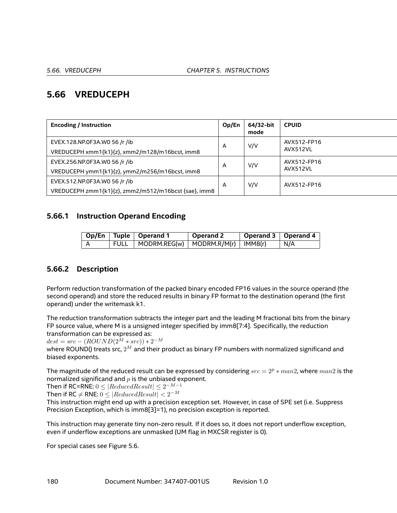# **5.66 VREDUCEPH**

| <b>Encoding / Instruction</b>                                                         | Op/En | 64/32-bit<br>mode | <b>CPUID</b>            |
|---------------------------------------------------------------------------------------|-------|-------------------|-------------------------|
| EVEX.128.NP.0F3A.W0 56 /r /ib<br>VREDUCEPH xmm1{k1}{z}, xmm2/m128/m16bcst, imm8       | A     | V/V               | AVX512-FP16<br>AVX512VL |
| EVEX.256.NP.0F3A.W0 56 /r /ib<br>VREDUCEPH ymm1{k1}{z}, ymm2/m256/m16bcst, imm8       | A     | V/V               | AVX512-FP16<br>AVX512VL |
| EVEX.512.NP.0F3A.WO 56 /r /ib<br>VREDUCEPH zmm1{k1}{z}, zmm2/m512/m16bcst {sae}, imm8 | A     | V/V               | AVX512-FP16             |

## **5.66.1 Instruction Operand Encoding**

| Op/En   Tuple   Operand 1 |                                              | Operand 2 | Operand 3   Operand 4 |            |
|---------------------------|----------------------------------------------|-----------|-----------------------|------------|
|                           | FULL   MODRM.REG(w)   MODRM.R/M(r)   IMM8(r) |           |                       | $\mid N/A$ |

# **5.66.2 Description**

Perform reduction transformation of the packed binary encoded FP16 values in the source operand (the second operand) and store the reduced results in binary FP format to the destination operand (the first operand) under the writemask k1.

The reduction transformation subtracts the integer part and the leading M fractional bits from the binary FP source value, where M is a unsigned integer specified by imm8[7:4]. Specifically, the reduction transformation can be expressed as:

 $dest = src - (ROUND(2^M * src)) * 2^{-M}$ 

where ROUND() treats src, 2*<sup>M</sup>* and their product as binary FP numbers with normalized significand and biased exponents.

The magnitude of the reduced result can be expressed by considering *src* = 2*<sup>p</sup> <sup>∗</sup> man*2, where *man*<sup>2</sup> is the normalized significand and *p* is the unbiased exponent.

 $\textsf{Then if RC=RNE: } 0 \leq | \textit{ReducedResult} | \leq 2^{-M-1}$ 

 $\textsf{Then if RC} \neq \textsf{RNE: } 0 \leq | \textit{ReducedResult}| < 2^{-M}$ 

This instruction might end up with a precision exception set. However, in case of SPE set (i.e. Suppress Precision Exception, which is imm8[3]=1), no precision exception is reported.

This instruction may generate tiny non-zero result. If it does so, it does not report underflow exception, even if underflow exceptions are unmasked (UM flag in MXCSR register is 0).

For special cases see Figure [5.6](#page-180-0).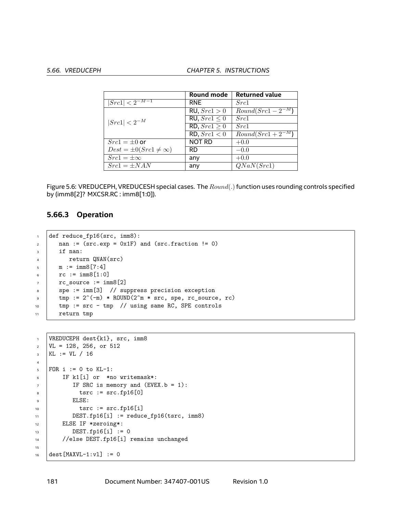|                                  | Round mode        | <b>Returned value</b>           |
|----------------------------------|-------------------|---------------------------------|
| $ Src1  < 2^{-M-1}$              | <b>RNE</b>        | Src1                            |
|                                  | RU, $Src1 > 0$    | $Round(Sr\overline{c1-2^{-M}})$ |
| $ Src1  < 2^{-M}$                | RU, $Src1 \leq 0$ | Src1                            |
|                                  | RD, $Src1 \geq 0$ | Src1                            |
|                                  | RD, $Src1 < 0$    | $Round(Src1 + 2-M)$             |
| $Src1 = \pm 0$ or                | <b>NOT RD</b>     | $+0.0$                          |
| $Dest = \pm 0(Src1 \neq \infty)$ | <b>RD</b>         | $-0.0$                          |
| $Src1 = \pm \infty$              | any               | $+0.0$                          |
| $Src1 = \pm NAN$                 | any               | QNaN(Src1)                      |

<span id="page-180-0"></span>Figure 5.6: VREDUCEPH, VREDUCESH special cases. The *Round*(*.*)function uses rounding controls specified by (imm8[2]? MXCSR.RC : imm8[1:0]).

#### **5.66.3 Operation**

```
1 def reduce_fp16(src, imm8):
2 \text{ nan} := (\text{src}.\text{exp} = 0 \text{x1F}) \text{ and } (\text{src}.\text{fraction} != 0)3 if nan:
4 return QNAN(src)
\text{m} := \text{imm8}[7:4]_{6} | _{rc} := imm8[1:0]
7 \mid rc source := imm8[2]
\vert spe := imm[3] // suppress precision exception
\text{pm} tmp := 2^(-m) * ROUND(2^m * src, spe, rc_source, rc)
10 | tmp := src - tmp // using same RC, SPE controls
11 return tmp
```

```
1 VREDUCEPH dest{k1}, src, imm8
2 \mid \text{VL} = 128, 256, \text{ or } 512_3 | KL := VL / 16
4
5 FOR i := 0 to KL-1:
6 IF k1[i] or *no writemask*:
7 | IF SRC is memory and (EVEX.b = 1):
8 \quad \text{tsrc} := \text{src.fp16[0]}9 ELSE:
10 tsrc := src.fp16[i]11 DEST.fp16[i] := reduce_fp16(tsrc, imm8)
12 | ELSE IF *zeroing*:
13 DEST.fp16[i] := 0
14 //else DEST.fp16[i] remains unchanged
15
16 dest [MAXVL-1:v1] := 0
```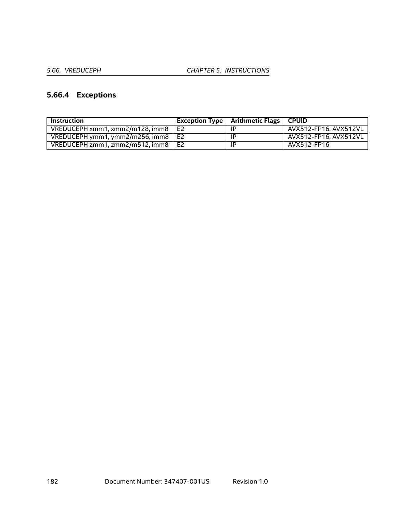# **5.66.4 Exceptions**

| <b>Instruction</b>                        |       | <b>Exception Type   Arithmetic Flags  </b> | <b>CPUID</b>          |
|-------------------------------------------|-------|--------------------------------------------|-----------------------|
| VREDUCEPH xmm1, xmm2/m128, imm8           | E2    | IP                                         | AVX512-FP16, AVX512VL |
| VREDUCEPH ymm1, ymm2/m256, imm8 $\mid$ E2 |       | ΙP                                         | AVX512-FP16. AVX512VL |
| VREDUCEPH zmm1, zmm2/m512, imm8           | ' E2. | -lP                                        | AVX512-FP16           |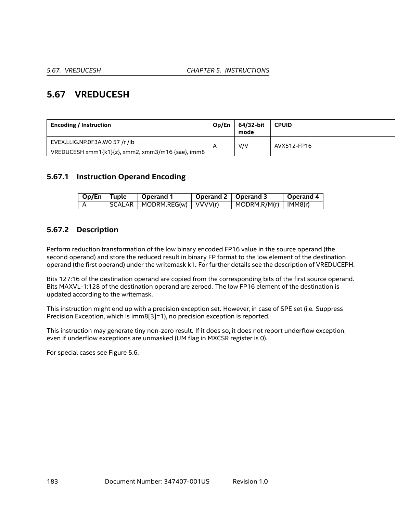# **5.67 VREDUCESH**

| <b>Encoding / Instruction</b>                     | Op/En | 64/32-bit<br>mode | <b>CPUID</b> |
|---------------------------------------------------|-------|-------------------|--------------|
| EVEX.LLIG.NP.0F3A.W0 57 /r /ib                    | A     | V/V               | AVX512-FP16  |
| VREDUCESH xmm1{k1}{z}, xmm2, xmm3/m16 {sae}, imm8 |       |                   |              |

## **5.67.1 Instruction Operand Encoding**

| Op/En Tuple | <b>Operand 1</b>                | Operand $2 \mid$ Operand 3 |                                    | Operand 4 |
|-------------|---------------------------------|----------------------------|------------------------------------|-----------|
|             | SCALAR   MODRM.REG(w)   VVVV(r) |                            | $\mid$ MODRM.R/M(r) $\mid$ IMM8(r) |           |

## **5.67.2 Description**

Perform reduction transformation of the low binary encoded FP16 value in the source operand (the second operand) and store the reduced result in binary FP format to the low element of the destination operand (the first operand) under the writemask k1. For further details see the description of VREDUCEPH.

Bits 127:16 of the destination operand are copied from the corresponding bits of the first source operand. Bits MAXVL-1:128 of the destination operand are zeroed. The low FP16 element of the destination is updated according to the writemask.

This instruction might end up with a precision exception set. However, in case of SPE set (i.e. Suppress Precision Exception, which is imm8[3]=1), no precision exception is reported.

This instruction may generate tiny non-zero result. If it does so, it does not report underflow exception, even if underflow exceptions are unmasked (UM flag in MXCSR register is 0).

For special cases see Figure [5.6](#page-180-0).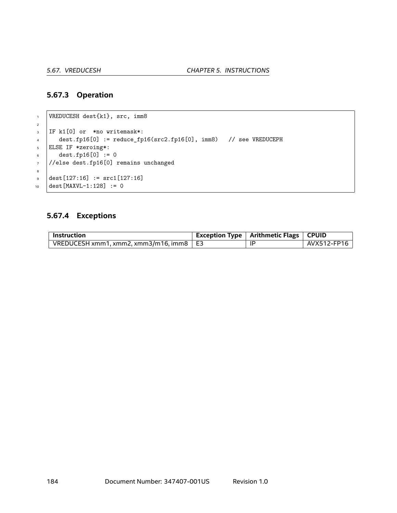#### **5.67.3 Operation**

```
1 VREDUCESH dest{k1}, src, imm8
2
3 IF k1[0] or *no writemask*:
4 \mid dest.fp16[0] := reduce_fp16(src2.fp16[0], imm8) // see VREDUCEPH
5 ELSE IF *zeroing*:
6 \t| dest.fp16[0] := 0
7 //else dest.fp16[0] remains unchanged
8
\bullet dest[127:16] := src1[127:16]
10 dest [MAXVL-1:128] := 0
```
## **5.67.4 Exceptions**

| Instruction                                    | <b>Exception Type   Arithmetic Flags   CPUID</b> |             |
|------------------------------------------------|--------------------------------------------------|-------------|
| VREDUCESH xmm1, xmm2, xmm3/m16, imm8 $\mid$ E3 | ΙP                                               | AVX512-FP16 |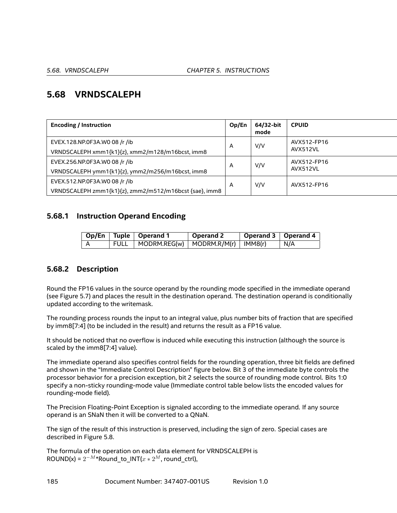# **5.68 VRNDSCALEPH**

| <b>Encoding / Instruction</b>                          | Op/En | 64/32-bit<br>mode | <b>CPUID</b>            |
|--------------------------------------------------------|-------|-------------------|-------------------------|
| EVEX.128.NP.0F3A.WO 08 /r /ib                          | A     | V/V               | AVX512-FP16<br>AVX512VL |
| VRNDSCALEPH xmm1{k1}{z}, xmm2/m128/m16bcst, imm8       |       |                   |                         |
| EVEX.256.NP.0F3A.WO 08 /r /ib                          |       | V/V               | AVX512-FP16             |
| VRNDSCALEPH ymm1{k1}{z}, ymm2/m256/m16bcst, imm8       | A     |                   | AVX512VL                |
| EVEX.512.NP.0F3A.WO 08 /r /ib                          | A     | V/V               | AVX512-FP16             |
| VRNDSCALEPH zmm1{k1}{z}, zmm2/m512/m16bcst {sae}, imm8 |       |                   |                         |

## **5.68.1 Instruction Operand Encoding**

|       | Op/En   Tuple   Operand 1                                 | $\perp$ Operand 2 | Operand 3   Operand 4 |       |
|-------|-----------------------------------------------------------|-------------------|-----------------------|-------|
| 'FULL | $\vert$ MODRM.REG(w) $\vert$ MODRM.R/M(r) $\vert$ IMM8(r) |                   |                       | ∣ N/A |

## **5.68.2 Description**

Round the FP16 values in the source operand by the rounding mode specified in the immediate operand (see Figure [5.7](#page-185-0)) and places the result in the destination operand. The destination operand is conditionally updated according to the writemask.

The rounding process rounds the input to an integral value, plus number bits of fraction that are specified by imm8[7:4] (to be included in the result) and returns the result as a FP16 value.

It should be noticed that no overflow is induced while executing this instruction (although the source is scaled by the imm8[7:4] value).

The immediate operand also specifies control fields for the rounding operation, three bit fields are defined and shown in the "Immediate Control Description" figure below. Bit 3 of the immediate byte controls the processor behavior for a precision exception, bit 2 selects the source of rounding mode control. Bits 1:0 specify a non-sticky rounding-mode value (Immediate control table below lists the encoded values for rounding-mode field).

The Precision Floating-Point Exception is signaled according to the immediate operand. If any source operand is an SNaN then it will be converted to a QNaN.

The sign of the result of this instruction is preserved, including the sign of zero. Special cases are described in Figure [5.8](#page-185-1).

The formula of the operation on each data element for VRNDSCALEPH is  $\textsf{ROUND}(x) = 2^{-M*}$ Round\_to\_INT( $x * 2^M$ , round\_ctrl),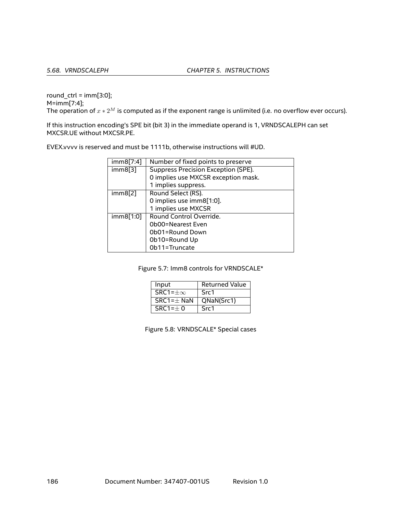round\_ctrl =  $imm[3:0]$ ; M=imm[7:4]; The operation of  $x * 2^M$  is computed as if the exponent range is unlimited (i.e. no overflow ever occurs).

If this instruction encoding's SPE bit (bit 3) in the immediate operand is 1, VRNDSCALEPH can set MXCSR.UE without MXCSR.PE.

EVEX.vvvv is reserved and must be 1111b, otherwise instructions will #UD.

| imm8[7:4] | Number of fixed points to preserve  |
|-----------|-------------------------------------|
| imm8[3]   | Suppress Precision Exception (SPE). |
|           | 0 implies use MXCSR exception mask. |
|           | 1 implies suppress.                 |
| imm8[2]   | Round Select (RS).                  |
|           | 0 implies use imm8[1:0].            |
|           | 1 implies use MXCSR                 |
| imm8[1:0] | Round Control Override.             |
|           | Ob00=Nearest Even                   |
|           | Ob01=Round Down                     |
|           | Ob10=Round Up                       |
|           | Ob11=Truncate                       |

Figure 5.7: Imm8 controls for VRNDSCALE\*

<span id="page-185-0"></span>

| Input               | <b>Returned Value</b> |
|---------------------|-----------------------|
| $SRC1 = \pm \infty$ | Src1                  |
| $SRC1 = \pm$ NaN    | QNaN(Src1)            |
| $SRC1=\pm 0$        | Src1                  |

<span id="page-185-1"></span>Figure 5.8: VRNDSCALE\* Special cases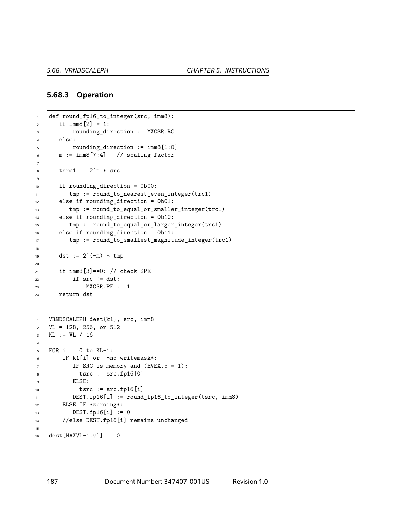#### **5.68.3 Operation**

```
1 def round_fp16_to_integer(src, imm8):
2 \mid if imm8[2] = 1:
3 | rounding_direction := MXCSR.RC
4 else:
5 rounding_direction := imm8[1:0]
6 \text{ m} := \text{imm8}[7:4] // scaling factor
7
\text{1} tsrc1 := 2^m * \text{src}\ddot{q}10 if rounding direction = 0b00:
11 | tmp := round_to_nearest_even_integer(trc1)
12 else if rounding_direction = 0b01:
13 | tmp := round_to_equal_or_smaller_integer(trc1)
14 else if rounding_direction = 0b10:
15 | tmp := round_to_equal_or_larger_integer(trc1)
16 else if rounding_direction = 0b11:
17 \parallel \text{tmp} := \text{round_to\_smallest\_magnitude\_integer(true1)}18
19 dst := 2^(-m) * tmp20
21 | if imm8[3] == 0: // check SPE
22 if src != dst:
\text{MXCSR.PE} := 1_{24} return dst
```

```
1 VRNDSCALEPH dest{k1}, src, imm8
\text{VL} = 128, 256, \text{ or } 512_3 | KL := VL / 16
4
5 | FOR i := 0 to KL-1:
6 IF k1[i] or *no writemask*:
7 | IF SRC is memory and (EVEX.b = 1):
s \mid tsrc := src.fp16[0]9 ELSE:
10 tsrc := src.fp16[i]
11 DEST.fp16[i] := round_fp16_to_integer(tsrc, imm8)
12 | ELSE IF *zeroing*:
13 DEST.fp16[i] := 0
14 //else DEST.fp16[i] remains unchanged
15
16 dest [MAXVL-1:v1] := 0
```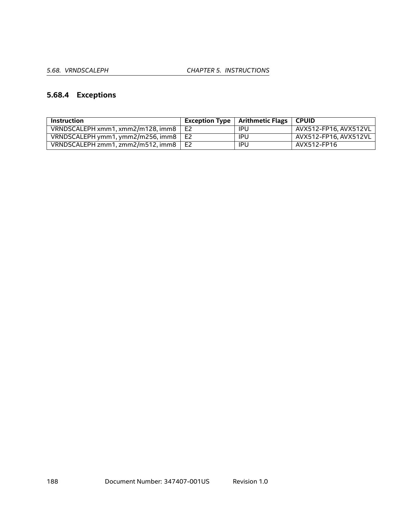# **5.68.4 Exceptions**

| Instruction                                 |                | Exception Type $\vert$ Arithmetic Flags $\vert$ CPUID |                       |
|---------------------------------------------|----------------|-------------------------------------------------------|-----------------------|
| VRNDSCALEPH xmm1.xmm2/m128.jmm8             | E <sub>2</sub> | IPU                                                   | AVX512-FP16. AVX512VL |
| VRNDSCALEPH ymm1, ymm2/m256, imm8 $\mid$ E2 |                | IPU                                                   | AVX512-FP16. AVX512VL |
| VRNDSCALEPH zmm1, zmm2/m512, imm8           | E2             | IPU                                                   | AVX512-FP16           |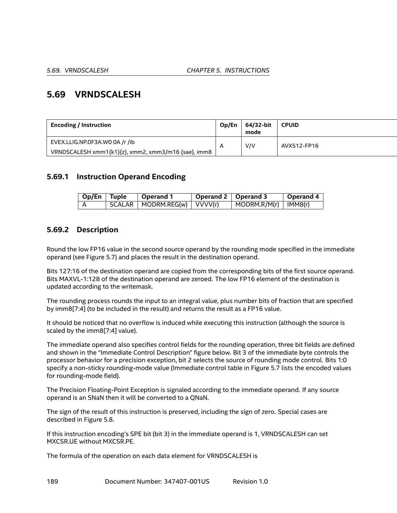# **5.69 VRNDSCALESH**

| <b>Encoding / Instruction</b>                       | Op/En | 64/32-bit<br>mode | <b>CPUID</b> |
|-----------------------------------------------------|-------|-------------------|--------------|
| EVEX.LLIG.NP.0F3A.WO 0A /r /ib                      |       | V/V               | AVX512-FP16  |
| VRNDSCALESH xmm1{k1}{z}, xmm2, xmm3/m16 {sae}, imm8 |       |                   |              |

## **5.69.1 Instruction Operand Encoding**

| $Op/En$ Tuple | Operand 1                       | Operand 2   Operand 3 |                                      | Operand 4 |
|---------------|---------------------------------|-----------------------|--------------------------------------|-----------|
|               | SCALAR   MODRM.REG(w)   VVVV(r) |                       | $\vert$ MODRM.R/M(r) $\vert$ IMM8(r) |           |

## **5.69.2 Description**

Round the low FP16 value in the second source operand by the rounding mode specified in the immediate operand (see Figure [5.7\)](#page-185-0) and places the result in the destination operand.

Bits 127:16 of the destination operand are copied from the corresponding bits of the first source operand. Bits MAXVL-1:128 of the destination operand are zeroed. The low FP16 element of the destination is updated according to the writemask.

The rounding process rounds the input to an integral value, plus number bits of fraction that are specified by imm8[7:4] (to be included in the result) and returns the result as a FP16 value.

It should be noticed that no overflow is induced while executing this instruction (although the source is scaled by the imm8[7:4] value).

The immediate operand also specifies control fields for the rounding operation, three bit fields are defined and shown in the "Immediate Control Description" figure below. Bit 3 of the immediate byte controls the processor behavior for a precision exception, bit 2 selects the source of rounding mode control. Bits 1:0 specify a non-sticky rounding-mode value (Immediate control table in Figure [5.7](#page-185-0) lists the encoded values for rounding-mode field).

The Precision Floating-Point Exception is signaled according to the immediate operand. If any source operand is an SNaN then it will be converted to a QNaN.

The sign of the result of this instruction is preserved, including the sign of zero. Special cases are described in Figure [5.8](#page-185-1).

If this instruction encoding's SPE bit (bit 3) in the immediate operand is 1, VRNDSCALESH can set MXCSR.UE without MXCSR.PE.

The formula of the operation on each data element for VRNDSCALESH is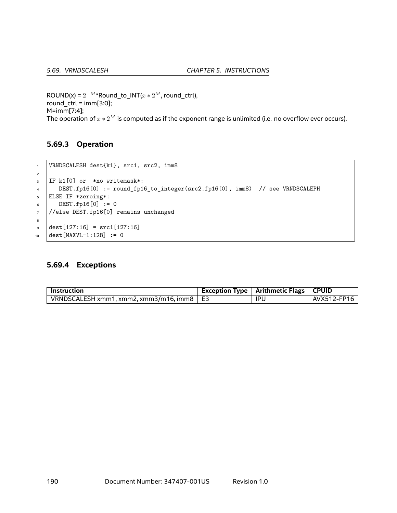$\text{ROUND}(x) = 2^{-M*}$ Round\_to\_INT( $x * 2^M$ , round\_ctrl), round\_ctrl = imm[3:0]; M=imm[7:4]; The operation of *<sup>x</sup> <sup>∗</sup>* <sup>2</sup>*<sup>M</sup>* is computed as if the exponent range is unlimited (i.e. no overflow ever occurs).

## **5.69.3 Operation**

```
1 VRNDSCALESH dest{k1}, src1, src2, imm8
2
3 IF k1[0] or *no writemask*:
4 DEST.fp16[0] := round_fp16_to_integer(src2.fp16[0], imm8) // see VRNDSCALEPH
5 ELSE IF *zeroing*:
6 \quad \text{DEST.fp16[0]} := 07 //else DEST.fp16[0] remains unchanged
8
\theta dest[127:16] = src1[127:16]
10 dest [MAXVL-1:128] := 0
```
#### **5.69.4 Exceptions**

| Instruction                                             | Exception Type   Arithmetic Flags   CPUID |             |
|---------------------------------------------------------|-------------------------------------------|-------------|
| $\mid$ VRNDSCALESH xmm1, xmm2, xmm3/m16, imm8 $\mid$ E3 | <b>IPU</b>                                | AVX512-FP16 |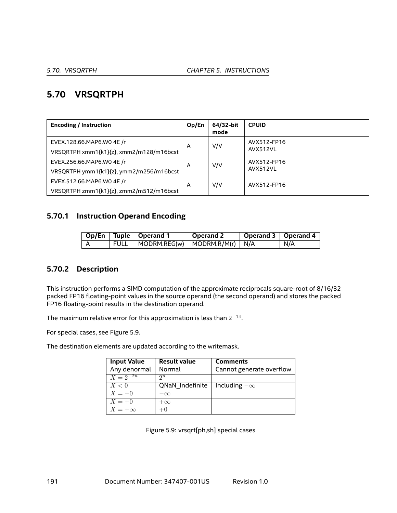# **5.70 VRSQRTPH**

| <b>Encoding / Instruction</b>                                        |   | 64/32-bit<br>mode | <b>CPUID</b>                   |
|----------------------------------------------------------------------|---|-------------------|--------------------------------|
| EVEX.128.66.MAP6.WO 4E /r                                            | A | V/V               | AVX512-FP16<br><b>AVX512VL</b> |
| VRSQRTPH xmm1{k1}{z}, xmm2/m128/m16bcst<br>EVEX.256.66.MAP6.WO 4E /r | A | V/V               | AVX512-FP16<br><b>AVX512VL</b> |
| VRSQRTPH ymm1{k1}{z}, ymm2/m256/m16bcst<br>EVEX.512.66.MAP6.WO 4E /r | A | V/V               | AVX512-FP16                    |
| VRSQRTPH zmm1{k1}{z}, zmm2/m512/m16bcst                              |   |                   |                                |

## **5.70.1 Instruction Operand Encoding**

|  | Op/En   Tuple   Operand 1                | Operand 2 | Operand 3   Operand 4 |     |
|--|------------------------------------------|-----------|-----------------------|-----|
|  | FULL   MODRM.REG(w)   MODRM.R/M(r)   N/A |           |                       | N/A |

## **5.70.2 Description**

This instruction performs a SIMD computation of the approximate reciprocals square-root of 8/16/32 packed FP16 floating-point values in the source operand (the second operand) and stores the packed FP16 floating-point results in the destination operand.

The maximum relative error for this approximation is less than 2 *−*14 .

For special cases, see Figure [5.9](#page-190-0).

The destination elements are updated according to the writemask.

| <b>Input Value</b> | <b>Result value</b> | <b>Comments</b>          |
|--------------------|---------------------|--------------------------|
| Any denormal       | Normal              | Cannot generate overflow |
| $X = 2^{-2n}$      | $2^n$               |                          |
| X<0                | QNaN Indefinite     | Including $-\infty$      |
| $X=-0$             | $-\infty$           |                          |
| $X = +0$           | $+\infty$           |                          |
| $X = +\infty$      | $+0$                |                          |

<span id="page-190-0"></span>Figure 5.9: vrsqrt[ph,sh] special cases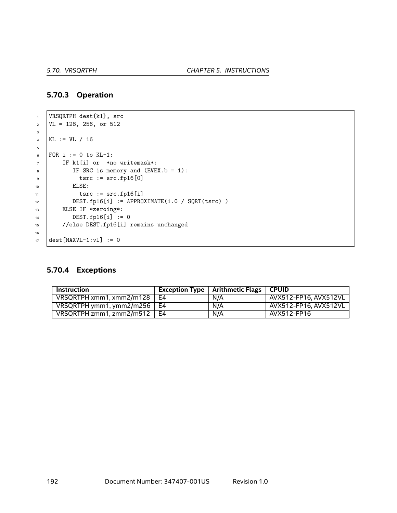### **5.70.3 Operation**

```
1 VRSQRTPH dest{k1}, src
\text{VL} = 128, 256, \text{ or } 5123
4 KL := VL / 16
5
6 FOR i := 0 to KL-1:
7 | IF k1[i] or *no writemask*:
8 \mid IF SRC is memory and (EVEX.b = 1):
\bullet \qquad \qquad \text{tsrc} := \text{src.fp16[0]}10 | ELSE:
11 tsrc := src.fp16[i]12 DEST.fp16[i] := APPROXIMATE(1.0 / SQRT(tsrc) )
13 ELSE IF *zeroing*:
14 DEST.fp16[i] := 0
15 //else DEST.fp16[i] remains unchanged
16
17 dest [MAXVL-1:v1] := 0
```
### **5.70.4 Exceptions**

| <b>Instruction</b>            | Exception Type $\parallel$ | Arithmetic Flags | <b>CPUID</b>          |
|-------------------------------|----------------------------|------------------|-----------------------|
| VRSQRTPH xmm1, xmm2/m128      | F4                         | N/A              | AVX512-FP16. AVX512VL |
| VRSQRTPH ymm1, ymm2/m256   E4 |                            | N/A              | AVX512-FP16. AVX512VL |
| VRSQRTPH zmm1, zmm2/m512      | F4                         | N/A              | AVX512-FP16           |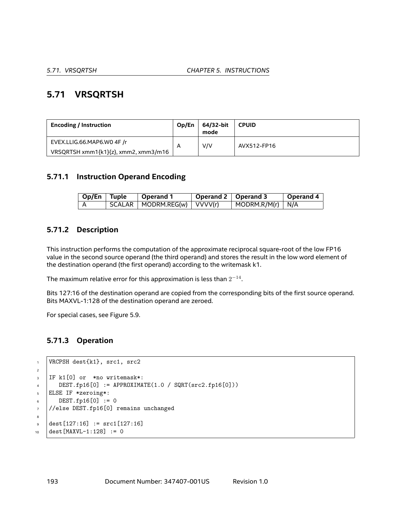# **5.71 VRSQRTSH**

| <b>Encoding / Instruction</b>        | Op/En        | 64/32-bit<br>mode | <b>CPUID</b> |  |
|--------------------------------------|--------------|-------------------|--------------|--|
| EVEX.LLIG.66.MAP6.WO 4F /r           | $\mathsf{A}$ | V/V               | AVX512-FP16  |  |
| VRSQRTSH xmm1{k1}{z}, xmm2, xmm3/m16 |              |                   |              |  |

## **5.71.1 Instruction Operand Encoding**

| Op/En   Tuple | $\vert$ Operand 1               | Operand 2   Operand 3 |                                  | Operand 4 |
|---------------|---------------------------------|-----------------------|----------------------------------|-----------|
|               | SCALAR   MODRM.REG(w)   VVVV(r) |                       | $\vert$ MODRM.R/M(r) $\vert$ N/A |           |

## **5.71.2 Description**

This instruction performs the computation of the approximate reciprocal square-root of the low FP16 value in the second source operand (the third operand) and stores the result in the low word element of the destination operand (the first operand) according to the writemask k1.

The maximum relative error for this approximation is less than  $2^{-14}.$ 

Bits 127:16 of the destination operand are copied from the corresponding bits of the first source operand. Bits MAXVL-1:128 of the destination operand are zeroed.

For special cases, see Figure [5.9](#page-190-0).

## **5.71.3 Operation**

```
1 VRCPSH dest{k1}, src1, src2
\overline{2}3 IF k1[0] or *no writemask*:
\mu DEST.fp16[0] := APPROXIMATE(1.0 / SQRT(src2.fp16[0]))
5 ELSE IF *zeroing*:
6 DEST.fp16[0] := 0
7 //else DEST.fp16[0] remains unchanged
8
\frac{1}{9} dest[127:16] := src1[127:16]
10 dest [MAXVL-1:128] := 0
```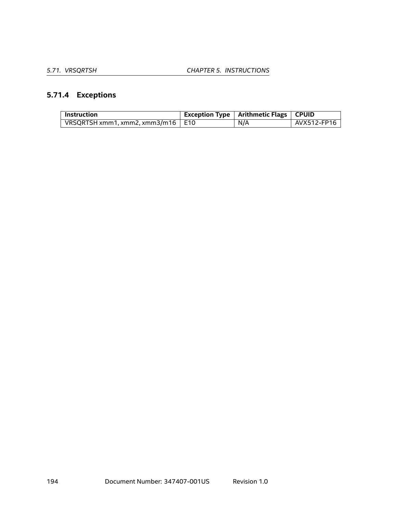# **5.71.4 Exceptions**

| <b>Instruction</b>                  | Exception Type   Arithmetic Flags   CPUID |             |
|-------------------------------------|-------------------------------------------|-------------|
| VRSQRTSH xmm1, xmm2, xmm3/m16   E10 | N/A                                       | AVX512-FP16 |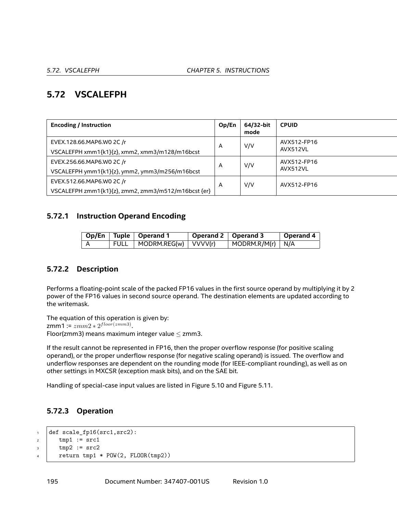# **5.72 VSCALEFPH**

| <b>Encoding / Instruction</b>                       | Op/En | 64/32-bit<br>mode | <b>CPUID</b> |
|-----------------------------------------------------|-------|-------------------|--------------|
| EVEX.128.66.MAP6.WO 2C /r                           | A     | V/V               | AVX512-FP16  |
| VSCALEFPH xmm1{k1}{z}, xmm2, xmm3/m128/m16bcst      |       |                   | AVX512VL     |
| EVEX.256.66.MAP6.WO 2C /r                           |       | V/V               | AVX512-FP16  |
| VSCALEFPH ymm1{k1}{z}, ymm2, ymm3/m256/m16bcst      | A     |                   | AVX512VL     |
| EVEX.512.66.MAP6.WO 2C /r                           |       | V/V               | AVX512-FP16  |
| VSCALEFPH zmm1{k1}{z}, zmm2, zmm3/m512/m16bcst {er} | A     |                   |              |

## **5.72.1 Instruction Operand Encoding**

|  | Op/En   Tuple   Operand 1       | Operand 2   Operand 3 |                                  | Operand 4 |
|--|---------------------------------|-----------------------|----------------------------------|-----------|
|  | $FULL$   MODRM.REG(w)   VVVV(r) |                       | $\vert$ MODRM.R/M(r) $\vert$ N/A |           |

## **5.72.2 Description**

Performs a floating-point scale of the packed FP16 values in the first source operand by multiplying it by 2 power of the FP16 values in second source operand. The destination elements are updated according to the writemask.

The equation of this operation is given by: zmm1 := *zmm*2 *∗* 2 *f loor*(*zmm*3) . Floor(zmm3) means maximum integer value *≤* zmm3.

If the result cannot be represented in FP16, then the proper overflow response (for positive scaling operand), or the proper underflow response (for negative scaling operand) is issued. The overflow and underflow responses are dependent on the rounding mode (for IEEE-compliant rounding), as well as on other settings in MXCSR (exception mask bits), and on the SAE bit.

Handling of special-case input values are listed in Figure [5.10](#page-195-0) and Figure [5.11](#page-195-1).

## **5.72.3 Operation**

```
1 def scale_fp16(src1,src2):
\frac{1}{2} tmp1 := src1
\frac{1}{3} tmp2 := src2
4 return tmp1 * POW(2, FLOOR(tmp2))
```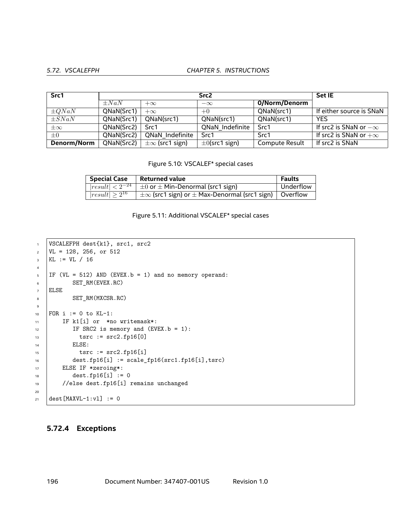#### *5.72. VSCALEFPH CHAPTER 5. INSTRUCTIONS*

| Src1        |            | <b>Set IE</b>           |                     |                |                              |
|-------------|------------|-------------------------|---------------------|----------------|------------------------------|
|             | $\pm Na$   | $+\infty$               | $-\infty$           | 0/Norm/Denorm  |                              |
| $\pm QNaN$  | QNaN(Src1) | $+\infty$               | $+0$                | QNaN(src1)     | If either source is SNaN     |
| $\pm SNaN$  | QNaN(Src1) | QNaN(src1)              | QNaN(src1)          | QNaN(src1)     | <b>YES</b>                   |
| $\pm\infty$ | QNaN(Src2) | Src1                    | QNaN Indefinite     | Src1           | If src2 is SNaN or $-\infty$ |
| $\pm 0$     | QNaN(Src2) | QNaN Indefinite         | Src1                | Src1           | If src2 is SNaN or $+\infty$ |
| Denorm/Norm | QNaN(Src2) | $\pm\infty$ (src1 sign) | $\pm 0$ (src1 sign) | Compute Result | If src2 is SNaN              |

<span id="page-195-0"></span>Figure 5.10: VSCALEF\* special cases

| <b>Special Case</b>  | $^\mathrm{+}$ Returned value                                          | Faults    |
|----------------------|-----------------------------------------------------------------------|-----------|
|                      | $\sqrt{ result } < 2^{-24}$ $\pm 0$ or $\pm$ Min-Denormal (src1 sign) | Underflow |
| $result \geq 2^{16}$ | $\pm\infty$ (src1 sign) or $\pm$ Max-Denormal (src1 sign)   Overflow  |           |

<span id="page-195-1"></span>

```
1 VSCALEFPH dest{k1}, src1, src2
2 \mid \text{VL} = 128, 256, \text{ or } 512_3 KL := VL / 16
4
5 IF (VL = 512) AND (EVEX.b = 1) and no memory operand:
6 SET_RM(EVEX.RC)
7 ELSE
8 SET_RM(MXCSR.RC)
9
10 FOR i := 0 to KL-1:
11 | IF k1[i] or *no writemask*:
12 IF SRC2 is memory and (EVEX.b = 1):
13 tsrc := src2.fp16[0]14 | ELSE:
15 tsrc := src2.fp16[i]16 dest.fp16[i] := scale_fp16(src1.fp16[i],tsrc)
17 ELSE IF *zeroing*:
18 dest.fp16[i] := 0
19 //else dest.fp16[i] remains unchanged
20
21 \det [MAXVL-1:v1] := 0
```
### **5.72.4 Exceptions**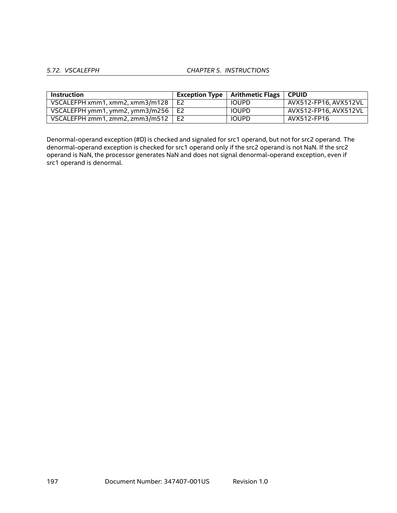#### *5.72. VSCALEFPH CHAPTER 5. INSTRUCTIONS*

| Instruction                                    | Exception Type   Arithmetic Flags   CPUID |                                  |
|------------------------------------------------|-------------------------------------------|----------------------------------|
| VSCALEFPH xmm1, xmm2, xmm3/m128 $\mid$ E2      | <b>IOUPD</b>                              | $^{\circ}$ AVX512-FP16. AVX512VL |
| VSCALEFPH ymm1, ymm2, ymm3/m256 $\mid$ E2      | <b>IOUPD</b>                              | AVX512-FP16. AVX512VL            |
| VSCALEFPH zmm1. zmm2. zmm3/m512 $\parallel$ E2 | <b>IOUPD</b>                              | AVX512-FP16                      |

Denormal-operand exception (#D) is checked and signaled for src1 operand, but not for src2 operand. The denormal-operand exception is checked for src1 operand only if the src2 operand is not NaN. If the src2 operand is NaN, the processor generates NaN and does not signal denormal-operand exception, even if src1 operand is denormal.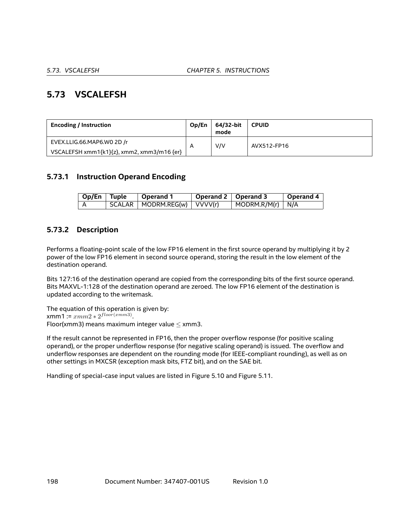# **5.73 VSCALEFSH**

| <b>Encoding / Instruction</b>              | Op/En | 64/32-bit<br>mode | <b>CPUID</b> |
|--------------------------------------------|-------|-------------------|--------------|
| EVEX.LLIG.66.MAP6.WO 2D /r                 |       | V/V               | AVX512-FP16  |
| VSCALEFSH xmm1{k1}{z}, xmm2, xmm3/m16 {er} |       |                   |              |

## **5.73.1 Instruction Operand Encoding**

| $\sqrt{Op/En}$ Tuple | 'Operand 1                        | Operand 2   Operand 3 |                                  | <b>Operand 4</b> |
|----------------------|-----------------------------------|-----------------------|----------------------------------|------------------|
|                      | $SCALAR$   MODRM.REG(w)   VVVV(r) |                       | $\vert$ MODRM.R/M(r) $\vert$ N/A |                  |

## **5.73.2 Description**

Performs a floating-point scale of the low FP16 element in the first source operand by multiplying it by 2 power of the low FP16 element in second source operand, storing the result in the low element of the destination operand.

Bits 127:16 of the destination operand are copied from the corresponding bits of the first source operand. Bits MAXVL-1:128 of the destination operand are zeroed. The low FP16 element of the destination is updated according to the writemask.

The equation of this operation is given by: xmm1 := *xmm*2 *∗* 2 *f loor*(*xmm*3) . Floor(xmm3) means maximum integer value *≤* xmm3.

If the result cannot be represented in FP16, then the proper overflow response (for positive scaling operand), or the proper underflow response (for negative scaling operand) is issued. The overflow and underflow responses are dependent on the rounding mode (for IEEE-compliant rounding), as well as on other settings in MXCSR (exception mask bits, FTZ bit), and on the SAE bit.

Handling of special-case input values are listed in Figure [5.10](#page-195-0) and Figure [5.11](#page-195-1).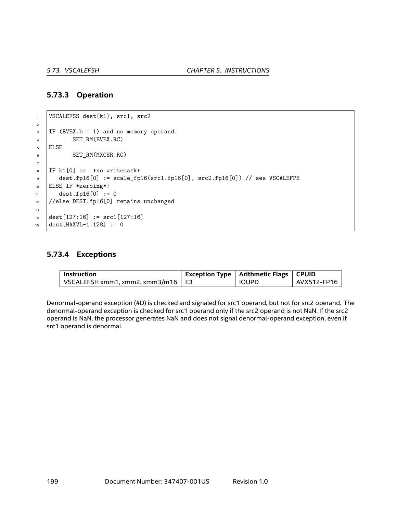## **5.73.3 Operation**

```
1 | VSCALEFSS dest{k1}, src1, src2
2
3 IF (EVEX.b = 1) and no memory operand:
4 SET_RM(EVEX.RC)
5 ELSE
6 SET_RM(MXCSR.RC)
7
8 IF k1[0] or *no writemask*:
9 dest.fp16[0] := scale_fp16(src1.fp16[0], src2.fp16[0]) // see VSCALEFPH
10 ELSE IF *zeroing*:
11 dest.fp16[0] := 0
12 //else DEST.fp16[0] remains unchanged
13
14 dest[127:16] := src1[127:16]
15 dest [MAXVL-1:128] := 0
```
### **5.73.4 Exceptions**

| Instruction                              | Exception Type   Arithmetic Flags   CPUID |             |
|------------------------------------------|-------------------------------------------|-------------|
| VSCALEFSH xmm1, xmm2, xmm3/m16 $\mid$ E3 | <b>IOUPD</b>                              | AVX512-FP16 |

Denormal-operand exception (#D) is checked and signaled for src1 operand, but not for src2 operand. The denormal-operand exception is checked for src1 operand only if the src2 operand is not NaN. If the src2 operand is NaN, the processor generates NaN and does not signal denormal-operand exception, even if src1 operand is denormal.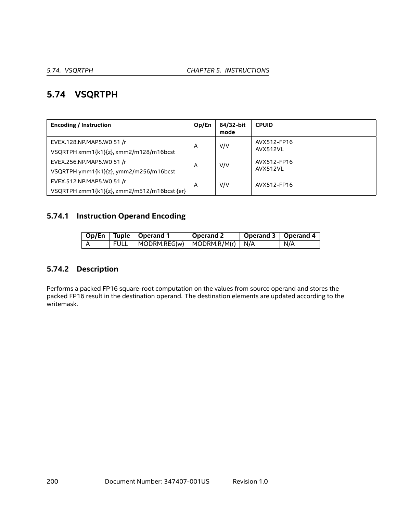# **5.74 VSQRTPH**

| <b>Encoding / Instruction</b>                                            | Op/En | 64/32-bit<br>mode | <b>CPUID</b>            |
|--------------------------------------------------------------------------|-------|-------------------|-------------------------|
| EVEX.128.NP.MAP5.W0 51 /r<br>VSQRTPH xmm1{k1}{z}, xmm2/m128/m16bcst      | A     | V/V               | AVX512-FP16<br>AVX512VL |
| EVEX.256.NP.MAP5.WO 51 /r<br>VSQRTPH ymm1{k1}{z}, ymm2/m256/m16bcst      | A     | V/V               | AVX512-FP16<br>AVX512VL |
| EVEX.512.NP.MAP5.WO 51 /r<br>VSQRTPH zmm1{k1}{z}, zmm2/m512/m16bcst {er} | A     | V/V               | AVX512-FP16             |

## **5.74.1 Instruction Operand Encoding**

|  | Op/En   Tuple   Operand 1                                      | Operand 2 | Operand 3   Operand 4 |     |
|--|----------------------------------------------------------------|-----------|-----------------------|-----|
|  | $\mid$ FULL $\mid$ MODRM.REG(w) $\mid$ MODRM.R/M(r) $\mid$ N/A |           |                       | N/A |

## **5.74.2 Description**

Performs a packed FP16 square-root computation on the values from source operand and stores the packed FP16 result in the destination operand. The destination elements are updated according to the writemask.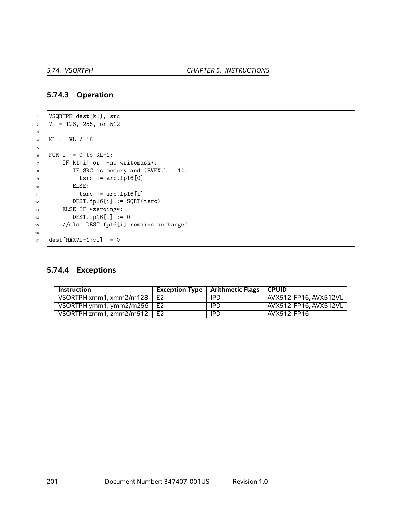### **5.74.3 Operation**

```
1 VSQRTPH dest{k1}, src
\text{VL} = 128, 256, \text{ or } 5123
4 KL := VL / 16
5
6 FOR i := 0 to KL-1:
7 IF k1[i] or *no writemask*:
8 \mid IF SRC is memory and (EVEX.b = 1):
\frac{1}{9} tsrc := src.fp16[0]
10 | ELSE:
11 tsrc := src.fp16[i]12 DEST.fp16[i] := SQRT(tsrc)
13 ELSE IF *zeroing*:
14 DEST.fp16[i] := 0
15 //else DEST.fp16[i] remains unchanged
16
17 dest [MAXVL-1:v1] := 0
```
### **5.74.4 Exceptions**

| <b>Instruction</b>                |                | <b>Exception Type   Arithmetic Flags</b> | <b>CPUID</b>          |
|-----------------------------------|----------------|------------------------------------------|-----------------------|
| VSQRTPH xmm1, xmm2/m128           | E <sub>2</sub> | IPD                                      | AVX512-FP16, AVX512VL |
| VSQRTPH ymm1, ymm2/m256 $\mid$ E2 |                | IPD                                      | AVX512-FP16, AVX512VL |
| VSORTPH zmm1. zmm2/m512 $\mid$ E2 |                | IPD                                      | AVX512-FP16           |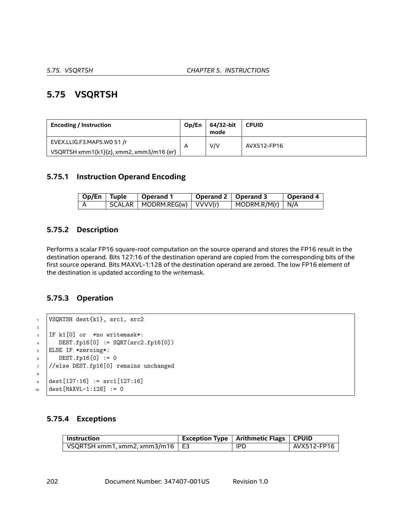# **5.75 VSQRTSH**

| <b>Encoding / Instruction</b>            | Op/En                   | 64/32-bit<br>mode | <b>CPUID</b> |
|------------------------------------------|-------------------------|-------------------|--------------|
| EVEX.LLIG.F3.MAP5.WO 51 /r               | $\overline{\mathsf{A}}$ | V/V               | AVX512-FP16  |
| VSQRTSH xmm1{k1}{z}, xmm2, xmm3/m16 {er} |                         |                   |              |

## **5.75.1 Instruction Operand Encoding**

| Op/En Tuple | ∣ Operand 1                     | Operand 2   Operand 3 |                                  | Operand 4 |
|-------------|---------------------------------|-----------------------|----------------------------------|-----------|
|             | SCALAR   MODRM.REG(w)   VVVV(r) |                       | $\vert$ MODRM.R/M(r) $\vert$ N/A |           |

## **5.75.2 Description**

Performs a scalar FP16 square-root computation on the source operand and stores the FP16 result in the destination operand. Bits 127:16 of the destination operand are copied from the corresponding bits of the first source operand. Bits MAXVL-1:128 of the destination operand are zeroed. The low FP16 element of the destination is updated according to the writemask.

## **5.75.3 Operation**

```
1 VSQRTSH dest{k1}, src1, src2
2
3 IF k1[0] or *no writemask*:
\mu DEST.fp16[0] := SQRT(src2.fp16[0])
5 ELSE IF *zeroing*:
6 DEST.fp16[0] := 0
7 //else DEST.fp16[0] remains unchanged
8
\frac{1}{2} dest [127:16] := src1 [127:16]
10 dest [MAXVL-1:128] := 0
```
## **5.75.4 Exceptions**

| $\blacksquare$ Instruction        | $^\circ$ Exception Type $\, \mid$ Arithmetic Flags $\, \mid$ CPUID |             |
|-----------------------------------|--------------------------------------------------------------------|-------------|
| VSQRTSH xmm1, xmm2, xmm3/m16   E3 | <b>IPD</b>                                                         | AVX512-FP16 |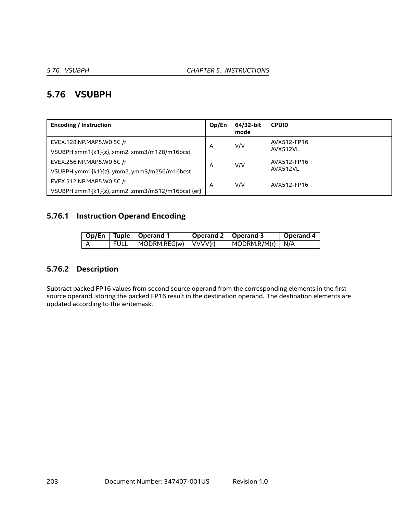# **5.76 VSUBPH**

| <b>Encoding / Instruction</b>                                                 | Op/En | 64/32-bit<br>mode | <b>CPUID</b>            |
|-------------------------------------------------------------------------------|-------|-------------------|-------------------------|
| EVEX.128.NP.MAP5.WO 5C /r<br>VSUBPH xmm1{k1}{z}, xmm2, xmm3/m128/m16bcst      | A     | V/V               | AVX512-FP16<br>AVX512VL |
| EVEX.256.NP.MAP5.W0 5C /r<br>VSUBPH ymm1{k1}{z}, ymm2, ymm3/m256/m16bcst      | A     | V/V               | AVX512-FP16<br>AVX512VL |
| EVEX.512.NP.MAP5.WO 5C /r<br>VSUBPH zmm1{k1}{z}, zmm2, zmm3/m512/m16bcst {er} | A     | V/V               | AVX512-FP16             |

## **5.76.1 Instruction Operand Encoding**

|        | Op/En   Tuple   Operand 1            | Operand 2   Operand 3 |                                  | Operand 4 |
|--------|--------------------------------------|-----------------------|----------------------------------|-----------|
| , FULL | $\vert$ MODRM.REG(w) $\vert$ VVVV(r) |                       | $\vert$ MODRM.R/M(r) $\vert$ N/A |           |

## **5.76.2 Description**

Subtract packed FP16 values from second source operand from the corresponding elements in the first source operand, storing the packed FP16 result in the destination operand. The destination elements are updated according to the writemask.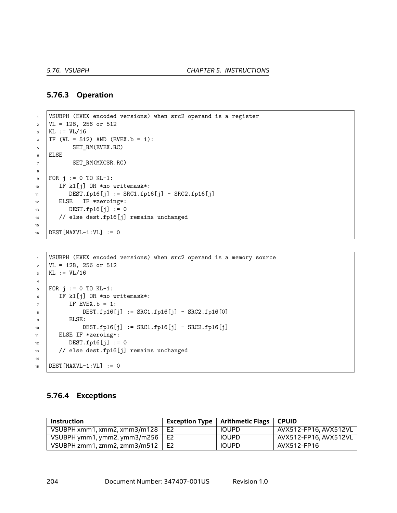#### **5.76.3 Operation**

```
1 VSUBPH (EVEX encoded versions) when src2 operand is a register
\text{VL} = 128, 256 or 512
3 KL := VL/16
4 | IF (VL = 512) AND (EVEX.b = 1):
5 SET RM(EVEX.RC)
6 ELSE
7 SET_RM(MXCSR.RC)
8
\bullet | FOR j := 0 TO KL-1:
10 IF k1[j] OR *no writemask*:
11 | DEST.fp16[j] := SRC1.fp16[j] - SRC2.fp16[j]
12 ELSE IF *zeroing*:
13 DEST.fp16[j] := 0
14 // else dest.fp16[j] remains unchanged
15
16 DEST [MAXVL-1:VL] := 0
```

```
1 VSUBPH (EVEX encoded versions) when src2 operand is a memory source
2 \text{ VL} = 128, 256 \text{ or } 512_3 | KL := VL/16
4
5 FOR j := 0 TO KL-1:
6 IF k1[j] OR *no writemask*:
7 IF EVEX. b = 1:
8 DEST.fp16[j] := SRC1.fp16[j] - SRC2.fp16[0]
9 ELSE:
10 DEST.fp16[j] := SRC1.fp16[j] - SRC2.fp16[j]
11 ELSE IF *zeroing*:
DEST.fp16[j] := 013 // else dest.fp16[j] remains unchanged
14
15 DEST [MAXVL-1:VL] := 0
```
#### **5.76.4 Exceptions**

| Instruction                         |                | Exception Type   Arithmetic Flags   CPUID |                       |
|-------------------------------------|----------------|-------------------------------------------|-----------------------|
| VSUBPH xmm1, xmm2, xmm3/m128        | E <sub>2</sub> | <b>IOUPD</b>                              | AVX512-FP16. AVX512VL |
| VSUBPH ymm1, ymm2, ymm3/m256 $\mid$ | E2             | <b>IOUPD</b>                              | AVX512-FP16. AVX512VL |
| VSUBPH zmm1, zmm2, zmm3/m512        | E <sub>2</sub> | <b>IOUPD</b>                              | AVX512-FP16           |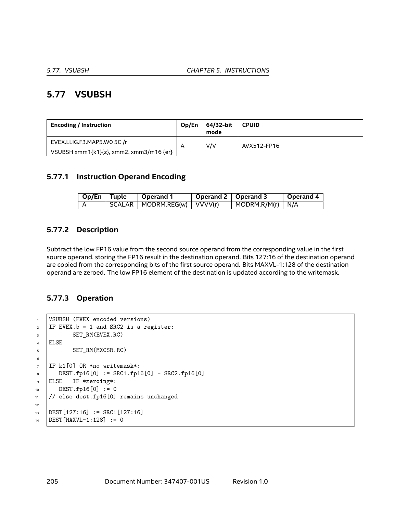# **5.77 VSUBSH**

| <b>Encoding / Instruction</b>           | Op/En | 64/32-bit<br>mode | <b>CPUID</b> |
|-----------------------------------------|-------|-------------------|--------------|
| EVEX.LLIG.F3.MAP5.W0 5C /r              | A     | V/V               | AVX512-FP16  |
| VSUBSH xmm1{k1}{z}, xmm2, xmm3/m16 {er} |       |                   |              |

## **5.77.1 Instruction Operand Encoding**

| Op/En   Tuple | Operand 1                       | Operand 2   Operand 3 |                                  | Operand 4 |
|---------------|---------------------------------|-----------------------|----------------------------------|-----------|
|               | SCALAR   MODRM.REG(w)   VVVV(r) |                       | $\vert$ MODRM.R/M(r) $\vert$ N/A |           |

## **5.77.2 Description**

Subtract the low FP16 value from the second source operand from the corresponding value in the first source operand, storing the FP16 result in the destination operand. Bits 127:16 of the destination operand are copied from the corresponding bits of the first source operand. Bits MAXVL-1:128 of the destination operand are zeroed. The low FP16 element of the destination is updated according to the writemask.

## **5.77.3 Operation**

```
1 VSUBSH (EVEX encoded versions)
2 IF EVEX.b = 1 and SRC2 is a register:
3 SET_RM(EVEX.RC)
4 ELSE
5 SET RM(MXCSR.RC)
6
7 IF k1[0] OR *no writemask*:
8 DEST.fp16[0] := SRC1.fp16[0] - SRC2.fp16[0]
9 ELSE IF *zeroing*:
10 DEST.fp16[0] := 0
11 // else dest.fp16[0] remains unchanged
12
13 DEST[127:16] := SRC1[127:16]
14 DEST [MAXVL-1:128] := 0
```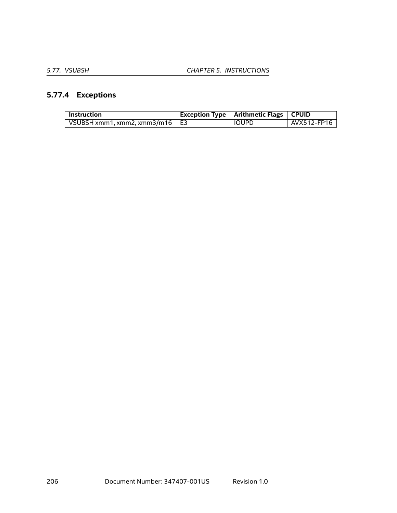# **5.77.4 Exceptions**

| <b>Instruction</b>                    | <b>Exception Type   Arithmetic Flags   CPUID</b> |             |
|---------------------------------------|--------------------------------------------------|-------------|
| VSUBSH xmm1, xmm2, xmm3/m16 $\mid$ E3 | IOUPD                                            | AVX512-FP16 |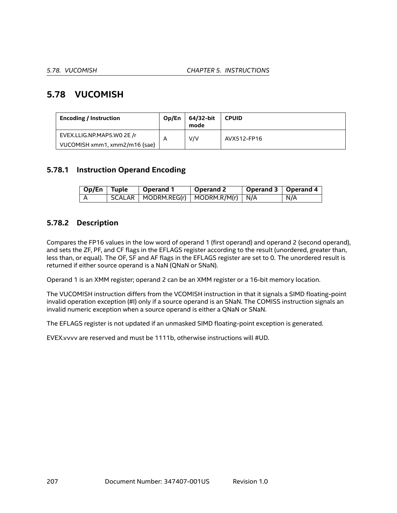# **5.78 VUCOMISH**

| <b>Encoding / Instruction</b> | Op/En | 64/32-bit<br>mode | <b>CPUID</b> |
|-------------------------------|-------|-------------------|--------------|
| EVEX.LLIG.NP.MAP5.WO 2E /r    | A     | V/V               | AVX512-FP16  |
| VUCOMISH xmm1, xmm2/m16 {sae} |       |                   |              |

## **5.78.1 Instruction Operand Encoding**

| Op/En Tuple | $\vert$ Operand 1                            | Operand 2 | Operand 3   Operand 4 |     |
|-------------|----------------------------------------------|-----------|-----------------------|-----|
|             | $SCALAR$   MODRM.REG(r)   MODRM.R/M(r)   N/A |           |                       | N/A |

## **5.78.2 Description**

Compares the FP16 values in the low word of operand 1 (first operand) and operand 2 (second operand), and sets the ZF, PF, and CF flags in the EFLAGS register according to the result (unordered, greater than, less than, or equal). The OF, SF and AF flags in the EFLAGS register are set to 0. The unordered result is returned if either source operand is a NaN (QNaN or SNaN).

Operand 1 is an XMM register; operand 2 can be an XMM register or a 16-bit memory location.

The VUCOMISH instruction differs from the VCOMISH instruction in that it signals a SIMD floating-point invalid operation exception (#I) only if a source operand is an SNaN. The COMISS instruction signals an invalid numeric exception when a source operand is either a QNaN or SNaN.

The EFLAGS register is not updated if an unmasked SIMD floating-point exception is generated.

EVEX.vvvv are reserved and must be 1111b, otherwise instructions will #UD.